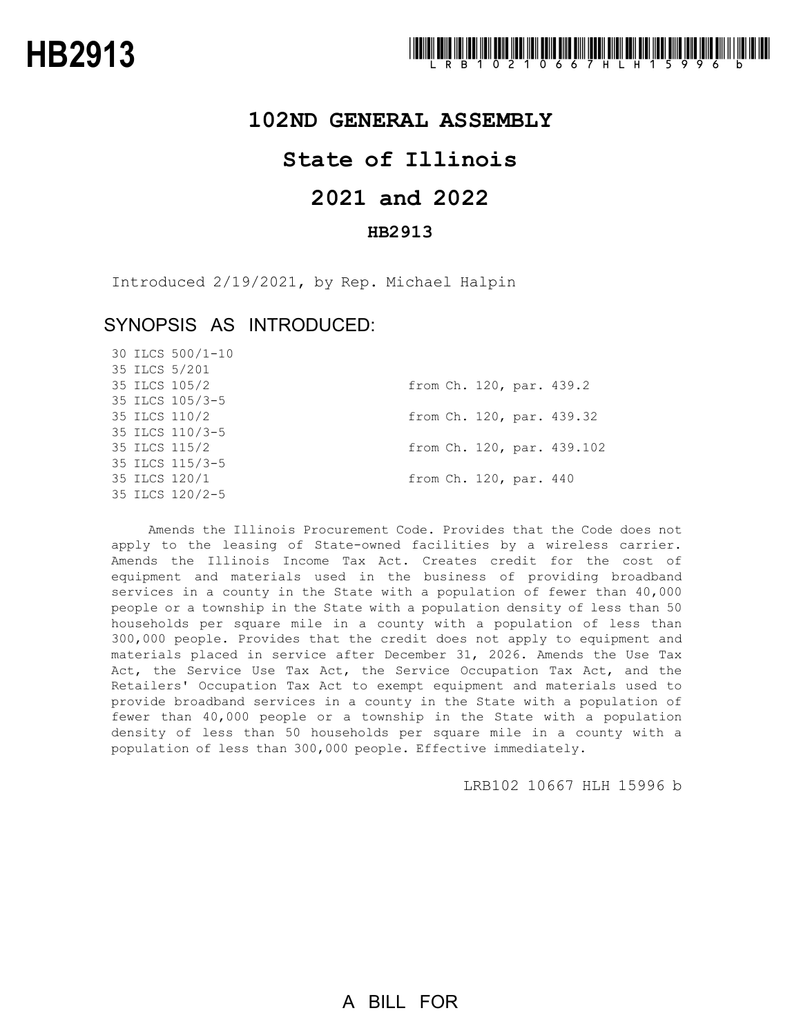## **102ND GENERAL ASSEMBLY**

## **State of Illinois**

# **2021 and 2022**

## **HB2913**

Introduced 2/19/2021, by Rep. Michael Halpin

## SYNOPSIS AS INTRODUCED:

30 ILCS 500/1-10

|  | 35 ILCS 5/201   |  |                        |                            |
|--|-----------------|--|------------------------|----------------------------|
|  | 35 ILCS 105/2   |  |                        | from Ch. 120, par. 439.2   |
|  | 35 ILCS 105/3-5 |  |                        |                            |
|  | 35 ILCS 110/2   |  |                        | from Ch. 120, par. 439.32  |
|  | 35 ILCS 110/3-5 |  |                        |                            |
|  | 35 ILCS 115/2   |  |                        | from Ch. 120, par. 439.102 |
|  | 35 ILCS 115/3-5 |  |                        |                            |
|  | 35 ILCS 120/1   |  | from Ch. 120, par. 440 |                            |
|  | 35 ILCS 120/2-5 |  |                        |                            |
|  |                 |  |                        |                            |

Amends the Illinois Procurement Code. Provides that the Code does not apply to the leasing of State-owned facilities by a wireless carrier. Amends the Illinois Income Tax Act. Creates credit for the cost of equipment and materials used in the business of providing broadband services in a county in the State with a population of fewer than 40,000 people or a township in the State with a population density of less than 50 households per square mile in a county with a population of less than 300,000 people. Provides that the credit does not apply to equipment and materials placed in service after December 31, 2026. Amends the Use Tax Act, the Service Use Tax Act, the Service Occupation Tax Act, and the Retailers' Occupation Tax Act to exempt equipment and materials used to provide broadband services in a county in the State with a population of fewer than 40,000 people or a township in the State with a population density of less than 50 households per square mile in a county with a population of less than 300,000 people. Effective immediately.

LRB102 10667 HLH 15996 b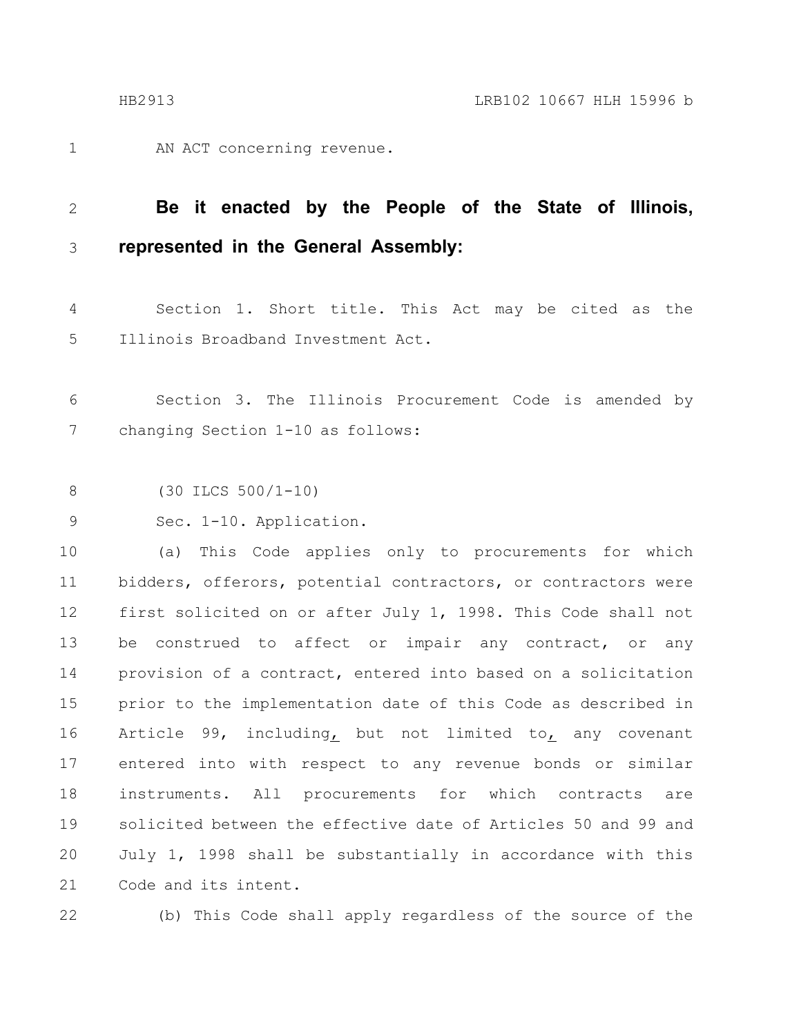AN ACT concerning revenue. 1

### **Be it enacted by the People of the State of Illinois, represented in the General Assembly:** 2 3

Section 1. Short title. This Act may be cited as the Illinois Broadband Investment Act. 4 5

Section 3. The Illinois Procurement Code is amended by changing Section 1-10 as follows: 6 7

(30 ILCS 500/1-10) 8

Sec. 1-10. Application. 9

(a) This Code applies only to procurements for which bidders, offerors, potential contractors, or contractors were first solicited on or after July 1, 1998. This Code shall not be construed to affect or impair any contract, or any provision of a contract, entered into based on a solicitation prior to the implementation date of this Code as described in Article 99, including, but not limited to, any covenant entered into with respect to any revenue bonds or similar instruments. All procurements for which contracts are solicited between the effective date of Articles 50 and 99 and July 1, 1998 shall be substantially in accordance with this Code and its intent. 10 11 12 13 14 15 16 17 18 19 20 21

22

(b) This Code shall apply regardless of the source of the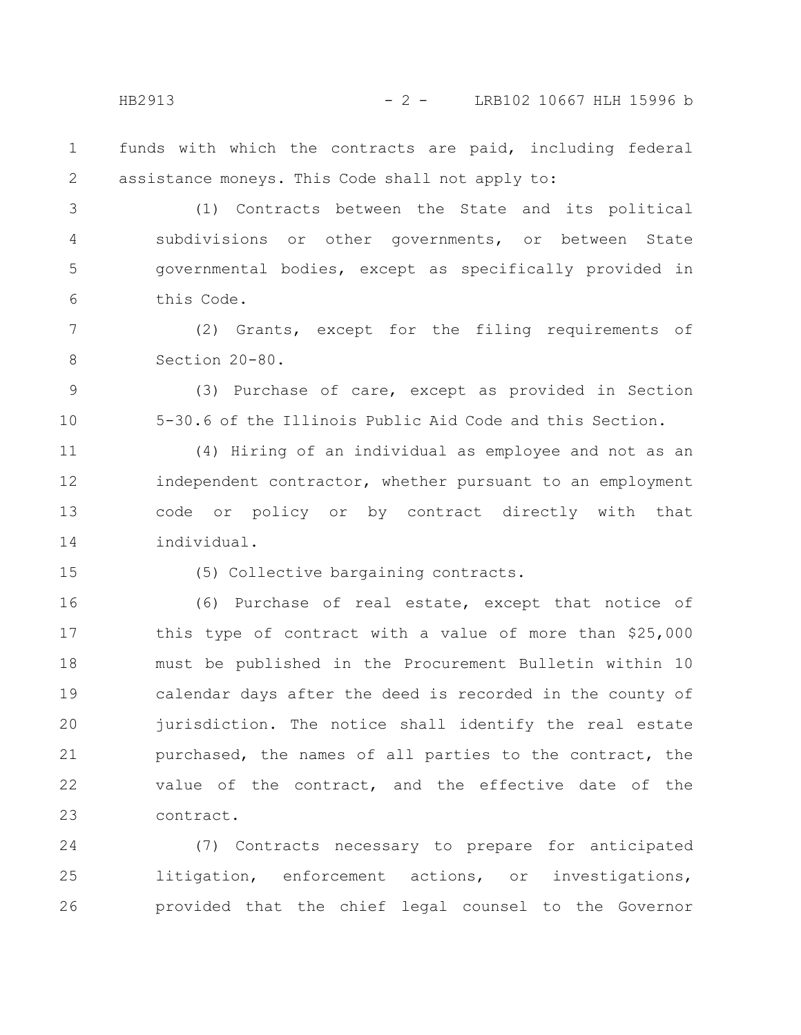HB2913 - 2 - LRB102 10667 HLH 15996 b

funds with which the contracts are paid, including federal assistance moneys. This Code shall not apply to: 1 2

(1) Contracts between the State and its political subdivisions or other governments, or between State governmental bodies, except as specifically provided in this Code. 3 4 5 6

(2) Grants, except for the filing requirements of Section 20-80. 7 8

(3) Purchase of care, except as provided in Section 5-30.6 of the Illinois Public Aid Code and this Section.

(4) Hiring of an individual as employee and not as an independent contractor, whether pursuant to an employment code or policy or by contract directly with that individual. 11 12 13 14

15

9

10

(5) Collective bargaining contracts.

(6) Purchase of real estate, except that notice of this type of contract with a value of more than \$25,000 must be published in the Procurement Bulletin within 10 calendar days after the deed is recorded in the county of jurisdiction. The notice shall identify the real estate purchased, the names of all parties to the contract, the value of the contract, and the effective date of the contract. 16 17 18 19 20 21 22 23

(7) Contracts necessary to prepare for anticipated litigation, enforcement actions, or investigations, provided that the chief legal counsel to the Governor 24 25 26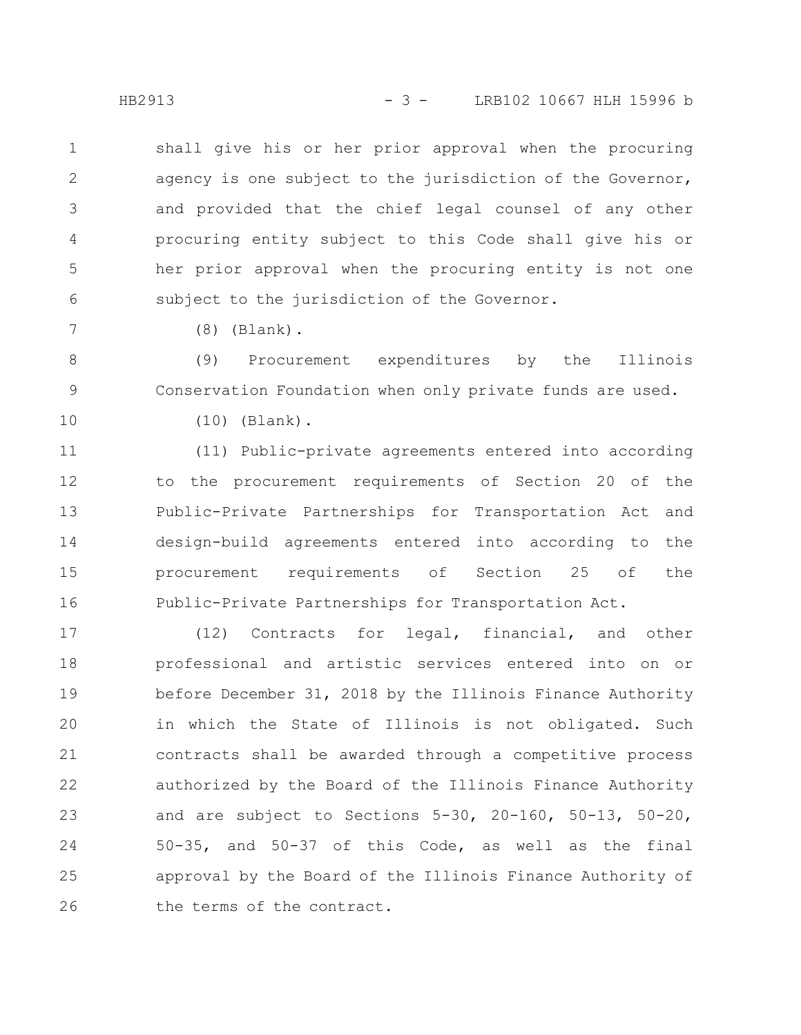HB2913 - 3 - LRB102 10667 HLH 15996 b

shall give his or her prior approval when the procuring agency is one subject to the jurisdiction of the Governor, and provided that the chief legal counsel of any other procuring entity subject to this Code shall give his or her prior approval when the procuring entity is not one subject to the jurisdiction of the Governor. 1 2 3 4 5 6

(8) (Blank).

(9) Procurement expenditures by the Illinois Conservation Foundation when only private funds are used. 8 9

10

7

(10) (Blank).

(11) Public-private agreements entered into according to the procurement requirements of Section 20 of the Public-Private Partnerships for Transportation Act and design-build agreements entered into according to the procurement requirements of Section 25 of the Public-Private Partnerships for Transportation Act. 11 12 13 14 15 16

(12) Contracts for legal, financial, and other professional and artistic services entered into on or before December 31, 2018 by the Illinois Finance Authority in which the State of Illinois is not obligated. Such contracts shall be awarded through a competitive process authorized by the Board of the Illinois Finance Authority and are subject to Sections 5-30, 20-160, 50-13, 50-20, 50-35, and 50-37 of this Code, as well as the final approval by the Board of the Illinois Finance Authority of the terms of the contract. 17 18 19 20 21 22 23 24 25 26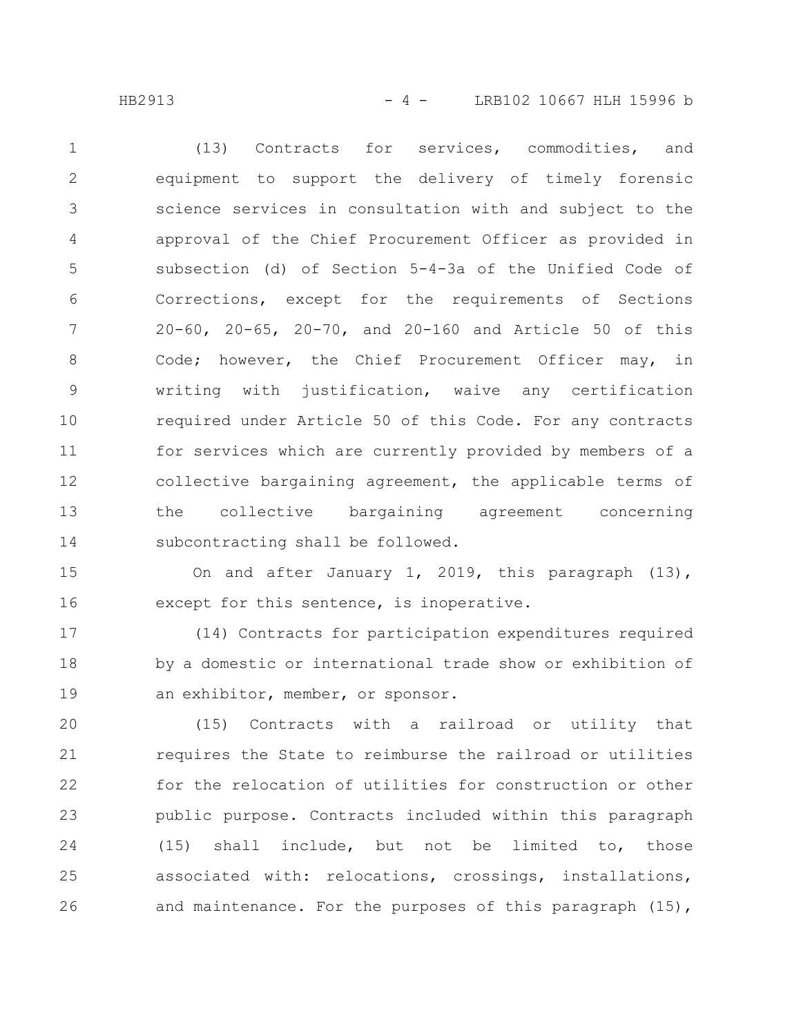HB2913 - 4 - LRB102 10667 HLH 15996 b

(13) Contracts for services, commodities, and equipment to support the delivery of timely forensic science services in consultation with and subject to the approval of the Chief Procurement Officer as provided in subsection (d) of Section 5-4-3a of the Unified Code of Corrections, except for the requirements of Sections 20-60, 20-65, 20-70, and 20-160 and Article 50 of this Code; however, the Chief Procurement Officer may, in writing with justification, waive any certification required under Article 50 of this Code. For any contracts for services which are currently provided by members of a collective bargaining agreement, the applicable terms of the collective bargaining agreement concerning subcontracting shall be followed. 1 2 3 4 5 6 7 8 9 10 11 12 13 14

On and after January 1, 2019, this paragraph (13), except for this sentence, is inoperative. 15 16

(14) Contracts for participation expenditures required by a domestic or international trade show or exhibition of an exhibitor, member, or sponsor. 17 18 19

(15) Contracts with a railroad or utility that requires the State to reimburse the railroad or utilities for the relocation of utilities for construction or other public purpose. Contracts included within this paragraph (15) shall include, but not be limited to, those associated with: relocations, crossings, installations, and maintenance. For the purposes of this paragraph (15), 20 21 22 23 24 25 26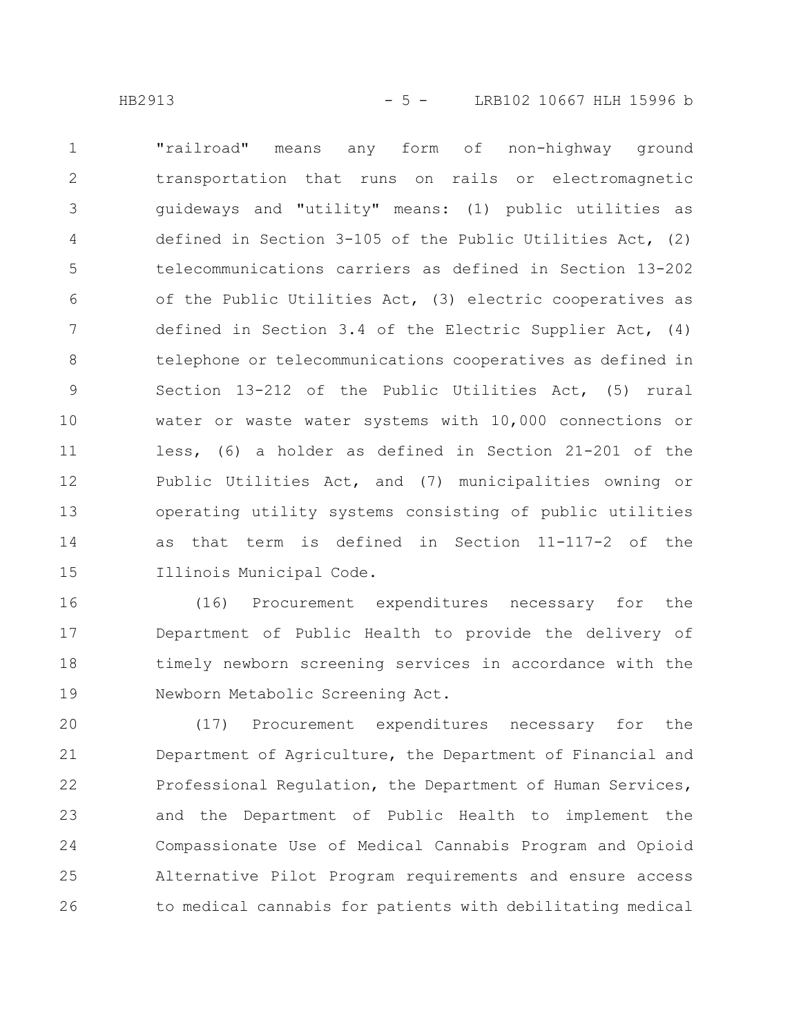"railroad" means any form of non-highway ground transportation that runs on rails or electromagnetic guideways and "utility" means: (1) public utilities as defined in Section 3-105 of the Public Utilities Act, (2) telecommunications carriers as defined in Section 13-202 of the Public Utilities Act, (3) electric cooperatives as defined in Section 3.4 of the Electric Supplier Act, (4) telephone or telecommunications cooperatives as defined in Section 13-212 of the Public Utilities Act, (5) rural water or waste water systems with 10,000 connections or less, (6) a holder as defined in Section 21-201 of the Public Utilities Act, and (7) municipalities owning or operating utility systems consisting of public utilities as that term is defined in Section 11-117-2 of the Illinois Municipal Code. 1 2 3 4 5 6 7 8 9 10 11 12 13 14 15

(16) Procurement expenditures necessary for the Department of Public Health to provide the delivery of timely newborn screening services in accordance with the Newborn Metabolic Screening Act. 16 17 18 19

(17) Procurement expenditures necessary for the Department of Agriculture, the Department of Financial and Professional Regulation, the Department of Human Services, and the Department of Public Health to implement the Compassionate Use of Medical Cannabis Program and Opioid Alternative Pilot Program requirements and ensure access to medical cannabis for patients with debilitating medical 20 21 22 23 24 25 26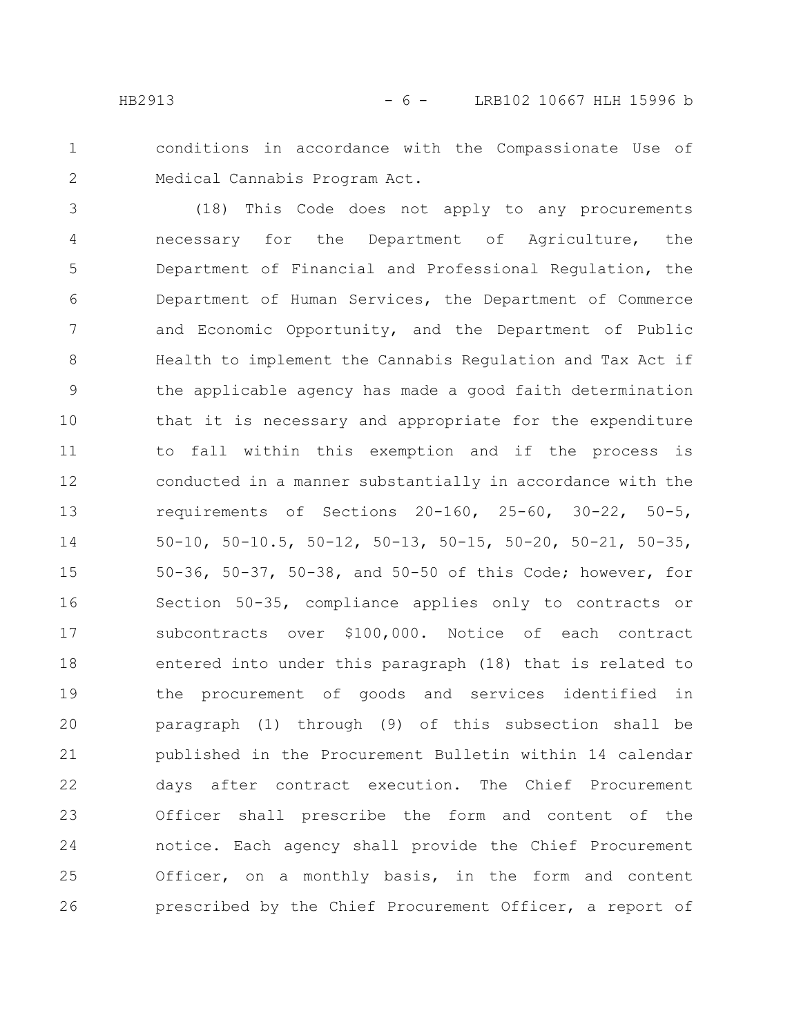1

2

conditions in accordance with the Compassionate Use of Medical Cannabis Program Act.

(18) This Code does not apply to any procurements necessary for the Department of Agriculture, the Department of Financial and Professional Regulation, the Department of Human Services, the Department of Commerce and Economic Opportunity, and the Department of Public Health to implement the Cannabis Regulation and Tax Act if the applicable agency has made a good faith determination that it is necessary and appropriate for the expenditure to fall within this exemption and if the process is conducted in a manner substantially in accordance with the requirements of Sections 20-160, 25-60, 30-22, 50-5, 50-10, 50-10.5, 50-12, 50-13, 50-15, 50-20, 50-21, 50-35, 50-36, 50-37, 50-38, and 50-50 of this Code; however, for Section 50-35, compliance applies only to contracts or subcontracts over \$100,000. Notice of each contract entered into under this paragraph (18) that is related to the procurement of goods and services identified in paragraph (1) through (9) of this subsection shall be published in the Procurement Bulletin within 14 calendar days after contract execution. The Chief Procurement Officer shall prescribe the form and content of the notice. Each agency shall provide the Chief Procurement Officer, on a monthly basis, in the form and content prescribed by the Chief Procurement Officer, a report of 3 4 5 6 7 8 9 10 11 12 13 14 15 16 17 18 19 20 21 22 23 24 25 26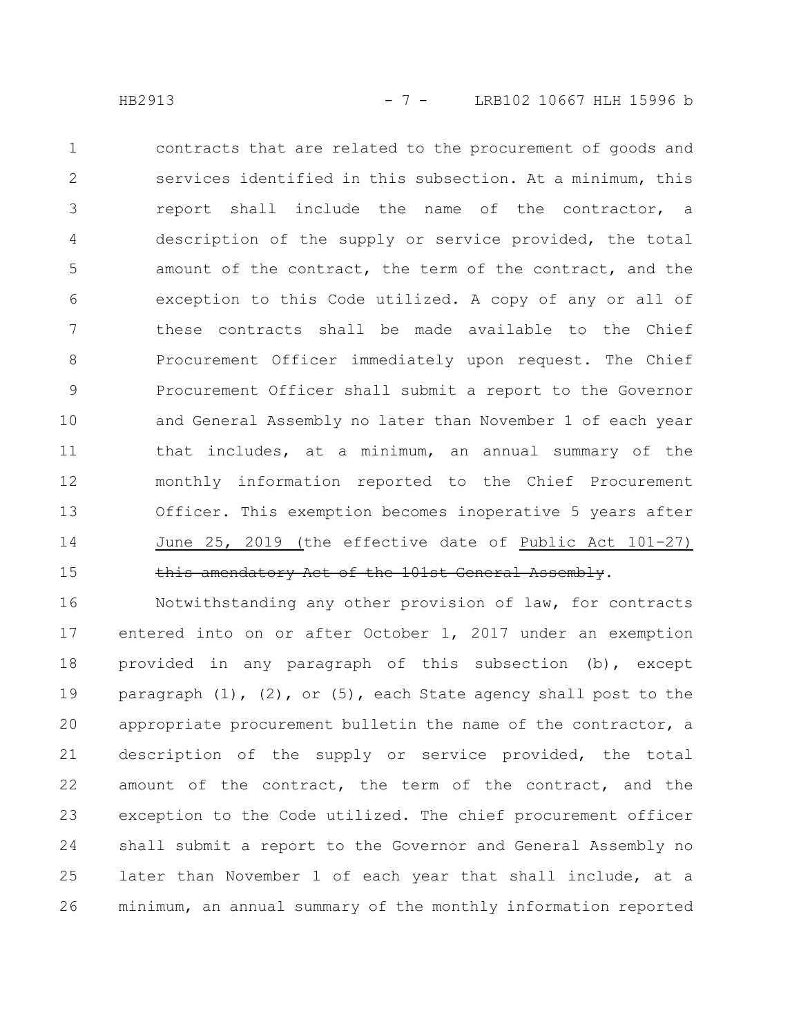contracts that are related to the procurement of goods and services identified in this subsection. At a minimum, this report shall include the name of the contractor, a description of the supply or service provided, the total amount of the contract, the term of the contract, and the exception to this Code utilized. A copy of any or all of these contracts shall be made available to the Chief Procurement Officer immediately upon request. The Chief Procurement Officer shall submit a report to the Governor and General Assembly no later than November 1 of each year that includes, at a minimum, an annual summary of the monthly information reported to the Chief Procurement Officer. This exemption becomes inoperative 5 years after June 25, 2019 (the effective date of Public Act 101-27) this amendatory Act of the 101st General Assembly. 1 2 3 4 5 6 7 8 9 10 11 12 13 14 15

Notwithstanding any other provision of law, for contracts entered into on or after October 1, 2017 under an exemption provided in any paragraph of this subsection (b), except paragraph  $(1)$ ,  $(2)$ , or  $(5)$ , each State agency shall post to the appropriate procurement bulletin the name of the contractor, a description of the supply or service provided, the total amount of the contract, the term of the contract, and the exception to the Code utilized. The chief procurement officer shall submit a report to the Governor and General Assembly no later than November 1 of each year that shall include, at a minimum, an annual summary of the monthly information reported 16 17 18 19 20 21 22 23 24 25 26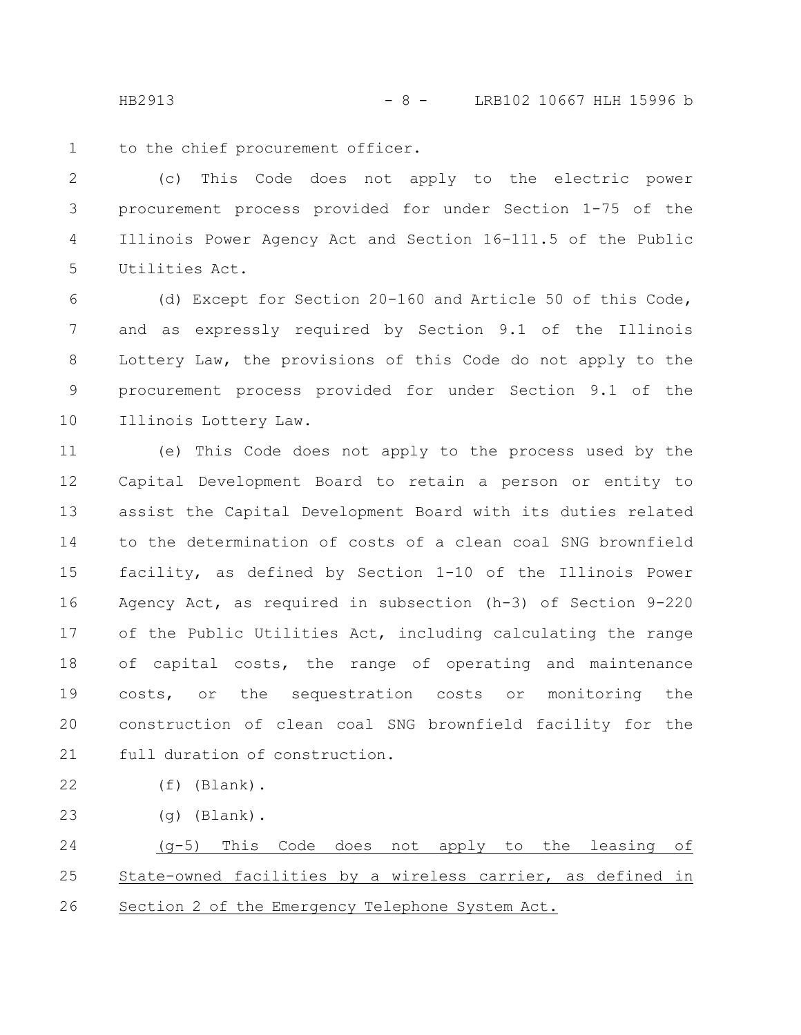HB2913 - 8 - LRB102 10667 HLH 15996 b

to the chief procurement officer. 1

(c) This Code does not apply to the electric power procurement process provided for under Section 1-75 of the Illinois Power Agency Act and Section 16-111.5 of the Public Utilities Act. 2 3 4 5

(d) Except for Section 20-160 and Article 50 of this Code, and as expressly required by Section 9.1 of the Illinois Lottery Law, the provisions of this Code do not apply to the procurement process provided for under Section 9.1 of the Illinois Lottery Law. 6 7 8 9 10

(e) This Code does not apply to the process used by the Capital Development Board to retain a person or entity to assist the Capital Development Board with its duties related to the determination of costs of a clean coal SNG brownfield facility, as defined by Section 1-10 of the Illinois Power Agency Act, as required in subsection (h-3) of Section 9-220 of the Public Utilities Act, including calculating the range of capital costs, the range of operating and maintenance costs, or the sequestration costs or monitoring the construction of clean coal SNG brownfield facility for the full duration of construction. 11 12 13 14 15 16 17 18 19 20 21

(f) (Blank). 22

(g) (Blank). 23

(g-5) This Code does not apply to the leasing of State-owned facilities by a wireless carrier, as defined in Section 2 of the Emergency Telephone System Act. 24 25 26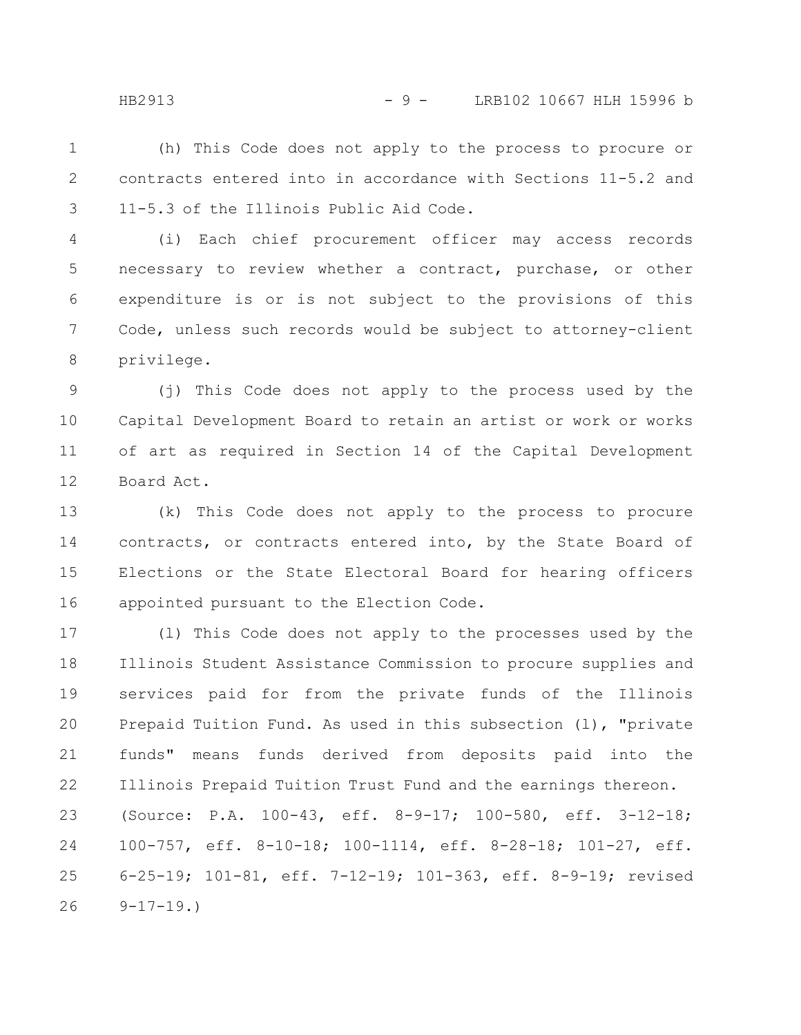(h) This Code does not apply to the process to procure or contracts entered into in accordance with Sections 11-5.2 and 11-5.3 of the Illinois Public Aid Code. 1 2 3

(i) Each chief procurement officer may access records necessary to review whether a contract, purchase, or other expenditure is or is not subject to the provisions of this Code, unless such records would be subject to attorney-client privilege. 4 5 6 7 8

(j) This Code does not apply to the process used by the Capital Development Board to retain an artist or work or works of art as required in Section 14 of the Capital Development Board Act. 9 10 11 12

(k) This Code does not apply to the process to procure contracts, or contracts entered into, by the State Board of Elections or the State Electoral Board for hearing officers appointed pursuant to the Election Code. 13 14 15 16

(l) This Code does not apply to the processes used by the Illinois Student Assistance Commission to procure supplies and services paid for from the private funds of the Illinois Prepaid Tuition Fund. As used in this subsection (l), "private funds" means funds derived from deposits paid into the Illinois Prepaid Tuition Trust Fund and the earnings thereon. (Source: P.A. 100-43, eff. 8-9-17; 100-580, eff. 3-12-18; 100-757, eff. 8-10-18; 100-1114, eff. 8-28-18; 101-27, eff. 6-25-19; 101-81, eff. 7-12-19; 101-363, eff. 8-9-19; revised  $9-17-19.$ 17 18 19 20 21 22 23 24 25 26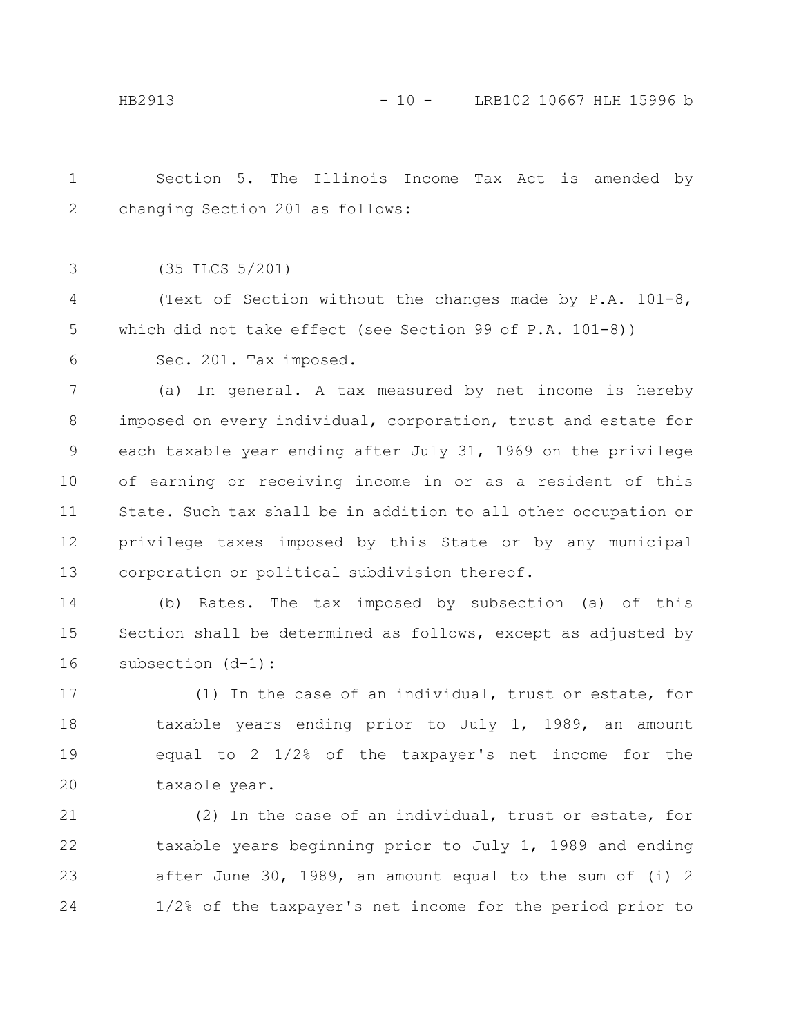Section 5. The Illinois Income Tax Act is amended by changing Section 201 as follows: 1 2

(35 ILCS 5/201) 3

(Text of Section without the changes made by P.A. 101-8, which did not take effect (see Section 99 of P.A. 101-8)) 4 5

Sec. 201. Tax imposed. 6

(a) In general. A tax measured by net income is hereby imposed on every individual, corporation, trust and estate for each taxable year ending after July 31, 1969 on the privilege of earning or receiving income in or as a resident of this State. Such tax shall be in addition to all other occupation or privilege taxes imposed by this State or by any municipal corporation or political subdivision thereof. 7 8 9 10 11 12 13

(b) Rates. The tax imposed by subsection (a) of this Section shall be determined as follows, except as adjusted by subsection (d-1): 14 15 16

(1) In the case of an individual, trust or estate, for taxable years ending prior to July 1, 1989, an amount equal to 2 1/2% of the taxpayer's net income for the taxable year. 17 18 19 20

(2) In the case of an individual, trust or estate, for taxable years beginning prior to July 1, 1989 and ending after June 30, 1989, an amount equal to the sum of (i) 2 1/2% of the taxpayer's net income for the period prior to 21 22 23 24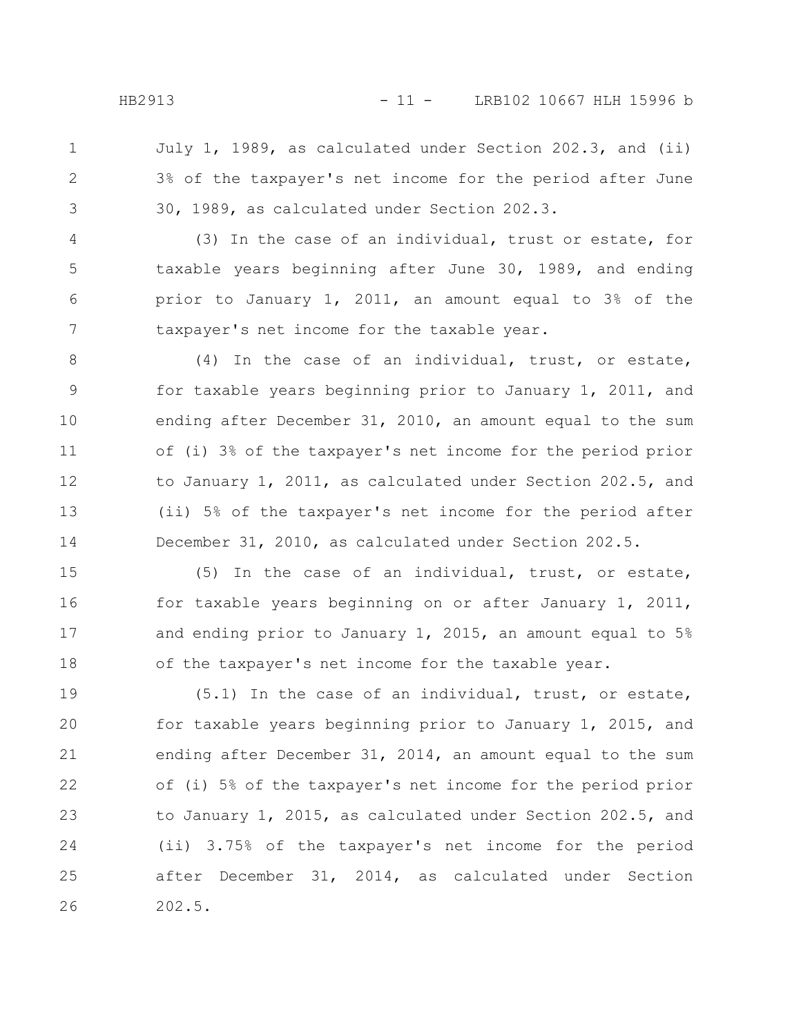July 1, 1989, as calculated under Section 202.3, and (ii) 3% of the taxpayer's net income for the period after June 30, 1989, as calculated under Section 202.3. 1 2 3

(3) In the case of an individual, trust or estate, for taxable years beginning after June 30, 1989, and ending prior to January 1, 2011, an amount equal to 3% of the taxpayer's net income for the taxable year. 4 5 6 7

(4) In the case of an individual, trust, or estate, for taxable years beginning prior to January 1, 2011, and ending after December 31, 2010, an amount equal to the sum of (i) 3% of the taxpayer's net income for the period prior to January 1, 2011, as calculated under Section 202.5, and (ii) 5% of the taxpayer's net income for the period after December 31, 2010, as calculated under Section 202.5. 8 9 10 11 12 13 14

(5) In the case of an individual, trust, or estate, for taxable years beginning on or after January 1, 2011, and ending prior to January 1, 2015, an amount equal to 5% of the taxpayer's net income for the taxable year. 15 16 17 18

(5.1) In the case of an individual, trust, or estate, for taxable years beginning prior to January 1, 2015, and ending after December 31, 2014, an amount equal to the sum of (i) 5% of the taxpayer's net income for the period prior to January 1, 2015, as calculated under Section 202.5, and (ii) 3.75% of the taxpayer's net income for the period after December 31, 2014, as calculated under Section 202.5. 19 20 21 22 23 24 25 26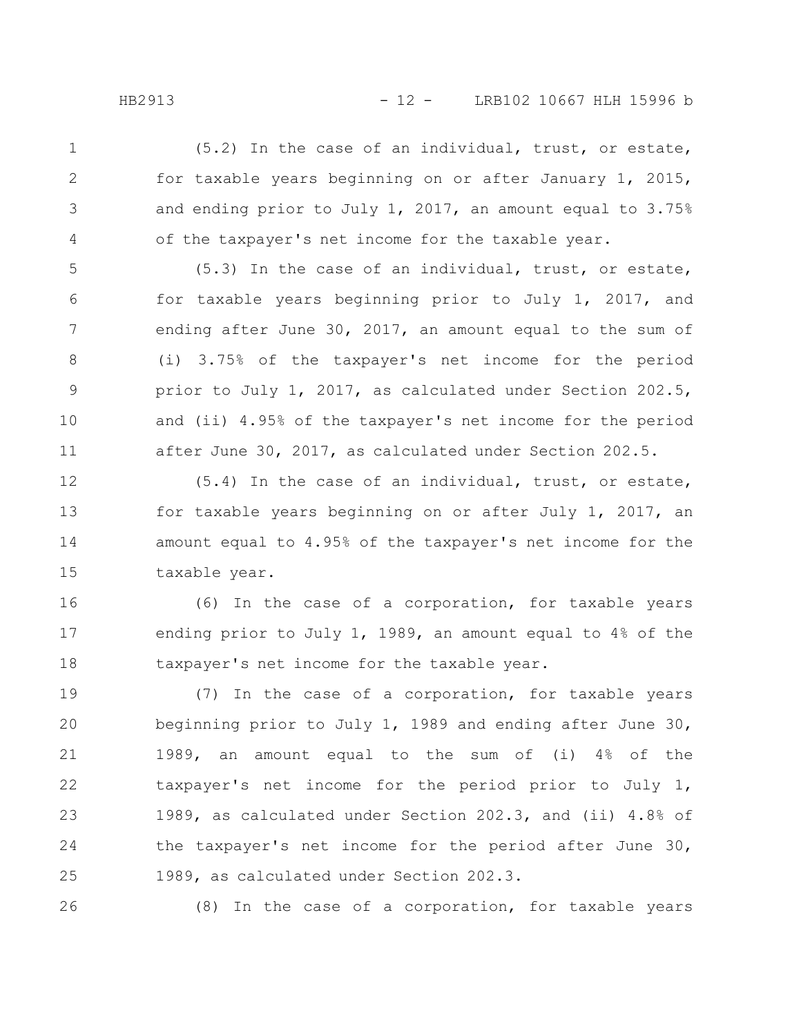(5.2) In the case of an individual, trust, or estate, for taxable years beginning on or after January 1, 2015, and ending prior to July 1, 2017, an amount equal to 3.75% of the taxpayer's net income for the taxable year. 1 2 3 4

(5.3) In the case of an individual, trust, or estate, for taxable years beginning prior to July 1, 2017, and ending after June 30, 2017, an amount equal to the sum of (i) 3.75% of the taxpayer's net income for the period prior to July 1, 2017, as calculated under Section 202.5, and (ii) 4.95% of the taxpayer's net income for the period after June 30, 2017, as calculated under Section 202.5. 5 6 7 8 9 10 11

(5.4) In the case of an individual, trust, or estate, for taxable years beginning on or after July 1, 2017, an amount equal to 4.95% of the taxpayer's net income for the taxable year. 12 13 14 15

(6) In the case of a corporation, for taxable years ending prior to July 1, 1989, an amount equal to 4% of the taxpayer's net income for the taxable year. 16 17 18

(7) In the case of a corporation, for taxable years beginning prior to July 1, 1989 and ending after June 30, 1989, an amount equal to the sum of (i) 4% of the taxpayer's net income for the period prior to July 1, 1989, as calculated under Section 202.3, and (ii) 4.8% of the taxpayer's net income for the period after June 30, 1989, as calculated under Section 202.3. 19 20 21 22 23 24 25

26

(8) In the case of a corporation, for taxable years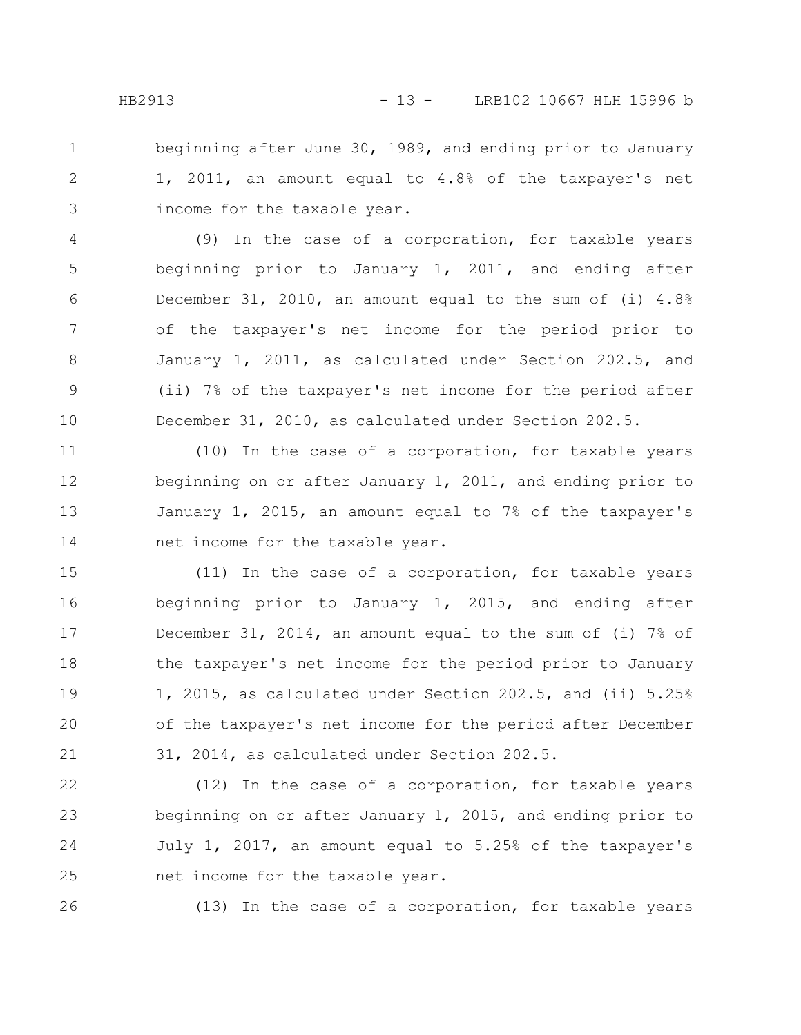beginning after June 30, 1989, and ending prior to January 1, 2011, an amount equal to 4.8% of the taxpayer's net income for the taxable year. 1 2 3

(9) In the case of a corporation, for taxable years beginning prior to January 1, 2011, and ending after December 31, 2010, an amount equal to the sum of (i) 4.8% of the taxpayer's net income for the period prior to January 1, 2011, as calculated under Section 202.5, and (ii) 7% of the taxpayer's net income for the period after December 31, 2010, as calculated under Section 202.5. 4 5 6 7 8 9 10

(10) In the case of a corporation, for taxable years beginning on or after January 1, 2011, and ending prior to January 1, 2015, an amount equal to 7% of the taxpayer's net income for the taxable year. 11 12 13 14

(11) In the case of a corporation, for taxable years beginning prior to January 1, 2015, and ending after December 31, 2014, an amount equal to the sum of (i) 7% of the taxpayer's net income for the period prior to January 1, 2015, as calculated under Section 202.5, and (ii) 5.25% of the taxpayer's net income for the period after December 31, 2014, as calculated under Section 202.5. 15 16 17 18 19 20 21

(12) In the case of a corporation, for taxable years beginning on or after January 1, 2015, and ending prior to July 1, 2017, an amount equal to 5.25% of the taxpayer's net income for the taxable year. 22 23 24 25

26

(13) In the case of a corporation, for taxable years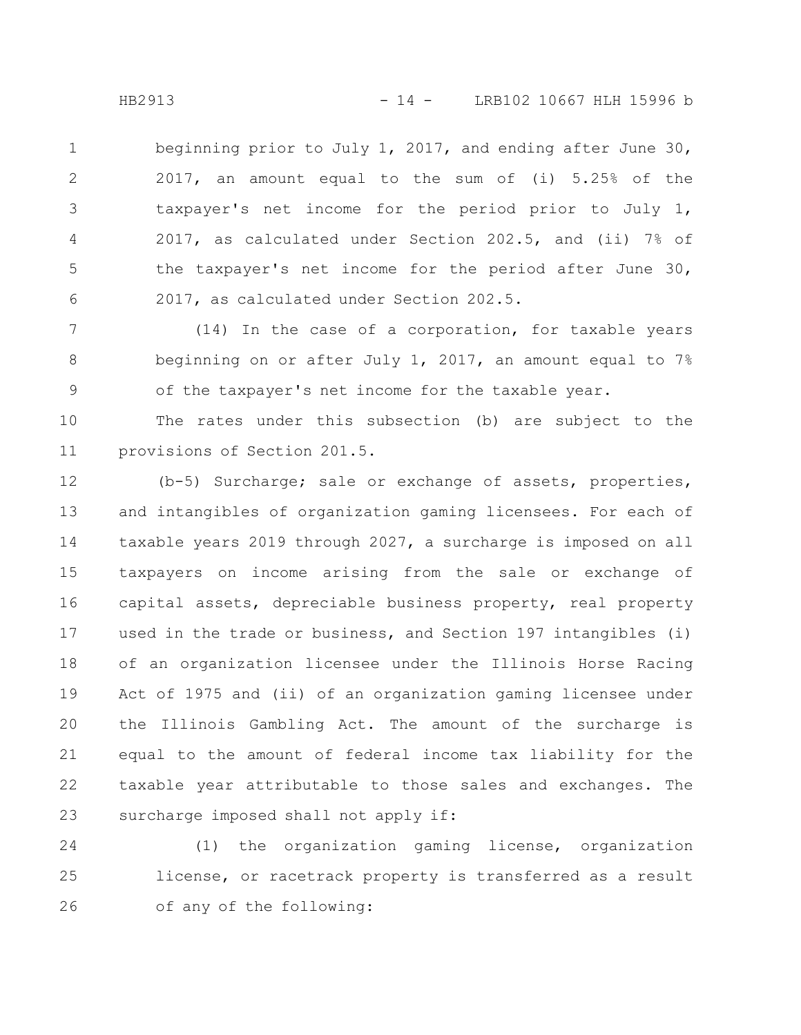beginning prior to July 1, 2017, and ending after June 30, 2017, an amount equal to the sum of (i) 5.25% of the taxpayer's net income for the period prior to July 1, 2017, as calculated under Section 202.5, and (ii) 7% of the taxpayer's net income for the period after June 30, 2017, as calculated under Section 202.5. 1 2 3 4 5 6

(14) In the case of a corporation, for taxable years beginning on or after July 1, 2017, an amount equal to 7% of the taxpayer's net income for the taxable year. 7 8 9

The rates under this subsection (b) are subject to the provisions of Section 201.5. 10 11

(b-5) Surcharge; sale or exchange of assets, properties, and intangibles of organization gaming licensees. For each of taxable years 2019 through 2027, a surcharge is imposed on all taxpayers on income arising from the sale or exchange of capital assets, depreciable business property, real property used in the trade or business, and Section 197 intangibles (i) of an organization licensee under the Illinois Horse Racing Act of 1975 and (ii) of an organization gaming licensee under the Illinois Gambling Act. The amount of the surcharge is equal to the amount of federal income tax liability for the taxable year attributable to those sales and exchanges. The surcharge imposed shall not apply if: 12 13 14 15 16 17 18 19 20 21 22 23

(1) the organization gaming license, organization license, or racetrack property is transferred as a result of any of the following: 24 25 26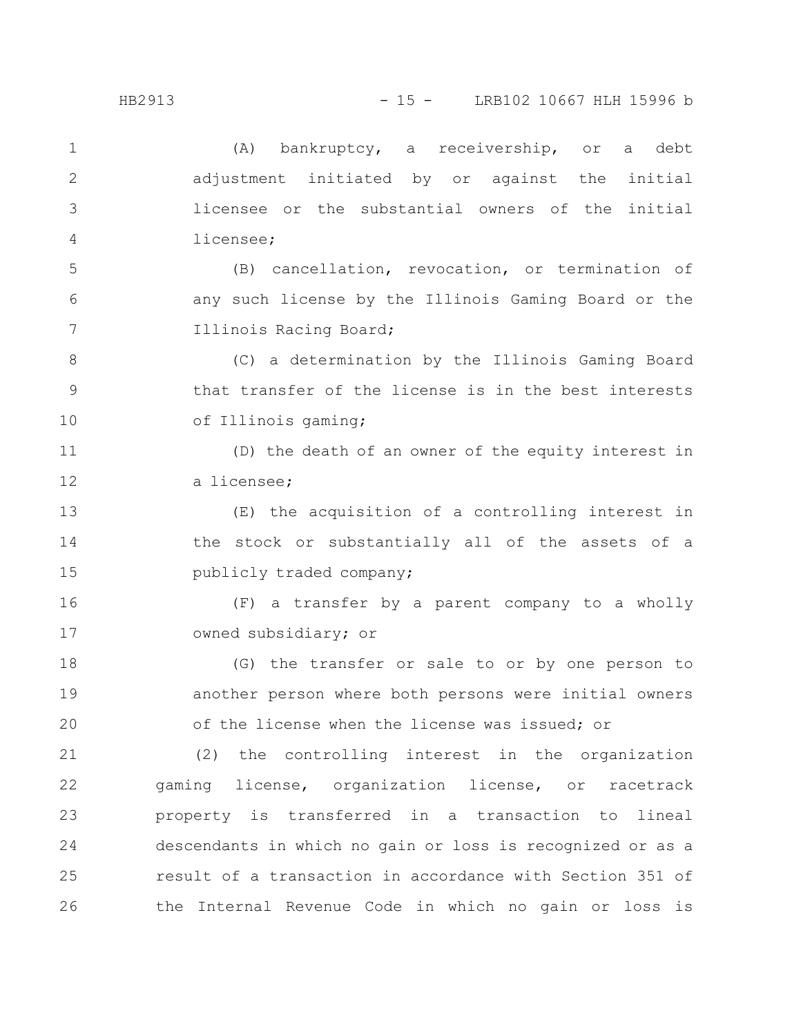| $\mathbf{1}$ | (A)<br>bankruptcy, a receivership, or<br>debt<br>a         |
|--------------|------------------------------------------------------------|
| $\mathbf{2}$ | adjustment initiated by or against the<br>initial          |
| 3            | licensee or the substantial owners of the initial          |
| 4            | licensee;                                                  |
| 5            | (B) cancellation, revocation, or termination of            |
| 6            | any such license by the Illinois Gaming Board or the       |
| 7            | Illinois Racing Board;                                     |
| 8            | (C) a determination by the Illinois Gaming Board           |
| 9            | that transfer of the license is in the best interests      |
| 10           | of Illinois gaming;                                        |
| 11           | (D) the death of an owner of the equity interest in        |
| 12           | a licensee;                                                |
| 13           | (E) the acquisition of a controlling interest in           |
| 14           | the stock or substantially all of the assets of a          |
| 15           | publicly traded company;                                   |
| 16           | (F) a transfer by a parent company to a wholly             |
| 17           | owned subsidiary; or                                       |
| 18           | (G) the transfer or sale to or by one person to            |
| 19           | another person where both persons were initial owners      |
| 20           | of the license when the license was issued; or             |
| 21           | (2) the controlling interest in the organization           |
| 22           | gaming license, organization license, or racetrack         |
| 23           | property is transferred in a transaction to lineal         |
| 24           | descendants in which no gain or loss is recognized or as a |
| 25           | result of a transaction in accordance with Section 351 of  |
| 26           | the Internal Revenue Code in which no gain or loss is      |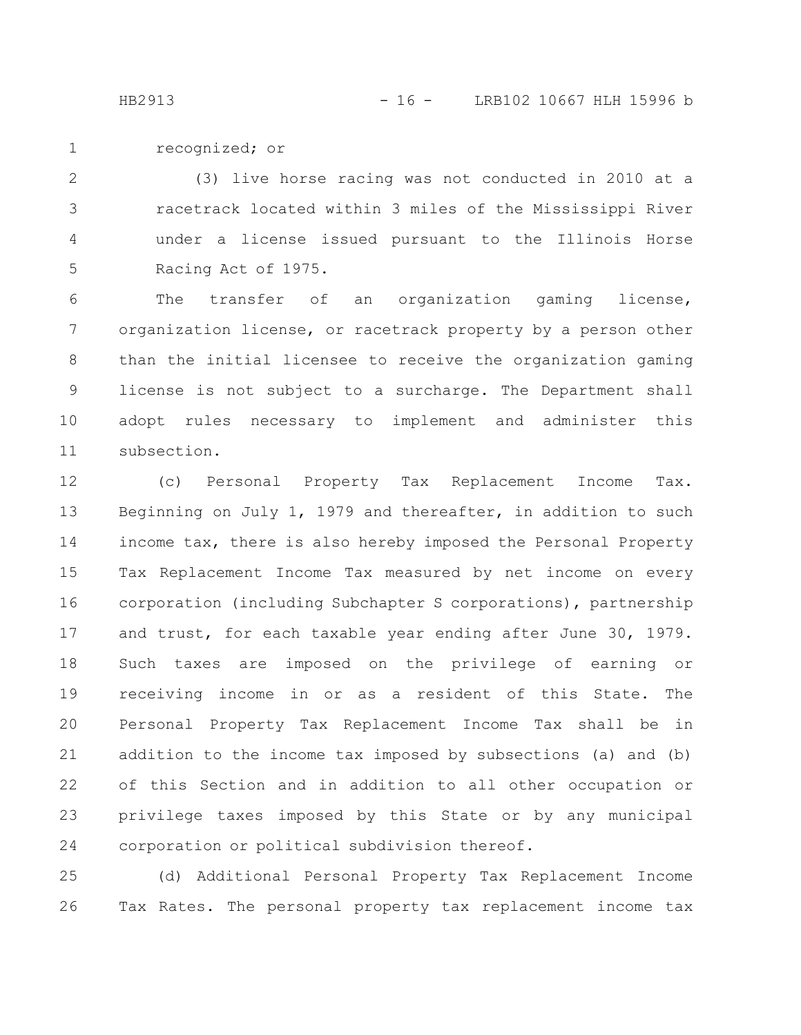recognized; or 1

(3) live horse racing was not conducted in 2010 at a racetrack located within 3 miles of the Mississippi River under a license issued pursuant to the Illinois Horse Racing Act of 1975. 2 3 4 5

The transfer of an organization gaming license, organization license, or racetrack property by a person other than the initial licensee to receive the organization gaming license is not subject to a surcharge. The Department shall adopt rules necessary to implement and administer this subsection. 6 7 8 9 10 11

(c) Personal Property Tax Replacement Income Tax. Beginning on July 1, 1979 and thereafter, in addition to such income tax, there is also hereby imposed the Personal Property Tax Replacement Income Tax measured by net income on every corporation (including Subchapter S corporations), partnership and trust, for each taxable year ending after June 30, 1979. Such taxes are imposed on the privilege of earning or receiving income in or as a resident of this State. The Personal Property Tax Replacement Income Tax shall be in addition to the income tax imposed by subsections (a) and (b) of this Section and in addition to all other occupation or privilege taxes imposed by this State or by any municipal corporation or political subdivision thereof. 12 13 14 15 16 17 18 19 20 21 22 23 24

(d) Additional Personal Property Tax Replacement Income Tax Rates. The personal property tax replacement income tax 25 26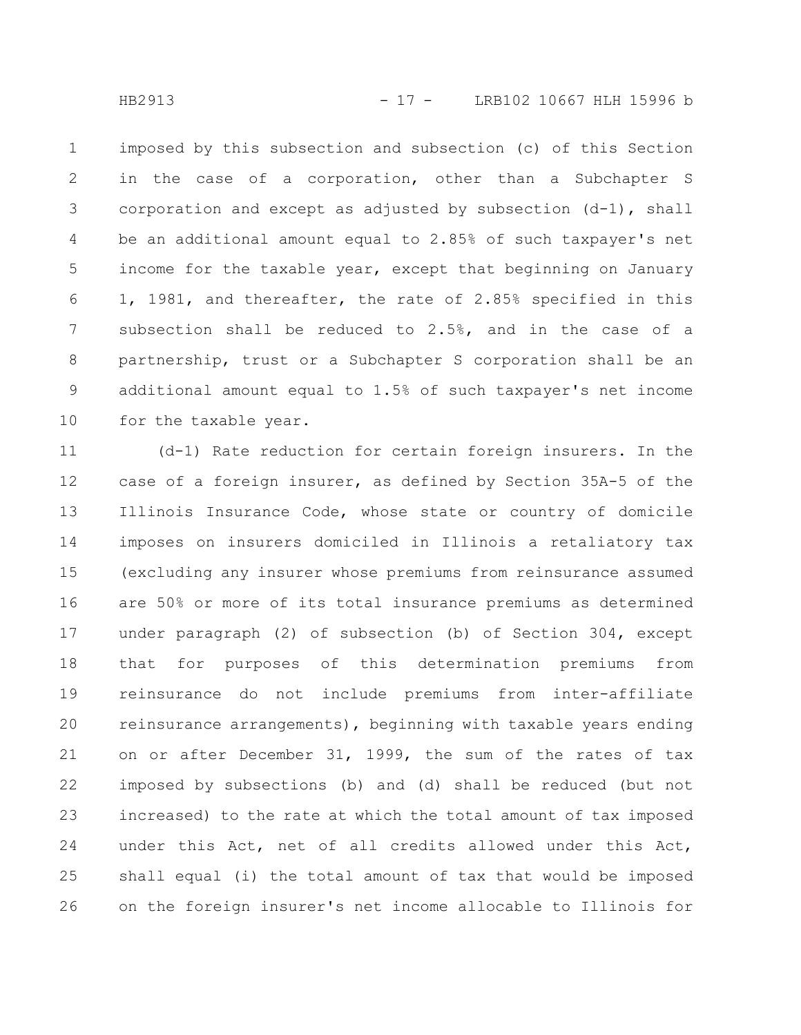imposed by this subsection and subsection (c) of this Section in the case of a corporation, other than a Subchapter S corporation and except as adjusted by subsection (d-1), shall be an additional amount equal to 2.85% of such taxpayer's net income for the taxable year, except that beginning on January 1, 1981, and thereafter, the rate of 2.85% specified in this subsection shall be reduced to 2.5%, and in the case of a partnership, trust or a Subchapter S corporation shall be an additional amount equal to 1.5% of such taxpayer's net income for the taxable year. 1 2 3 4 5 6 7 8 9 10

(d-1) Rate reduction for certain foreign insurers. In the case of a foreign insurer, as defined by Section 35A-5 of the Illinois Insurance Code, whose state or country of domicile imposes on insurers domiciled in Illinois a retaliatory tax (excluding any insurer whose premiums from reinsurance assumed are 50% or more of its total insurance premiums as determined under paragraph (2) of subsection (b) of Section 304, except that for purposes of this determination premiums from reinsurance do not include premiums from inter-affiliate reinsurance arrangements), beginning with taxable years ending on or after December 31, 1999, the sum of the rates of tax imposed by subsections (b) and (d) shall be reduced (but not increased) to the rate at which the total amount of tax imposed under this Act, net of all credits allowed under this Act, shall equal (i) the total amount of tax that would be imposed on the foreign insurer's net income allocable to Illinois for 11 12 13 14 15 16 17 18 19 20 21 22 23 24 25 26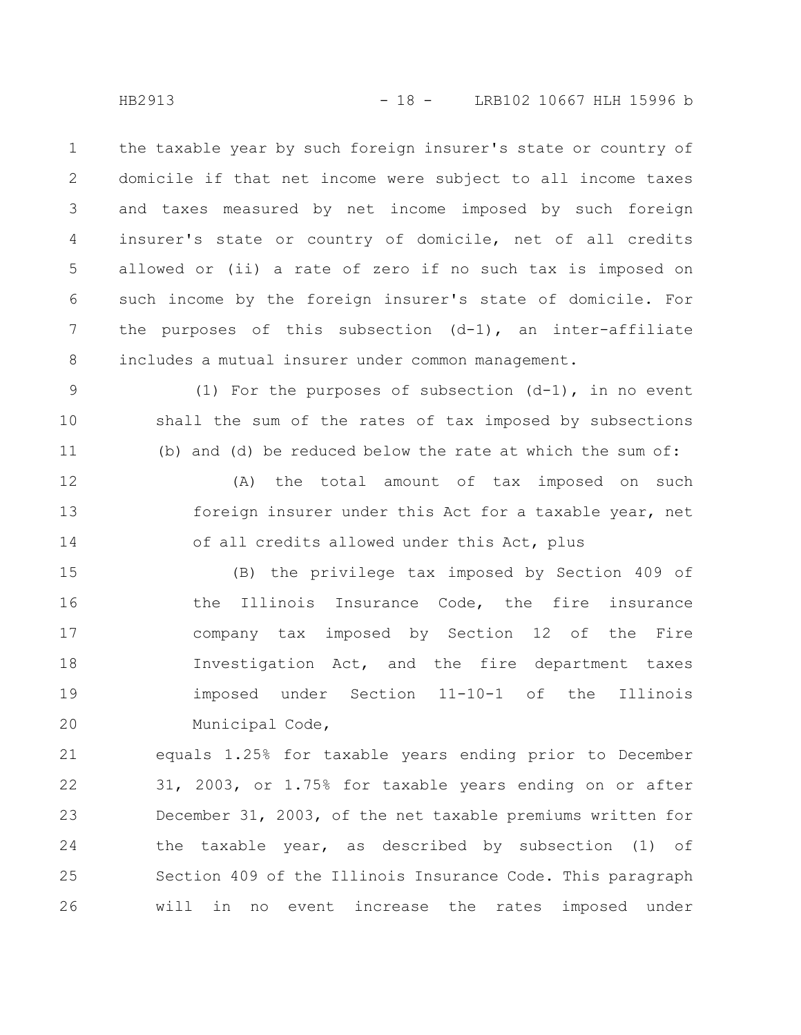the taxable year by such foreign insurer's state or country of domicile if that net income were subject to all income taxes and taxes measured by net income imposed by such foreign insurer's state or country of domicile, net of all credits allowed or (ii) a rate of zero if no such tax is imposed on such income by the foreign insurer's state of domicile. For the purposes of this subsection  $(d-1)$ , an inter-affiliate includes a mutual insurer under common management. 1 2 3 4 5 6 7 8

(1) For the purposes of subsection  $(d-1)$ , in no event shall the sum of the rates of tax imposed by subsections (b) and (d) be reduced below the rate at which the sum of: 9 10 11

(A) the total amount of tax imposed on such foreign insurer under this Act for a taxable year, net of all credits allowed under this Act, plus 12 13 14

(B) the privilege tax imposed by Section 409 of the Illinois Insurance Code, the fire insurance company tax imposed by Section 12 of the Fire Investigation Act, and the fire department taxes imposed under Section 11-10-1 of the Illinois Municipal Code, 15 16 17 18 19 20

equals 1.25% for taxable years ending prior to December 31, 2003, or 1.75% for taxable years ending on or after December 31, 2003, of the net taxable premiums written for the taxable year, as described by subsection (1) of Section 409 of the Illinois Insurance Code. This paragraph will in no event increase the rates imposed under 21 22 23 24 25 26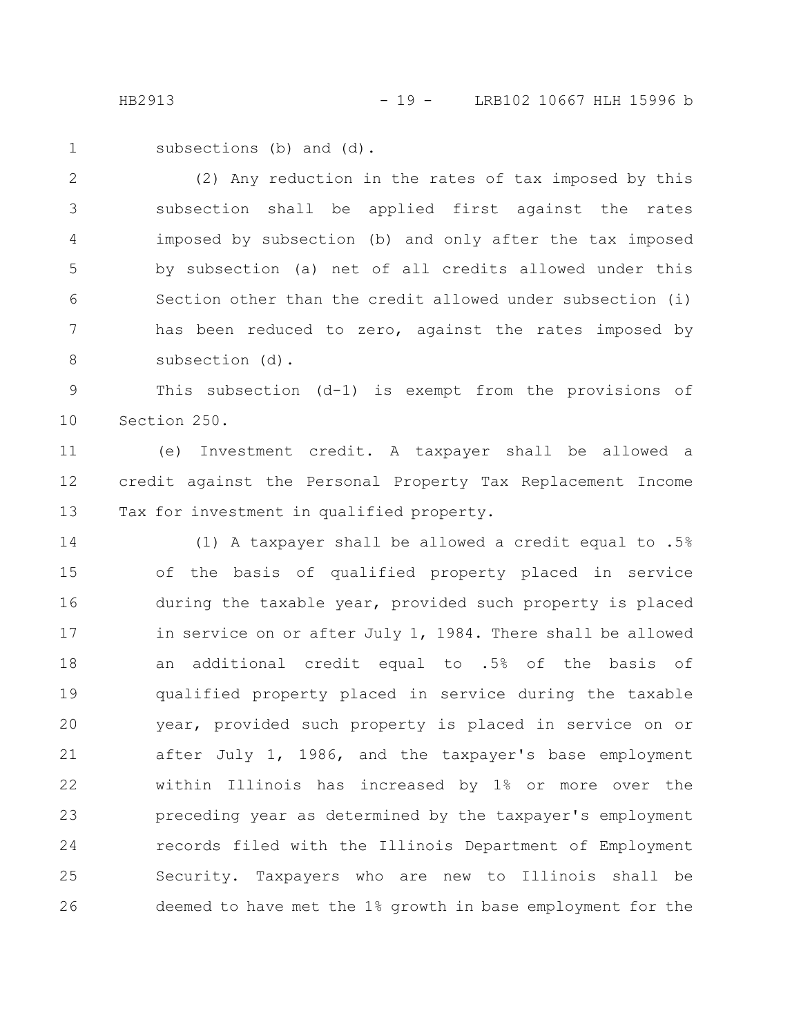subsections (b) and (d). 1

(2) Any reduction in the rates of tax imposed by this subsection shall be applied first against the rates imposed by subsection (b) and only after the tax imposed by subsection (a) net of all credits allowed under this Section other than the credit allowed under subsection (i) has been reduced to zero, against the rates imposed by subsection (d). 2 3 4 5 6 7 8

This subsection (d-1) is exempt from the provisions of Section 250. 9 10

(e) Investment credit. A taxpayer shall be allowed a credit against the Personal Property Tax Replacement Income Tax for investment in qualified property. 11 12 13

(1) A taxpayer shall be allowed a credit equal to .5% of the basis of qualified property placed in service during the taxable year, provided such property is placed in service on or after July 1, 1984. There shall be allowed an additional credit equal to .5% of the basis of qualified property placed in service during the taxable year, provided such property is placed in service on or after July 1, 1986, and the taxpayer's base employment within Illinois has increased by 1% or more over the preceding year as determined by the taxpayer's employment records filed with the Illinois Department of Employment Security. Taxpayers who are new to Illinois shall be deemed to have met the 1% growth in base employment for the 14 15 16 17 18 19 20 21 22 23 24 25 26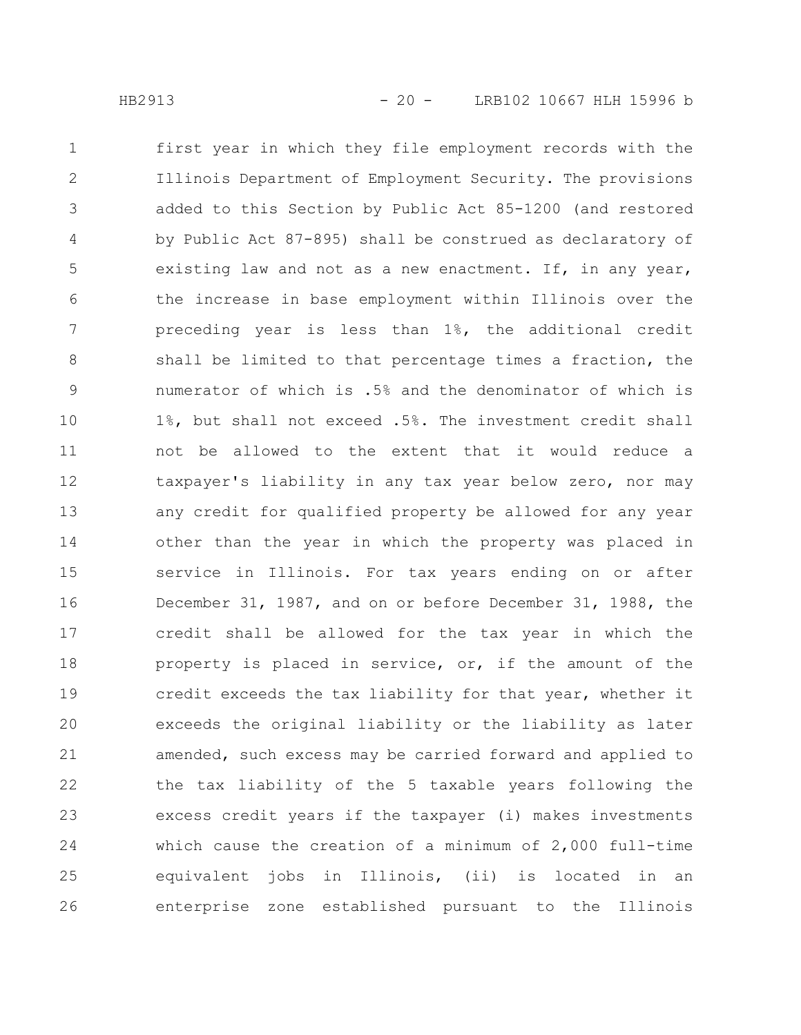first year in which they file employment records with the Illinois Department of Employment Security. The provisions added to this Section by Public Act 85-1200 (and restored by Public Act 87-895) shall be construed as declaratory of existing law and not as a new enactment. If, in any year, the increase in base employment within Illinois over the preceding year is less than 1%, the additional credit shall be limited to that percentage times a fraction, the numerator of which is .5% and the denominator of which is 1%, but shall not exceed .5%. The investment credit shall not be allowed to the extent that it would reduce a taxpayer's liability in any tax year below zero, nor may any credit for qualified property be allowed for any year other than the year in which the property was placed in service in Illinois. For tax years ending on or after December 31, 1987, and on or before December 31, 1988, the credit shall be allowed for the tax year in which the property is placed in service, or, if the amount of the credit exceeds the tax liability for that year, whether it exceeds the original liability or the liability as later amended, such excess may be carried forward and applied to the tax liability of the 5 taxable years following the excess credit years if the taxpayer (i) makes investments which cause the creation of a minimum of 2,000 full-time equivalent jobs in Illinois, (ii) is located in an enterprise zone established pursuant to the Illinois 1 2 3 4 5 6 7 8 9 10 11 12 13 14 15 16 17 18 19 20 21 22 23 24 25 26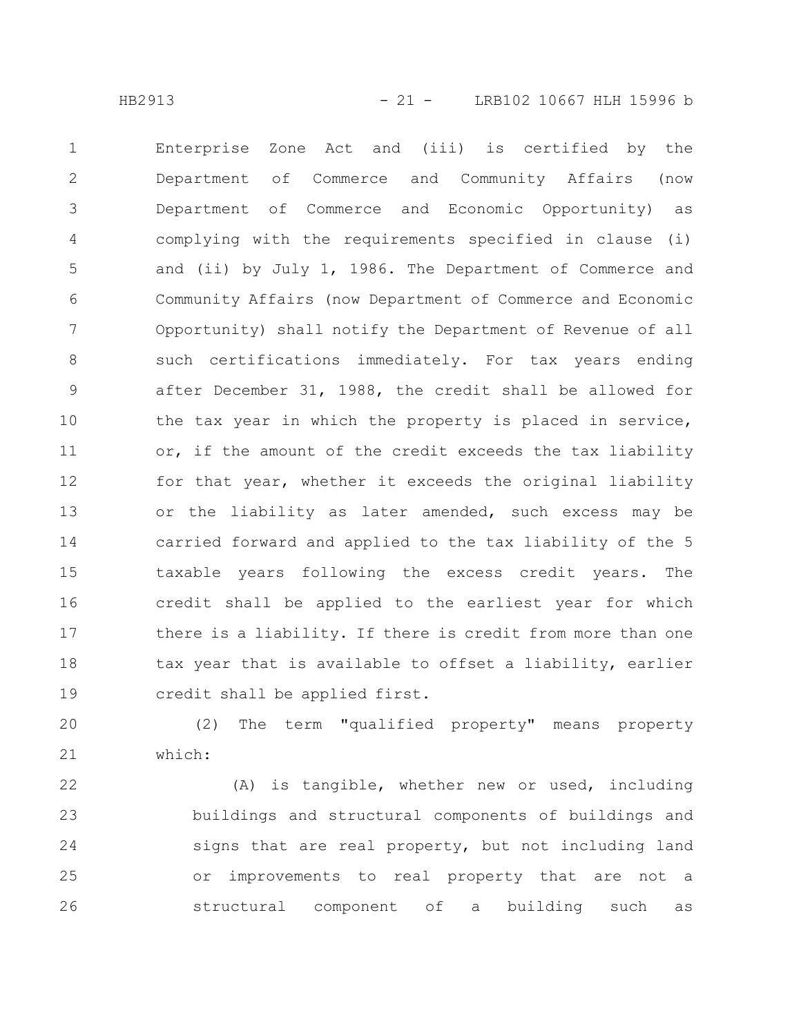Enterprise Zone Act and (iii) is certified by the Department of Commerce and Community Affairs (now Department of Commerce and Economic Opportunity) as complying with the requirements specified in clause (i) and (ii) by July 1, 1986. The Department of Commerce and Community Affairs (now Department of Commerce and Economic Opportunity) shall notify the Department of Revenue of all such certifications immediately. For tax years ending after December 31, 1988, the credit shall be allowed for the tax year in which the property is placed in service, or, if the amount of the credit exceeds the tax liability for that year, whether it exceeds the original liability or the liability as later amended, such excess may be carried forward and applied to the tax liability of the 5 taxable years following the excess credit years. The credit shall be applied to the earliest year for which there is a liability. If there is credit from more than one tax year that is available to offset a liability, earlier credit shall be applied first. 1 2 3 4 5 6 7 8 9 10 11 12 13 14 15 16 17 18 19

(2) The term "qualified property" means property which: 20 21

(A) is tangible, whether new or used, including buildings and structural components of buildings and signs that are real property, but not including land or improvements to real property that are not a structural component of a building such as 22 23 24 25 26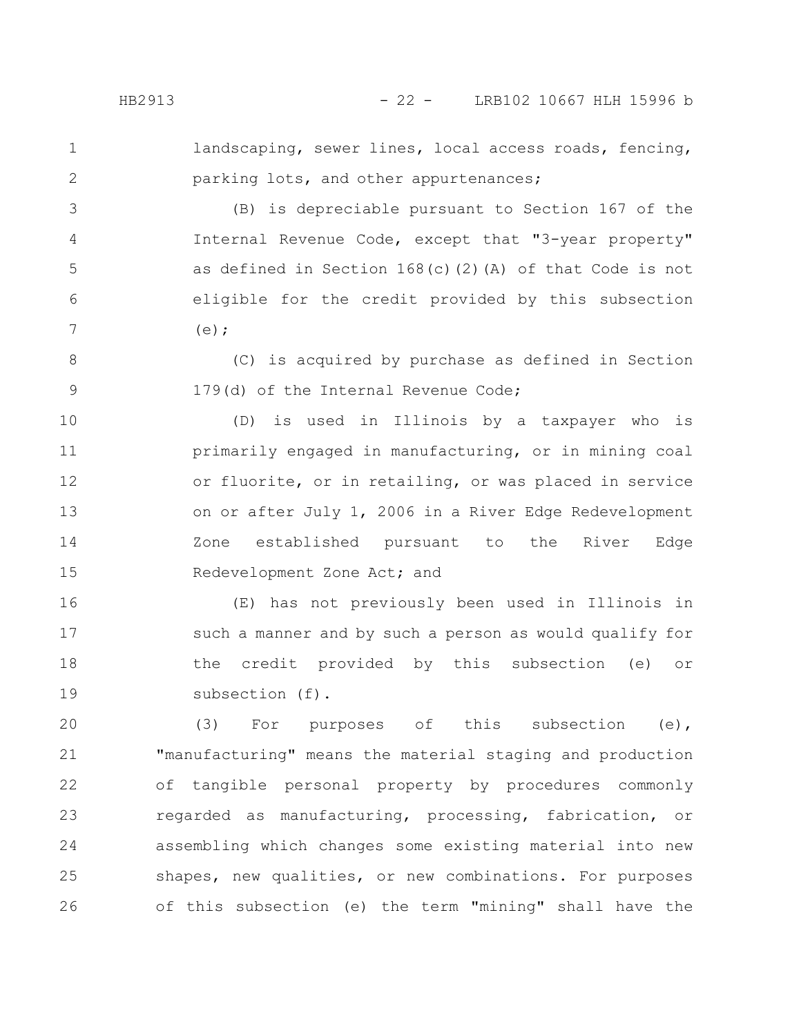1 2

3

4

5

6

7

landscaping, sewer lines, local access roads, fencing, parking lots, and other appurtenances;

(B) is depreciable pursuant to Section 167 of the Internal Revenue Code, except that "3-year property" as defined in Section 168(c)(2)(A) of that Code is not eligible for the credit provided by this subsection  $(e)$ :

(C) is acquired by purchase as defined in Section 179(d) of the Internal Revenue Code; 8 9

(D) is used in Illinois by a taxpayer who is primarily engaged in manufacturing, or in mining coal or fluorite, or in retailing, or was placed in service on or after July 1, 2006 in a River Edge Redevelopment Zone established pursuant to the River Edge Redevelopment Zone Act; and 10 11 12 13 14 15

(E) has not previously been used in Illinois in such a manner and by such a person as would qualify for the credit provided by this subsection (e) or subsection (f). 16 17 18 19

(3) For purposes of this subsection (e), "manufacturing" means the material staging and production of tangible personal property by procedures commonly regarded as manufacturing, processing, fabrication, or assembling which changes some existing material into new shapes, new qualities, or new combinations. For purposes of this subsection (e) the term "mining" shall have the 20 21 22 23 24 25 26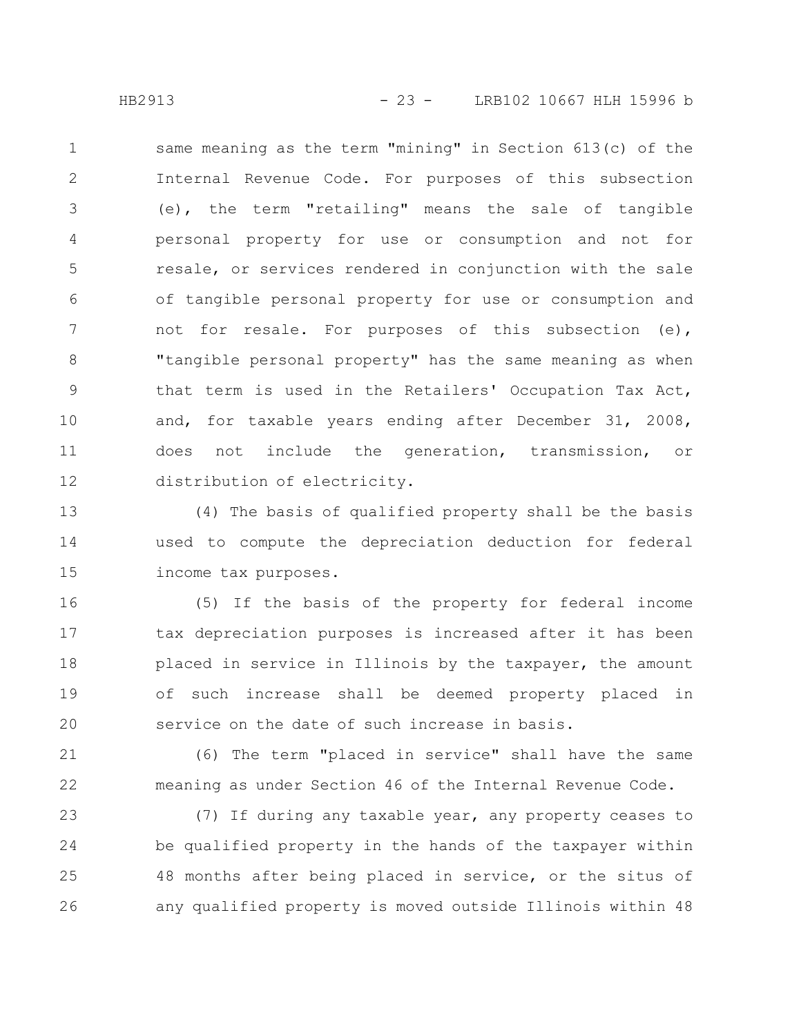same meaning as the term "mining" in Section 613(c) of the Internal Revenue Code. For purposes of this subsection (e), the term "retailing" means the sale of tangible personal property for use or consumption and not for resale, or services rendered in conjunction with the sale of tangible personal property for use or consumption and not for resale. For purposes of this subsection (e), "tangible personal property" has the same meaning as when that term is used in the Retailers' Occupation Tax Act, and, for taxable years ending after December 31, 2008, does not include the generation, transmission, or distribution of electricity. 1 2 3 4 5 6 7 8 9 10 11 12

(4) The basis of qualified property shall be the basis used to compute the depreciation deduction for federal income tax purposes. 13 14 15

(5) If the basis of the property for federal income tax depreciation purposes is increased after it has been placed in service in Illinois by the taxpayer, the amount of such increase shall be deemed property placed in service on the date of such increase in basis. 16 17 18 19 20

(6) The term "placed in service" shall have the same meaning as under Section 46 of the Internal Revenue Code. 21 22

(7) If during any taxable year, any property ceases to be qualified property in the hands of the taxpayer within 48 months after being placed in service, or the situs of any qualified property is moved outside Illinois within 48 23 24 25 26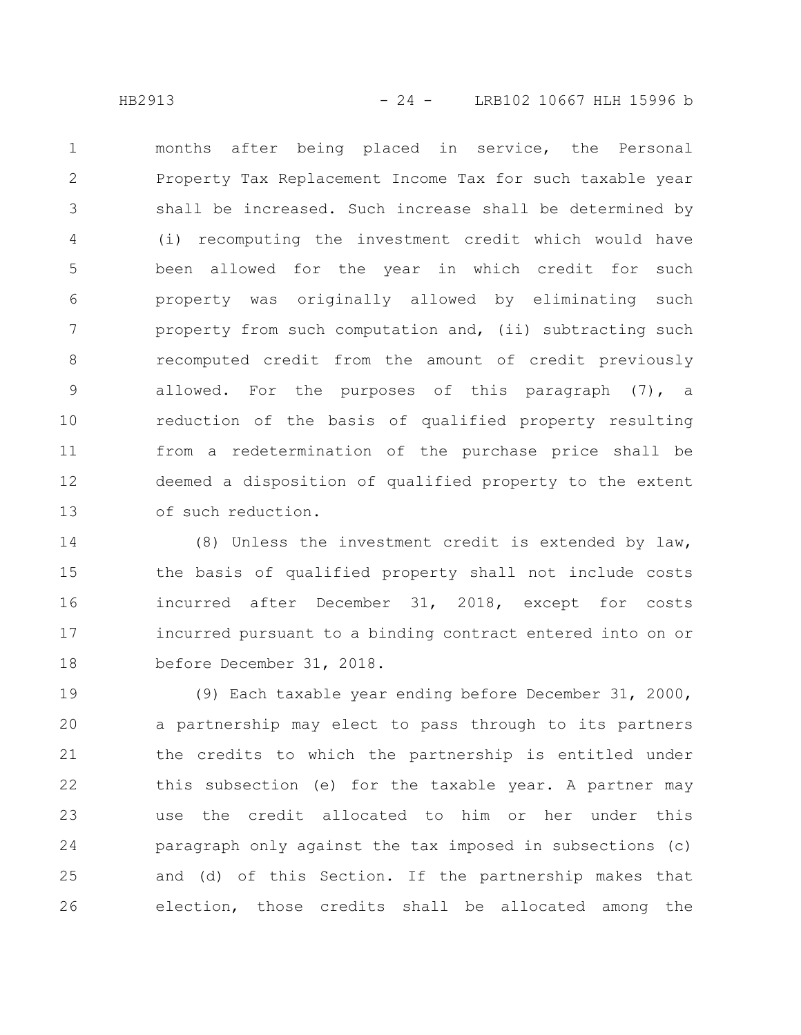months after being placed in service, the Personal Property Tax Replacement Income Tax for such taxable year shall be increased. Such increase shall be determined by (i) recomputing the investment credit which would have been allowed for the year in which credit for such property was originally allowed by eliminating such property from such computation and, (ii) subtracting such recomputed credit from the amount of credit previously allowed. For the purposes of this paragraph (7), a reduction of the basis of qualified property resulting from a redetermination of the purchase price shall be deemed a disposition of qualified property to the extent of such reduction. 1 2 3 4 5 6 7 8 9 10 11 12 13

(8) Unless the investment credit is extended by law, the basis of qualified property shall not include costs incurred after December 31, 2018, except for costs incurred pursuant to a binding contract entered into on or before December 31, 2018. 14 15 16 17 18

(9) Each taxable year ending before December 31, 2000, a partnership may elect to pass through to its partners the credits to which the partnership is entitled under this subsection (e) for the taxable year. A partner may use the credit allocated to him or her under this paragraph only against the tax imposed in subsections (c) and (d) of this Section. If the partnership makes that election, those credits shall be allocated among the 19 20 21 22 23 24 25 26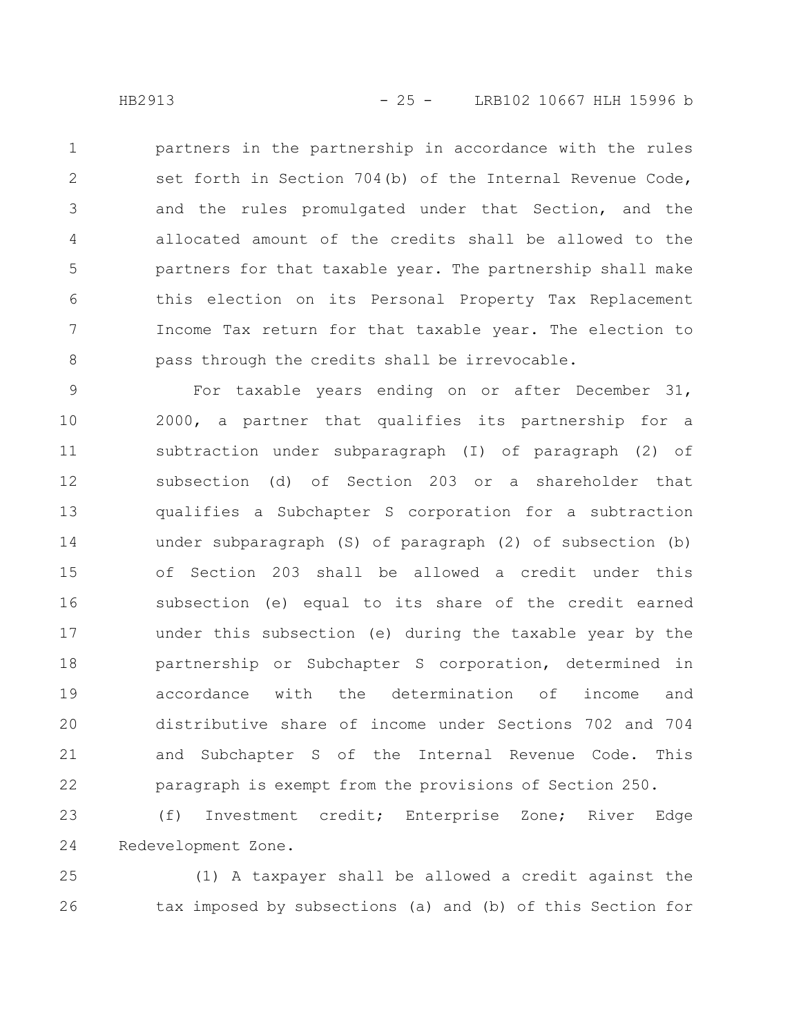partners in the partnership in accordance with the rules set forth in Section 704(b) of the Internal Revenue Code, and the rules promulgated under that Section, and the allocated amount of the credits shall be allowed to the partners for that taxable year. The partnership shall make this election on its Personal Property Tax Replacement Income Tax return for that taxable year. The election to pass through the credits shall be irrevocable. 1 2 3 4 5 6 7 8

For taxable years ending on or after December 31, 2000, a partner that qualifies its partnership for a subtraction under subparagraph (I) of paragraph (2) of subsection (d) of Section 203 or a shareholder that qualifies a Subchapter S corporation for a subtraction under subparagraph (S) of paragraph (2) of subsection (b) of Section 203 shall be allowed a credit under this subsection (e) equal to its share of the credit earned under this subsection (e) during the taxable year by the partnership or Subchapter S corporation, determined in accordance with the determination of income and distributive share of income under Sections 702 and 704 and Subchapter S of the Internal Revenue Code. This paragraph is exempt from the provisions of Section 250. 9 10 11 12 13 14 15 16 17 18 19 20 21 22

(f) Investment credit; Enterprise Zone; River Edge Redevelopment Zone. 23 24

(1) A taxpayer shall be allowed a credit against the tax imposed by subsections (a) and (b) of this Section for 25 26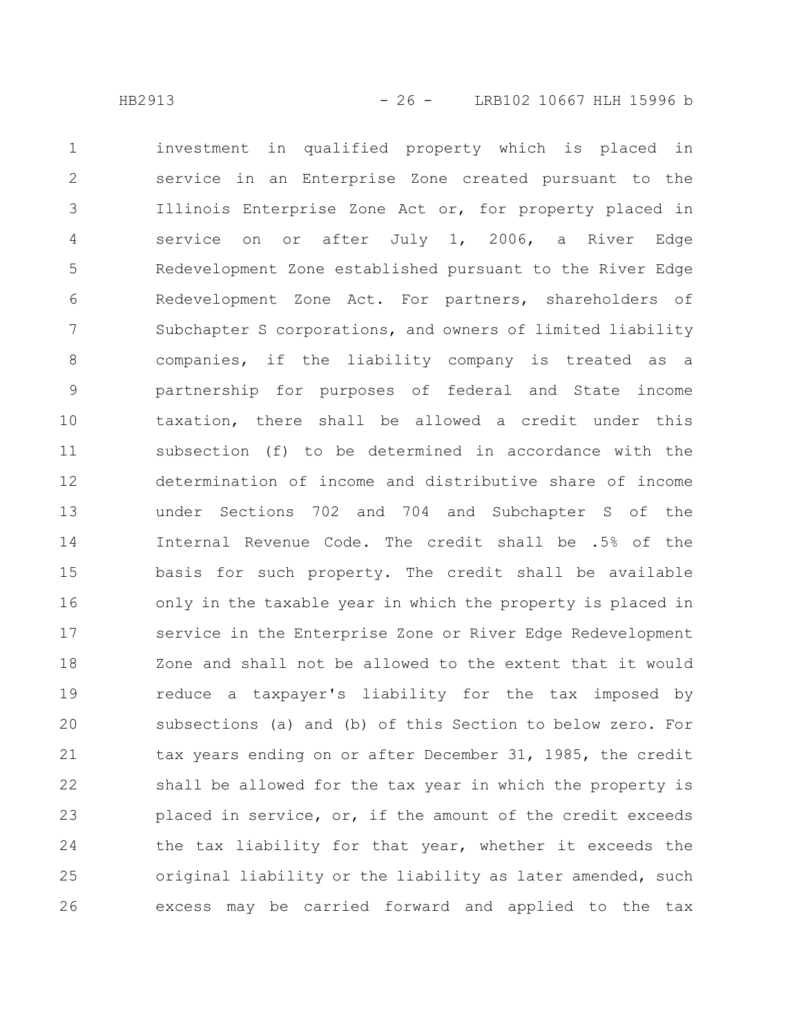investment in qualified property which is placed in service in an Enterprise Zone created pursuant to the Illinois Enterprise Zone Act or, for property placed in service on or after July 1, 2006, a River Edge Redevelopment Zone established pursuant to the River Edge Redevelopment Zone Act. For partners, shareholders of Subchapter S corporations, and owners of limited liability companies, if the liability company is treated as a partnership for purposes of federal and State income taxation, there shall be allowed a credit under this subsection (f) to be determined in accordance with the determination of income and distributive share of income under Sections 702 and 704 and Subchapter S of the Internal Revenue Code. The credit shall be .5% of the basis for such property. The credit shall be available only in the taxable year in which the property is placed in service in the Enterprise Zone or River Edge Redevelopment Zone and shall not be allowed to the extent that it would reduce a taxpayer's liability for the tax imposed by subsections (a) and (b) of this Section to below zero. For tax years ending on or after December 31, 1985, the credit shall be allowed for the tax year in which the property is placed in service, or, if the amount of the credit exceeds the tax liability for that year, whether it exceeds the original liability or the liability as later amended, such excess may be carried forward and applied to the tax 1 2 3 4 5 6 7 8 9 10 11 12 13 14 15 16 17 18 19 20 21 22 23 24 25 26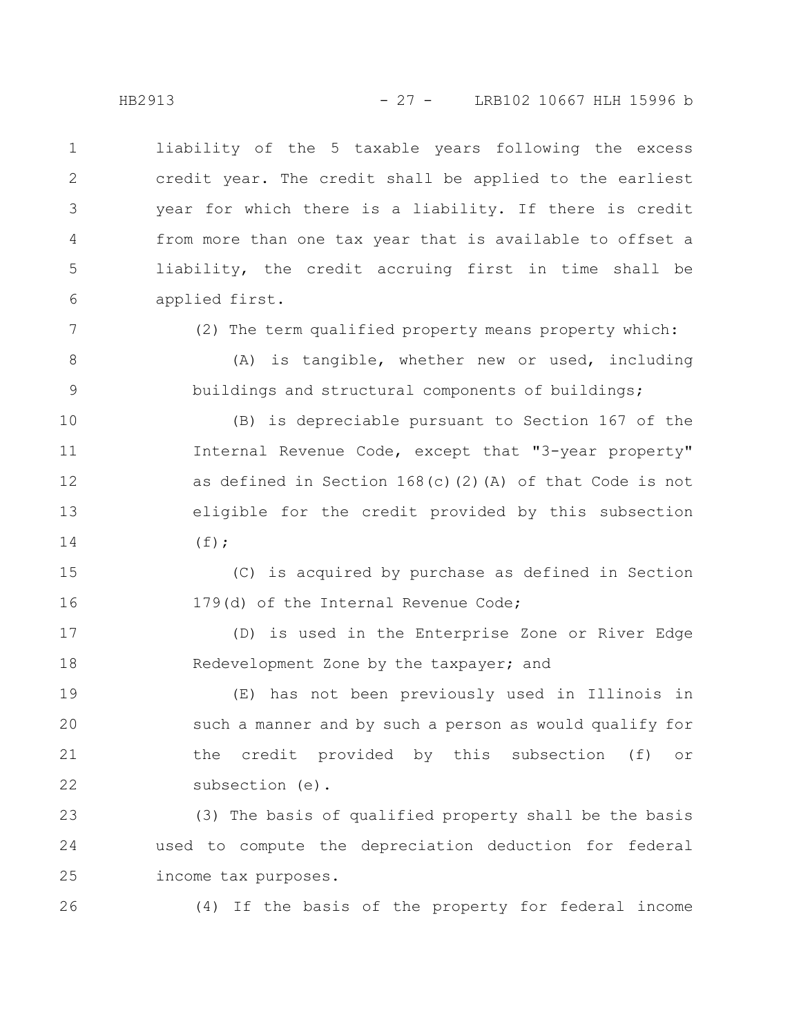liability of the 5 taxable years following the excess credit year. The credit shall be applied to the earliest year for which there is a liability. If there is credit from more than one tax year that is available to offset a liability, the credit accruing first in time shall be applied first. 1 2 3 4 5 6

7

8

9

(2) The term qualified property means property which:

(A) is tangible, whether new or used, including buildings and structural components of buildings;

(B) is depreciable pursuant to Section 167 of the Internal Revenue Code, except that "3-year property" as defined in Section 168(c)(2)(A) of that Code is not eligible for the credit provided by this subsection  $(f)$ ; 10 11 12 13 14

(C) is acquired by purchase as defined in Section 179(d) of the Internal Revenue Code; 15 16

(D) is used in the Enterprise Zone or River Edge Redevelopment Zone by the taxpayer; and 17 18

(E) has not been previously used in Illinois in such a manner and by such a person as would qualify for the credit provided by this subsection (f) or subsection (e). 19 20 21 22

(3) The basis of qualified property shall be the basis used to compute the depreciation deduction for federal income tax purposes. 23 24 25

26

(4) If the basis of the property for federal income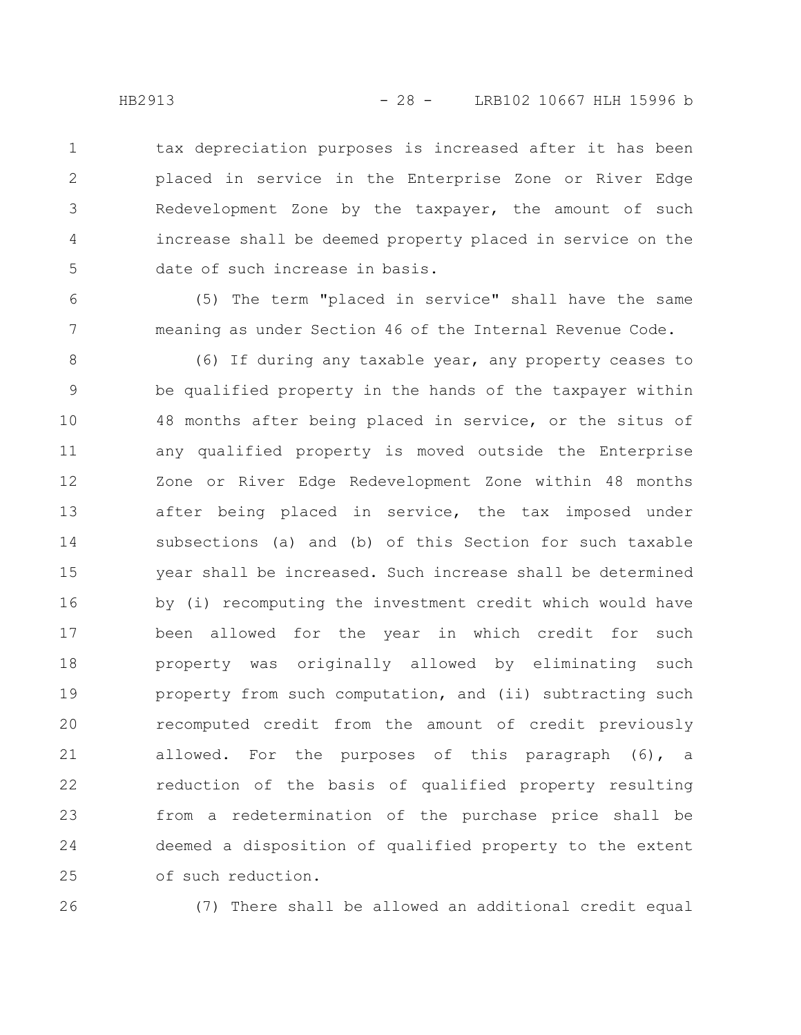tax depreciation purposes is increased after it has been placed in service in the Enterprise Zone or River Edge Redevelopment Zone by the taxpayer, the amount of such increase shall be deemed property placed in service on the date of such increase in basis. 1 2 3 4 5

(5) The term "placed in service" shall have the same meaning as under Section 46 of the Internal Revenue Code.

(6) If during any taxable year, any property ceases to be qualified property in the hands of the taxpayer within 48 months after being placed in service, or the situs of any qualified property is moved outside the Enterprise Zone or River Edge Redevelopment Zone within 48 months after being placed in service, the tax imposed under subsections (a) and (b) of this Section for such taxable year shall be increased. Such increase shall be determined by (i) recomputing the investment credit which would have been allowed for the year in which credit for such property was originally allowed by eliminating such property from such computation, and (ii) subtracting such recomputed credit from the amount of credit previously allowed. For the purposes of this paragraph (6), a reduction of the basis of qualified property resulting from a redetermination of the purchase price shall be deemed a disposition of qualified property to the extent of such reduction. 8 9 10 11 12 13 14 15 16 17 18 19 20 21 22 23 24 25

26

(7) There shall be allowed an additional credit equal

6

7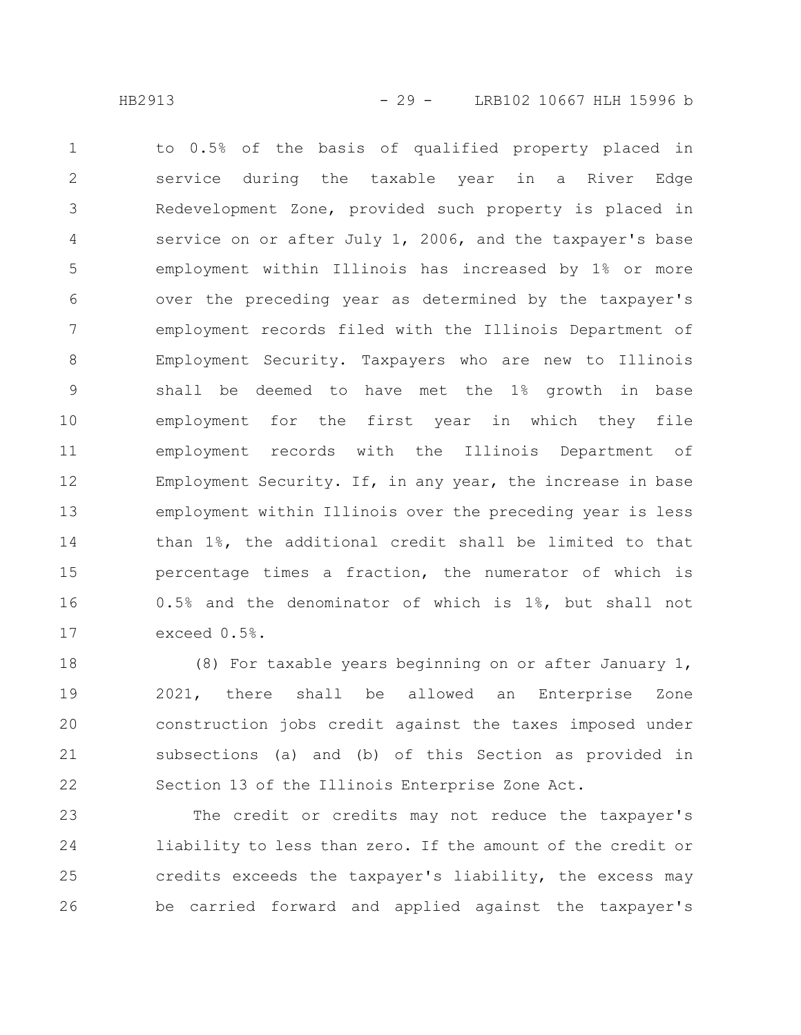to 0.5% of the basis of qualified property placed in service during the taxable year in a River Edge Redevelopment Zone, provided such property is placed in service on or after July 1, 2006, and the taxpayer's base employment within Illinois has increased by 1% or more over the preceding year as determined by the taxpayer's employment records filed with the Illinois Department of Employment Security. Taxpayers who are new to Illinois shall be deemed to have met the 1% growth in base employment for the first year in which they file employment records with the Illinois Department of Employment Security. If, in any year, the increase in base employment within Illinois over the preceding year is less than 1%, the additional credit shall be limited to that percentage times a fraction, the numerator of which is 0.5% and the denominator of which is 1%, but shall not exceed 0.5%. 1 2 3 4 5 6 7 8 9 10 11 12 13 14 15 16 17

(8) For taxable years beginning on or after January 1, 2021, there shall be allowed an Enterprise Zone construction jobs credit against the taxes imposed under subsections (a) and (b) of this Section as provided in Section 13 of the Illinois Enterprise Zone Act. 18 19 20 21 22

The credit or credits may not reduce the taxpayer's liability to less than zero. If the amount of the credit or credits exceeds the taxpayer's liability, the excess may be carried forward and applied against the taxpayer's 23 24 25 26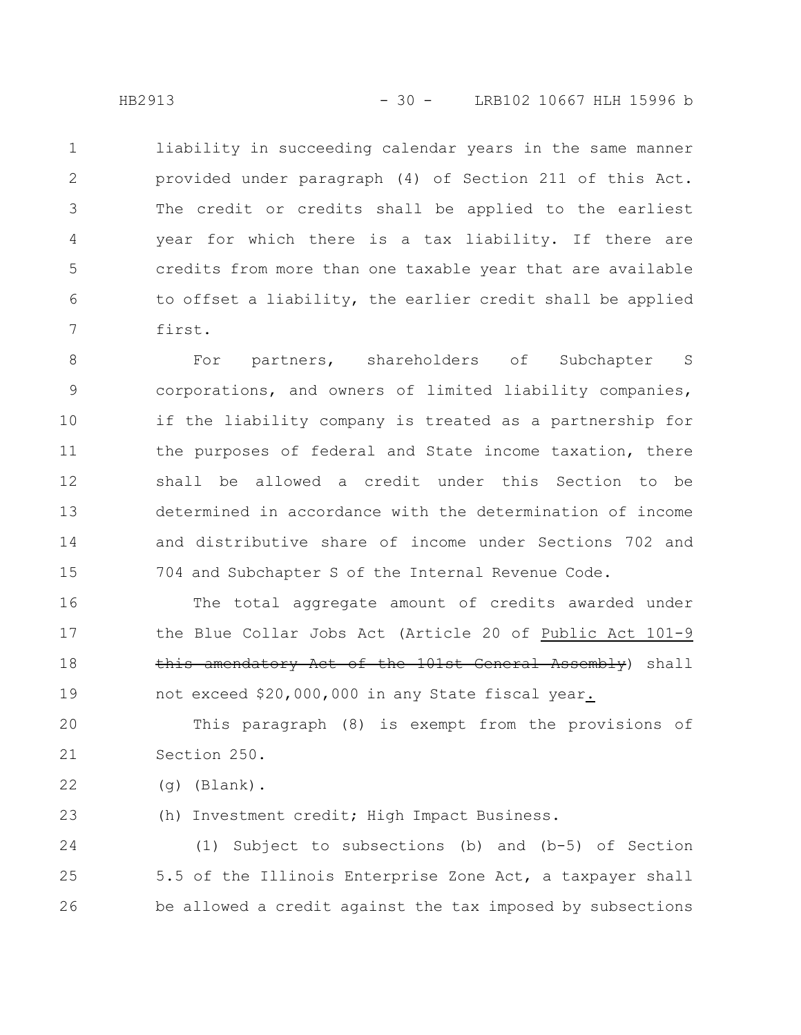liability in succeeding calendar years in the same manner provided under paragraph (4) of Section 211 of this Act. The credit or credits shall be applied to the earliest year for which there is a tax liability. If there are credits from more than one taxable year that are available to offset a liability, the earlier credit shall be applied first. 1 2 3 4 5 6 7

For partners, shareholders of Subchapter S corporations, and owners of limited liability companies, if the liability company is treated as a partnership for the purposes of federal and State income taxation, there shall be allowed a credit under this Section to be determined in accordance with the determination of income and distributive share of income under Sections 702 and 704 and Subchapter S of the Internal Revenue Code. 8 9 10 11 12 13 14 15

The total aggregate amount of credits awarded under the Blue Collar Jobs Act (Article 20 of Public Act 101-9 this amendatory Act of the 101st General Assembly) shall not exceed \$20,000,000 in any State fiscal year. 16 17 18 19

This paragraph (8) is exempt from the provisions of Section 250. 20 21

(g) (Blank). 22

(h) Investment credit; High Impact Business. 23

(1) Subject to subsections (b) and (b-5) of Section 5.5 of the Illinois Enterprise Zone Act, a taxpayer shall be allowed a credit against the tax imposed by subsections 24 25 26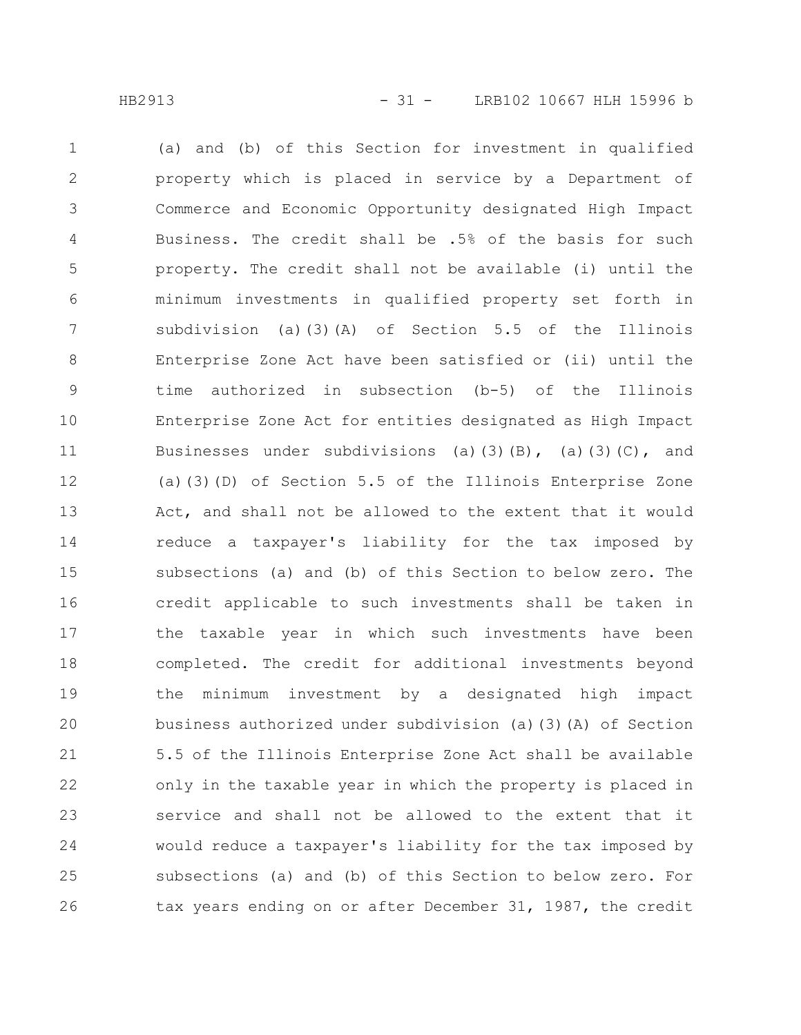(a) and (b) of this Section for investment in qualified property which is placed in service by a Department of Commerce and Economic Opportunity designated High Impact Business. The credit shall be .5% of the basis for such property. The credit shall not be available (i) until the minimum investments in qualified property set forth in subdivision (a)(3)(A) of Section 5.5 of the Illinois Enterprise Zone Act have been satisfied or (ii) until the time authorized in subsection (b-5) of the Illinois Enterprise Zone Act for entities designated as High Impact Businesses under subdivisions (a)(3)(B), (a)(3)(C), and (a)(3)(D) of Section 5.5 of the Illinois Enterprise Zone Act, and shall not be allowed to the extent that it would reduce a taxpayer's liability for the tax imposed by subsections (a) and (b) of this Section to below zero. The credit applicable to such investments shall be taken in the taxable year in which such investments have been completed. The credit for additional investments beyond the minimum investment by a designated high impact business authorized under subdivision (a)(3)(A) of Section 5.5 of the Illinois Enterprise Zone Act shall be available only in the taxable year in which the property is placed in service and shall not be allowed to the extent that it would reduce a taxpayer's liability for the tax imposed by subsections (a) and (b) of this Section to below zero. For tax years ending on or after December 31, 1987, the credit 1 2 3 4 5 6 7 8 9 10 11 12 13 14 15 16 17 18 19 20 21 22 23 24 25 26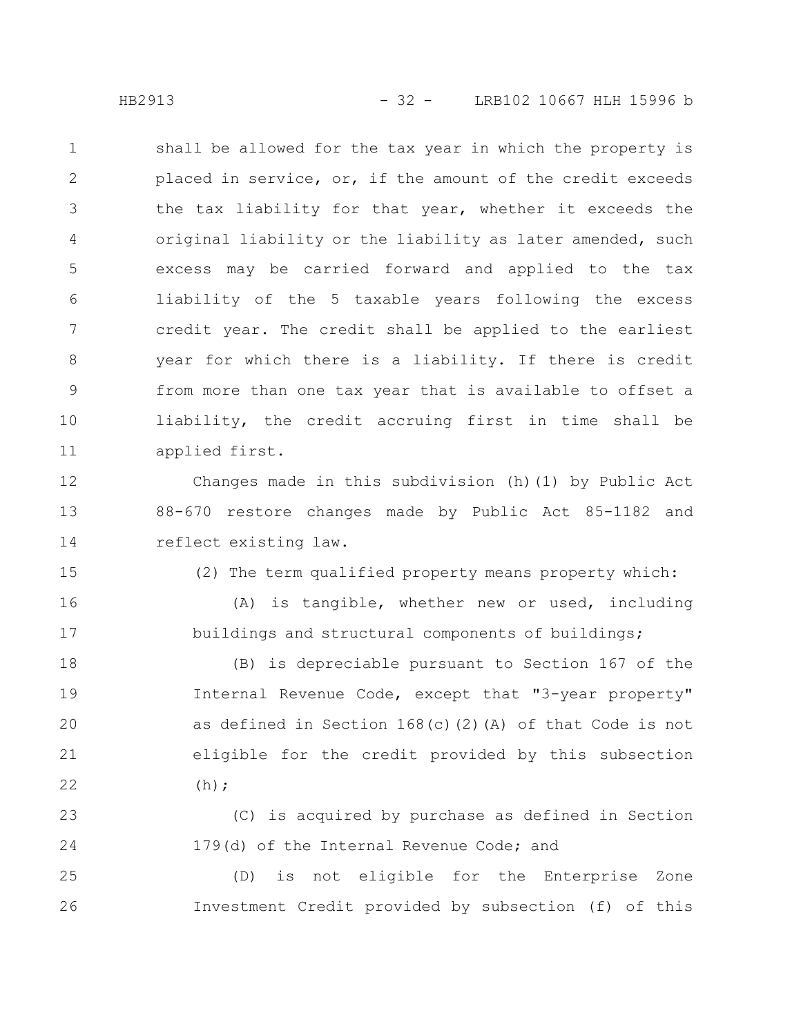shall be allowed for the tax year in which the property is placed in service, or, if the amount of the credit exceeds the tax liability for that year, whether it exceeds the original liability or the liability as later amended, such excess may be carried forward and applied to the tax liability of the 5 taxable years following the excess credit year. The credit shall be applied to the earliest year for which there is a liability. If there is credit from more than one tax year that is available to offset a liability, the credit accruing first in time shall be applied first. 1 2 3 4 5 6 7 8 9 10 11

Changes made in this subdivision (h)(1) by Public Act 88-670 restore changes made by Public Act 85-1182 and reflect existing law. 12 13 14

15

16

17

(2) The term qualified property means property which:

(A) is tangible, whether new or used, including buildings and structural components of buildings;

(B) is depreciable pursuant to Section 167 of the Internal Revenue Code, except that "3-year property" as defined in Section 168(c)(2)(A) of that Code is not eligible for the credit provided by this subsection  $(h);$ 18 19 20 21 22

(C) is acquired by purchase as defined in Section 179(d) of the Internal Revenue Code; and 23 24

(D) is not eligible for the Enterprise Zone Investment Credit provided by subsection (f) of this 25 26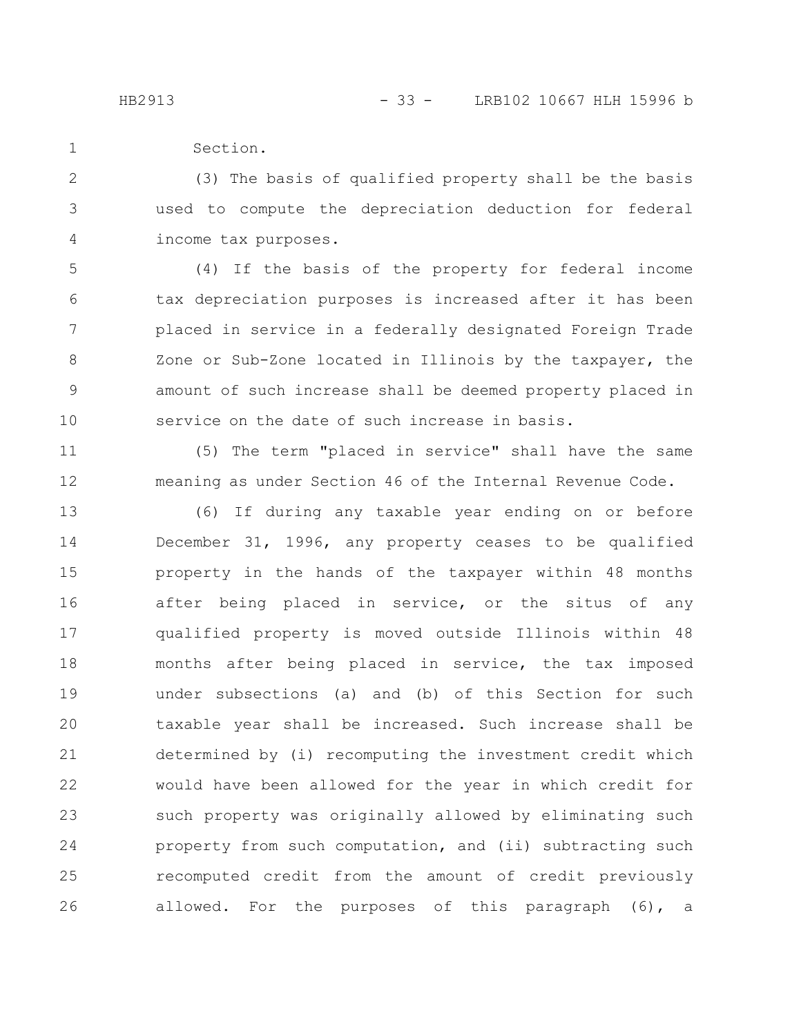11

12

Section. 1

(3) The basis of qualified property shall be the basis used to compute the depreciation deduction for federal income tax purposes. 2 3 4

(4) If the basis of the property for federal income tax depreciation purposes is increased after it has been placed in service in a federally designated Foreign Trade Zone or Sub-Zone located in Illinois by the taxpayer, the amount of such increase shall be deemed property placed in service on the date of such increase in basis. 5 6 7 8 9 10

(5) The term "placed in service" shall have the same meaning as under Section 46 of the Internal Revenue Code.

(6) If during any taxable year ending on or before December 31, 1996, any property ceases to be qualified property in the hands of the taxpayer within 48 months after being placed in service, or the situs of any qualified property is moved outside Illinois within 48 months after being placed in service, the tax imposed under subsections (a) and (b) of this Section for such taxable year shall be increased. Such increase shall be determined by (i) recomputing the investment credit which would have been allowed for the year in which credit for such property was originally allowed by eliminating such property from such computation, and (ii) subtracting such recomputed credit from the amount of credit previously allowed. For the purposes of this paragraph (6), a 13 14 15 16 17 18 19 20 21 22 23 24 25 26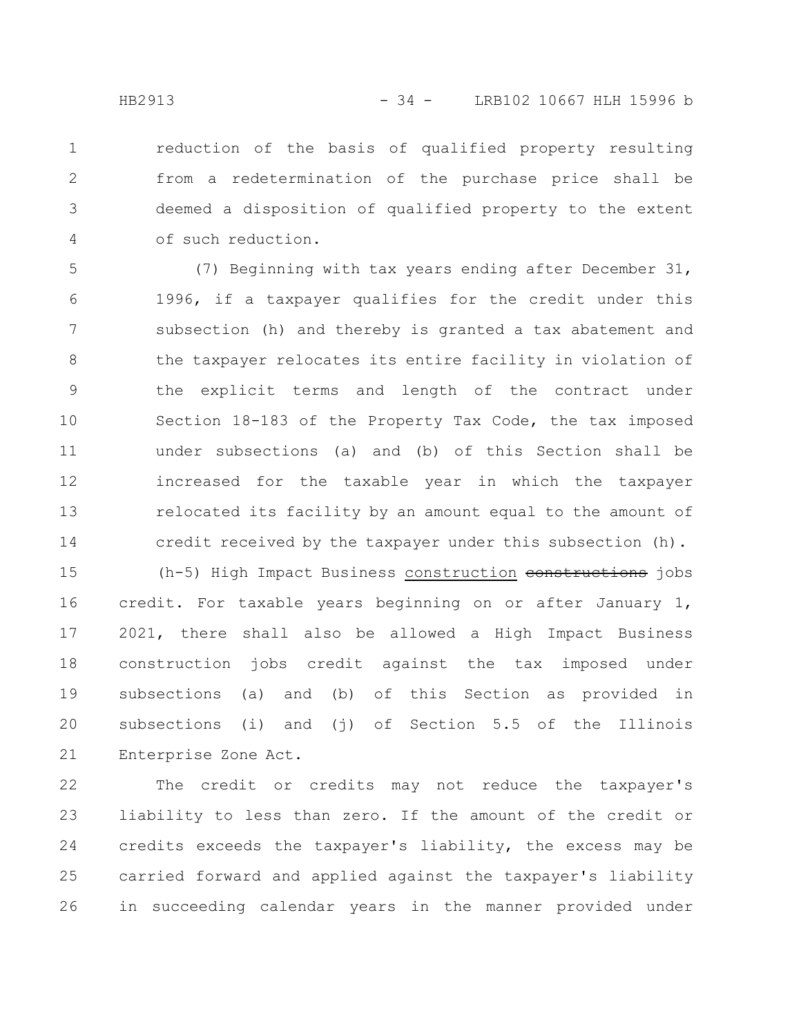reduction of the basis of qualified property resulting from a redetermination of the purchase price shall be deemed a disposition of qualified property to the extent of such reduction. 1 2 3 4

(7) Beginning with tax years ending after December 31, 1996, if a taxpayer qualifies for the credit under this subsection (h) and thereby is granted a tax abatement and the taxpayer relocates its entire facility in violation of the explicit terms and length of the contract under Section 18-183 of the Property Tax Code, the tax imposed under subsections (a) and (b) of this Section shall be increased for the taxable year in which the taxpayer relocated its facility by an amount equal to the amount of credit received by the taxpayer under this subsection (h). 5 6 7 8 9 10 11 12 13 14

(h-5) High Impact Business construction constructions jobs credit. For taxable years beginning on or after January 1, 2021, there shall also be allowed a High Impact Business construction jobs credit against the tax imposed under subsections (a) and (b) of this Section as provided in subsections (i) and (j) of Section 5.5 of the Illinois Enterprise Zone Act. 15 16 17 18 19 20 21

The credit or credits may not reduce the taxpayer's liability to less than zero. If the amount of the credit or credits exceeds the taxpayer's liability, the excess may be carried forward and applied against the taxpayer's liability in succeeding calendar years in the manner provided under 22 23 24 25 26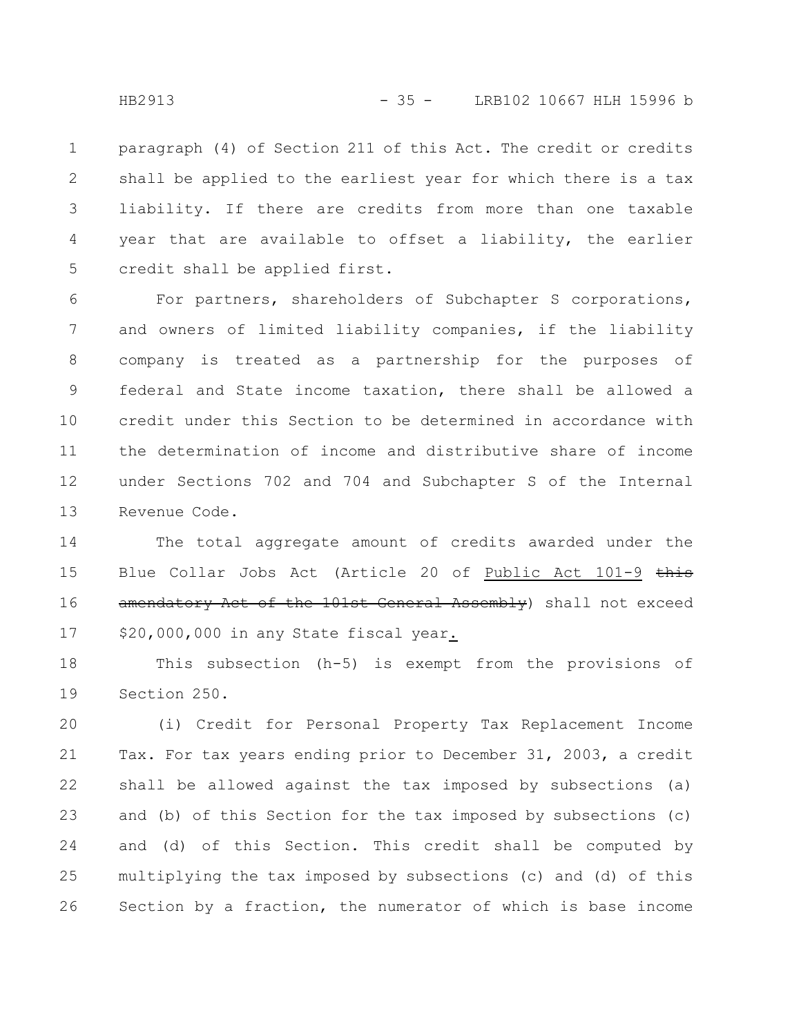paragraph (4) of Section 211 of this Act. The credit or credits shall be applied to the earliest year for which there is a tax liability. If there are credits from more than one taxable year that are available to offset a liability, the earlier credit shall be applied first. 1 2 3 4 5

For partners, shareholders of Subchapter S corporations, and owners of limited liability companies, if the liability company is treated as a partnership for the purposes of federal and State income taxation, there shall be allowed a credit under this Section to be determined in accordance with the determination of income and distributive share of income under Sections 702 and 704 and Subchapter S of the Internal Revenue Code. 6 7 8 9 10 11 12 13

The total aggregate amount of credits awarded under the Blue Collar Jobs Act (Article 20 of Public Act 101-9 this amendatory Act of the 101st General Assembly) shall not exceed \$20,000,000 in any State fiscal year. 14 15 16 17

This subsection (h-5) is exempt from the provisions of Section 250. 18 19

(i) Credit for Personal Property Tax Replacement Income Tax. For tax years ending prior to December 31, 2003, a credit shall be allowed against the tax imposed by subsections (a) and (b) of this Section for the tax imposed by subsections (c) and (d) of this Section. This credit shall be computed by multiplying the tax imposed by subsections (c) and (d) of this Section by a fraction, the numerator of which is base income 20 21 22 23 24 25 26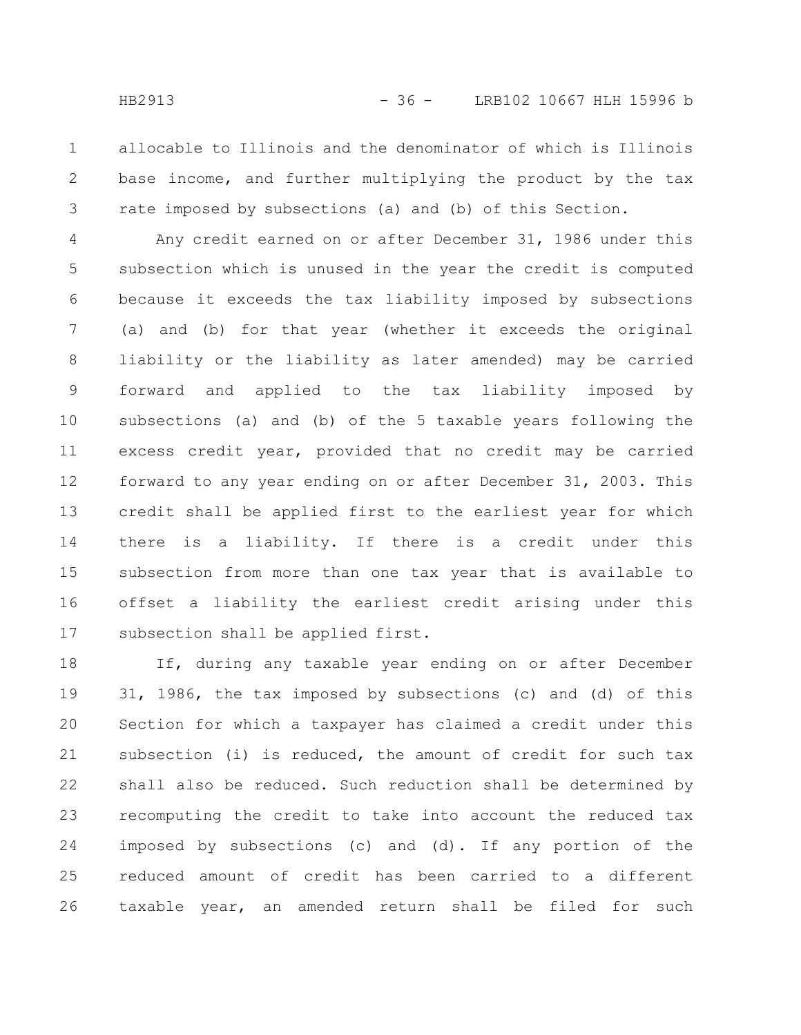allocable to Illinois and the denominator of which is Illinois base income, and further multiplying the product by the tax rate imposed by subsections (a) and (b) of this Section. 1 2 3

Any credit earned on or after December 31, 1986 under this subsection which is unused in the year the credit is computed because it exceeds the tax liability imposed by subsections (a) and (b) for that year (whether it exceeds the original liability or the liability as later amended) may be carried forward and applied to the tax liability imposed by subsections (a) and (b) of the 5 taxable years following the excess credit year, provided that no credit may be carried forward to any year ending on or after December 31, 2003. This credit shall be applied first to the earliest year for which there is a liability. If there is a credit under this subsection from more than one tax year that is available to offset a liability the earliest credit arising under this subsection shall be applied first. 4 5 6 7 8 9 10 11 12 13 14 15 16 17

If, during any taxable year ending on or after December 31, 1986, the tax imposed by subsections (c) and (d) of this Section for which a taxpayer has claimed a credit under this subsection (i) is reduced, the amount of credit for such tax shall also be reduced. Such reduction shall be determined by recomputing the credit to take into account the reduced tax imposed by subsections (c) and (d). If any portion of the reduced amount of credit has been carried to a different taxable year, an amended return shall be filed for such 18 19 20 21 22 23 24 25 26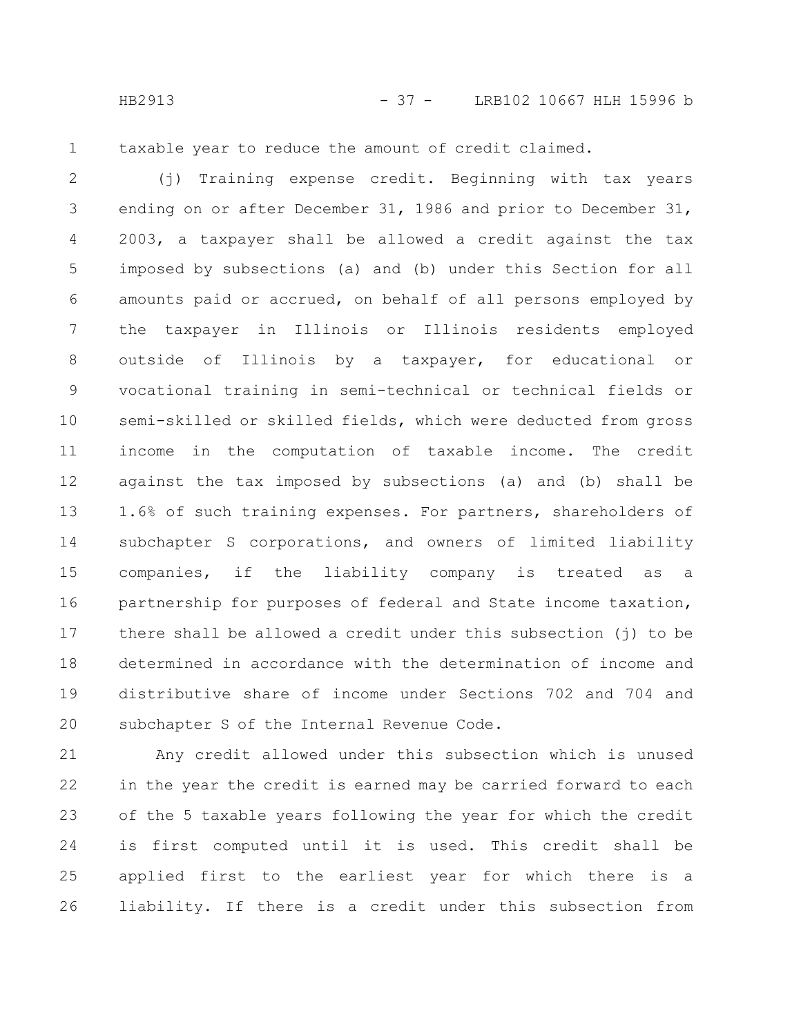HB2913 - 37 - LRB102 10667 HLH 15996 b

1

taxable year to reduce the amount of credit claimed.

(j) Training expense credit. Beginning with tax years ending on or after December 31, 1986 and prior to December 31, 2003, a taxpayer shall be allowed a credit against the tax imposed by subsections (a) and (b) under this Section for all amounts paid or accrued, on behalf of all persons employed by the taxpayer in Illinois or Illinois residents employed outside of Illinois by a taxpayer, for educational or vocational training in semi-technical or technical fields or semi-skilled or skilled fields, which were deducted from gross income in the computation of taxable income. The credit against the tax imposed by subsections (a) and (b) shall be 1.6% of such training expenses. For partners, shareholders of subchapter S corporations, and owners of limited liability companies, if the liability company is treated as a partnership for purposes of federal and State income taxation, there shall be allowed a credit under this subsection (j) to be determined in accordance with the determination of income and distributive share of income under Sections 702 and 704 and subchapter S of the Internal Revenue Code. 2 3 4 5 6 7 8 9 10 11 12 13 14 15 16 17 18 19 20

Any credit allowed under this subsection which is unused in the year the credit is earned may be carried forward to each of the 5 taxable years following the year for which the credit is first computed until it is used. This credit shall be applied first to the earliest year for which there is a liability. If there is a credit under this subsection from 21 22 23 24 25 26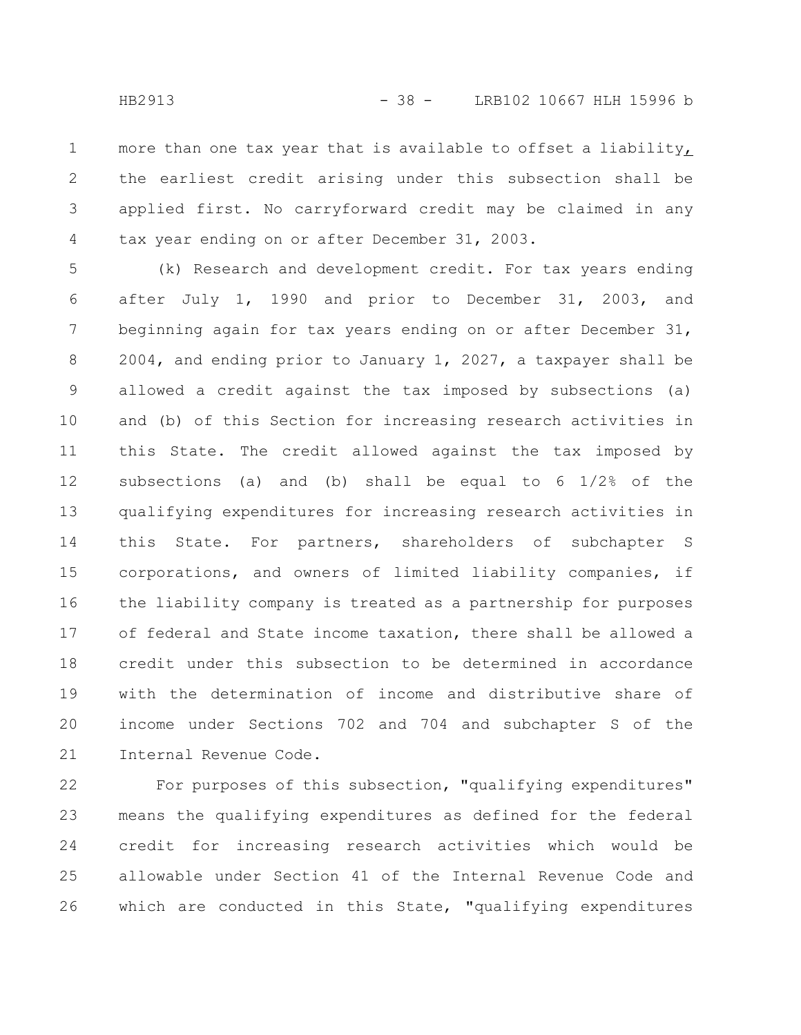more than one tax year that is available to offset a liability, the earliest credit arising under this subsection shall be applied first. No carryforward credit may be claimed in any tax year ending on or after December 31, 2003. 1 2 3 4

(k) Research and development credit. For tax years ending after July 1, 1990 and prior to December 31, 2003, and beginning again for tax years ending on or after December 31, 2004, and ending prior to January 1, 2027, a taxpayer shall be allowed a credit against the tax imposed by subsections (a) and (b) of this Section for increasing research activities in this State. The credit allowed against the tax imposed by subsections (a) and (b) shall be equal to 6 1/2% of the qualifying expenditures for increasing research activities in this State. For partners, shareholders of subchapter S corporations, and owners of limited liability companies, if the liability company is treated as a partnership for purposes of federal and State income taxation, there shall be allowed a credit under this subsection to be determined in accordance with the determination of income and distributive share of income under Sections 702 and 704 and subchapter S of the Internal Revenue Code. 5 6 7 8 9 10 11 12 13 14 15 16 17 18 19 20 21

For purposes of this subsection, "qualifying expenditures" means the qualifying expenditures as defined for the federal credit for increasing research activities which would be allowable under Section 41 of the Internal Revenue Code and which are conducted in this State, "qualifying expenditures 22 23 24 25 26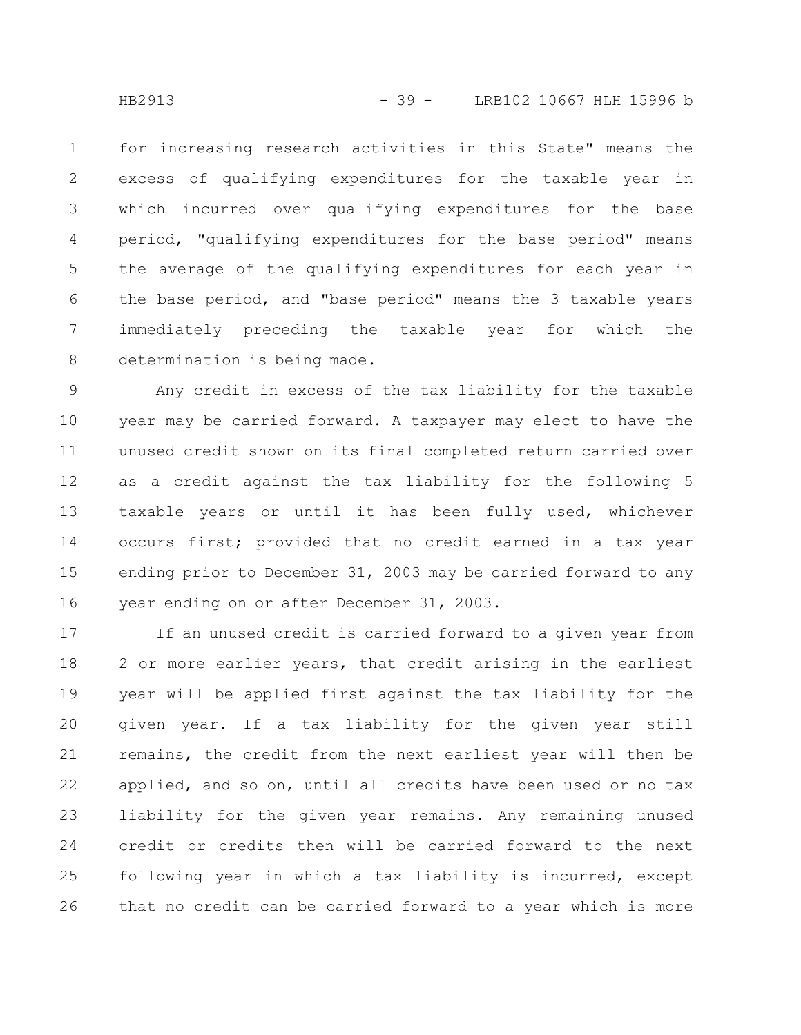for increasing research activities in this State" means the excess of qualifying expenditures for the taxable year in which incurred over qualifying expenditures for the base period, "qualifying expenditures for the base period" means the average of the qualifying expenditures for each year in the base period, and "base period" means the 3 taxable years immediately preceding the taxable year for which the determination is being made. 1 2 3 4 5 6 7 8

Any credit in excess of the tax liability for the taxable year may be carried forward. A taxpayer may elect to have the unused credit shown on its final completed return carried over as a credit against the tax liability for the following 5 taxable years or until it has been fully used, whichever occurs first; provided that no credit earned in a tax year ending prior to December 31, 2003 may be carried forward to any year ending on or after December 31, 2003. 9 10 11 12 13 14 15 16

If an unused credit is carried forward to a given year from 2 or more earlier years, that credit arising in the earliest year will be applied first against the tax liability for the given year. If a tax liability for the given year still remains, the credit from the next earliest year will then be applied, and so on, until all credits have been used or no tax liability for the given year remains. Any remaining unused credit or credits then will be carried forward to the next following year in which a tax liability is incurred, except that no credit can be carried forward to a year which is more 17 18 19 20 21 22 23 24 25 26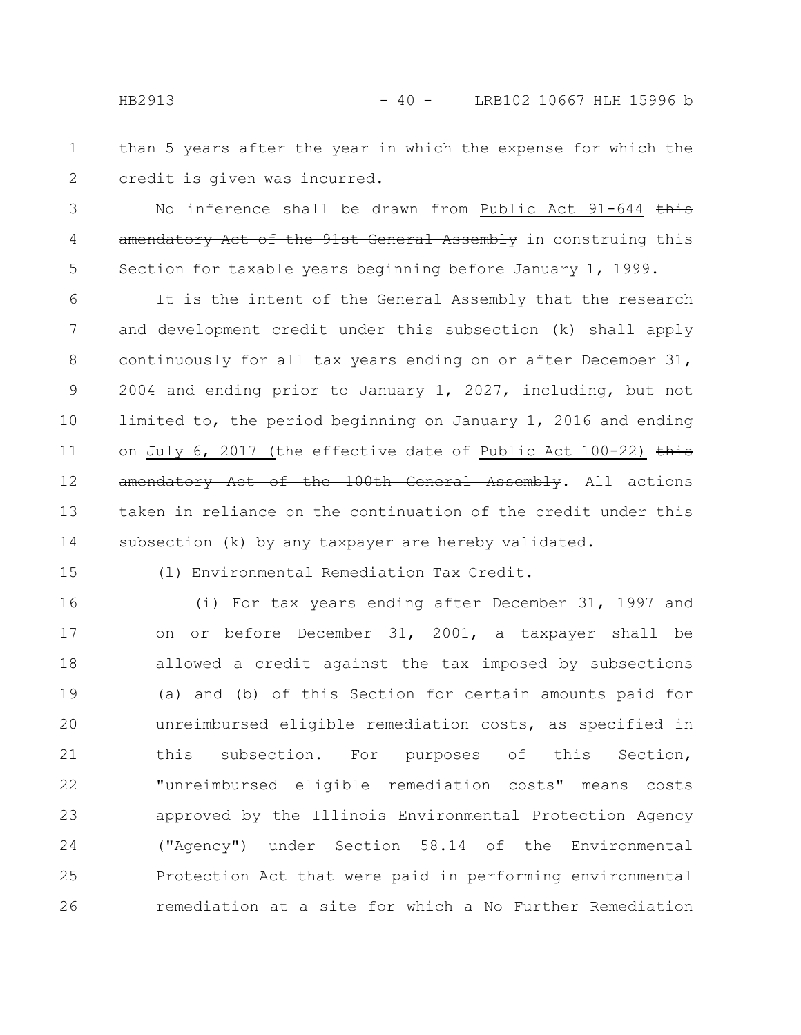than 5 years after the year in which the expense for which the credit is given was incurred. 1 2

No inference shall be drawn from Public Act 91-644 this amendatory Act of the 91st General Assembly in construing this Section for taxable years beginning before January 1, 1999. 3 4 5

It is the intent of the General Assembly that the research and development credit under this subsection (k) shall apply continuously for all tax years ending on or after December 31, 2004 and ending prior to January 1, 2027, including, but not limited to, the period beginning on January 1, 2016 and ending on July 6, 2017 (the effective date of Public Act  $100-22$ ) this amendatory Act of the 100th General Assembly. All actions taken in reliance on the continuation of the credit under this subsection (k) by any taxpayer are hereby validated. 6 7 8 9 10 11 12 13 14

15

(l) Environmental Remediation Tax Credit.

(i) For tax years ending after December 31, 1997 and on or before December 31, 2001, a taxpayer shall be allowed a credit against the tax imposed by subsections (a) and (b) of this Section for certain amounts paid for unreimbursed eligible remediation costs, as specified in this subsection. For purposes of this Section, "unreimbursed eligible remediation costs" means costs approved by the Illinois Environmental Protection Agency ("Agency") under Section 58.14 of the Environmental Protection Act that were paid in performing environmental remediation at a site for which a No Further Remediation 16 17 18 19 20 21 22 23 24 25 26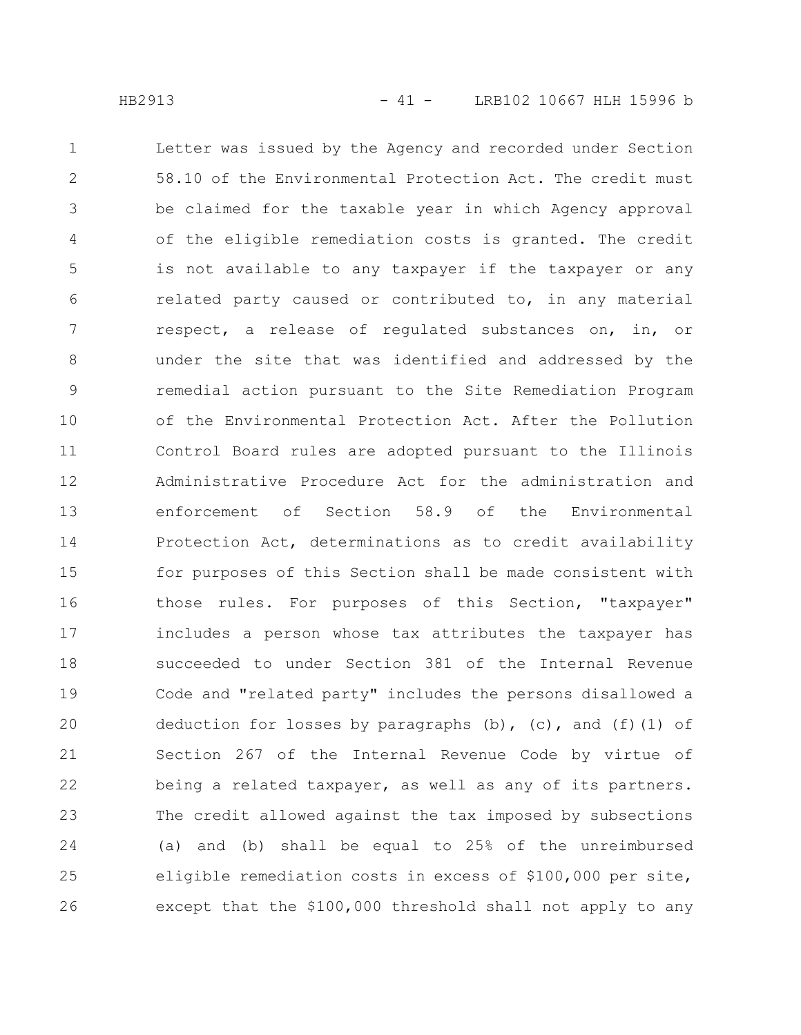Letter was issued by the Agency and recorded under Section 58.10 of the Environmental Protection Act. The credit must be claimed for the taxable year in which Agency approval of the eligible remediation costs is granted. The credit is not available to any taxpayer if the taxpayer or any related party caused or contributed to, in any material respect, a release of regulated substances on, in, or under the site that was identified and addressed by the remedial action pursuant to the Site Remediation Program of the Environmental Protection Act. After the Pollution Control Board rules are adopted pursuant to the Illinois Administrative Procedure Act for the administration and enforcement of Section 58.9 of the Environmental Protection Act, determinations as to credit availability for purposes of this Section shall be made consistent with those rules. For purposes of this Section, "taxpayer" includes a person whose tax attributes the taxpayer has succeeded to under Section 381 of the Internal Revenue Code and "related party" includes the persons disallowed a deduction for losses by paragraphs (b), (c), and (f)(1) of Section 267 of the Internal Revenue Code by virtue of being a related taxpayer, as well as any of its partners. The credit allowed against the tax imposed by subsections (a) and (b) shall be equal to 25% of the unreimbursed eligible remediation costs in excess of \$100,000 per site, except that the \$100,000 threshold shall not apply to any 1 2 3 4 5 6 7 8 9 10 11 12 13 14 15 16 17 18 19 20 21 22 23 24 25 26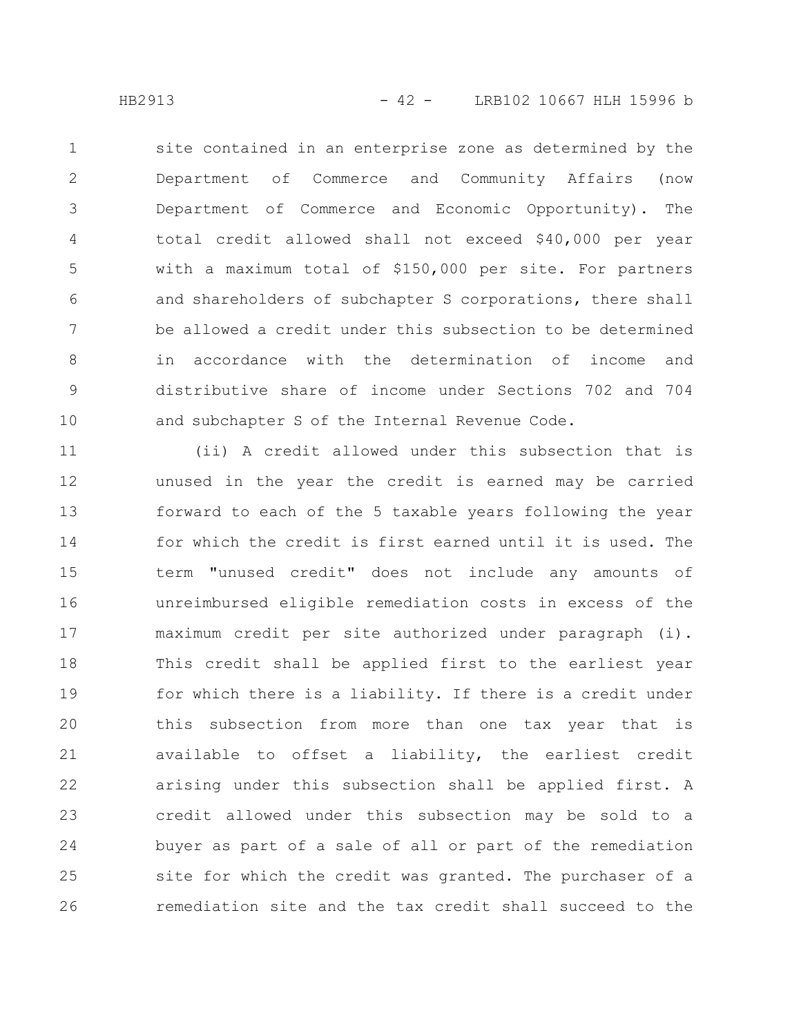site contained in an enterprise zone as determined by the Department of Commerce and Community Affairs (now Department of Commerce and Economic Opportunity). The total credit allowed shall not exceed \$40,000 per year with a maximum total of \$150,000 per site. For partners and shareholders of subchapter S corporations, there shall be allowed a credit under this subsection to be determined in accordance with the determination of income and distributive share of income under Sections 702 and 704 and subchapter S of the Internal Revenue Code. 1 2 3 4 5 6 7 8 9 10

(ii) A credit allowed under this subsection that is unused in the year the credit is earned may be carried forward to each of the 5 taxable years following the year for which the credit is first earned until it is used. The term "unused credit" does not include any amounts of unreimbursed eligible remediation costs in excess of the maximum credit per site authorized under paragraph (i). This credit shall be applied first to the earliest year for which there is a liability. If there is a credit under this subsection from more than one tax year that is available to offset a liability, the earliest credit arising under this subsection shall be applied first. A credit allowed under this subsection may be sold to a buyer as part of a sale of all or part of the remediation site for which the credit was granted. The purchaser of a remediation site and the tax credit shall succeed to the 11 12 13 14 15 16 17 18 19 20 21 22 23 24 25 26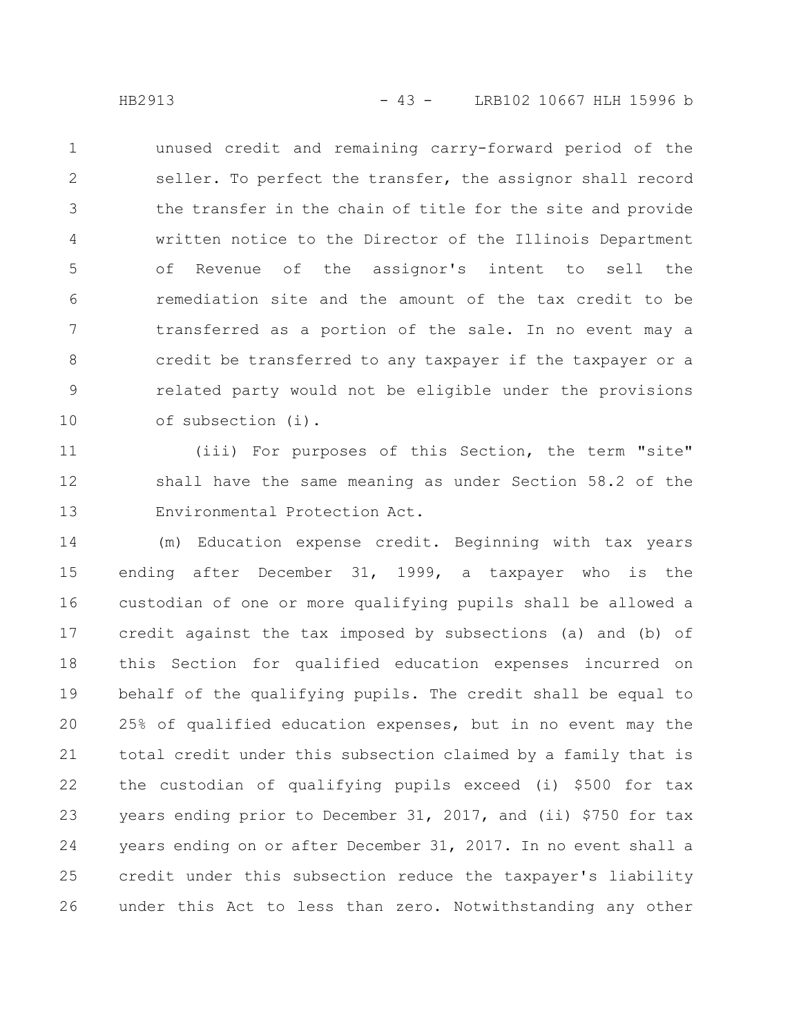unused credit and remaining carry-forward period of the seller. To perfect the transfer, the assignor shall record the transfer in the chain of title for the site and provide written notice to the Director of the Illinois Department of Revenue of the assignor's intent to sell the remediation site and the amount of the tax credit to be transferred as a portion of the sale. In no event may a credit be transferred to any taxpayer if the taxpayer or a related party would not be eligible under the provisions of subsection (i). 1 2 3 4 5 6 7 8 9 10

(iii) For purposes of this Section, the term "site" shall have the same meaning as under Section 58.2 of the Environmental Protection Act. 11 12 13

(m) Education expense credit. Beginning with tax years ending after December 31, 1999, a taxpayer who is the custodian of one or more qualifying pupils shall be allowed a credit against the tax imposed by subsections (a) and (b) of this Section for qualified education expenses incurred on behalf of the qualifying pupils. The credit shall be equal to 25% of qualified education expenses, but in no event may the total credit under this subsection claimed by a family that is the custodian of qualifying pupils exceed (i) \$500 for tax years ending prior to December 31, 2017, and (ii) \$750 for tax years ending on or after December 31, 2017. In no event shall a credit under this subsection reduce the taxpayer's liability under this Act to less than zero. Notwithstanding any other 14 15 16 17 18 19 20 21 22 23 24 25 26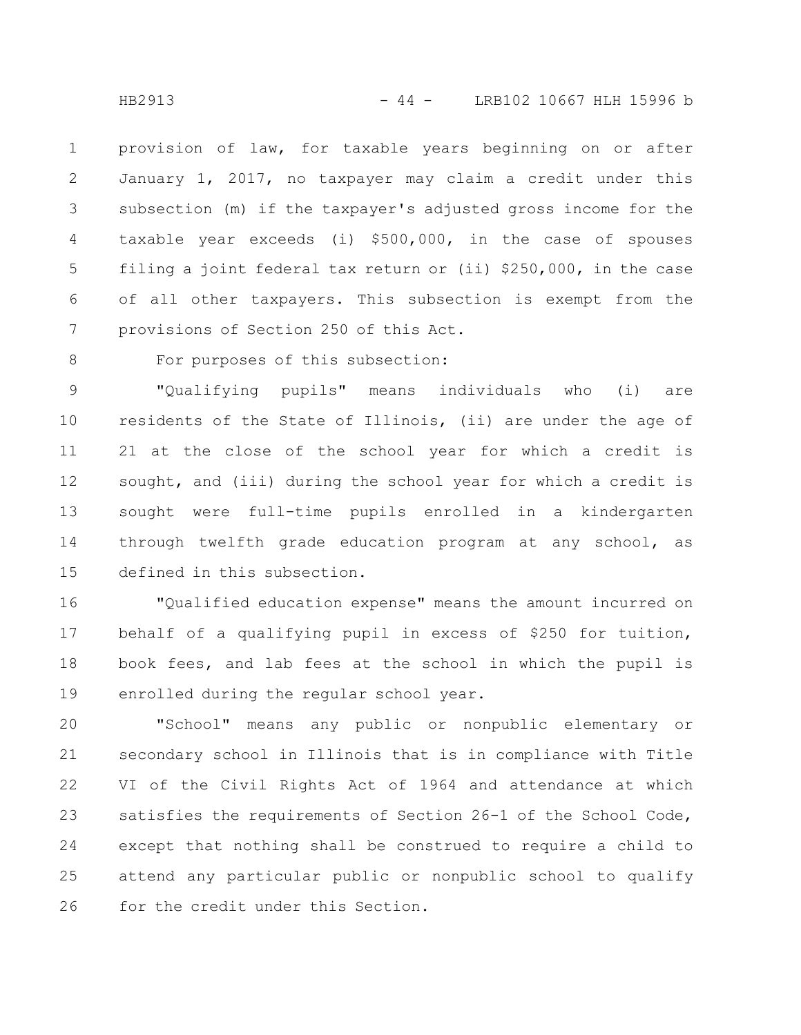provision of law, for taxable years beginning on or after January 1, 2017, no taxpayer may claim a credit under this subsection (m) if the taxpayer's adjusted gross income for the taxable year exceeds (i) \$500,000, in the case of spouses filing a joint federal tax return or (ii) \$250,000, in the case of all other taxpayers. This subsection is exempt from the provisions of Section 250 of this Act. 1 2 3 4 5 6 7

8

## For purposes of this subsection:

"Qualifying pupils" means individuals who (i) are residents of the State of Illinois, (ii) are under the age of 21 at the close of the school year for which a credit is sought, and (iii) during the school year for which a credit is sought were full-time pupils enrolled in a kindergarten through twelfth grade education program at any school, as defined in this subsection. 9 10 11 12 13 14 15

"Qualified education expense" means the amount incurred on behalf of a qualifying pupil in excess of \$250 for tuition, book fees, and lab fees at the school in which the pupil is enrolled during the regular school year. 16 17 18 19

"School" means any public or nonpublic elementary or secondary school in Illinois that is in compliance with Title VI of the Civil Rights Act of 1964 and attendance at which satisfies the requirements of Section 26-1 of the School Code, except that nothing shall be construed to require a child to attend any particular public or nonpublic school to qualify for the credit under this Section. 20 21 22 23 24 25 26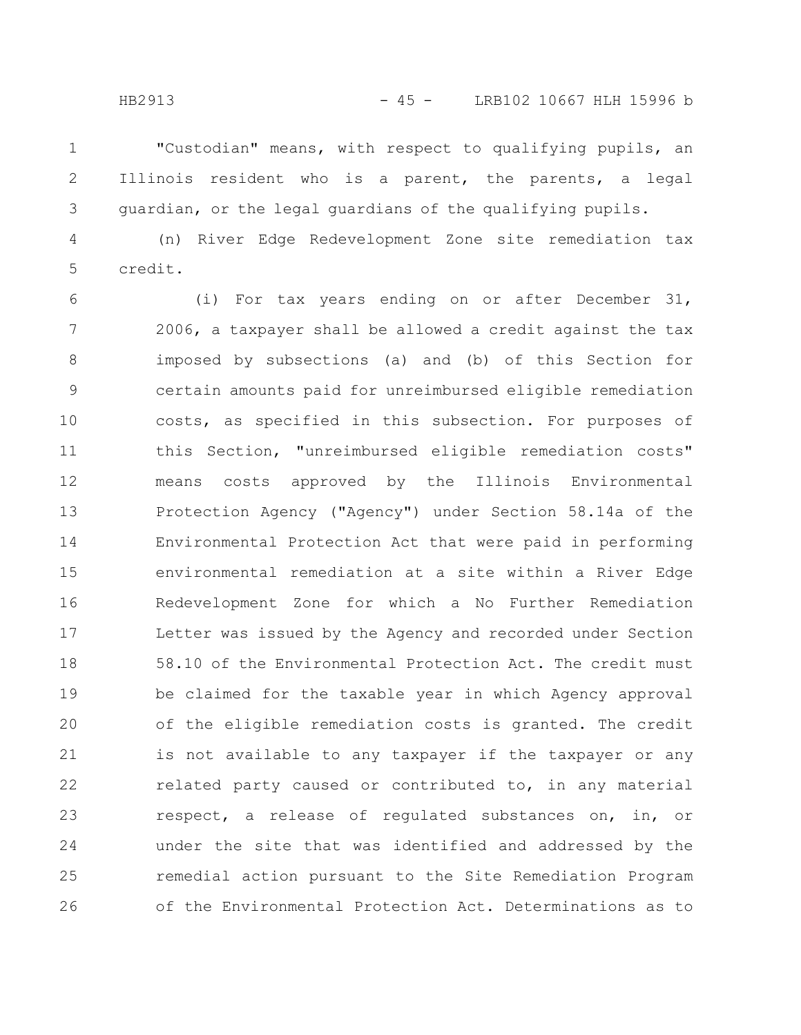"Custodian" means, with respect to qualifying pupils, an Illinois resident who is a parent, the parents, a legal guardian, or the legal guardians of the qualifying pupils. 1 2 3

(n) River Edge Redevelopment Zone site remediation tax credit. 4 5

(i) For tax years ending on or after December 31, 2006, a taxpayer shall be allowed a credit against the tax imposed by subsections (a) and (b) of this Section for certain amounts paid for unreimbursed eligible remediation costs, as specified in this subsection. For purposes of this Section, "unreimbursed eligible remediation costs" means costs approved by the Illinois Environmental Protection Agency ("Agency") under Section 58.14a of the Environmental Protection Act that were paid in performing environmental remediation at a site within a River Edge Redevelopment Zone for which a No Further Remediation Letter was issued by the Agency and recorded under Section 58.10 of the Environmental Protection Act. The credit must be claimed for the taxable year in which Agency approval of the eligible remediation costs is granted. The credit is not available to any taxpayer if the taxpayer or any related party caused or contributed to, in any material respect, a release of regulated substances on, in, or under the site that was identified and addressed by the remedial action pursuant to the Site Remediation Program of the Environmental Protection Act. Determinations as to 6 7 8 9 10 11 12 13 14 15 16 17 18 19 20 21 22 23 24 25 26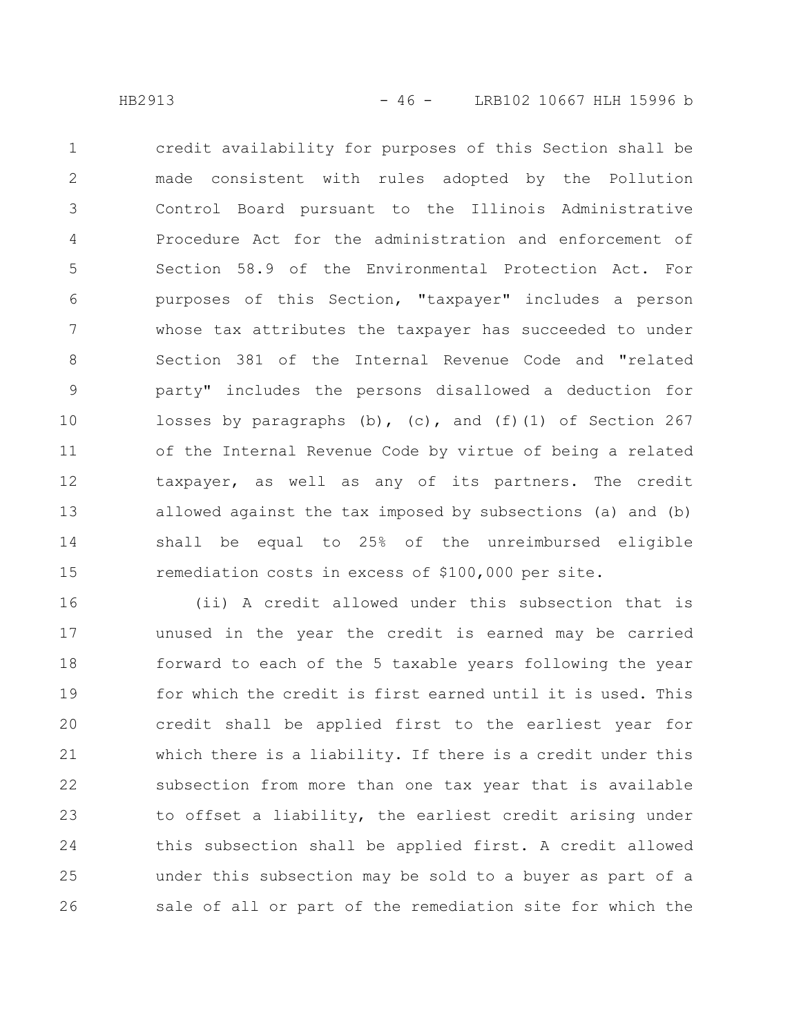credit availability for purposes of this Section shall be made consistent with rules adopted by the Pollution Control Board pursuant to the Illinois Administrative Procedure Act for the administration and enforcement of Section 58.9 of the Environmental Protection Act. For purposes of this Section, "taxpayer" includes a person whose tax attributes the taxpayer has succeeded to under Section 381 of the Internal Revenue Code and "related party" includes the persons disallowed a deduction for losses by paragraphs  $(b)$ ,  $(c)$ , and  $(f)(1)$  of Section 267 of the Internal Revenue Code by virtue of being a related taxpayer, as well as any of its partners. The credit allowed against the tax imposed by subsections (a) and (b) shall be equal to 25% of the unreimbursed eligible remediation costs in excess of \$100,000 per site. 1 2 3 4 5 6 7 8 9 10 11 12 13 14 15

(ii) A credit allowed under this subsection that is unused in the year the credit is earned may be carried forward to each of the 5 taxable years following the year for which the credit is first earned until it is used. This credit shall be applied first to the earliest year for which there is a liability. If there is a credit under this subsection from more than one tax year that is available to offset a liability, the earliest credit arising under this subsection shall be applied first. A credit allowed under this subsection may be sold to a buyer as part of a sale of all or part of the remediation site for which the 16 17 18 19 20 21 22 23 24 25 26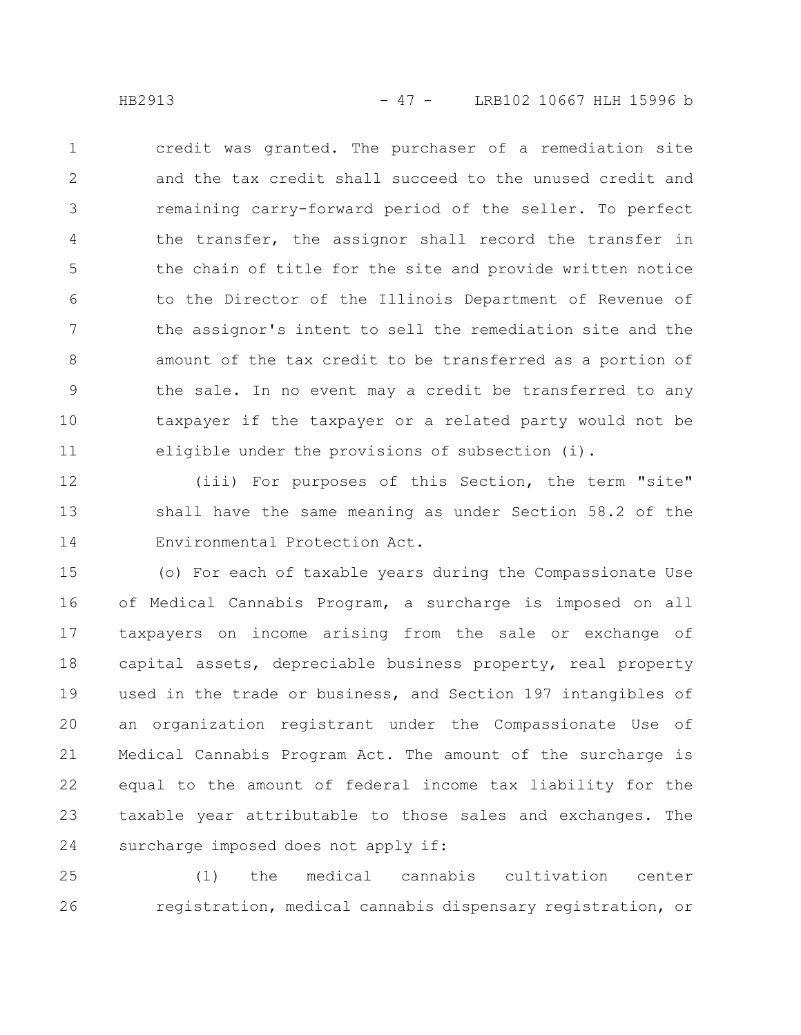credit was granted. The purchaser of a remediation site and the tax credit shall succeed to the unused credit and remaining carry-forward period of the seller. To perfect the transfer, the assignor shall record the transfer in the chain of title for the site and provide written notice to the Director of the Illinois Department of Revenue of the assignor's intent to sell the remediation site and the amount of the tax credit to be transferred as a portion of the sale. In no event may a credit be transferred to any taxpayer if the taxpayer or a related party would not be eligible under the provisions of subsection (i). 1 2 3 4 5 6 7 8 9 10 11

(iii) For purposes of this Section, the term "site" shall have the same meaning as under Section 58.2 of the Environmental Protection Act. 12 13 14

(o) For each of taxable years during the Compassionate Use of Medical Cannabis Program, a surcharge is imposed on all taxpayers on income arising from the sale or exchange of capital assets, depreciable business property, real property used in the trade or business, and Section 197 intangibles of an organization registrant under the Compassionate Use of Medical Cannabis Program Act. The amount of the surcharge is equal to the amount of federal income tax liability for the taxable year attributable to those sales and exchanges. The surcharge imposed does not apply if: 15 16 17 18 19 20 21 22 23 24

(1) the medical cannabis cultivation center registration, medical cannabis dispensary registration, or 25 26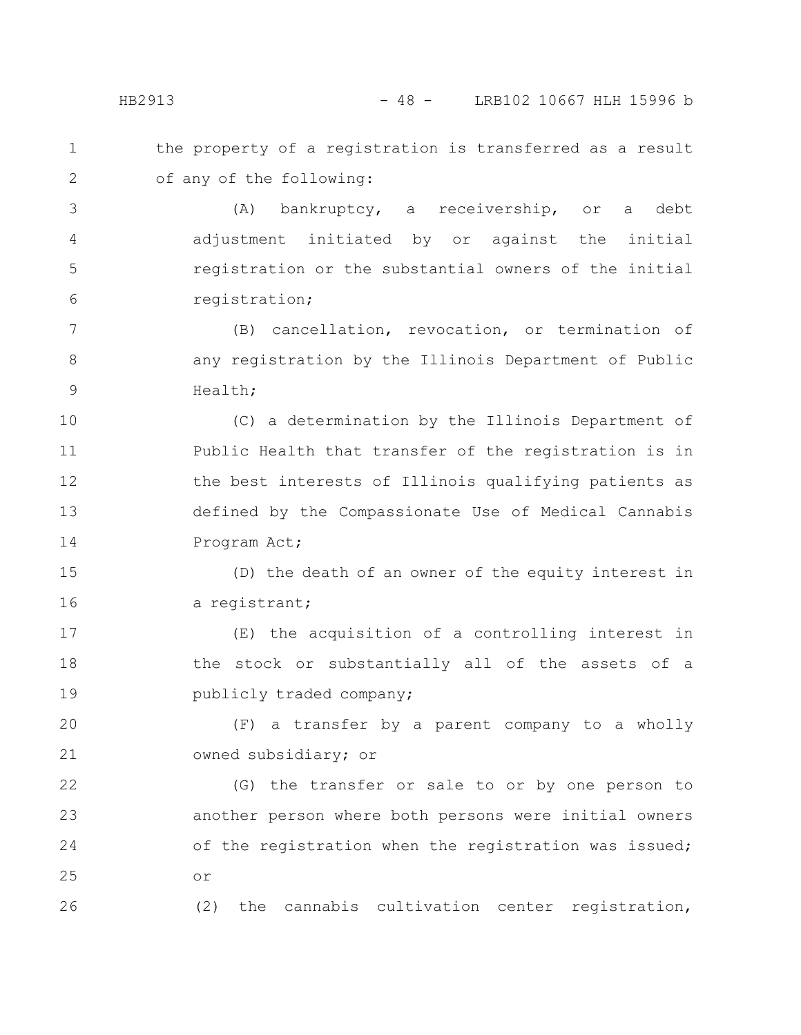the property of a registration is transferred as a result of any of the following: 1 2

(A) bankruptcy, a receivership, or a debt adjustment initiated by or against the initial registration or the substantial owners of the initial registration; 3 4 5 6

(B) cancellation, revocation, or termination of any registration by the Illinois Department of Public Health; 7 8 9

(C) a determination by the Illinois Department of Public Health that transfer of the registration is in the best interests of Illinois qualifying patients as defined by the Compassionate Use of Medical Cannabis Program Act; 10 11 12 13 14

(D) the death of an owner of the equity interest in a registrant; 15 16

(E) the acquisition of a controlling interest in the stock or substantially all of the assets of a publicly traded company; 17 18 19

(F) a transfer by a parent company to a wholly owned subsidiary; or 20 21

(G) the transfer or sale to or by one person to another person where both persons were initial owners of the registration when the registration was issued; or 22 23 24 25

(2) the cannabis cultivation center registration,

26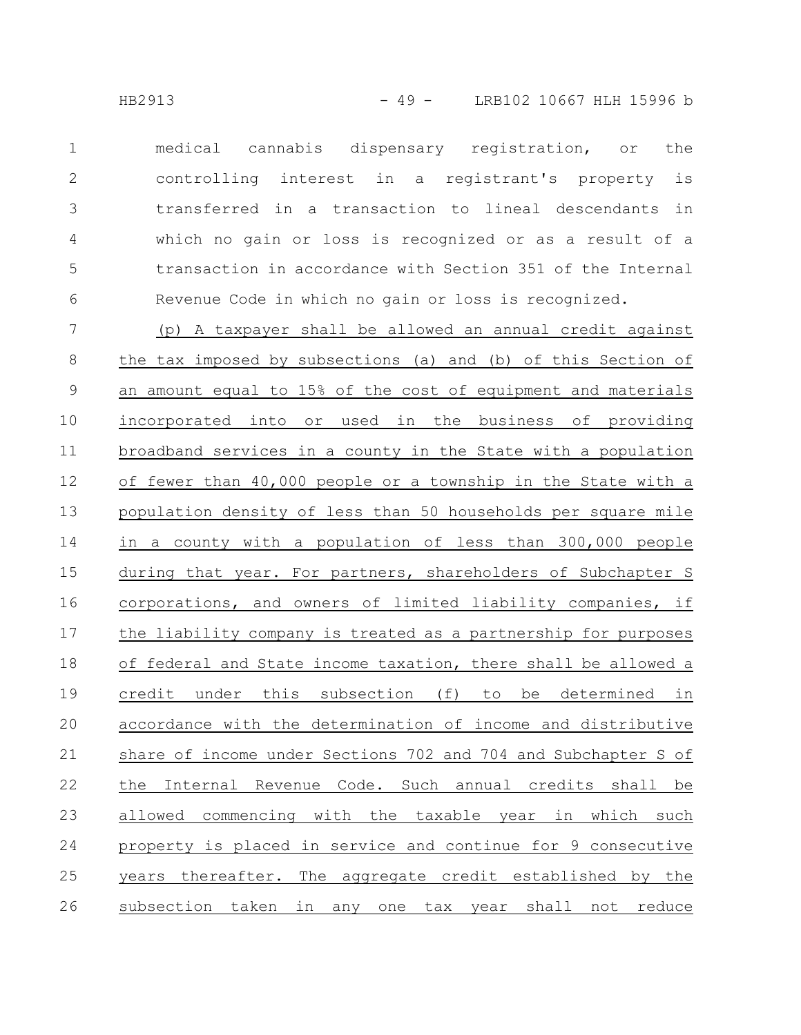medical cannabis dispensary registration, or the controlling interest in a registrant's property is transferred in a transaction to lineal descendants in which no gain or loss is recognized or as a result of a transaction in accordance with Section 351 of the Internal Revenue Code in which no gain or loss is recognized. 1 2 3 4 5 6

(p) A taxpayer shall be allowed an annual credit against the tax imposed by subsections (a) and (b) of this Section of an amount equal to 15% of the cost of equipment and materials incorporated into or used in the business of providing broadband services in a county in the State with a population of fewer than 40,000 people or a township in the State with a population density of less than 50 households per square mile in a county with a population of less than 300,000 people during that year. For partners, shareholders of Subchapter S corporations, and owners of limited liability companies, if the liability company is treated as a partnership for purposes of federal and State income taxation, there shall be allowed a credit under this subsection (f) to be determined in accordance with the determination of income and distributive share of income under Sections 702 and 704 and Subchapter S of the Internal Revenue Code. Such annual credits shall be allowed commencing with the taxable year in which such property is placed in service and continue for 9 consecutive years thereafter. The aggregate credit established by the subsection taken in any one tax year shall not reduce 7 8 9 10 11 12 13 14 15 16 17 18 19 20 21 22 23 24 25 26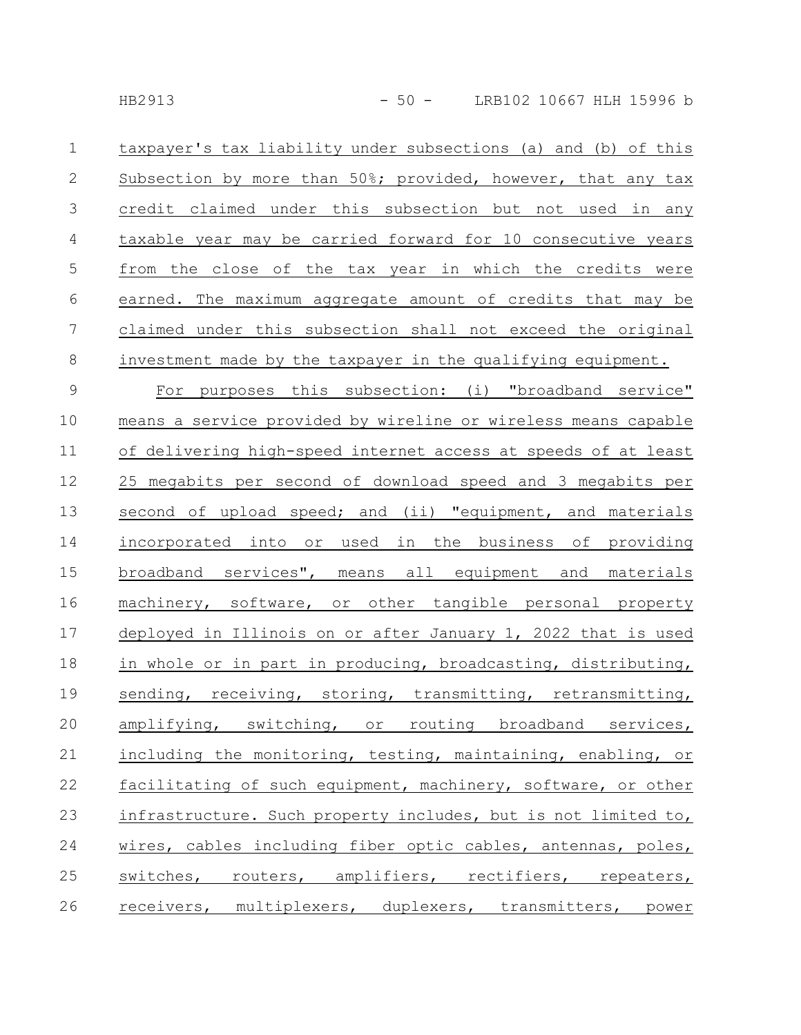| $\mathbf 1$      | taxpayer's tax liability under subsections (a) and (b) of this |
|------------------|----------------------------------------------------------------|
| $\mathbf{2}$     | Subsection by more than 50%; provided, however, that any tax   |
| $\mathfrak{Z}$   | credit claimed under this subsection but not used in any       |
| $\overline{4}$   | taxable year may be carried forward for 10 consecutive years   |
| $\mathsf S$      | from the close of the tax year in which the credits were       |
| $\sqrt{6}$       | earned. The maximum aggregate amount of credits that may be    |
| $\boldsymbol{7}$ | claimed under this subsection shall not exceed the original    |
| $\,8\,$          | investment made by the taxpayer in the qualifying equipment.   |
| $\mathsf 9$      | For purposes this subsection: (i) "broadband service"          |
| 10               | means a service provided by wireline or wireless means capable |
| 11               | of delivering high-speed internet access at speeds of at least |
| 12               | 25 megabits per second of download speed and 3 megabits per    |
| 13               | second of upload speed; and (ii) "equipment, and materials     |
| 14               | incorporated into or used in the business of providing         |
| 15               | broadband services", means all equipment and materials         |
| 16               | machinery, software, or other tangible personal property       |
| 17               | deployed in Illinois on or after January 1, 2022 that is used  |
| 18               | in whole or in part in producing, broadcasting, distributing,  |
| 19               | sending, receiving, storing, transmitting, retransmitting,     |
| 20               | amplifying, switching, or routing broadband services,          |
| 21               | including the monitoring, testing, maintaining, enabling, or   |
| 22               | facilitating of such equipment, machinery, software, or other  |
| 23               | infrastructure. Such property includes, but is not limited to, |
| 24               | wires, cables including fiber optic cables, antennas, poles,   |
| 25               | switches, routers, amplifiers, rectifiers, repeaters,          |
| 26               | receivers, multiplexers, duplexers, transmitters, power        |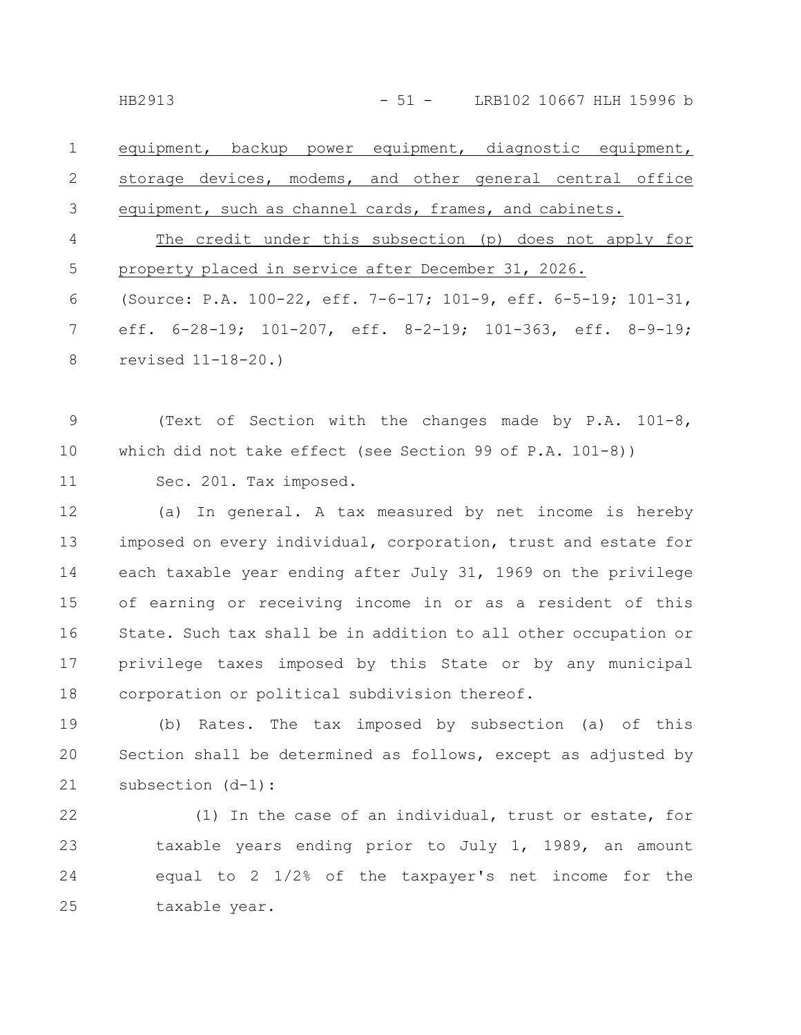equipment, backup power equipment, diagnostic equipment, storage devices, modems, and other general central office equipment, such as channel cards, frames, and cabinets. The credit under this subsection (p) does not apply for property placed in service after December 31, 2026. (Source: P.A. 100-22, eff. 7-6-17; 101-9, eff. 6-5-19; 101-31, 1 2 3 4 5 6

eff. 6-28-19; 101-207, eff. 8-2-19; 101-363, eff. 8-9-19; revised 11-18-20.) 7 8

(Text of Section with the changes made by P.A. 101-8, which did not take effect (see Section 99 of P.A. 101-8)) 9 10

Sec. 201. Tax imposed. 11

(a) In general. A tax measured by net income is hereby imposed on every individual, corporation, trust and estate for each taxable year ending after July 31, 1969 on the privilege of earning or receiving income in or as a resident of this State. Such tax shall be in addition to all other occupation or privilege taxes imposed by this State or by any municipal corporation or political subdivision thereof. 12 13 14 15 16 17 18

(b) Rates. The tax imposed by subsection (a) of this Section shall be determined as follows, except as adjusted by subsection (d-1): 19 20 21

(1) In the case of an individual, trust or estate, for taxable years ending prior to July 1, 1989, an amount equal to 2 1/2% of the taxpayer's net income for the taxable year. 22 23 24 25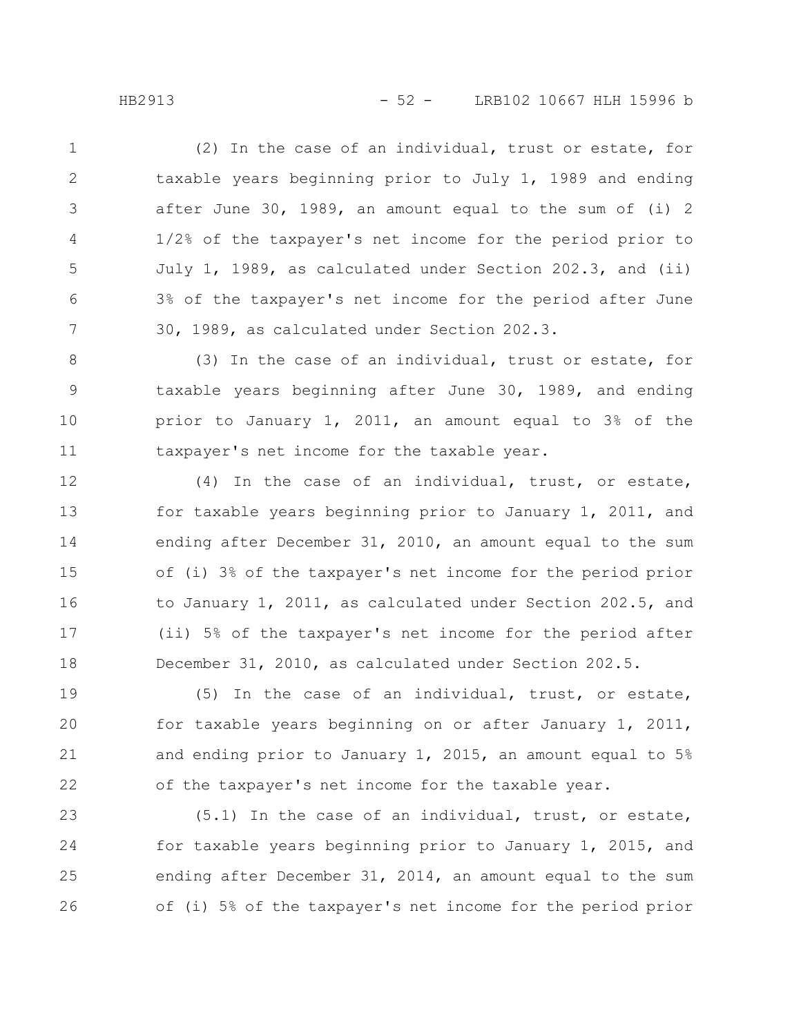(2) In the case of an individual, trust or estate, for taxable years beginning prior to July 1, 1989 and ending after June 30, 1989, an amount equal to the sum of (i) 2 1/2% of the taxpayer's net income for the period prior to July 1, 1989, as calculated under Section 202.3, and (ii) 3% of the taxpayer's net income for the period after June 30, 1989, as calculated under Section 202.3. 1 2 3 4 5 6 7

(3) In the case of an individual, trust or estate, for taxable years beginning after June 30, 1989, and ending prior to January 1, 2011, an amount equal to 3% of the taxpayer's net income for the taxable year. 8 9 10 11

(4) In the case of an individual, trust, or estate, for taxable years beginning prior to January 1, 2011, and ending after December 31, 2010, an amount equal to the sum of (i) 3% of the taxpayer's net income for the period prior to January 1, 2011, as calculated under Section 202.5, and (ii) 5% of the taxpayer's net income for the period after December 31, 2010, as calculated under Section 202.5. 12 13 14 15 16 17 18

(5) In the case of an individual, trust, or estate, for taxable years beginning on or after January 1, 2011, and ending prior to January 1, 2015, an amount equal to 5% of the taxpayer's net income for the taxable year. 19 20 21 22

(5.1) In the case of an individual, trust, or estate, for taxable years beginning prior to January 1, 2015, and ending after December 31, 2014, an amount equal to the sum of (i) 5% of the taxpayer's net income for the period prior 23 24 25 26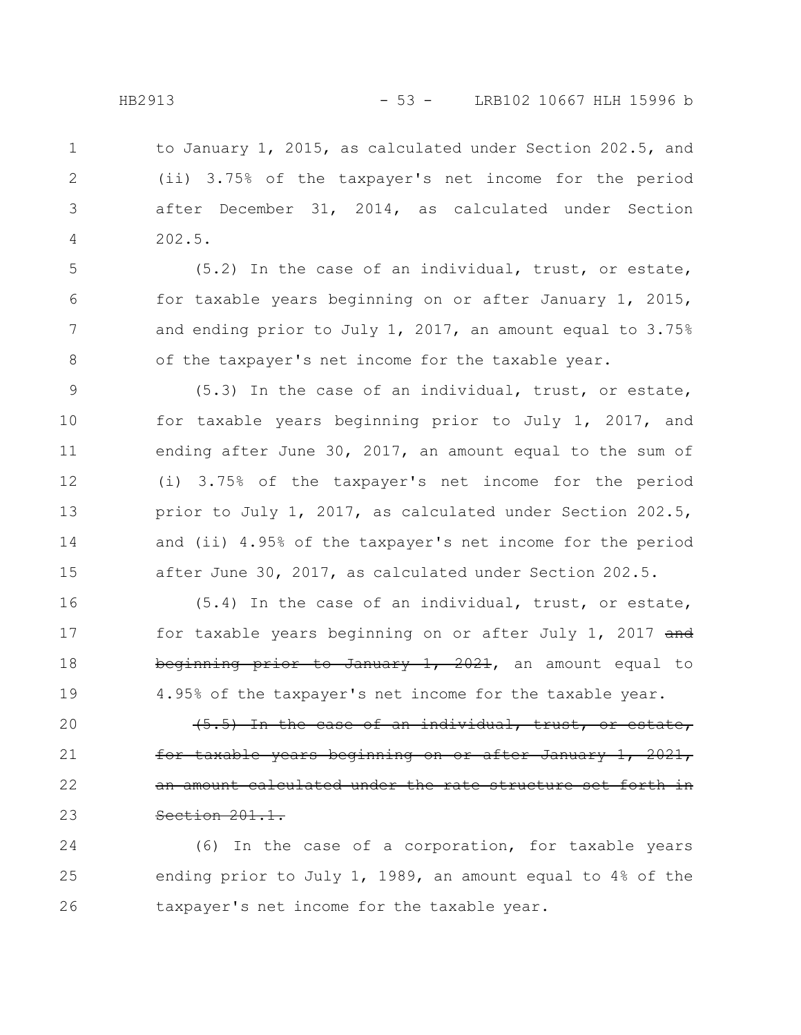to January 1, 2015, as calculated under Section 202.5, and (ii) 3.75% of the taxpayer's net income for the period after December 31, 2014, as calculated under Section 202.5. 1 2 3 4

(5.2) In the case of an individual, trust, or estate, for taxable years beginning on or after January 1, 2015, and ending prior to July 1, 2017, an amount equal to 3.75% of the taxpayer's net income for the taxable year.

(5.3) In the case of an individual, trust, or estate, for taxable years beginning prior to July 1, 2017, and ending after June 30, 2017, an amount equal to the sum of (i) 3.75% of the taxpayer's net income for the period prior to July 1, 2017, as calculated under Section 202.5, and (ii) 4.95% of the taxpayer's net income for the period after June 30, 2017, as calculated under Section 202.5. 9 10 11 12 13 14 15

(5.4) In the case of an individual, trust, or estate, for taxable years beginning on or after July 1, 2017 and beginning prior to January 1, 2021, an amount equal to 4.95% of the taxpayer's net income for the taxable year. 16 17 18 19

(5.5) In the case of an individual, trust, or estate, <del>years beginning on or after</del> an amount calculated under the rate structure set forth in Section 201.1. 20 21 22 23

(6) In the case of a corporation, for taxable years ending prior to July 1, 1989, an amount equal to 4% of the taxpayer's net income for the taxable year. 24 25 26

5

6

7

8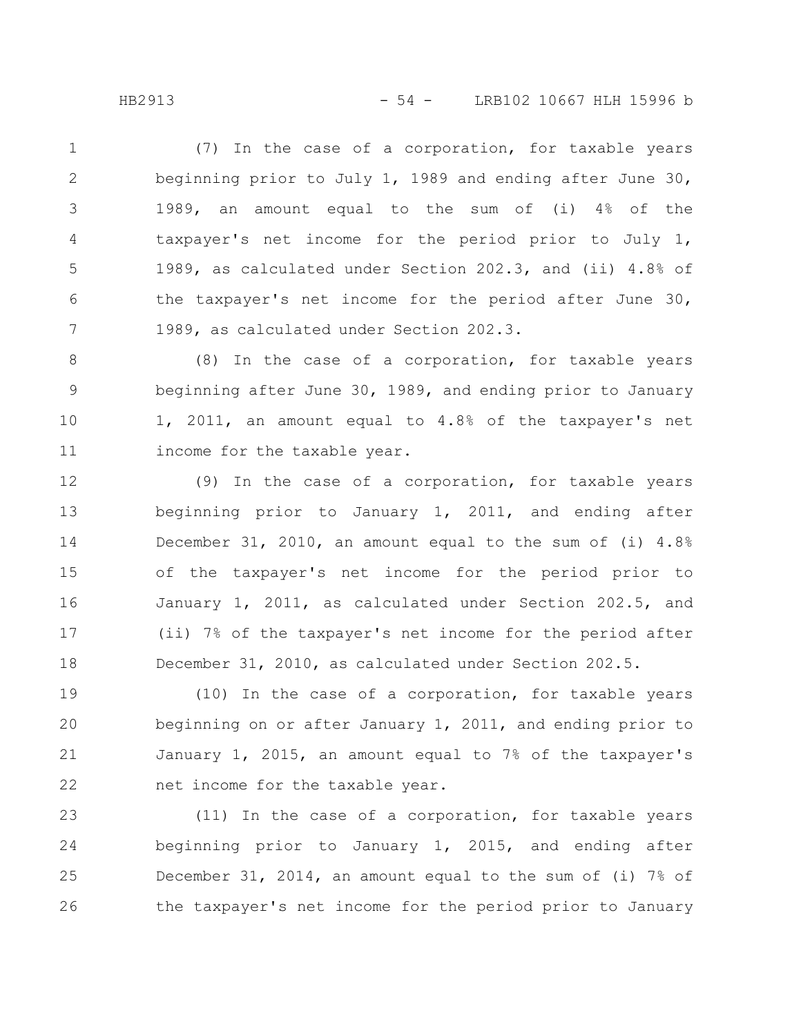(7) In the case of a corporation, for taxable years beginning prior to July 1, 1989 and ending after June 30, 1989, an amount equal to the sum of (i) 4% of the taxpayer's net income for the period prior to July 1, 1989, as calculated under Section 202.3, and (ii) 4.8% of the taxpayer's net income for the period after June 30, 1989, as calculated under Section 202.3. 1 2 3 4 5 6 7

(8) In the case of a corporation, for taxable years beginning after June 30, 1989, and ending prior to January 1, 2011, an amount equal to 4.8% of the taxpayer's net income for the taxable year. 8 9 10 11

(9) In the case of a corporation, for taxable years beginning prior to January 1, 2011, and ending after December 31, 2010, an amount equal to the sum of (i) 4.8% of the taxpayer's net income for the period prior to January 1, 2011, as calculated under Section 202.5, and (ii) 7% of the taxpayer's net income for the period after December 31, 2010, as calculated under Section 202.5. 12 13 14 15 16 17 18

(10) In the case of a corporation, for taxable years beginning on or after January 1, 2011, and ending prior to January 1, 2015, an amount equal to 7% of the taxpayer's net income for the taxable year. 19 20 21 22

(11) In the case of a corporation, for taxable years beginning prior to January 1, 2015, and ending after December 31, 2014, an amount equal to the sum of (i) 7% of the taxpayer's net income for the period prior to January 23 24 25 26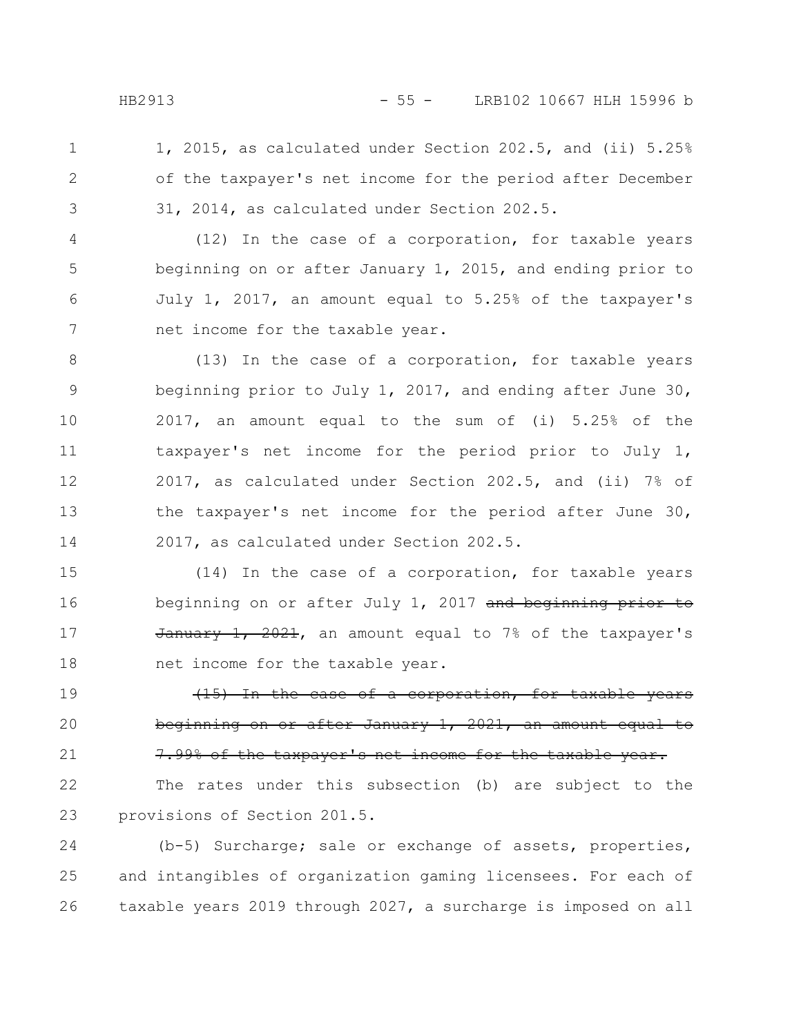1, 2015, as calculated under Section 202.5, and (ii) 5.25% of the taxpayer's net income for the period after December 31, 2014, as calculated under Section 202.5. 1 2 3

(12) In the case of a corporation, for taxable years beginning on or after January 1, 2015, and ending prior to July 1, 2017, an amount equal to 5.25% of the taxpayer's net income for the taxable year. 4 5 6 7

(13) In the case of a corporation, for taxable years beginning prior to July 1, 2017, and ending after June 30, 2017, an amount equal to the sum of (i) 5.25% of the taxpayer's net income for the period prior to July 1, 2017, as calculated under Section 202.5, and (ii) 7% of the taxpayer's net income for the period after June 30, 2017, as calculated under Section 202.5. 8 9 10 11 12 13 14

(14) In the case of a corporation, for taxable years beginning on or after July 1, 2017 and beginning prior to  $\frac{1}{2021}$ ,  $\frac{2021}{2021}$ , an amount equal to 7% of the taxpayer's net income for the taxable year. 15 16 17 18

(15) In the case of a corporation, for taxable years beginning on or after January 1, 2021, an amount equal to 7.99% of the taxpayer's net income for the taxable 19 20 21

The rates under this subsection (b) are subject to the provisions of Section 201.5. 22 23

(b-5) Surcharge; sale or exchange of assets, properties, and intangibles of organization gaming licensees. For each of taxable years 2019 through 2027, a surcharge is imposed on all 24 25 26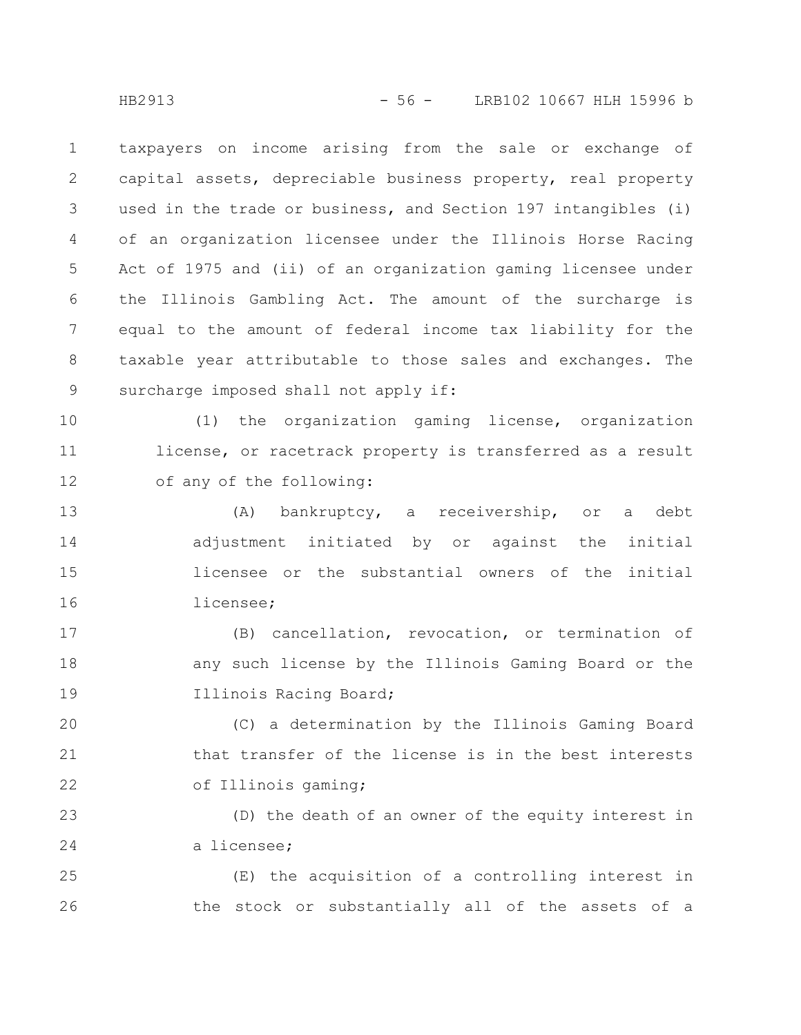taxpayers on income arising from the sale or exchange of capital assets, depreciable business property, real property used in the trade or business, and Section 197 intangibles (i) of an organization licensee under the Illinois Horse Racing Act of 1975 and (ii) of an organization gaming licensee under the Illinois Gambling Act. The amount of the surcharge is equal to the amount of federal income tax liability for the taxable year attributable to those sales and exchanges. The surcharge imposed shall not apply if: 1 2 3 4 5 6 7 8 9

(1) the organization gaming license, organization license, or racetrack property is transferred as a result of any of the following: 10 11 12

(A) bankruptcy, a receivership, or a debt adjustment initiated by or against the initial licensee or the substantial owners of the initial licensee; 13 14 15 16

(B) cancellation, revocation, or termination of any such license by the Illinois Gaming Board or the Illinois Racing Board; 17 18 19

(C) a determination by the Illinois Gaming Board that transfer of the license is in the best interests of Illinois gaming; 20 21 22

(D) the death of an owner of the equity interest in a licensee; 23 24

(E) the acquisition of a controlling interest in the stock or substantially all of the assets of a 25 26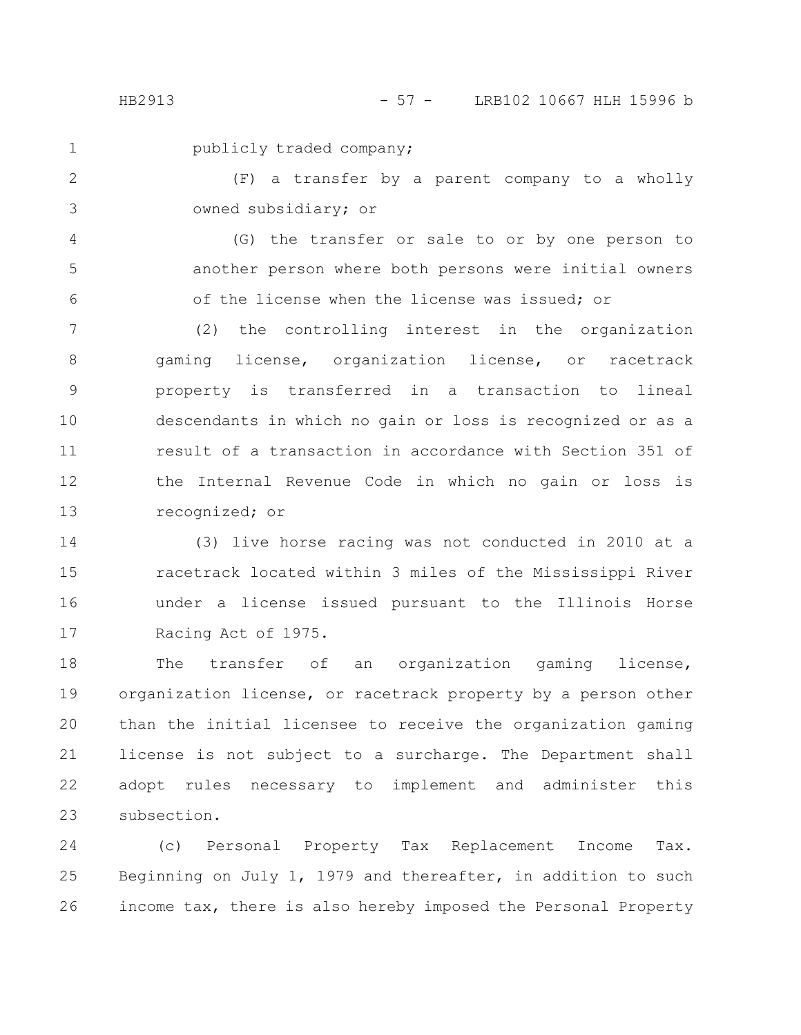1

publicly traded company;

(F) a transfer by a parent company to a wholly owned subsidiary; or 2 3

(G) the transfer or sale to or by one person to another person where both persons were initial owners of the license when the license was issued; or 4 5 6

(2) the controlling interest in the organization gaming license, organization license, or racetrack property is transferred in a transaction to lineal descendants in which no gain or loss is recognized or as a result of a transaction in accordance with Section 351 of the Internal Revenue Code in which no gain or loss is recognized; or 7 8 9 10 11 12 13

(3) live horse racing was not conducted in 2010 at a racetrack located within 3 miles of the Mississippi River under a license issued pursuant to the Illinois Horse Racing Act of 1975. 14 15 16 17

The transfer of an organization gaming license, organization license, or racetrack property by a person other than the initial licensee to receive the organization gaming license is not subject to a surcharge. The Department shall adopt rules necessary to implement and administer this subsection. 18 19 20 21 22 23

(c) Personal Property Tax Replacement Income Tax. Beginning on July 1, 1979 and thereafter, in addition to such income tax, there is also hereby imposed the Personal Property 24 25 26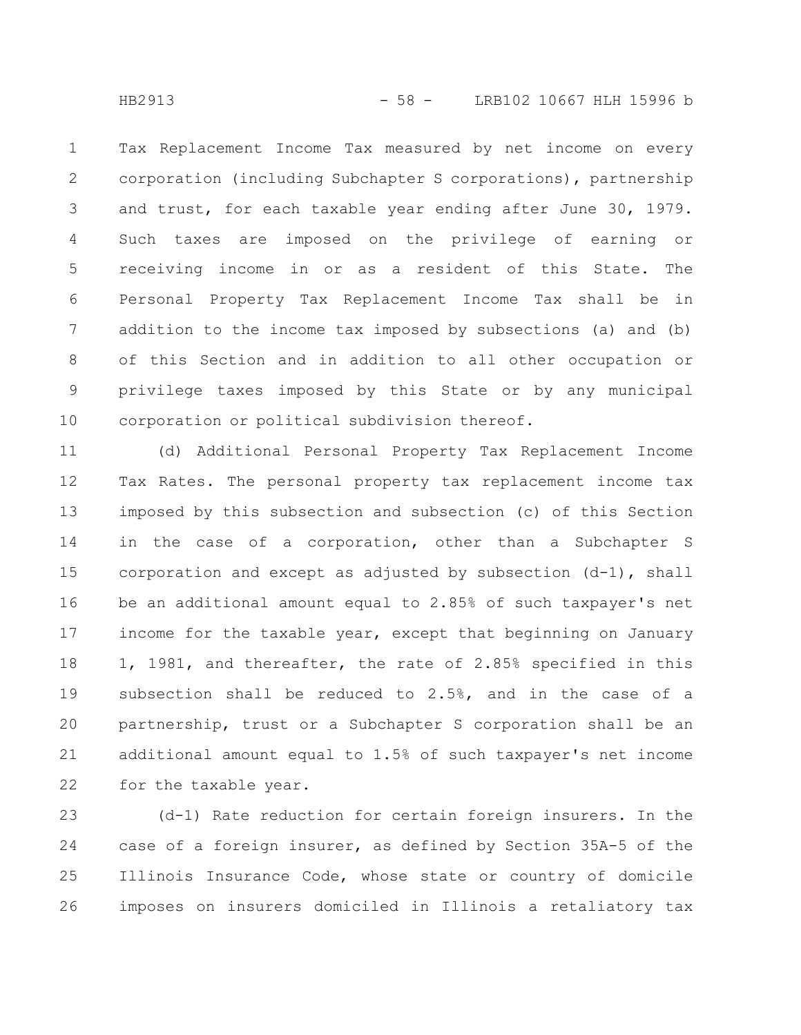Tax Replacement Income Tax measured by net income on every corporation (including Subchapter S corporations), partnership and trust, for each taxable year ending after June 30, 1979. Such taxes are imposed on the privilege of earning or receiving income in or as a resident of this State. The Personal Property Tax Replacement Income Tax shall be in addition to the income tax imposed by subsections (a) and (b) of this Section and in addition to all other occupation or privilege taxes imposed by this State or by any municipal corporation or political subdivision thereof. 1 2 3 4 5 6 7 8 9 10

(d) Additional Personal Property Tax Replacement Income Tax Rates. The personal property tax replacement income tax imposed by this subsection and subsection (c) of this Section in the case of a corporation, other than a Subchapter S corporation and except as adjusted by subsection  $(d-1)$ , shall be an additional amount equal to 2.85% of such taxpayer's net income for the taxable year, except that beginning on January 1, 1981, and thereafter, the rate of 2.85% specified in this subsection shall be reduced to 2.5%, and in the case of a partnership, trust or a Subchapter S corporation shall be an additional amount equal to 1.5% of such taxpayer's net income for the taxable year. 11 12 13 14 15 16 17 18 19 20 21 22

(d-1) Rate reduction for certain foreign insurers. In the case of a foreign insurer, as defined by Section 35A-5 of the Illinois Insurance Code, whose state or country of domicile imposes on insurers domiciled in Illinois a retaliatory tax 23 24 25 26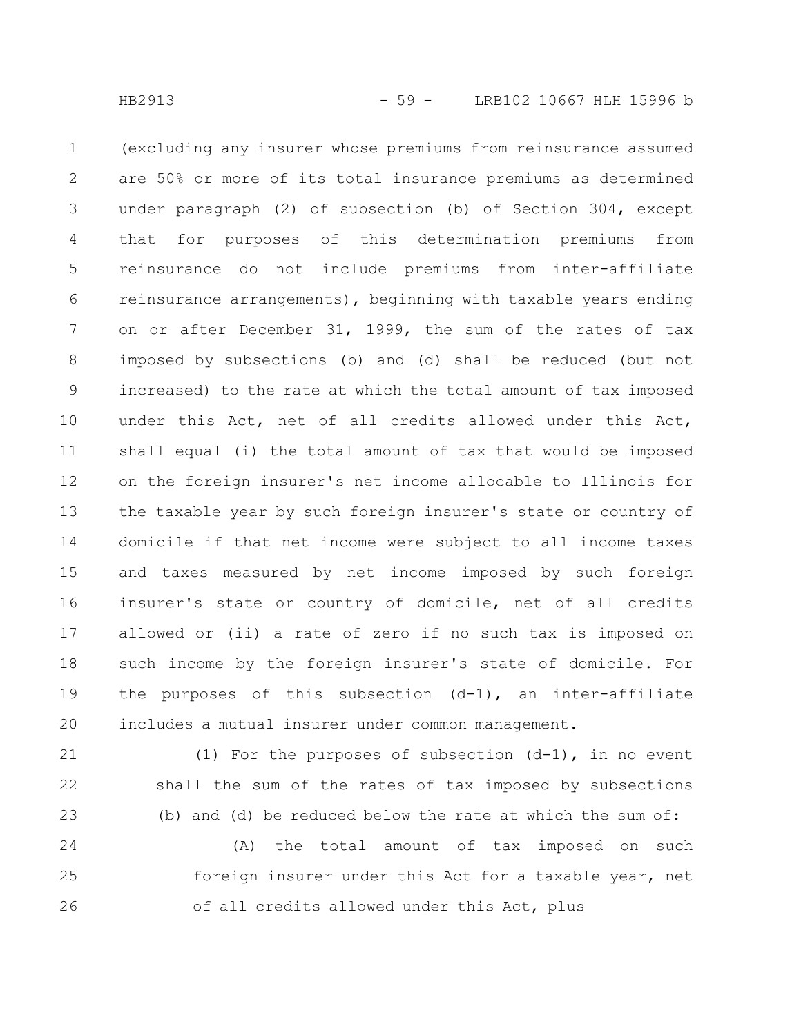(excluding any insurer whose premiums from reinsurance assumed are 50% or more of its total insurance premiums as determined under paragraph (2) of subsection (b) of Section 304, except that for purposes of this determination premiums from reinsurance do not include premiums from inter-affiliate reinsurance arrangements), beginning with taxable years ending on or after December 31, 1999, the sum of the rates of tax imposed by subsections (b) and (d) shall be reduced (but not increased) to the rate at which the total amount of tax imposed under this Act, net of all credits allowed under this Act, shall equal (i) the total amount of tax that would be imposed on the foreign insurer's net income allocable to Illinois for the taxable year by such foreign insurer's state or country of domicile if that net income were subject to all income taxes and taxes measured by net income imposed by such foreign insurer's state or country of domicile, net of all credits allowed or (ii) a rate of zero if no such tax is imposed on such income by the foreign insurer's state of domicile. For the purposes of this subsection (d-1), an inter-affiliate includes a mutual insurer under common management. 1 2 3 4 5 6 7 8 9 10 11 12 13 14 15 16 17 18 19 20

(1) For the purposes of subsection (d-1), in no event shall the sum of the rates of tax imposed by subsections (b) and (d) be reduced below the rate at which the sum of: 21 22 23

(A) the total amount of tax imposed on such foreign insurer under this Act for a taxable year, net of all credits allowed under this Act, plus 24 25 26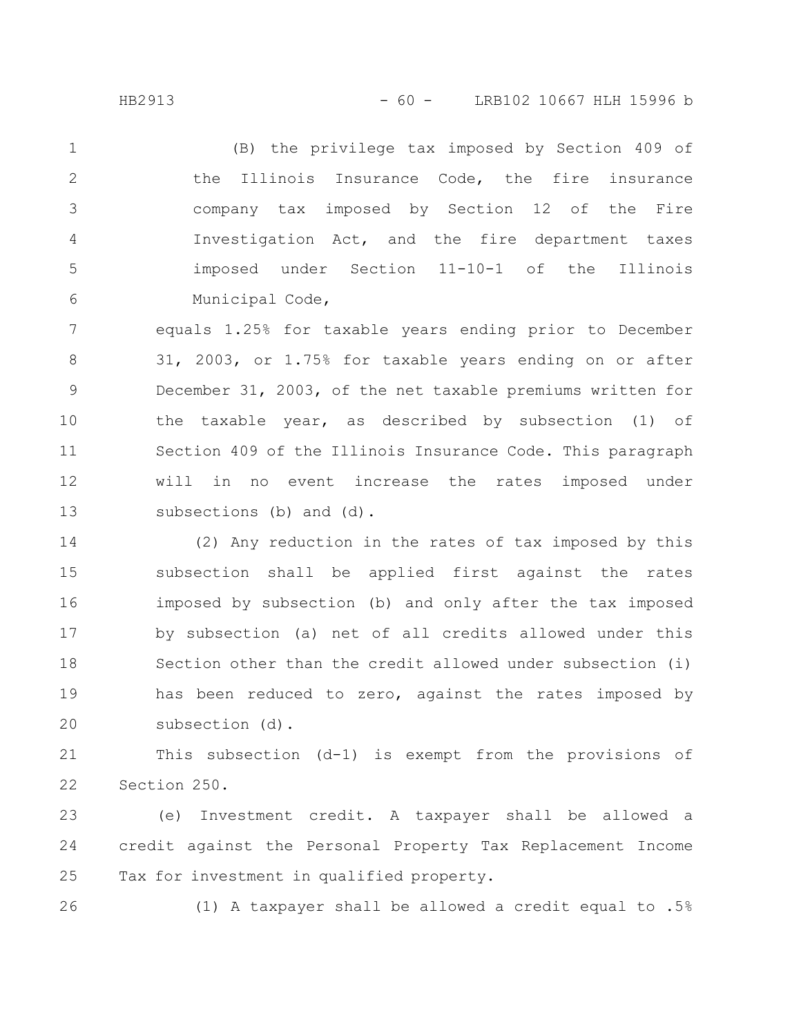(B) the privilege tax imposed by Section 409 of the Illinois Insurance Code, the fire insurance company tax imposed by Section 12 of the Fire Investigation Act, and the fire department taxes imposed under Section 11-10-1 of the Illinois Municipal Code, 1 2 3 4 5 6

equals 1.25% for taxable years ending prior to December 31, 2003, or 1.75% for taxable years ending on or after December 31, 2003, of the net taxable premiums written for the taxable year, as described by subsection (1) of Section 409 of the Illinois Insurance Code. This paragraph will in no event increase the rates imposed under subsections (b) and (d). 7 8 9 10 11 12 13

(2) Any reduction in the rates of tax imposed by this subsection shall be applied first against the rates imposed by subsection (b) and only after the tax imposed by subsection (a) net of all credits allowed under this Section other than the credit allowed under subsection (i) has been reduced to zero, against the rates imposed by subsection (d). 14 15 16 17 18 19 20

This subsection (d-1) is exempt from the provisions of Section 250. 21 22

(e) Investment credit. A taxpayer shall be allowed a credit against the Personal Property Tax Replacement Income Tax for investment in qualified property. 23 24 25

26

(1) A taxpayer shall be allowed a credit equal to .5%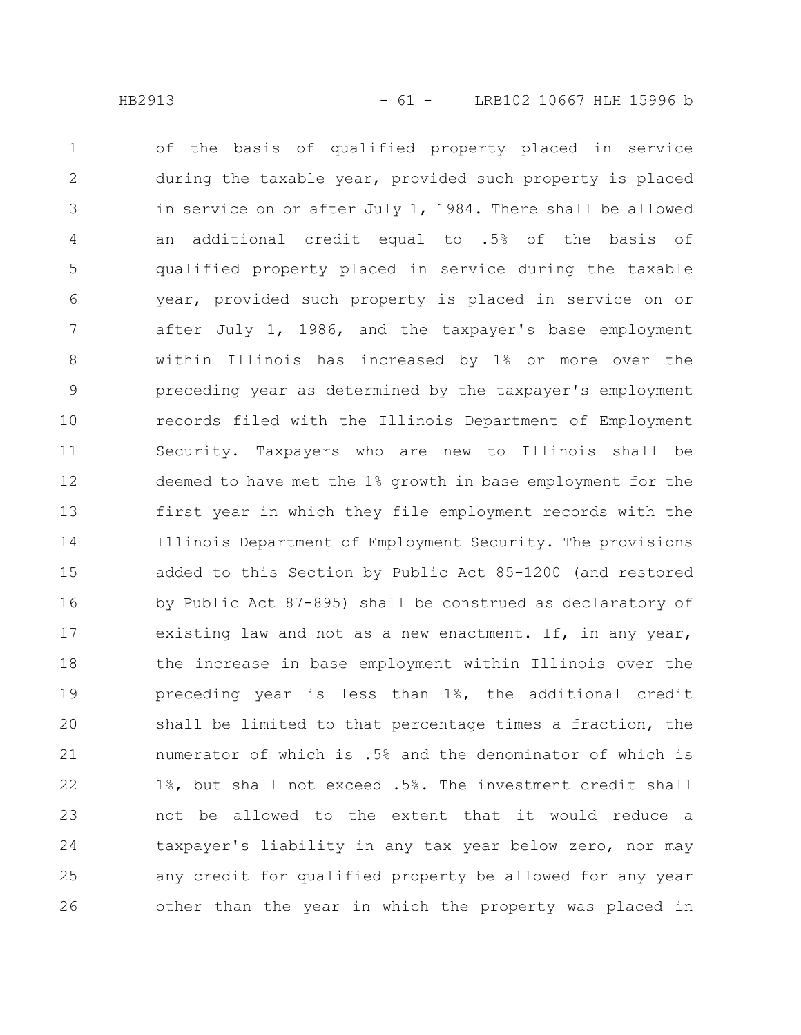of the basis of qualified property placed in service during the taxable year, provided such property is placed in service on or after July 1, 1984. There shall be allowed an additional credit equal to .5% of the basis of qualified property placed in service during the taxable year, provided such property is placed in service on or after July 1, 1986, and the taxpayer's base employment within Illinois has increased by 1% or more over the preceding year as determined by the taxpayer's employment records filed with the Illinois Department of Employment Security. Taxpayers who are new to Illinois shall be deemed to have met the 1% growth in base employment for the first year in which they file employment records with the Illinois Department of Employment Security. The provisions added to this Section by Public Act 85-1200 (and restored by Public Act 87-895) shall be construed as declaratory of existing law and not as a new enactment. If, in any year, the increase in base employment within Illinois over the preceding year is less than 1%, the additional credit shall be limited to that percentage times a fraction, the numerator of which is .5% and the denominator of which is 1%, but shall not exceed .5%. The investment credit shall not be allowed to the extent that it would reduce a taxpayer's liability in any tax year below zero, nor may any credit for qualified property be allowed for any year other than the year in which the property was placed in 1 2 3 4 5 6 7 8 9 10 11 12 13 14 15 16 17 18 19 20 21 22 23 24 25 26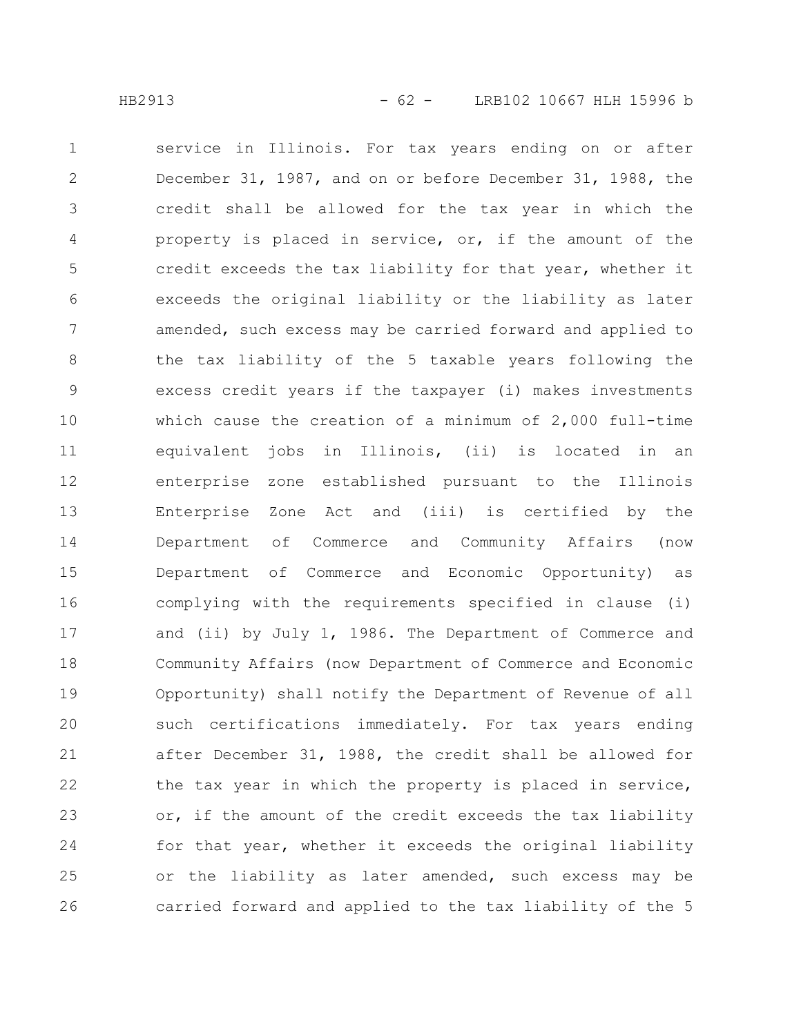service in Illinois. For tax years ending on or after December 31, 1987, and on or before December 31, 1988, the credit shall be allowed for the tax year in which the property is placed in service, or, if the amount of the credit exceeds the tax liability for that year, whether it exceeds the original liability or the liability as later amended, such excess may be carried forward and applied to the tax liability of the 5 taxable years following the excess credit years if the taxpayer (i) makes investments which cause the creation of a minimum of 2,000 full-time equivalent jobs in Illinois, (ii) is located in an enterprise zone established pursuant to the Illinois Enterprise Zone Act and (iii) is certified by the Department of Commerce and Community Affairs (now Department of Commerce and Economic Opportunity) as complying with the requirements specified in clause (i) and (ii) by July 1, 1986. The Department of Commerce and Community Affairs (now Department of Commerce and Economic Opportunity) shall notify the Department of Revenue of all such certifications immediately. For tax years ending after December 31, 1988, the credit shall be allowed for the tax year in which the property is placed in service, or, if the amount of the credit exceeds the tax liability for that year, whether it exceeds the original liability or the liability as later amended, such excess may be carried forward and applied to the tax liability of the 5 1 2 3 4 5 6 7 8 9 10 11 12 13 14 15 16 17 18 19 20 21 22 23 24 25 26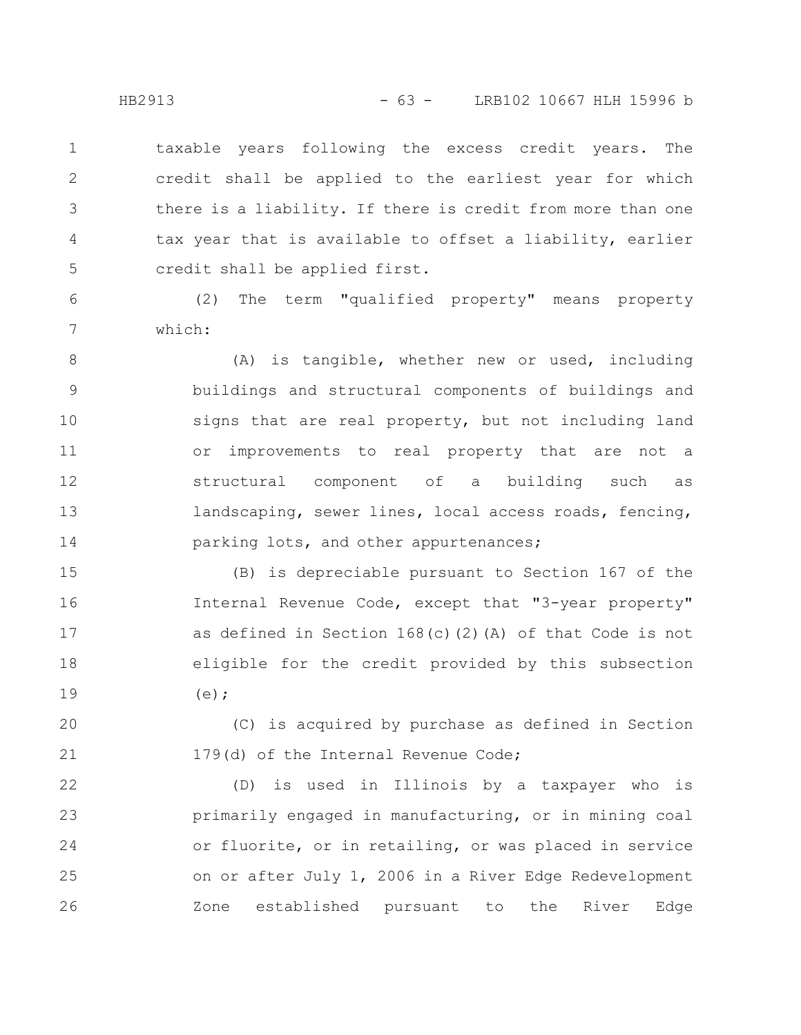taxable years following the excess credit years. The credit shall be applied to the earliest year for which there is a liability. If there is credit from more than one tax year that is available to offset a liability, earlier credit shall be applied first. 1 2 3 4 5

(2) The term "qualified property" means property which:

(A) is tangible, whether new or used, including buildings and structural components of buildings and signs that are real property, but not including land or improvements to real property that are not a structural component of a building such as landscaping, sewer lines, local access roads, fencing, parking lots, and other appurtenances; 8 9 10 11 12 13 14

(B) is depreciable pursuant to Section 167 of the Internal Revenue Code, except that "3-year property" as defined in Section 168(c)(2)(A) of that Code is not eligible for the credit provided by this subsection  $(e)$  ; 15 16 17 18 19

(C) is acquired by purchase as defined in Section 179(d) of the Internal Revenue Code; 20 21

(D) is used in Illinois by a taxpayer who is primarily engaged in manufacturing, or in mining coal or fluorite, or in retailing, or was placed in service on or after July 1, 2006 in a River Edge Redevelopment Zone established pursuant to the River Edge 22 23 24 25 26

6

7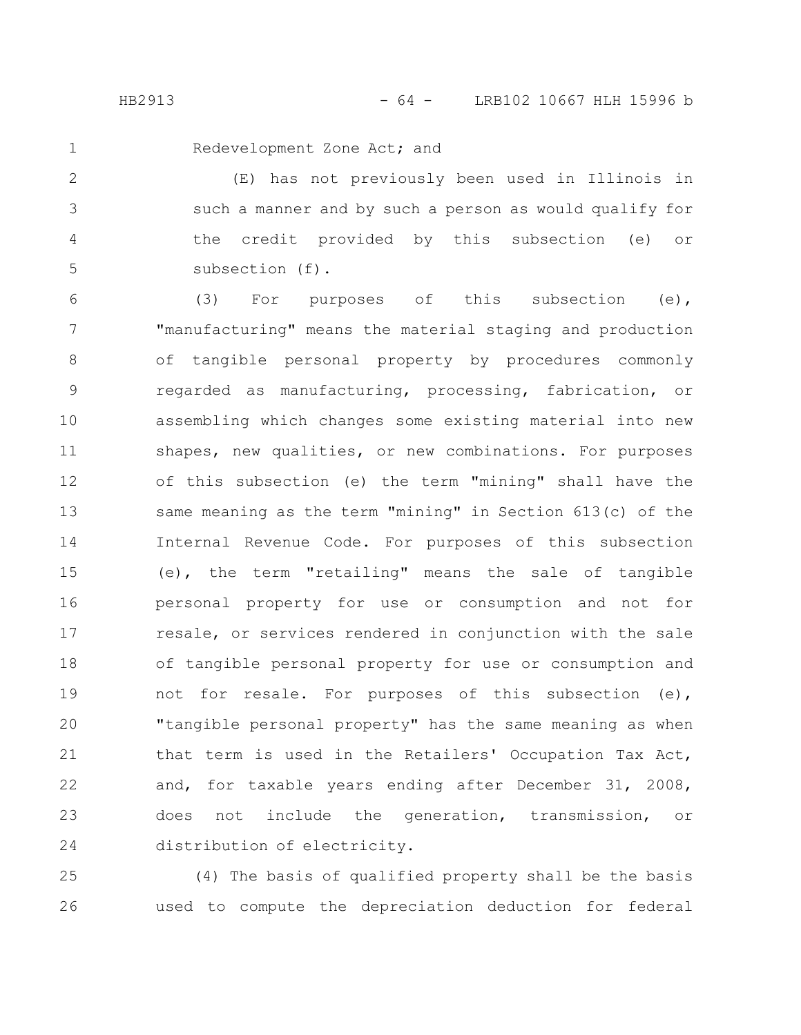1

Redevelopment Zone Act; and

(E) has not previously been used in Illinois in such a manner and by such a person as would qualify for the credit provided by this subsection (e) or subsection (f). 2 3 4 5

(3) For purposes of this subsection (e), "manufacturing" means the material staging and production of tangible personal property by procedures commonly regarded as manufacturing, processing, fabrication, or assembling which changes some existing material into new shapes, new qualities, or new combinations. For purposes of this subsection (e) the term "mining" shall have the same meaning as the term "mining" in Section 613(c) of the Internal Revenue Code. For purposes of this subsection (e), the term "retailing" means the sale of tangible personal property for use or consumption and not for resale, or services rendered in conjunction with the sale of tangible personal property for use or consumption and not for resale. For purposes of this subsection (e), "tangible personal property" has the same meaning as when that term is used in the Retailers' Occupation Tax Act, and, for taxable years ending after December 31, 2008, does not include the generation, transmission, or distribution of electricity. 6 7 8 9 10 11 12 13 14 15 16 17 18 19 20 21 22 23 24

(4) The basis of qualified property shall be the basis used to compute the depreciation deduction for federal 25 26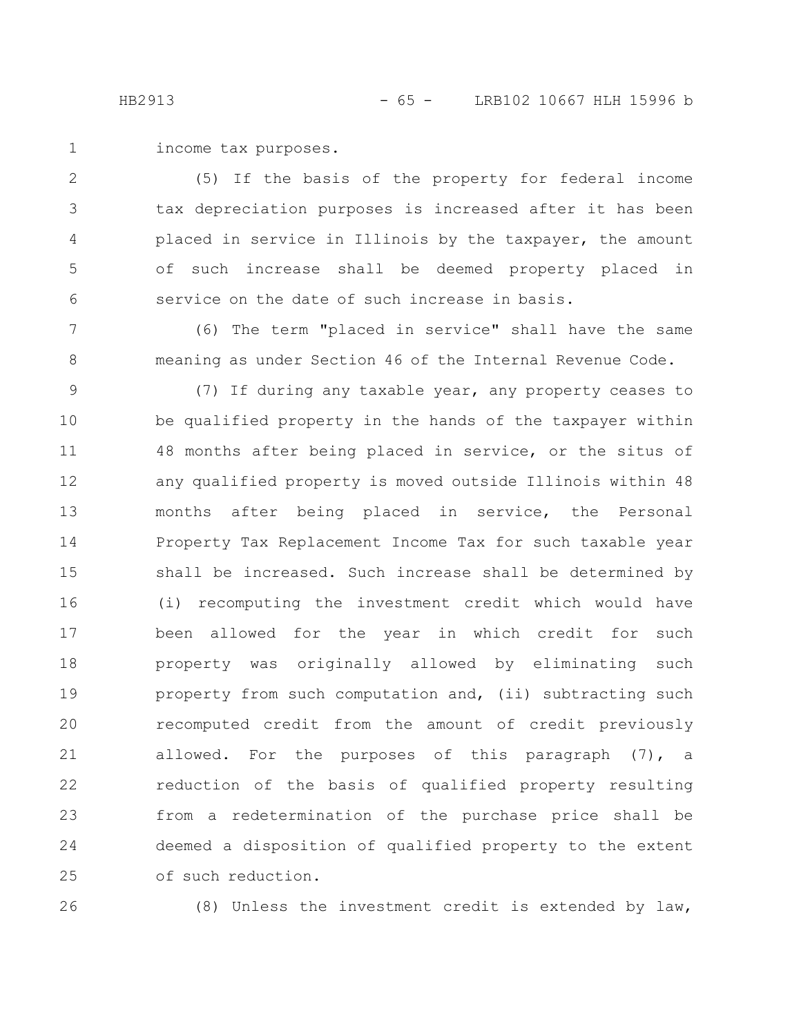income tax purposes. 1

(5) If the basis of the property for federal income tax depreciation purposes is increased after it has been placed in service in Illinois by the taxpayer, the amount of such increase shall be deemed property placed in service on the date of such increase in basis. 2 3 4 5 6

(6) The term "placed in service" shall have the same meaning as under Section 46 of the Internal Revenue Code. 7 8

(7) If during any taxable year, any property ceases to be qualified property in the hands of the taxpayer within 48 months after being placed in service, or the situs of any qualified property is moved outside Illinois within 48 months after being placed in service, the Personal Property Tax Replacement Income Tax for such taxable year shall be increased. Such increase shall be determined by (i) recomputing the investment credit which would have been allowed for the year in which credit for such property was originally allowed by eliminating such property from such computation and, (ii) subtracting such recomputed credit from the amount of credit previously allowed. For the purposes of this paragraph (7), a reduction of the basis of qualified property resulting from a redetermination of the purchase price shall be deemed a disposition of qualified property to the extent of such reduction. 9 10 11 12 13 14 15 16 17 18 19 20 21 22 23 24 25

26

(8) Unless the investment credit is extended by law,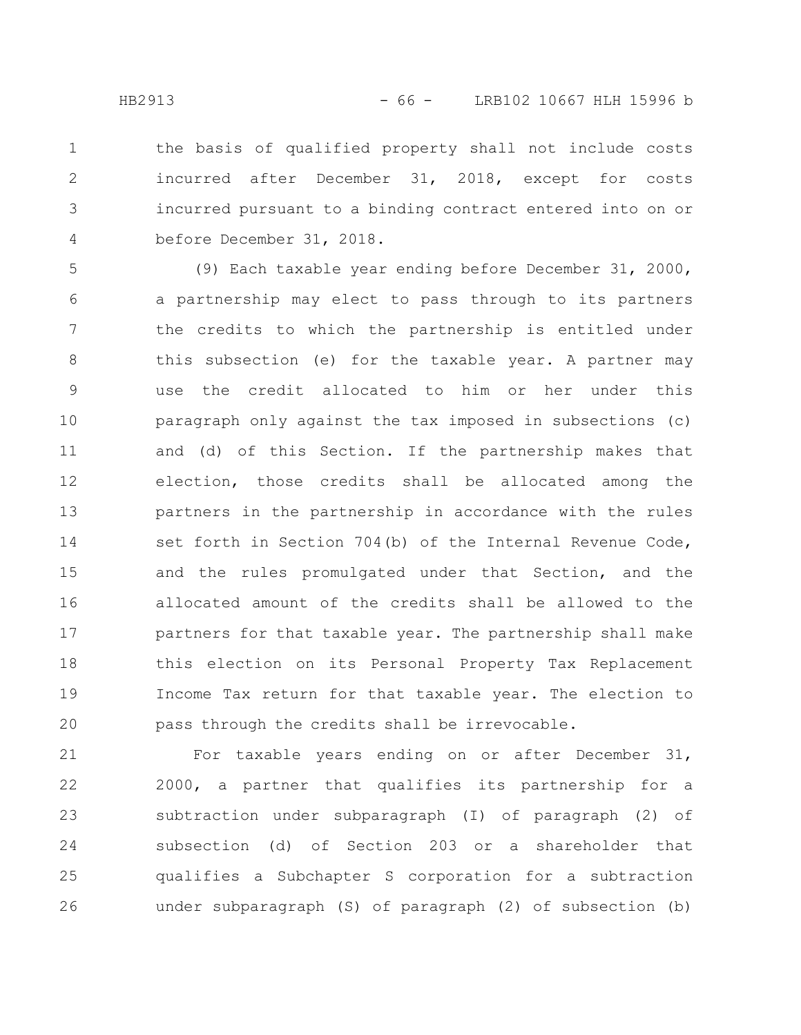the basis of qualified property shall not include costs incurred after December 31, 2018, except for costs incurred pursuant to a binding contract entered into on or before December 31, 2018. 1 2 3 4

(9) Each taxable year ending before December 31, 2000, a partnership may elect to pass through to its partners the credits to which the partnership is entitled under this subsection (e) for the taxable year. A partner may use the credit allocated to him or her under this paragraph only against the tax imposed in subsections (c) and (d) of this Section. If the partnership makes that election, those credits shall be allocated among the partners in the partnership in accordance with the rules set forth in Section 704(b) of the Internal Revenue Code, and the rules promulgated under that Section, and the allocated amount of the credits shall be allowed to the partners for that taxable year. The partnership shall make this election on its Personal Property Tax Replacement Income Tax return for that taxable year. The election to pass through the credits shall be irrevocable. 5 6 7 8 9 10 11 12 13 14 15 16 17 18 19 20

For taxable years ending on or after December 31, 2000, a partner that qualifies its partnership for a subtraction under subparagraph (I) of paragraph (2) of subsection (d) of Section 203 or a shareholder that qualifies a Subchapter S corporation for a subtraction under subparagraph (S) of paragraph (2) of subsection (b) 21 22 23 24 25 26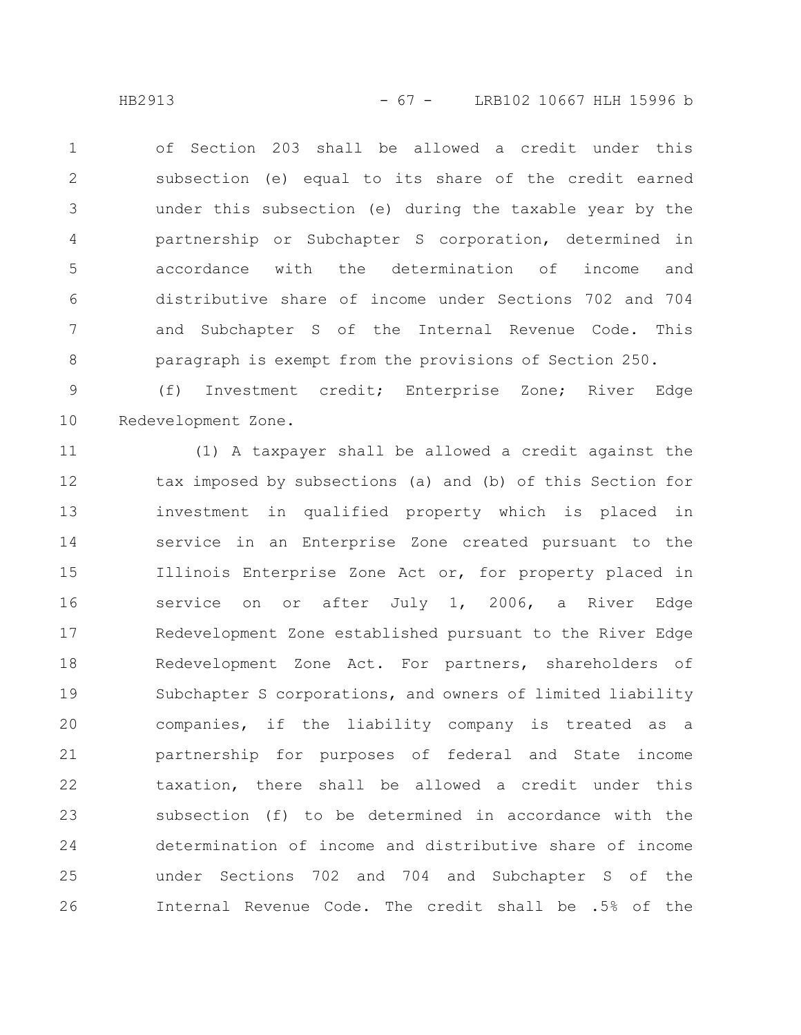HB2913 - 67 - LRB102 10667 HLH 15996 b

of Section 203 shall be allowed a credit under this subsection (e) equal to its share of the credit earned under this subsection (e) during the taxable year by the partnership or Subchapter S corporation, determined in accordance with the determination of income and distributive share of income under Sections 702 and 704 and Subchapter S of the Internal Revenue Code. This paragraph is exempt from the provisions of Section 250. 1 2 3 4 5 6 7 8

(f) Investment credit; Enterprise Zone; River Edge Redevelopment Zone. 9 10

(1) A taxpayer shall be allowed a credit against the tax imposed by subsections (a) and (b) of this Section for investment in qualified property which is placed in service in an Enterprise Zone created pursuant to the Illinois Enterprise Zone Act or, for property placed in service on or after July 1, 2006, a River Edge Redevelopment Zone established pursuant to the River Edge Redevelopment Zone Act. For partners, shareholders of Subchapter S corporations, and owners of limited liability companies, if the liability company is treated as a partnership for purposes of federal and State income taxation, there shall be allowed a credit under this subsection (f) to be determined in accordance with the determination of income and distributive share of income under Sections 702 and 704 and Subchapter S of the Internal Revenue Code. The credit shall be .5% of the 11 12 13 14 15 16 17 18 19 20 21 22 23 24 25 26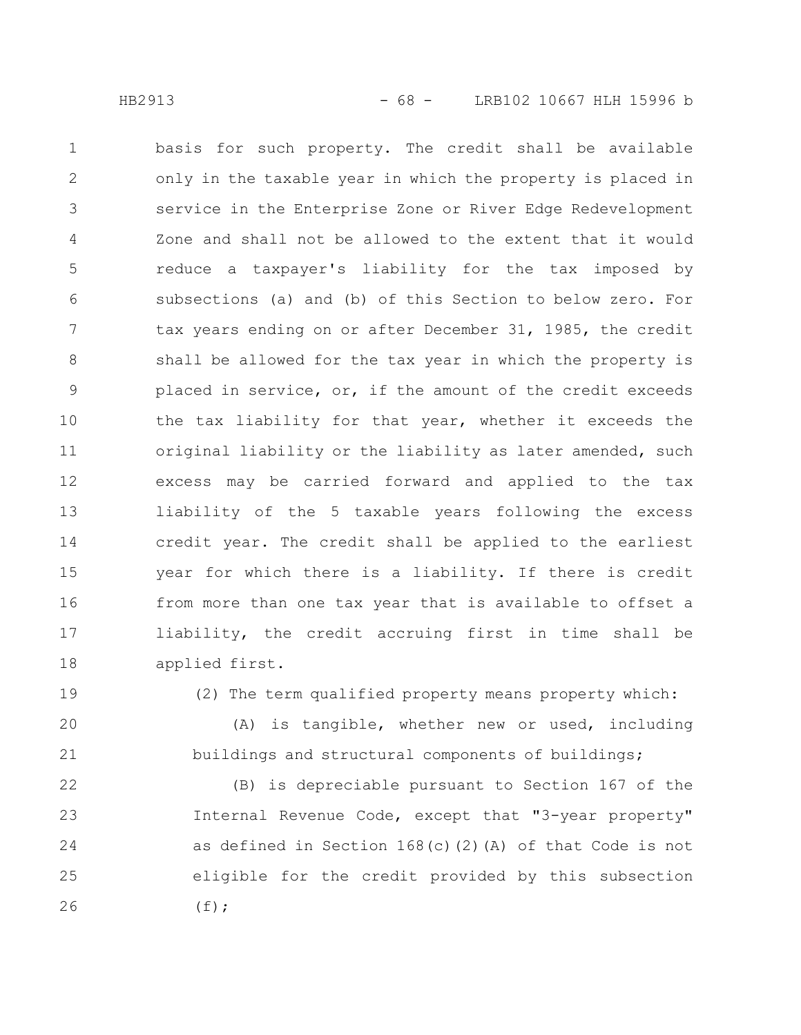basis for such property. The credit shall be available only in the taxable year in which the property is placed in service in the Enterprise Zone or River Edge Redevelopment Zone and shall not be allowed to the extent that it would reduce a taxpayer's liability for the tax imposed by subsections (a) and (b) of this Section to below zero. For tax years ending on or after December 31, 1985, the credit shall be allowed for the tax year in which the property is placed in service, or, if the amount of the credit exceeds the tax liability for that year, whether it exceeds the original liability or the liability as later amended, such excess may be carried forward and applied to the tax liability of the 5 taxable years following the excess credit year. The credit shall be applied to the earliest year for which there is a liability. If there is credit from more than one tax year that is available to offset a liability, the credit accruing first in time shall be applied first. 1 2 3 4 5 6 7 8 9 10 11 12 13 14 15 16 17 18

19

(2) The term qualified property means property which:

(A) is tangible, whether new or used, including buildings and structural components of buildings; 20 21

(B) is depreciable pursuant to Section 167 of the Internal Revenue Code, except that "3-year property" as defined in Section 168(c)(2)(A) of that Code is not eligible for the credit provided by this subsection  $(f);$ 22 23 24 25 26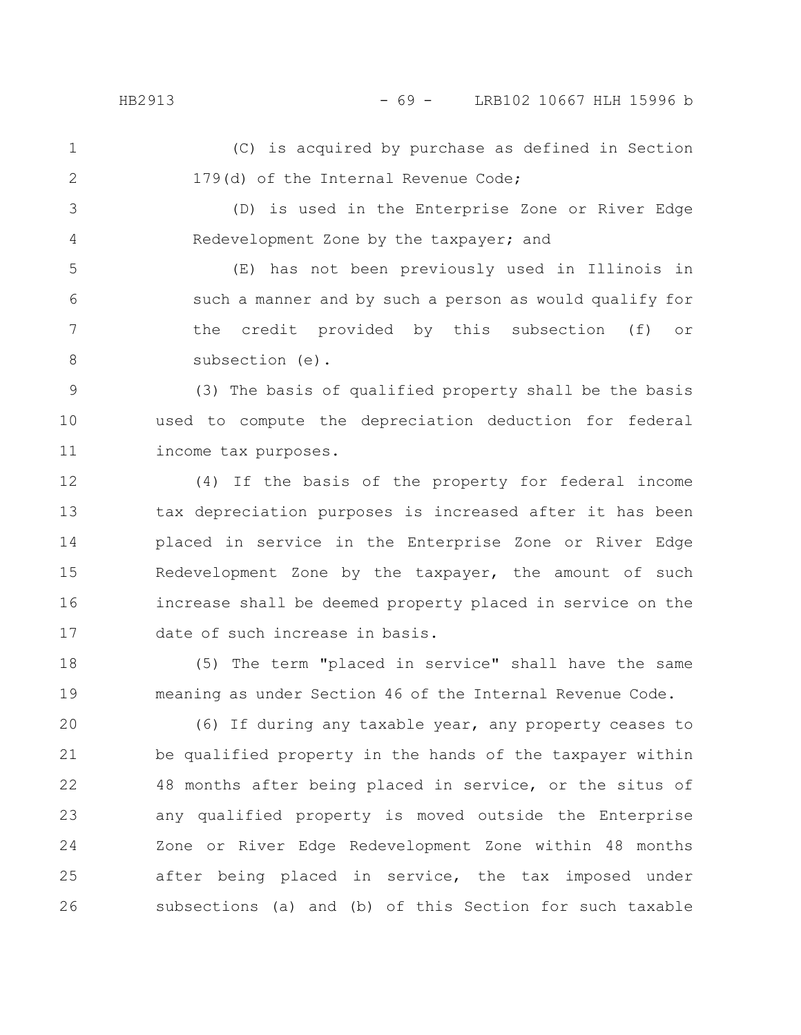(C) is acquired by purchase as defined in Section 179(d) of the Internal Revenue Code; 1 2

(D) is used in the Enterprise Zone or River Edge Redevelopment Zone by the taxpayer; and 3 4

(E) has not been previously used in Illinois in such a manner and by such a person as would qualify for the credit provided by this subsection (f) or subsection (e). 5 6 7 8

(3) The basis of qualified property shall be the basis used to compute the depreciation deduction for federal income tax purposes. 9 10 11

(4) If the basis of the property for federal income tax depreciation purposes is increased after it has been placed in service in the Enterprise Zone or River Edge Redevelopment Zone by the taxpayer, the amount of such increase shall be deemed property placed in service on the date of such increase in basis. 12 13 14 15 16 17

(5) The term "placed in service" shall have the same meaning as under Section 46 of the Internal Revenue Code. 18 19

(6) If during any taxable year, any property ceases to be qualified property in the hands of the taxpayer within 48 months after being placed in service, or the situs of any qualified property is moved outside the Enterprise Zone or River Edge Redevelopment Zone within 48 months after being placed in service, the tax imposed under subsections (a) and (b) of this Section for such taxable 20 21 22 23 24 25 26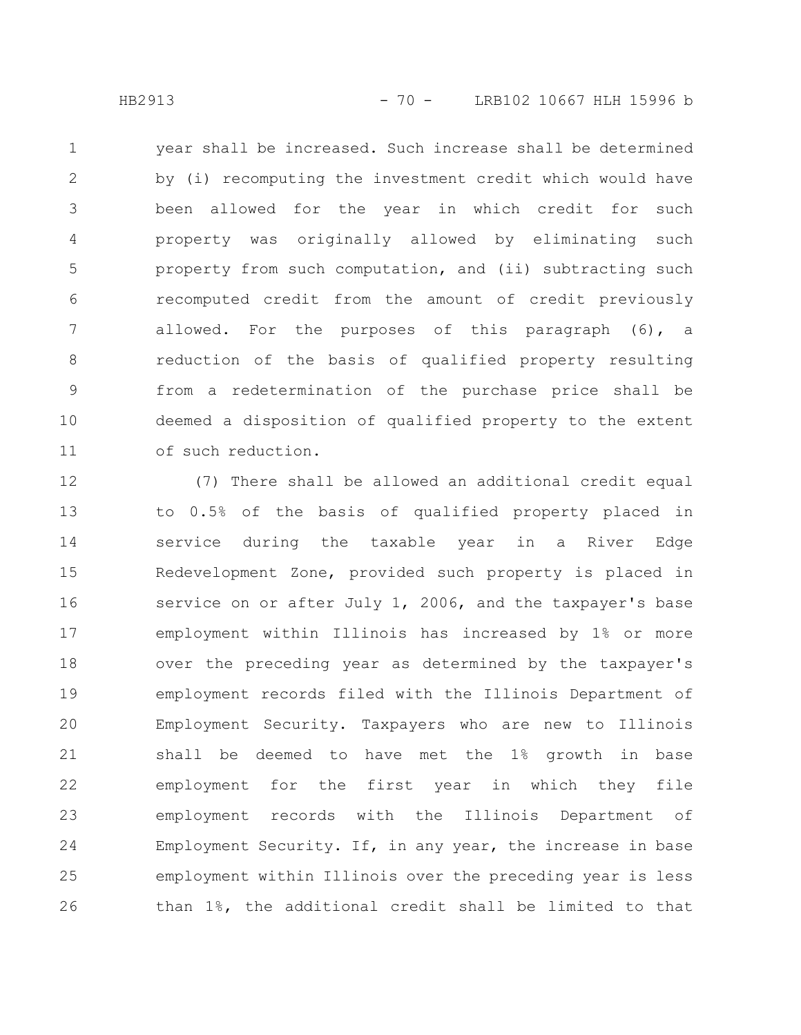year shall be increased. Such increase shall be determined by (i) recomputing the investment credit which would have been allowed for the year in which credit for such property was originally allowed by eliminating such property from such computation, and (ii) subtracting such recomputed credit from the amount of credit previously allowed. For the purposes of this paragraph (6), a reduction of the basis of qualified property resulting from a redetermination of the purchase price shall be deemed a disposition of qualified property to the extent of such reduction. 1 2 3 4 5 6 7 8 9 10 11

(7) There shall be allowed an additional credit equal to 0.5% of the basis of qualified property placed in service during the taxable year in a River Edge Redevelopment Zone, provided such property is placed in service on or after July 1, 2006, and the taxpayer's base employment within Illinois has increased by 1% or more over the preceding year as determined by the taxpayer's employment records filed with the Illinois Department of Employment Security. Taxpayers who are new to Illinois shall be deemed to have met the 1% growth in base employment for the first year in which they file employment records with the Illinois Department of Employment Security. If, in any year, the increase in base employment within Illinois over the preceding year is less than 1%, the additional credit shall be limited to that 12 13 14 15 16 17 18 19 20 21 22 23 24 25 26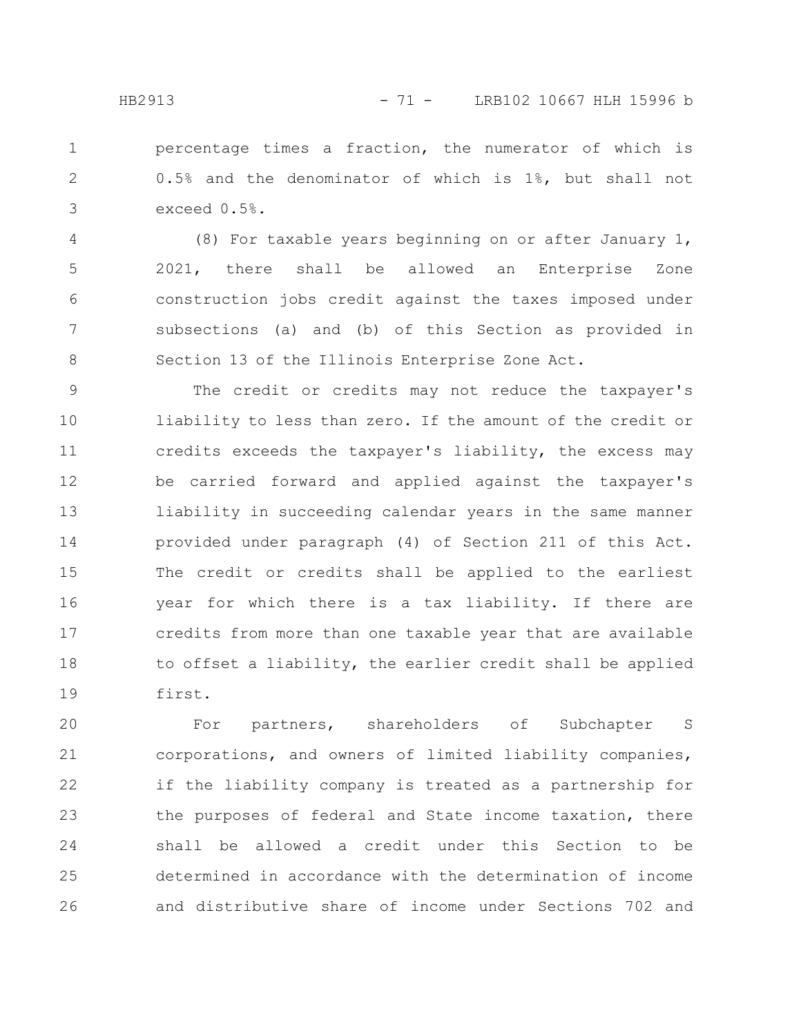percentage times a fraction, the numerator of which is 0.5% and the denominator of which is 1%, but shall not exceed 0.5%. 1 2 3

(8) For taxable years beginning on or after January 1, 2021, there shall be allowed an Enterprise Zone construction jobs credit against the taxes imposed under subsections (a) and (b) of this Section as provided in Section 13 of the Illinois Enterprise Zone Act. 4 5 6 7 8

The credit or credits may not reduce the taxpayer's liability to less than zero. If the amount of the credit or credits exceeds the taxpayer's liability, the excess may be carried forward and applied against the taxpayer's liability in succeeding calendar years in the same manner provided under paragraph (4) of Section 211 of this Act. The credit or credits shall be applied to the earliest year for which there is a tax liability. If there are credits from more than one taxable year that are available to offset a liability, the earlier credit shall be applied first. 9 10 11 12 13 14 15 16 17 18 19

For partners, shareholders of Subchapter S corporations, and owners of limited liability companies, if the liability company is treated as a partnership for the purposes of federal and State income taxation, there shall be allowed a credit under this Section to be determined in accordance with the determination of income and distributive share of income under Sections 702 and 20 21 22 23 24 25 26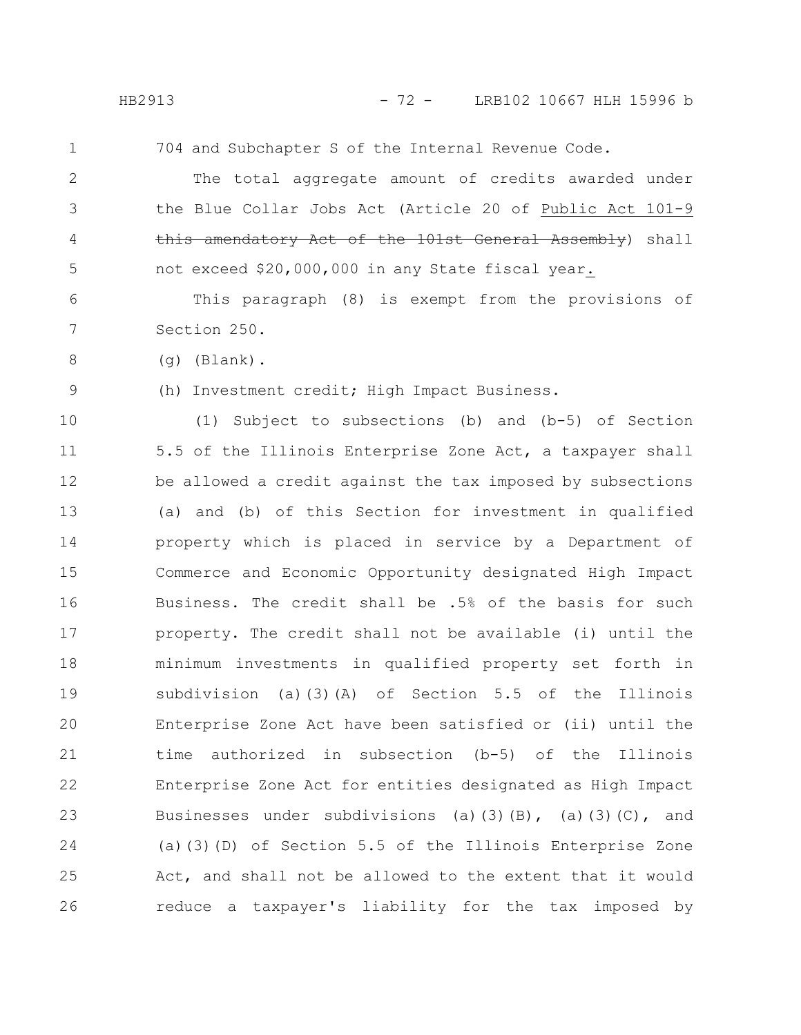1

704 and Subchapter S of the Internal Revenue Code.

The total aggregate amount of credits awarded under the Blue Collar Jobs Act (Article 20 of Public Act 101-9 this amendatory Act of the 101st General Assembly) shall not exceed \$20,000,000 in any State fiscal year. 2 3 4 5

This paragraph (8) is exempt from the provisions of Section 250. 6 7

(g) (Blank).

9

8

(h) Investment credit; High Impact Business.

(1) Subject to subsections (b) and (b-5) of Section 5.5 of the Illinois Enterprise Zone Act, a taxpayer shall be allowed a credit against the tax imposed by subsections (a) and (b) of this Section for investment in qualified property which is placed in service by a Department of Commerce and Economic Opportunity designated High Impact Business. The credit shall be .5% of the basis for such property. The credit shall not be available (i) until the minimum investments in qualified property set forth in subdivision (a)(3)(A) of Section 5.5 of the Illinois Enterprise Zone Act have been satisfied or (ii) until the time authorized in subsection (b-5) of the Illinois Enterprise Zone Act for entities designated as High Impact Businesses under subdivisions (a)(3)(B), (a)(3)(C), and (a)(3)(D) of Section 5.5 of the Illinois Enterprise Zone Act, and shall not be allowed to the extent that it would reduce a taxpayer's liability for the tax imposed by 10 11 12 13 14 15 16 17 18 19 20 21 22 23 24 25 26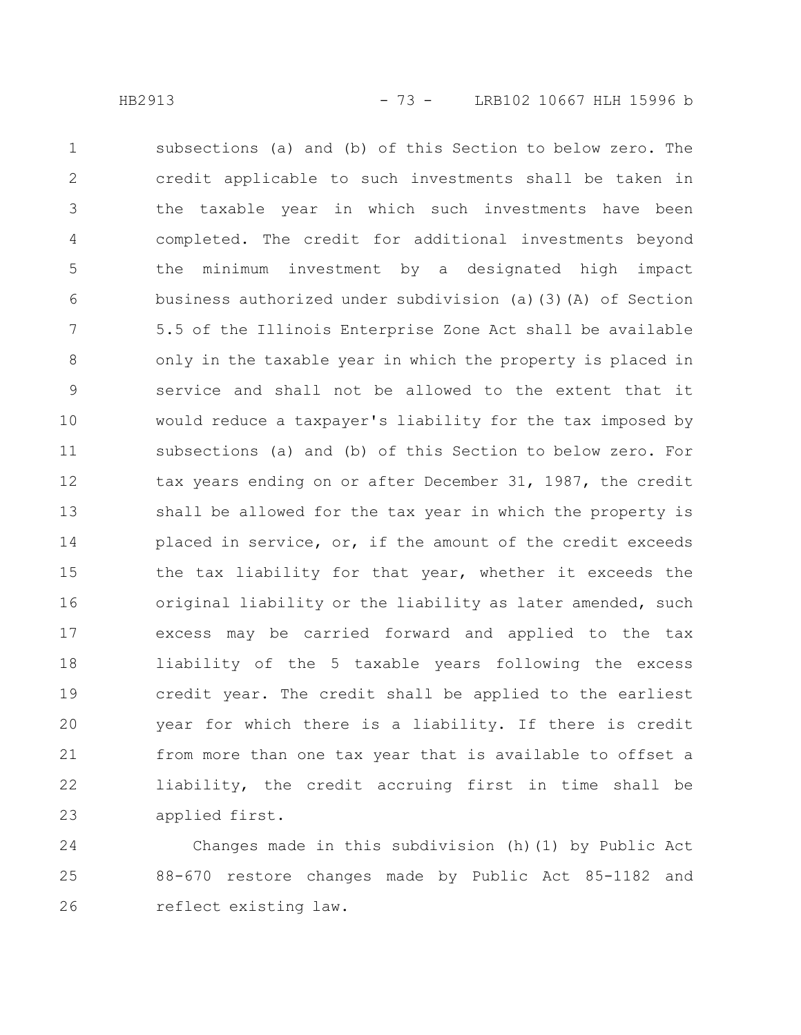subsections (a) and (b) of this Section to below zero. The credit applicable to such investments shall be taken in the taxable year in which such investments have been completed. The credit for additional investments beyond the minimum investment by a designated high impact business authorized under subdivision (a)(3)(A) of Section 5.5 of the Illinois Enterprise Zone Act shall be available only in the taxable year in which the property is placed in service and shall not be allowed to the extent that it would reduce a taxpayer's liability for the tax imposed by subsections (a) and (b) of this Section to below zero. For tax years ending on or after December 31, 1987, the credit shall be allowed for the tax year in which the property is placed in service, or, if the amount of the credit exceeds the tax liability for that year, whether it exceeds the original liability or the liability as later amended, such excess may be carried forward and applied to the tax liability of the 5 taxable years following the excess credit year. The credit shall be applied to the earliest year for which there is a liability. If there is credit from more than one tax year that is available to offset a liability, the credit accruing first in time shall be applied first. 1 2 3 4 5 6 7 8 9 10 11 12 13 14 15 16 17 18 19 20 21 22 23

Changes made in this subdivision (h)(1) by Public Act 88-670 restore changes made by Public Act 85-1182 and reflect existing law. 24 25 26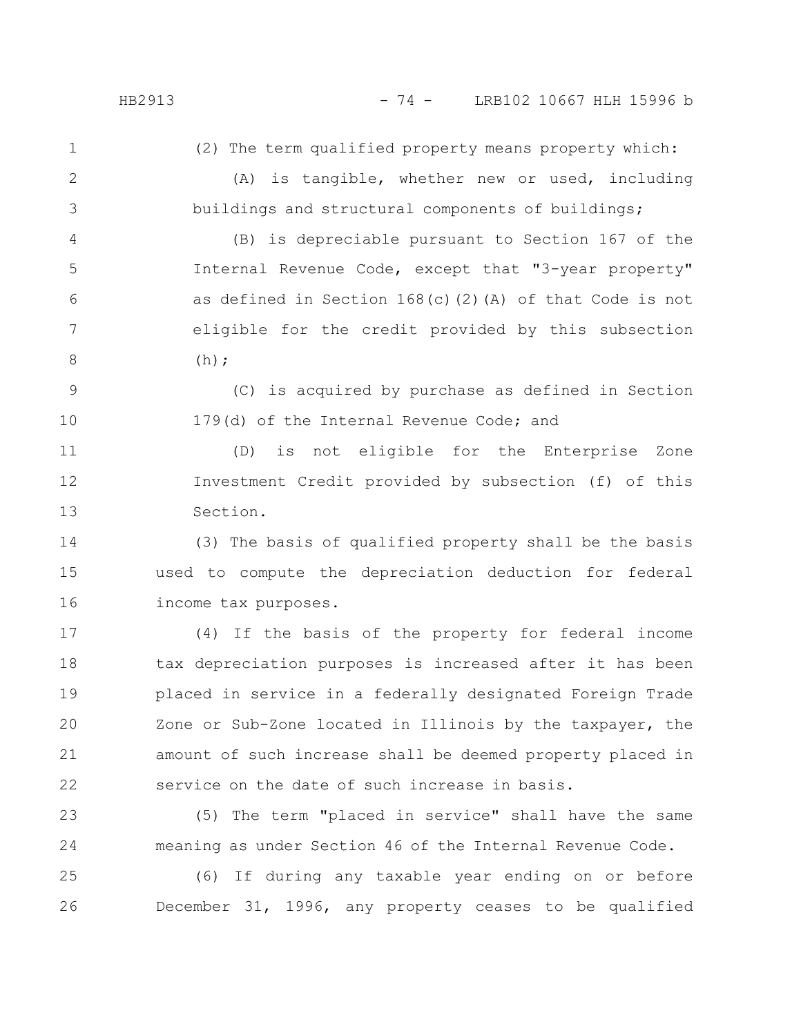(2) The term qualified property means property which:

2

(A) is tangible, whether new or used, including buildings and structural components of buildings;

(B) is depreciable pursuant to Section 167 of the Internal Revenue Code, except that "3-year property" as defined in Section 168(c)(2)(A) of that Code is not eligible for the credit provided by this subsection  $(h)$ : 4 5 6 7 8

(C) is acquired by purchase as defined in Section 179(d) of the Internal Revenue Code; and 9 10

(D) is not eligible for the Enterprise Zone Investment Credit provided by subsection (f) of this Section. 11 12 13

(3) The basis of qualified property shall be the basis used to compute the depreciation deduction for federal income tax purposes. 14 15 16

(4) If the basis of the property for federal income tax depreciation purposes is increased after it has been placed in service in a federally designated Foreign Trade Zone or Sub-Zone located in Illinois by the taxpayer, the amount of such increase shall be deemed property placed in service on the date of such increase in basis. 17 18 19 20 21 22

(5) The term "placed in service" shall have the same meaning as under Section 46 of the Internal Revenue Code. 23 24

(6) If during any taxable year ending on or before December 31, 1996, any property ceases to be qualified 25 26

1

3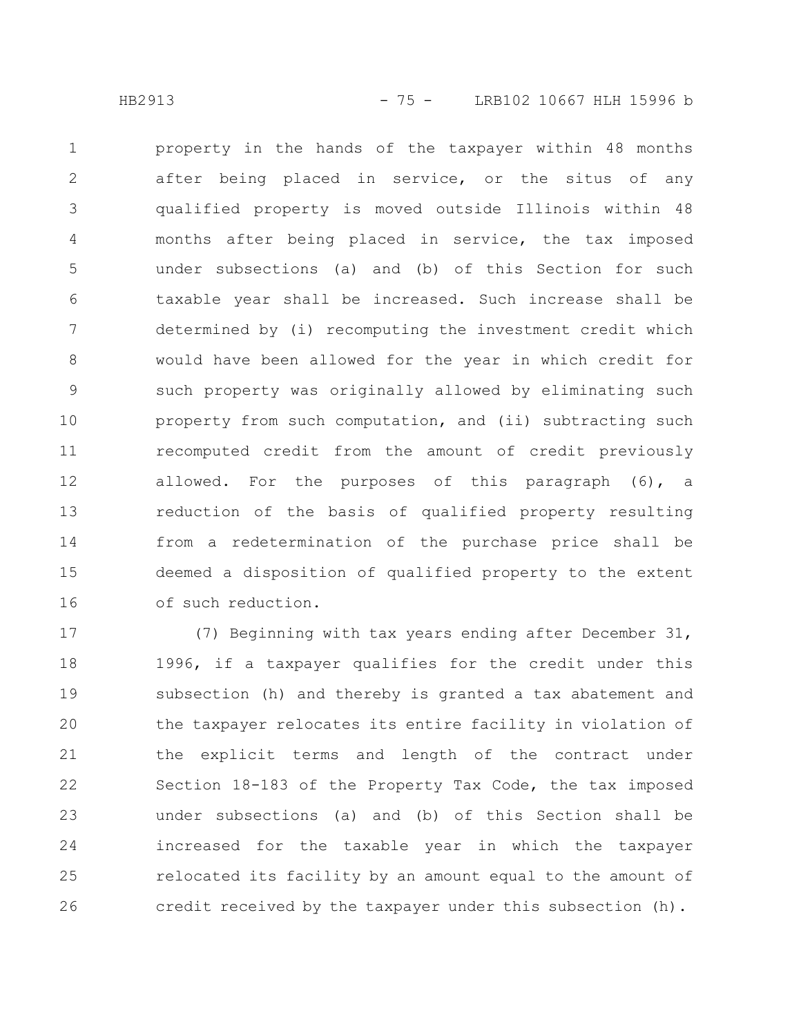property in the hands of the taxpayer within 48 months after being placed in service, or the situs of any qualified property is moved outside Illinois within 48 months after being placed in service, the tax imposed under subsections (a) and (b) of this Section for such taxable year shall be increased. Such increase shall be determined by (i) recomputing the investment credit which would have been allowed for the year in which credit for such property was originally allowed by eliminating such property from such computation, and (ii) subtracting such recomputed credit from the amount of credit previously allowed. For the purposes of this paragraph (6), a reduction of the basis of qualified property resulting from a redetermination of the purchase price shall be deemed a disposition of qualified property to the extent of such reduction. 1 2 3 4 5 6 7 8 9 10 11 12 13 14 15 16

(7) Beginning with tax years ending after December 31, 1996, if a taxpayer qualifies for the credit under this subsection (h) and thereby is granted a tax abatement and the taxpayer relocates its entire facility in violation of the explicit terms and length of the contract under Section 18-183 of the Property Tax Code, the tax imposed under subsections (a) and (b) of this Section shall be increased for the taxable year in which the taxpayer relocated its facility by an amount equal to the amount of credit received by the taxpayer under this subsection (h). 17 18 19 20 21 22 23 24 25 26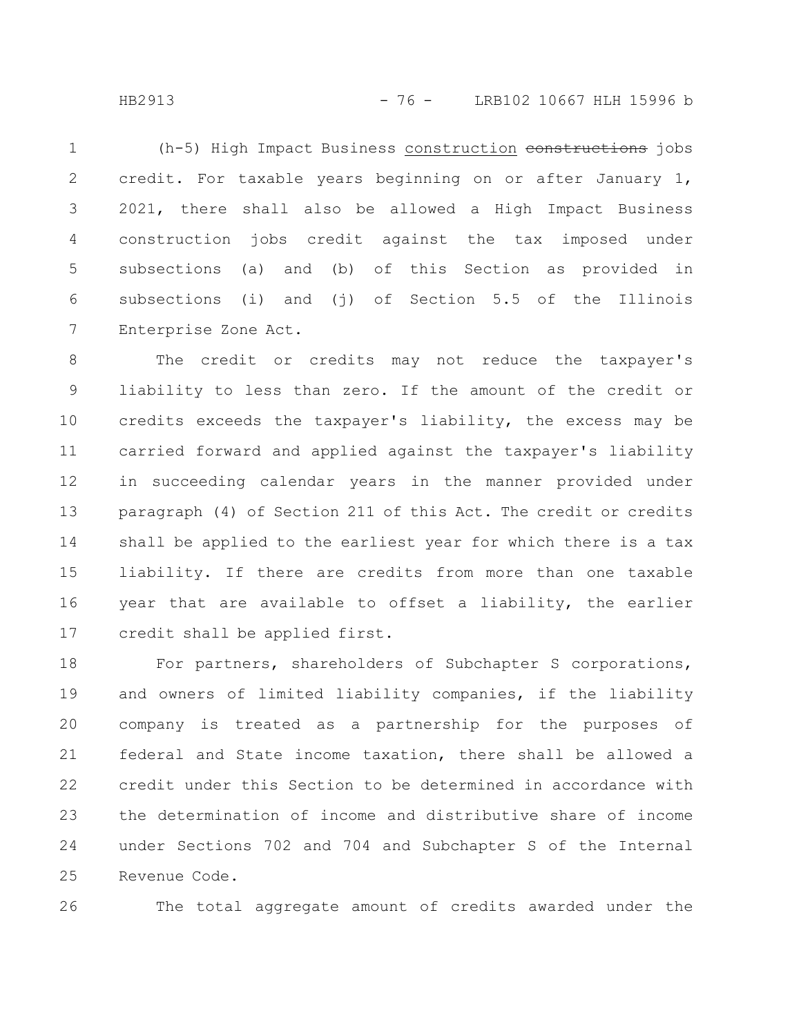HB2913 - 76 - LRB102 10667 HLH 15996 b

(h-5) High Impact Business construction constructions jobs credit. For taxable years beginning on or after January 1, 2021, there shall also be allowed a High Impact Business construction jobs credit against the tax imposed under subsections (a) and (b) of this Section as provided in subsections (i) and (i) of Section 5.5 of the Illinois Enterprise Zone Act. 1 2 3 4 5 6 7

The credit or credits may not reduce the taxpayer's liability to less than zero. If the amount of the credit or credits exceeds the taxpayer's liability, the excess may be carried forward and applied against the taxpayer's liability in succeeding calendar years in the manner provided under paragraph (4) of Section 211 of this Act. The credit or credits shall be applied to the earliest year for which there is a tax liability. If there are credits from more than one taxable year that are available to offset a liability, the earlier credit shall be applied first. 8 9 10 11 12 13 14 15 16 17

For partners, shareholders of Subchapter S corporations, and owners of limited liability companies, if the liability company is treated as a partnership for the purposes of federal and State income taxation, there shall be allowed a credit under this Section to be determined in accordance with the determination of income and distributive share of income under Sections 702 and 704 and Subchapter S of the Internal Revenue Code. 18 19 20 21 22 23 24 25

26

The total aggregate amount of credits awarded under the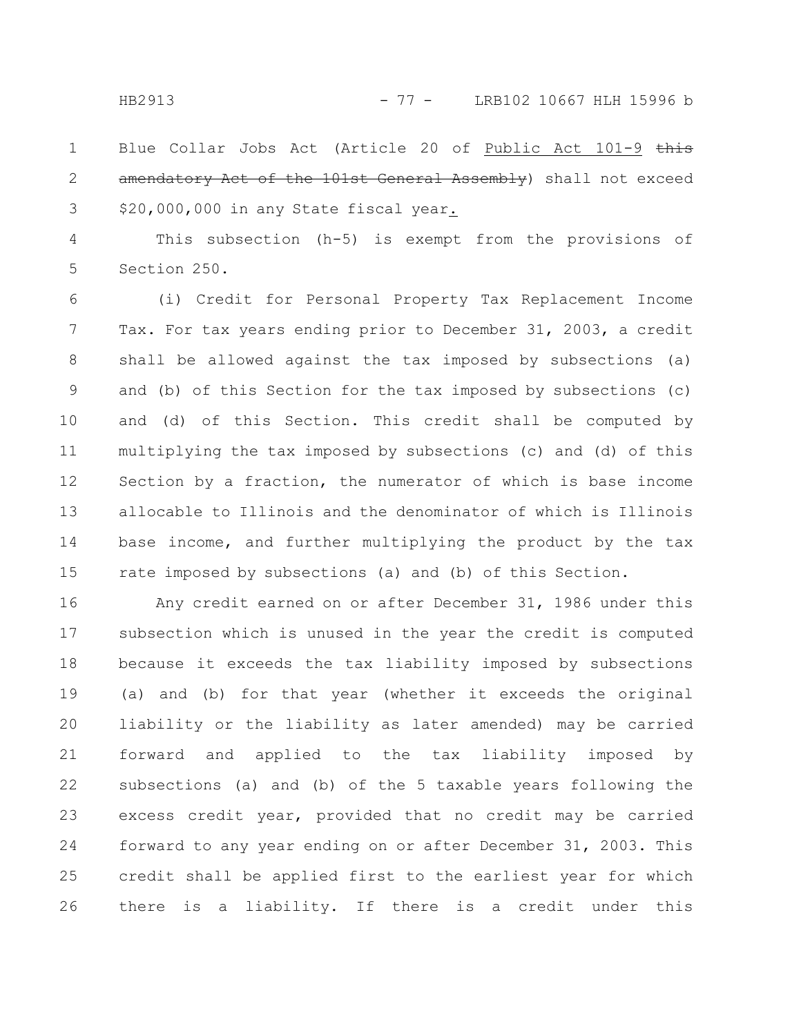Blue Collar Jobs Act (Article 20 of Public Act 101-9 this amendatory Act of the 101st General Assembly) shall not exceed \$20,000,000 in any State fiscal year. 1 2 3

This subsection (h-5) is exempt from the provisions of Section 250. 4 5

(i) Credit for Personal Property Tax Replacement Income Tax. For tax years ending prior to December 31, 2003, a credit shall be allowed against the tax imposed by subsections (a) and (b) of this Section for the tax imposed by subsections (c) and (d) of this Section. This credit shall be computed by multiplying the tax imposed by subsections (c) and (d) of this Section by a fraction, the numerator of which is base income allocable to Illinois and the denominator of which is Illinois base income, and further multiplying the product by the tax rate imposed by subsections (a) and (b) of this Section. 6 7 8 9 10 11 12 13 14 15

Any credit earned on or after December 31, 1986 under this subsection which is unused in the year the credit is computed because it exceeds the tax liability imposed by subsections (a) and (b) for that year (whether it exceeds the original liability or the liability as later amended) may be carried forward and applied to the tax liability imposed by subsections (a) and (b) of the 5 taxable years following the excess credit year, provided that no credit may be carried forward to any year ending on or after December 31, 2003. This credit shall be applied first to the earliest year for which there is a liability. If there is a credit under this 16 17 18 19 20 21 22 23 24 25 26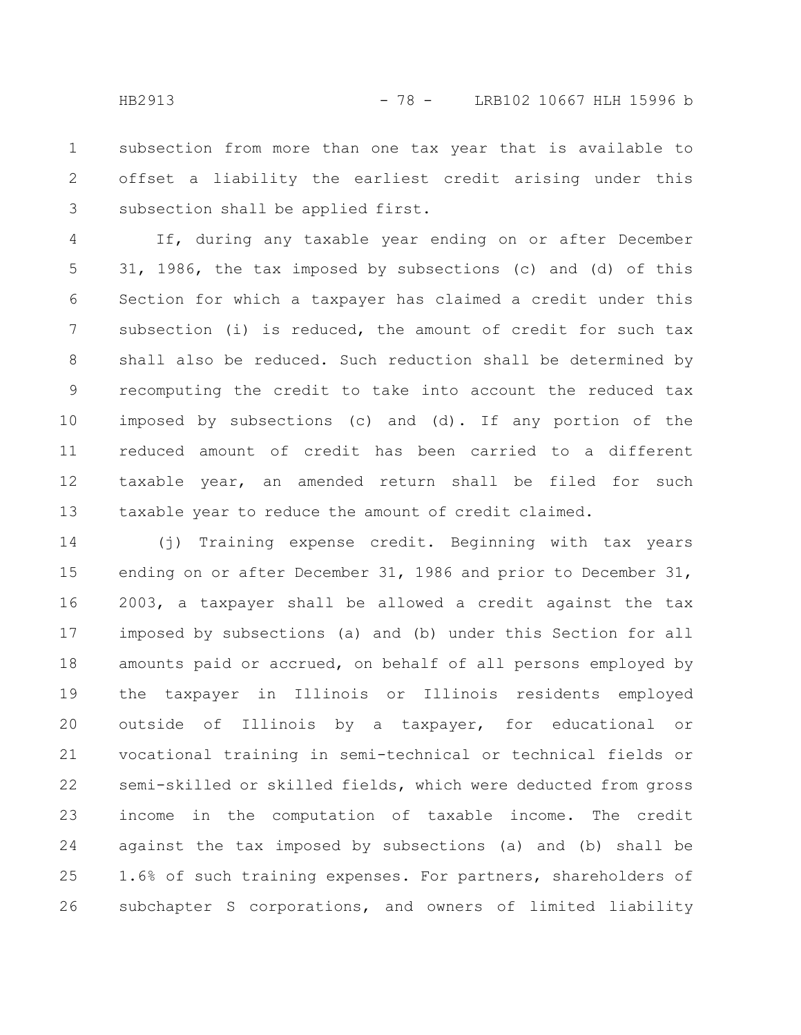subsection from more than one tax year that is available to offset a liability the earliest credit arising under this subsection shall be applied first. 1 2 3

If, during any taxable year ending on or after December 31, 1986, the tax imposed by subsections (c) and (d) of this Section for which a taxpayer has claimed a credit under this subsection (i) is reduced, the amount of credit for such tax shall also be reduced. Such reduction shall be determined by recomputing the credit to take into account the reduced tax imposed by subsections (c) and (d). If any portion of the reduced amount of credit has been carried to a different taxable year, an amended return shall be filed for such taxable year to reduce the amount of credit claimed. 4 5 6 7 8 9 10 11 12 13

(j) Training expense credit. Beginning with tax years ending on or after December 31, 1986 and prior to December 31, 2003, a taxpayer shall be allowed a credit against the tax imposed by subsections (a) and (b) under this Section for all amounts paid or accrued, on behalf of all persons employed by the taxpayer in Illinois or Illinois residents employed outside of Illinois by a taxpayer, for educational or vocational training in semi-technical or technical fields or semi-skilled or skilled fields, which were deducted from gross income in the computation of taxable income. The credit against the tax imposed by subsections (a) and (b) shall be 1.6% of such training expenses. For partners, shareholders of subchapter S corporations, and owners of limited liability 14 15 16 17 18 19 20 21 22 23 24 25 26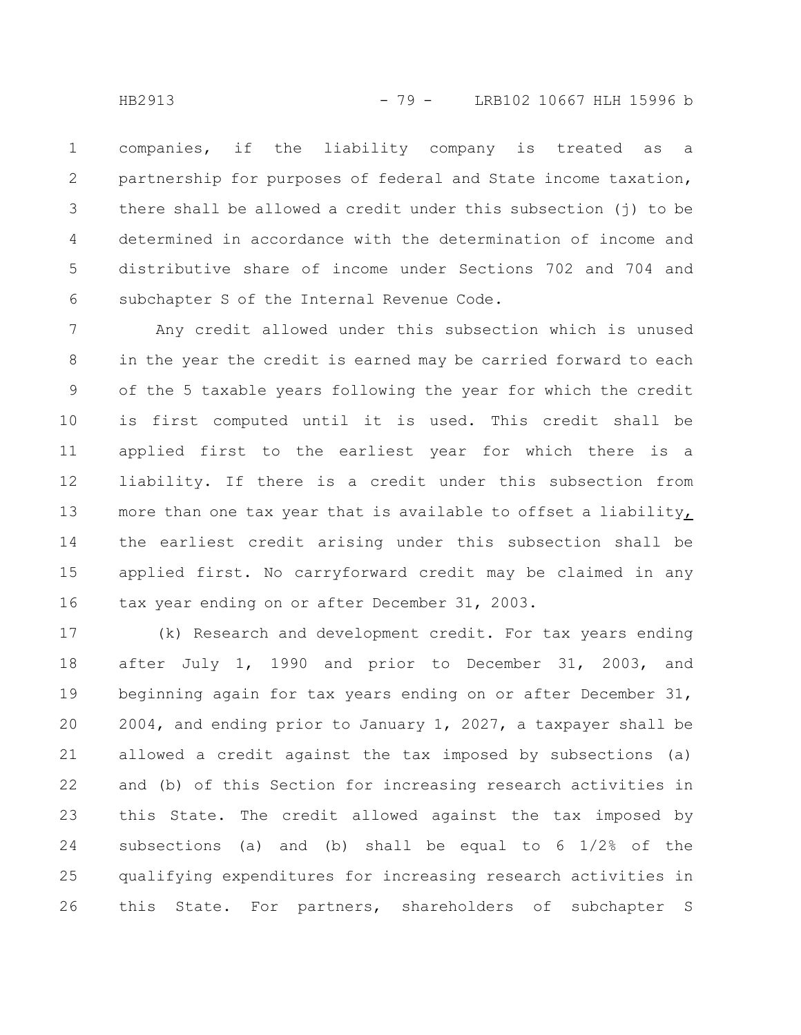companies, if the liability company is treated as a partnership for purposes of federal and State income taxation, there shall be allowed a credit under this subsection (j) to be determined in accordance with the determination of income and distributive share of income under Sections 702 and 704 and subchapter S of the Internal Revenue Code. 1 2 3 4 5 6

Any credit allowed under this subsection which is unused in the year the credit is earned may be carried forward to each of the 5 taxable years following the year for which the credit is first computed until it is used. This credit shall be applied first to the earliest year for which there is a liability. If there is a credit under this subsection from more than one tax year that is available to offset a liability, the earliest credit arising under this subsection shall be applied first. No carryforward credit may be claimed in any tax year ending on or after December 31, 2003. 7 8 9 10 11 12 13 14 15 16

(k) Research and development credit. For tax years ending after July 1, 1990 and prior to December 31, 2003, and beginning again for tax years ending on or after December 31, 2004, and ending prior to January 1, 2027, a taxpayer shall be allowed a credit against the tax imposed by subsections (a) and (b) of this Section for increasing research activities in this State. The credit allowed against the tax imposed by subsections (a) and (b) shall be equal to 6 1/2% of the qualifying expenditures for increasing research activities in this State. For partners, shareholders of subchapter S 17 18 19 20 21 22 23 24 25 26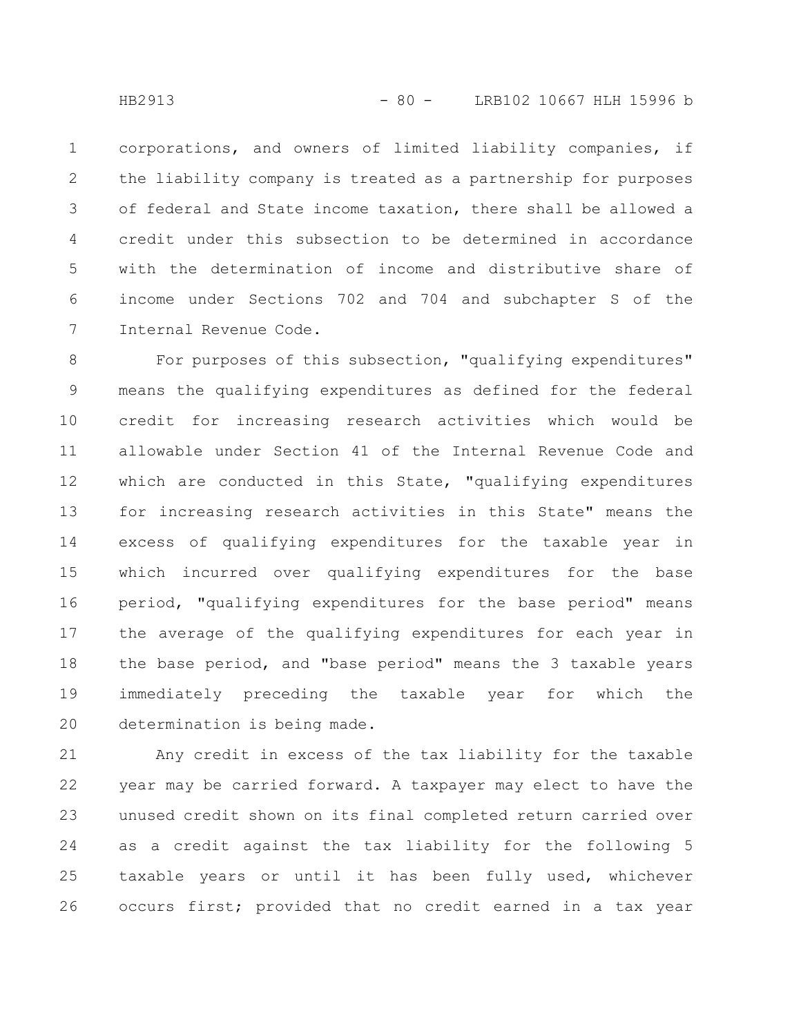corporations, and owners of limited liability companies, if the liability company is treated as a partnership for purposes of federal and State income taxation, there shall be allowed a credit under this subsection to be determined in accordance with the determination of income and distributive share of income under Sections 702 and 704 and subchapter S of the Internal Revenue Code. 1 2 3 4 5 6 7

For purposes of this subsection, "qualifying expenditures" means the qualifying expenditures as defined for the federal credit for increasing research activities which would be allowable under Section 41 of the Internal Revenue Code and which are conducted in this State, "qualifying expenditures for increasing research activities in this State" means the excess of qualifying expenditures for the taxable year in which incurred over qualifying expenditures for the base period, "qualifying expenditures for the base period" means the average of the qualifying expenditures for each year in the base period, and "base period" means the 3 taxable years immediately preceding the taxable year for which the determination is being made. 8 9 10 11 12 13 14 15 16 17 18 19 20

Any credit in excess of the tax liability for the taxable year may be carried forward. A taxpayer may elect to have the unused credit shown on its final completed return carried over as a credit against the tax liability for the following 5 taxable years or until it has been fully used, whichever occurs first; provided that no credit earned in a tax year 21 22 23 24 25 26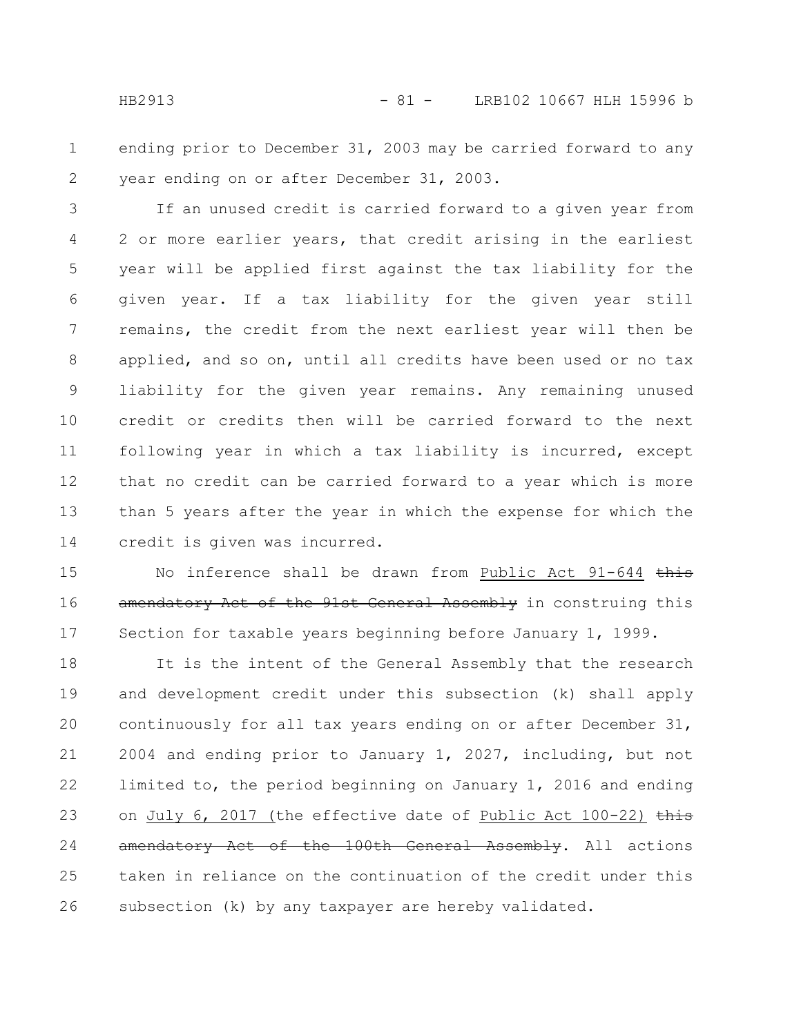ending prior to December 31, 2003 may be carried forward to any year ending on or after December 31, 2003. 1 2

If an unused credit is carried forward to a given year from 2 or more earlier years, that credit arising in the earliest year will be applied first against the tax liability for the given year. If a tax liability for the given year still remains, the credit from the next earliest year will then be applied, and so on, until all credits have been used or no tax liability for the given year remains. Any remaining unused credit or credits then will be carried forward to the next following year in which a tax liability is incurred, except that no credit can be carried forward to a year which is more than 5 years after the year in which the expense for which the credit is given was incurred. 3 4 5 6 7 8 9 10 11 12 13 14

No inference shall be drawn from Public Act 91-644 this amendatory Act of the 91st General Assembly in construing this Section for taxable years beginning before January 1, 1999. 15 16 17

It is the intent of the General Assembly that the research and development credit under this subsection (k) shall apply continuously for all tax years ending on or after December 31, 2004 and ending prior to January 1, 2027, including, but not limited to, the period beginning on January 1, 2016 and ending on July 6, 2017 (the effective date of Public Act 100-22)  $\frac{1}{2}$ amendatory Act of the 100th General Assembly. All actions taken in reliance on the continuation of the credit under this subsection (k) by any taxpayer are hereby validated. 18 19 20 21 22 23 24 25 26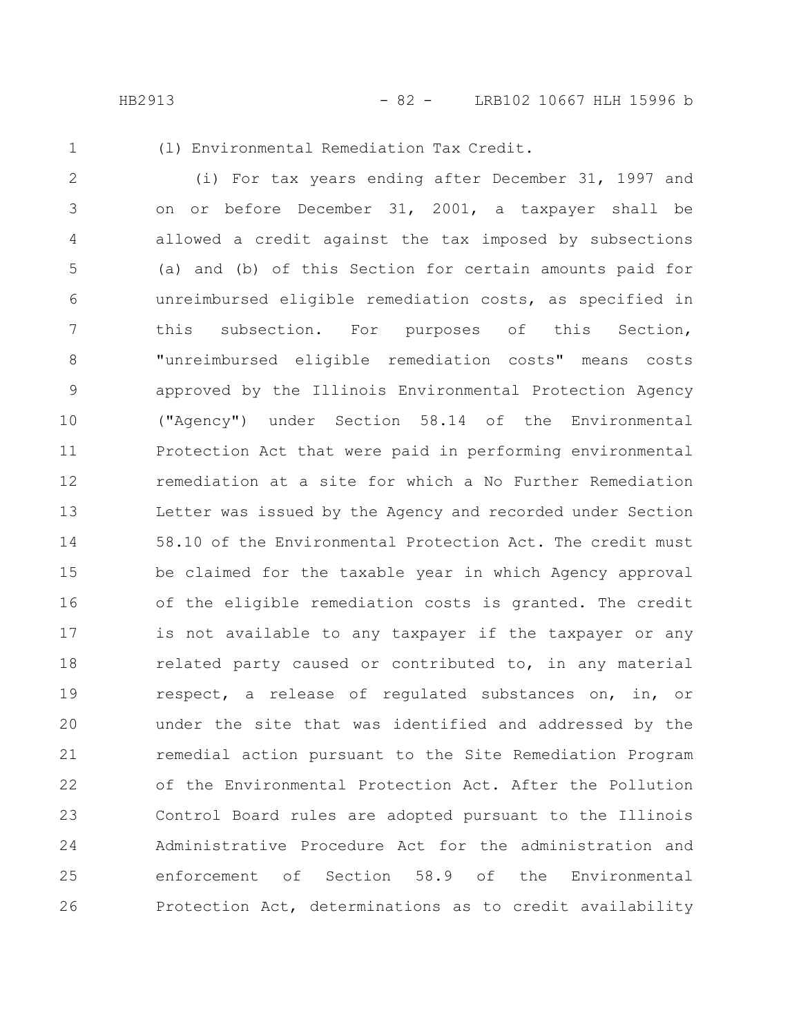1

(l) Environmental Remediation Tax Credit.

(i) For tax years ending after December 31, 1997 and on or before December 31, 2001, a taxpayer shall be allowed a credit against the tax imposed by subsections (a) and (b) of this Section for certain amounts paid for unreimbursed eligible remediation costs, as specified in this subsection. For purposes of this Section, "unreimbursed eligible remediation costs" means costs approved by the Illinois Environmental Protection Agency ("Agency") under Section 58.14 of the Environmental Protection Act that were paid in performing environmental remediation at a site for which a No Further Remediation Letter was issued by the Agency and recorded under Section 58.10 of the Environmental Protection Act. The credit must be claimed for the taxable year in which Agency approval of the eligible remediation costs is granted. The credit is not available to any taxpayer if the taxpayer or any related party caused or contributed to, in any material respect, a release of regulated substances on, in, or under the site that was identified and addressed by the remedial action pursuant to the Site Remediation Program of the Environmental Protection Act. After the Pollution Control Board rules are adopted pursuant to the Illinois Administrative Procedure Act for the administration and enforcement of Section 58.9 of the Environmental Protection Act, determinations as to credit availability 2 3 4 5 6 7 8 9 10 11 12 13 14 15 16 17 18 19 20 21 22 23 24 25 26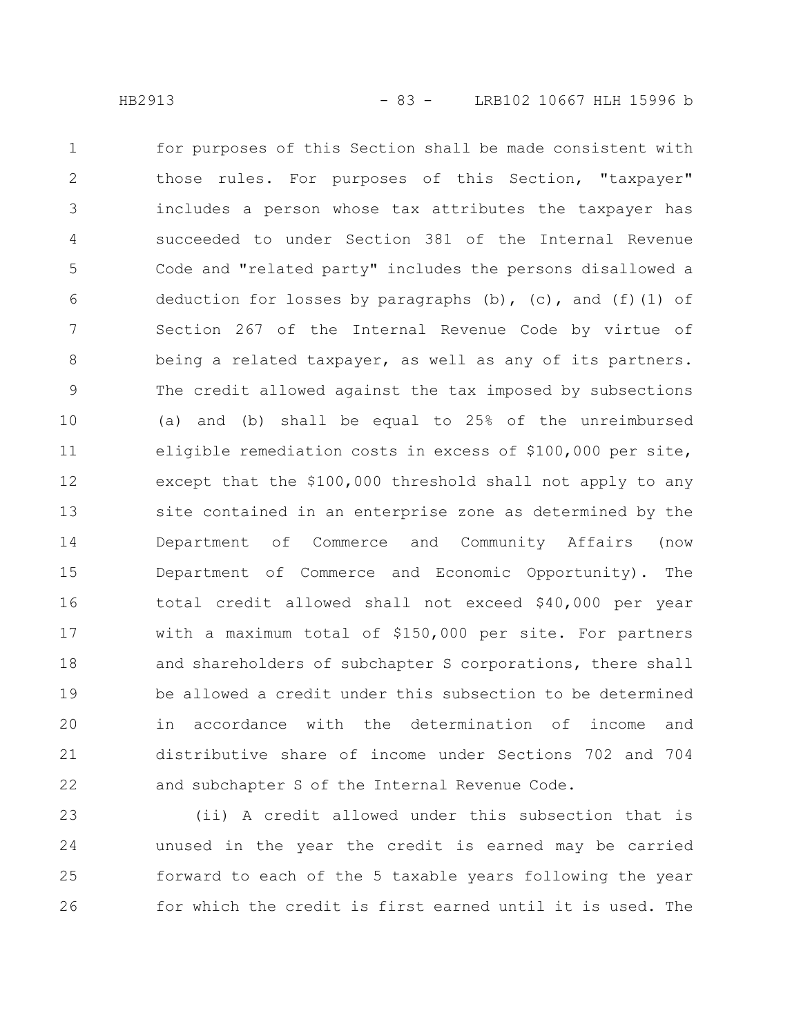for purposes of this Section shall be made consistent with those rules. For purposes of this Section, "taxpayer" includes a person whose tax attributes the taxpayer has succeeded to under Section 381 of the Internal Revenue Code and "related party" includes the persons disallowed a deduction for losses by paragraphs  $(b)$ ,  $(c)$ , and  $(f)$  (1) of Section 267 of the Internal Revenue Code by virtue of being a related taxpayer, as well as any of its partners. The credit allowed against the tax imposed by subsections (a) and (b) shall be equal to 25% of the unreimbursed eligible remediation costs in excess of \$100,000 per site, except that the \$100,000 threshold shall not apply to any site contained in an enterprise zone as determined by the Department of Commerce and Community Affairs (now Department of Commerce and Economic Opportunity). The total credit allowed shall not exceed \$40,000 per year with a maximum total of \$150,000 per site. For partners and shareholders of subchapter S corporations, there shall be allowed a credit under this subsection to be determined in accordance with the determination of income and distributive share of income under Sections 702 and 704 and subchapter S of the Internal Revenue Code. 1 2 3 4 5 6 7 8 9 10 11 12 13 14 15 16 17 18 19 20 21 22

(ii) A credit allowed under this subsection that is unused in the year the credit is earned may be carried forward to each of the 5 taxable years following the year for which the credit is first earned until it is used. The 23 24 25 26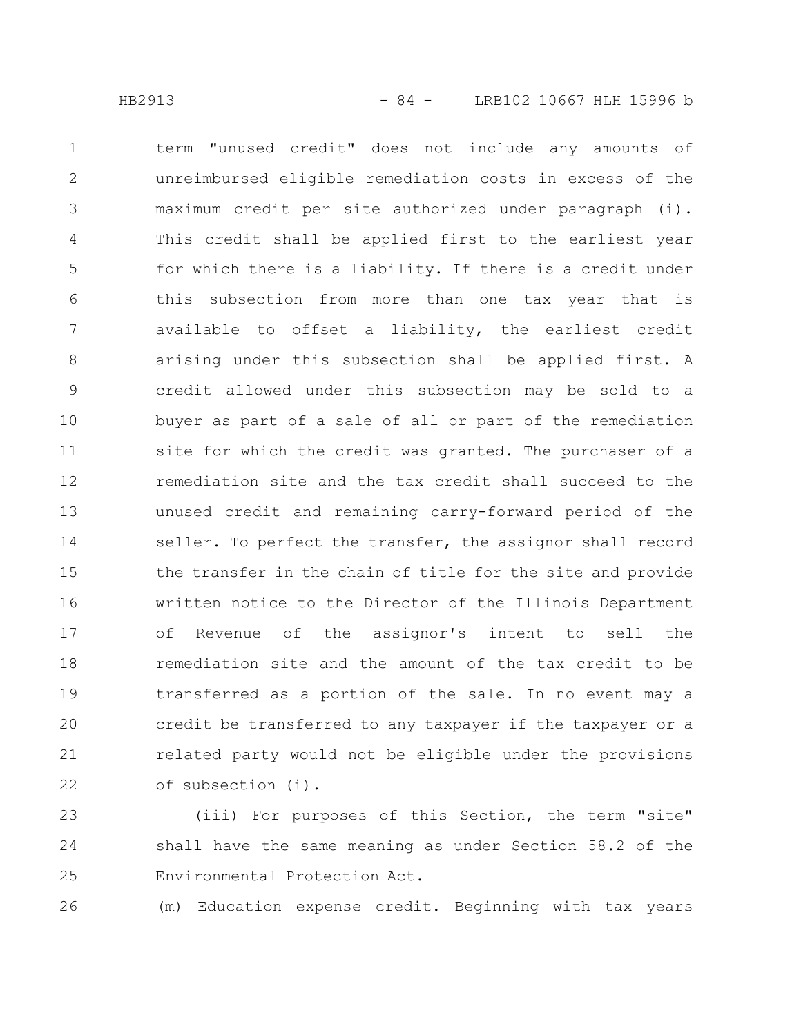term "unused credit" does not include any amounts of unreimbursed eligible remediation costs in excess of the maximum credit per site authorized under paragraph (i). This credit shall be applied first to the earliest year for which there is a liability. If there is a credit under this subsection from more than one tax year that is available to offset a liability, the earliest credit arising under this subsection shall be applied first. A credit allowed under this subsection may be sold to a buyer as part of a sale of all or part of the remediation site for which the credit was granted. The purchaser of a remediation site and the tax credit shall succeed to the unused credit and remaining carry-forward period of the seller. To perfect the transfer, the assignor shall record the transfer in the chain of title for the site and provide written notice to the Director of the Illinois Department of Revenue of the assignor's intent to sell the remediation site and the amount of the tax credit to be transferred as a portion of the sale. In no event may a credit be transferred to any taxpayer if the taxpayer or a related party would not be eligible under the provisions of subsection (i). 1 2 3 4 5 6 7 8 9 10 11 12 13 14 15 16 17 18 19 20 21 22

(iii) For purposes of this Section, the term "site" shall have the same meaning as under Section 58.2 of the Environmental Protection Act. 23 24 25

(m) Education expense credit. Beginning with tax years 26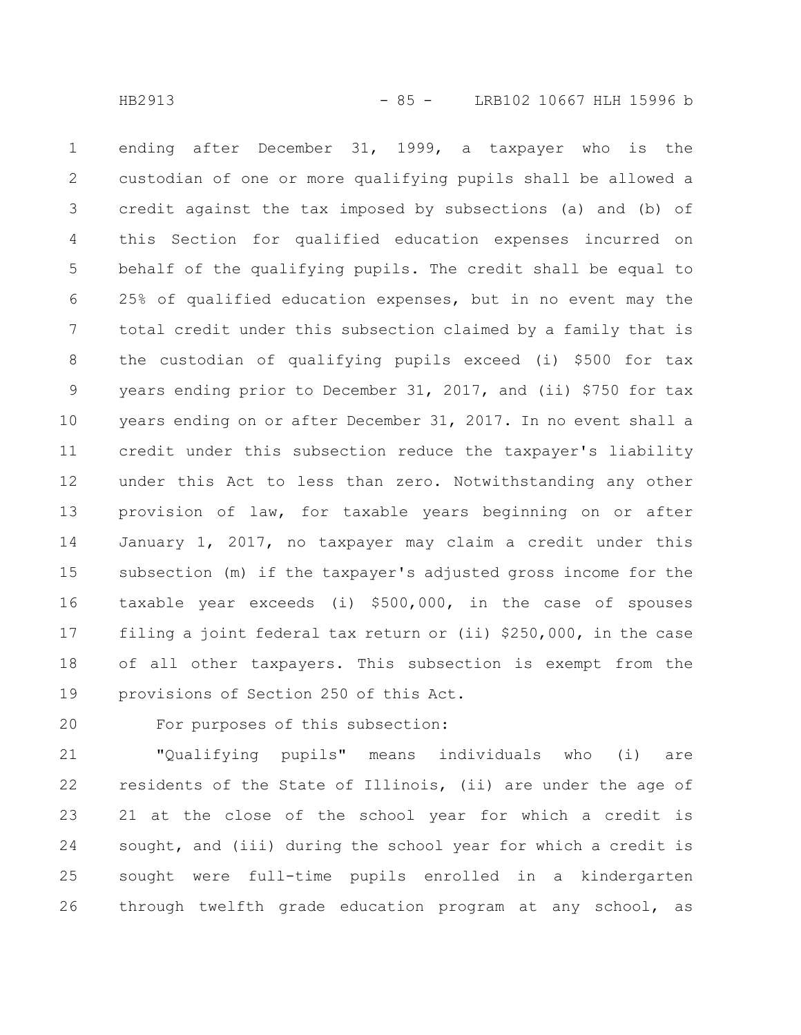ending after December 31, 1999, a taxpayer who is the custodian of one or more qualifying pupils shall be allowed a credit against the tax imposed by subsections (a) and (b) of this Section for qualified education expenses incurred on behalf of the qualifying pupils. The credit shall be equal to 25% of qualified education expenses, but in no event may the total credit under this subsection claimed by a family that is the custodian of qualifying pupils exceed (i) \$500 for tax years ending prior to December 31, 2017, and (ii) \$750 for tax years ending on or after December 31, 2017. In no event shall a credit under this subsection reduce the taxpayer's liability under this Act to less than zero. Notwithstanding any other provision of law, for taxable years beginning on or after January 1, 2017, no taxpayer may claim a credit under this subsection (m) if the taxpayer's adjusted gross income for the taxable year exceeds (i) \$500,000, in the case of spouses filing a joint federal tax return or (ii) \$250,000, in the case of all other taxpayers. This subsection is exempt from the provisions of Section 250 of this Act. 1 2 3 4 5 6 7 8 9 10 11 12 13 14 15 16 17 18 19

20

For purposes of this subsection:

"Qualifying pupils" means individuals who (i) are residents of the State of Illinois, (ii) are under the age of 21 at the close of the school year for which a credit is sought, and (iii) during the school year for which a credit is sought were full-time pupils enrolled in a kindergarten through twelfth grade education program at any school, as 21 22 23 24 25 26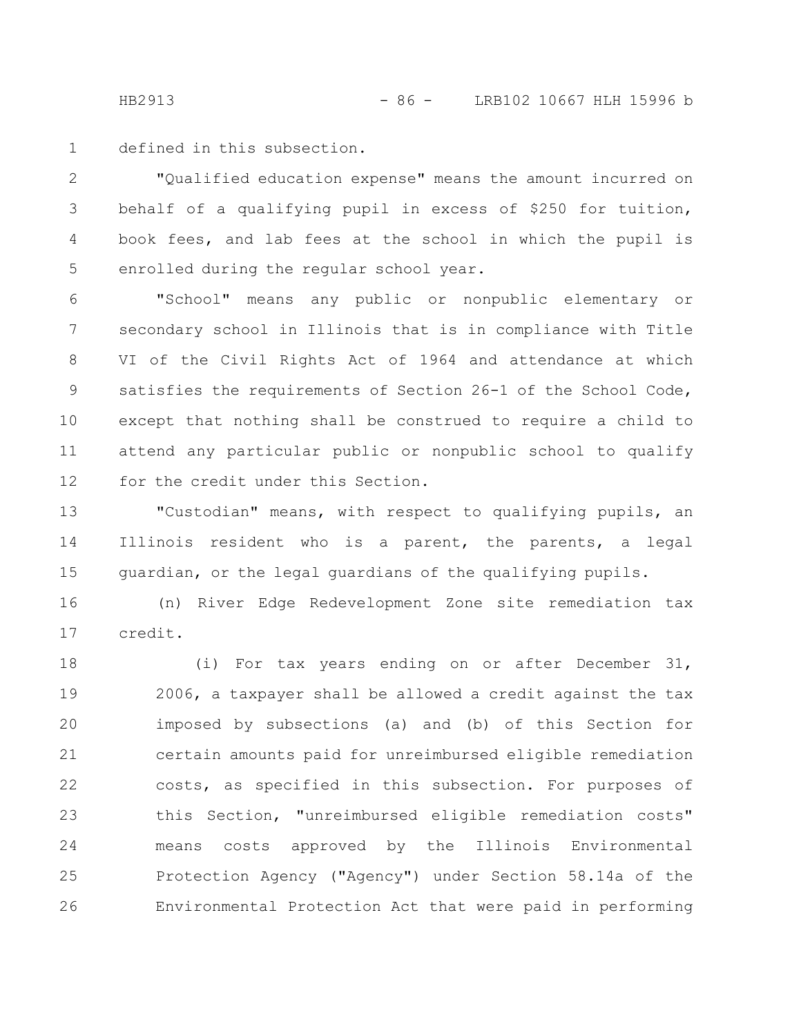HB2913 - 86 - LRB102 10667 HLH 15996 b

defined in this subsection. 1

"Qualified education expense" means the amount incurred on behalf of a qualifying pupil in excess of \$250 for tuition, book fees, and lab fees at the school in which the pupil is enrolled during the regular school year. 2 3 4 5

"School" means any public or nonpublic elementary or secondary school in Illinois that is in compliance with Title VI of the Civil Rights Act of 1964 and attendance at which satisfies the requirements of Section 26-1 of the School Code, except that nothing shall be construed to require a child to attend any particular public or nonpublic school to qualify for the credit under this Section. 6 7 8 9 10 11 12

"Custodian" means, with respect to qualifying pupils, an Illinois resident who is a parent, the parents, a legal guardian, or the legal guardians of the qualifying pupils. 13 14 15

(n) River Edge Redevelopment Zone site remediation tax credit. 16 17

(i) For tax years ending on or after December 31, 2006, a taxpayer shall be allowed a credit against the tax imposed by subsections (a) and (b) of this Section for certain amounts paid for unreimbursed eligible remediation costs, as specified in this subsection. For purposes of this Section, "unreimbursed eligible remediation costs" means costs approved by the Illinois Environmental Protection Agency ("Agency") under Section 58.14a of the Environmental Protection Act that were paid in performing 18 19 20 21 22 23 24 25 26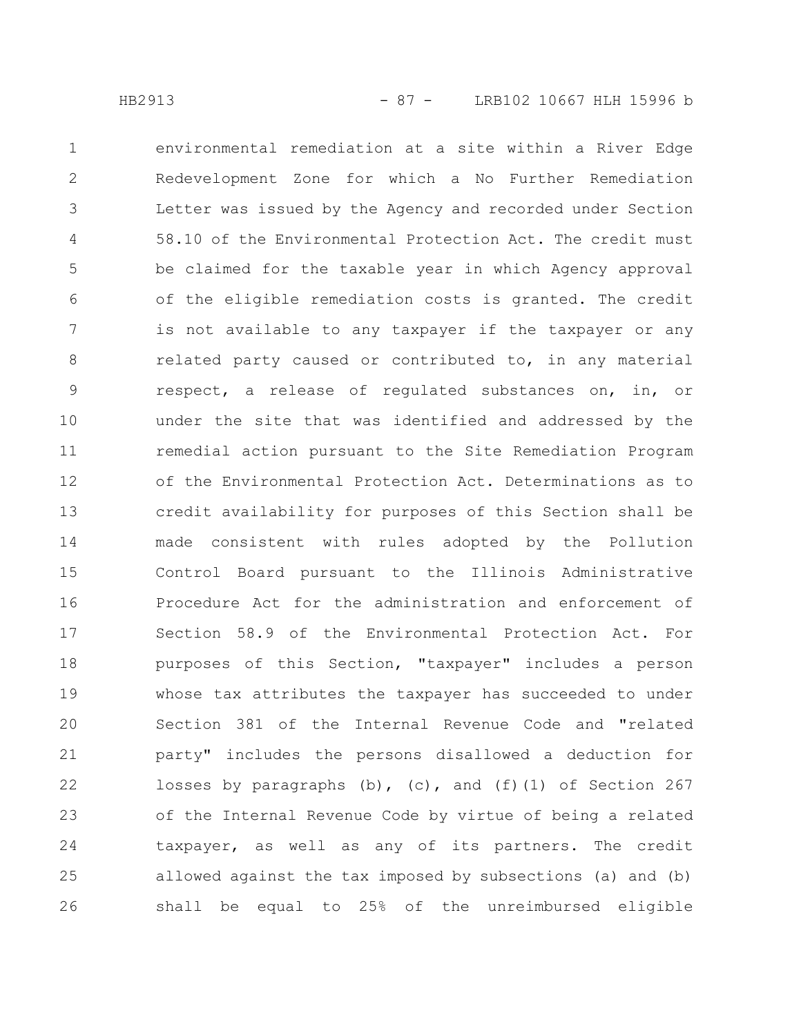environmental remediation at a site within a River Edge Redevelopment Zone for which a No Further Remediation Letter was issued by the Agency and recorded under Section 58.10 of the Environmental Protection Act. The credit must be claimed for the taxable year in which Agency approval of the eligible remediation costs is granted. The credit is not available to any taxpayer if the taxpayer or any related party caused or contributed to, in any material respect, a release of regulated substances on, in, or under the site that was identified and addressed by the remedial action pursuant to the Site Remediation Program of the Environmental Protection Act. Determinations as to credit availability for purposes of this Section shall be made consistent with rules adopted by the Pollution Control Board pursuant to the Illinois Administrative Procedure Act for the administration and enforcement of Section 58.9 of the Environmental Protection Act. For purposes of this Section, "taxpayer" includes a person whose tax attributes the taxpayer has succeeded to under Section 381 of the Internal Revenue Code and "related party" includes the persons disallowed a deduction for losses by paragraphs (b), (c), and (f)(1) of Section 267 of the Internal Revenue Code by virtue of being a related taxpayer, as well as any of its partners. The credit allowed against the tax imposed by subsections (a) and (b) shall be equal to 25% of the unreimbursed eligible 1 2 3 4 5 6 7 8 9 10 11 12 13 14 15 16 17 18 19 20 21 22 23 24 25 26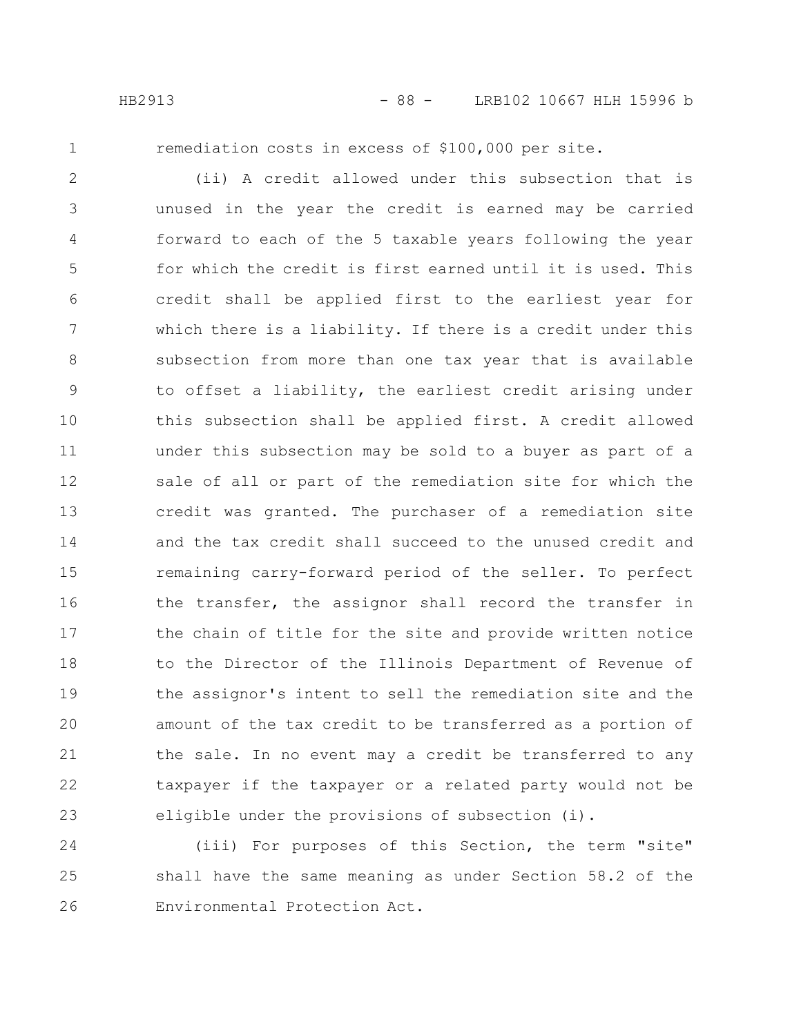1

remediation costs in excess of \$100,000 per site.

(ii) A credit allowed under this subsection that is unused in the year the credit is earned may be carried forward to each of the 5 taxable years following the year for which the credit is first earned until it is used. This credit shall be applied first to the earliest year for which there is a liability. If there is a credit under this subsection from more than one tax year that is available to offset a liability, the earliest credit arising under this subsection shall be applied first. A credit allowed under this subsection may be sold to a buyer as part of a sale of all or part of the remediation site for which the credit was granted. The purchaser of a remediation site and the tax credit shall succeed to the unused credit and remaining carry-forward period of the seller. To perfect the transfer, the assignor shall record the transfer in the chain of title for the site and provide written notice to the Director of the Illinois Department of Revenue of the assignor's intent to sell the remediation site and the amount of the tax credit to be transferred as a portion of the sale. In no event may a credit be transferred to any taxpayer if the taxpayer or a related party would not be eligible under the provisions of subsection (i). 2 3 4 5 6 7 8 9 10 11 12 13 14 15 16 17 18 19 20 21 22 23

(iii) For purposes of this Section, the term "site" shall have the same meaning as under Section 58.2 of the Environmental Protection Act. 24 25 26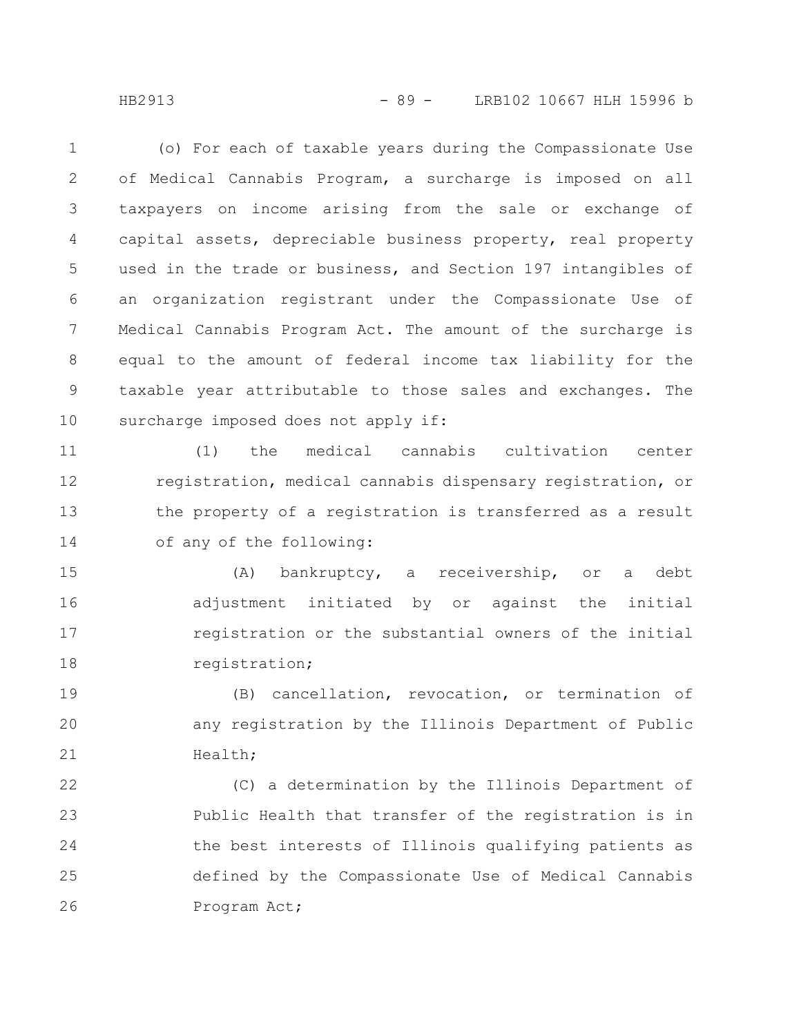HB2913 - 89 - LRB102 10667 HLH 15996 b

(o) For each of taxable years during the Compassionate Use of Medical Cannabis Program, a surcharge is imposed on all taxpayers on income arising from the sale or exchange of capital assets, depreciable business property, real property used in the trade or business, and Section 197 intangibles of an organization registrant under the Compassionate Use of Medical Cannabis Program Act. The amount of the surcharge is equal to the amount of federal income tax liability for the taxable year attributable to those sales and exchanges. The surcharge imposed does not apply if: 1 2 3 4 5 6 7 8 9 10

(1) the medical cannabis cultivation center registration, medical cannabis dispensary registration, or the property of a registration is transferred as a result of any of the following: 11 12 13 14

(A) bankruptcy, a receivership, or a debt adjustment initiated by or against the initial registration or the substantial owners of the initial registration; 15 16 17 18

(B) cancellation, revocation, or termination of any registration by the Illinois Department of Public Health; 19 20 21

(C) a determination by the Illinois Department of Public Health that transfer of the registration is in the best interests of Illinois qualifying patients as defined by the Compassionate Use of Medical Cannabis Program Act; 22 23 24 25 26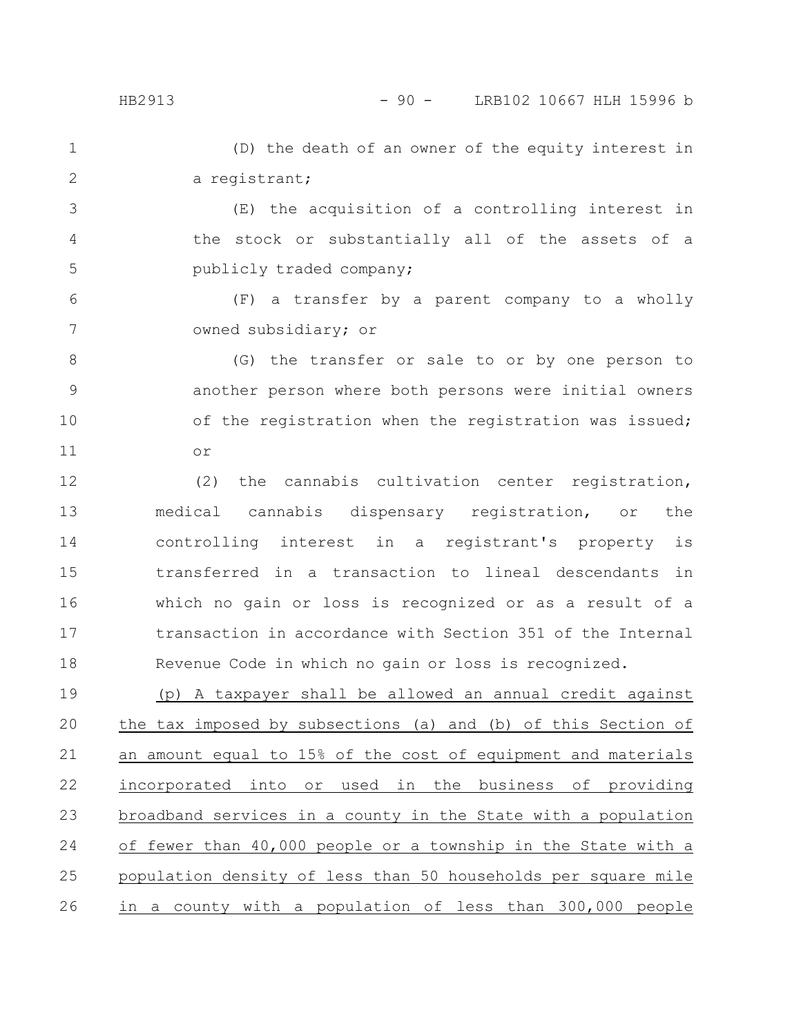(D) the death of an owner of the equity interest in a registrant; 1 2

(E) the acquisition of a controlling interest in the stock or substantially all of the assets of a publicly traded company; 3 4 5

(F) a transfer by a parent company to a wholly owned subsidiary; or 6 7

(G) the transfer or sale to or by one person to another person where both persons were initial owners of the registration when the registration was issued; or 8 9 10 11

(2) the cannabis cultivation center registration, medical cannabis dispensary registration, or the controlling interest in a registrant's property is transferred in a transaction to lineal descendants in which no gain or loss is recognized or as a result of a transaction in accordance with Section 351 of the Internal Revenue Code in which no gain or loss is recognized. 12 13 14 15 16 17 18

(p) A taxpayer shall be allowed an annual credit against the tax imposed by subsections (a) and (b) of this Section of an amount equal to 15% of the cost of equipment and materials incorporated into or used in the business of providing broadband services in a county in the State with a population of fewer than 40,000 people or a township in the State with a population density of less than 50 households per square mile in a county with a population of less than 300,000 people 19 20 21 22 23 24 25 26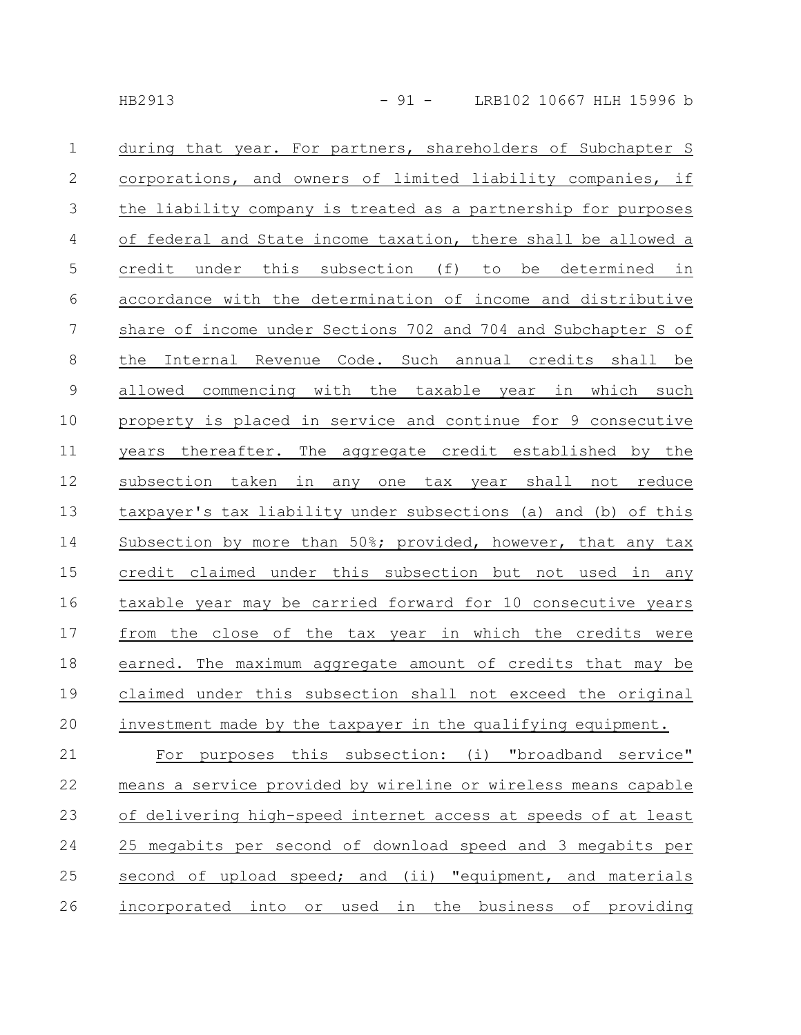| $\mathbf{1}$    | during that year. For partners, shareholders of Subchapter S   |
|-----------------|----------------------------------------------------------------|
| $\mathbf{2}$    | corporations, and owners of limited liability companies, if    |
| $\mathfrak{Z}$  | the liability company is treated as a partnership for purposes |
| $\overline{4}$  | of federal and State income taxation, there shall be allowed a |
| $\mathsf S$     | credit under this subsection (f) to be determined in           |
| 6               | accordance with the determination of income and distributive   |
| $7\phantom{.0}$ | share of income under Sections 702 and 704 and Subchapter S of |
| $8\,$           | Internal Revenue Code. Such annual credits shall be<br>the     |
| $\mathsf 9$     | commencing with the taxable year in which such<br>allowed      |
| 10              | property is placed in service and continue for 9 consecutive   |
| 11              | years thereafter. The aggregate credit established by the      |
| 12              | subsection taken<br>in any one tax year shall not reduce       |
| 13              | taxpayer's tax liability under subsections (a) and (b) of this |
| 14              | Subsection by more than 50%; provided, however, that any tax   |
| 15              | credit claimed under this subsection but not used in any       |
| 16              | taxable year may be carried forward for 10 consecutive years   |
| 17              | from the close of the tax year in which the credits were       |
| 18              | earned. The maximum aggregate amount of credits that may be    |
| 19              | claimed under this subsection shall not exceed the original    |
| 20              | investment made by the taxpayer in the qualifying equipment.   |
| 21              | For purposes this subsection: (i) "broadband service"          |
| 22              | means a service provided by wireline or wireless means capable |
| 23              | of delivering high-speed internet access at speeds of at least |
| 24              | 25 megabits per second of download speed and 3 megabits per    |
| 25              | second of upload speed; and (ii) "equipment, and materials     |
| 26              | incorporated into or used in the business of providing         |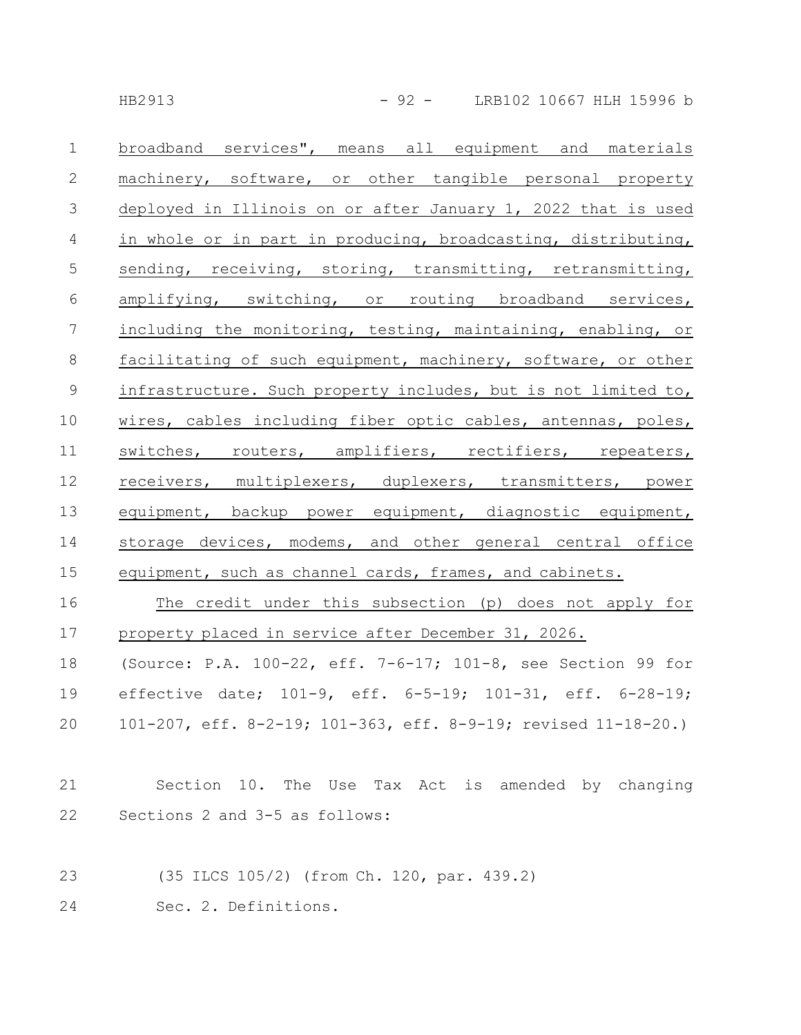HB2913 - 92 - LRB102 10667 HLH 15996 b

broadband services", means all equipment and materials machinery, software, or other tangible personal property deployed in Illinois on or after January 1, 2022 that is used in whole or in part in producing, broadcasting, distributing, sending, receiving, storing, transmitting, retransmitting, amplifying, switching, or routing broadband services, including the monitoring, testing, maintaining, enabling, or facilitating of such equipment, machinery, software, or other infrastructure. Such property includes, but is not limited to, wires, cables including fiber optic cables, antennas, poles, switches, routers, amplifiers, rectifiers, repeaters, receivers, multiplexers, duplexers, transmitters, power equipment, backup power equipment, diagnostic equipment, storage devices, modems, and other general central office equipment, such as channel cards, frames, and cabinets. 1 2 3 4 5 6 7 8 9 10 11 12 13 14 15

The credit under this subsection (p) does not apply for property placed in service after December 31, 2026. (Source: P.A. 100-22, eff. 7-6-17; 101-8, see Section 99 for effective date; 101-9, eff. 6-5-19; 101-31, eff. 6-28-19; 101-207, eff. 8-2-19; 101-363, eff. 8-9-19; revised 11-18-20.) 16 17 18 19 20

- Section 10. The Use Tax Act is amended by changing Sections 2 and 3-5 as follows: 21 22
- (35 ILCS 105/2) (from Ch. 120, par. 439.2) 23
- Sec. 2. Definitions. 24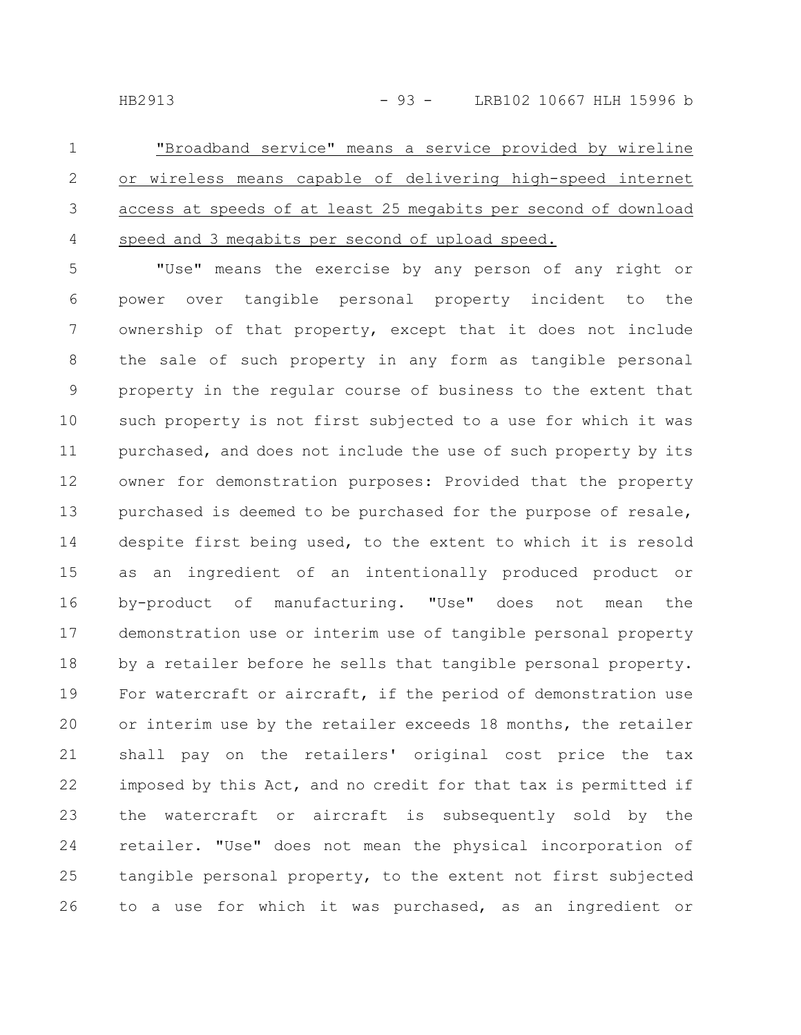"Broadband service" means a service provided by wireline or wireless means capable of delivering high-speed internet access at speeds of at least 25 megabits per second of download speed and 3 megabits per second of upload speed. 1 2 3 4

"Use" means the exercise by any person of any right or power over tangible personal property incident to the ownership of that property, except that it does not include the sale of such property in any form as tangible personal property in the regular course of business to the extent that such property is not first subjected to a use for which it was purchased, and does not include the use of such property by its owner for demonstration purposes: Provided that the property purchased is deemed to be purchased for the purpose of resale, despite first being used, to the extent to which it is resold as an ingredient of an intentionally produced product or by-product of manufacturing. "Use" does not mean the demonstration use or interim use of tangible personal property by a retailer before he sells that tangible personal property. For watercraft or aircraft, if the period of demonstration use or interim use by the retailer exceeds 18 months, the retailer shall pay on the retailers' original cost price the tax imposed by this Act, and no credit for that tax is permitted if the watercraft or aircraft is subsequently sold by the retailer. "Use" does not mean the physical incorporation of tangible personal property, to the extent not first subjected to a use for which it was purchased, as an ingredient or 5 6 7 8 9 10 11 12 13 14 15 16 17 18 19 20 21 22 23 24 25 26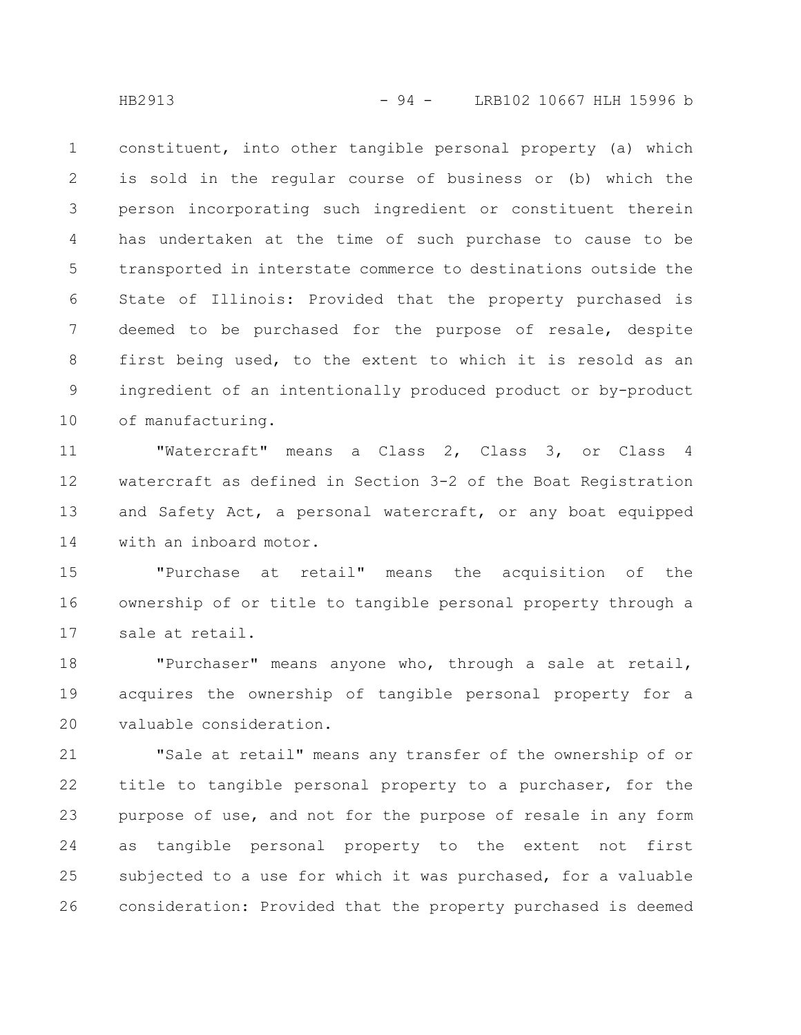constituent, into other tangible personal property (a) which is sold in the regular course of business or (b) which the person incorporating such ingredient or constituent therein has undertaken at the time of such purchase to cause to be transported in interstate commerce to destinations outside the State of Illinois: Provided that the property purchased is deemed to be purchased for the purpose of resale, despite first being used, to the extent to which it is resold as an ingredient of an intentionally produced product or by-product of manufacturing. 1 2 3 4 5 6 7 8 9 10

"Watercraft" means a Class 2, Class 3, or Class 4 watercraft as defined in Section 3-2 of the Boat Registration and Safety Act, a personal watercraft, or any boat equipped with an inboard motor. 11 12 13 14

"Purchase at retail" means the acquisition of the ownership of or title to tangible personal property through a sale at retail. 15 16 17

"Purchaser" means anyone who, through a sale at retail, acquires the ownership of tangible personal property for a valuable consideration. 18 19 20

"Sale at retail" means any transfer of the ownership of or title to tangible personal property to a purchaser, for the purpose of use, and not for the purpose of resale in any form as tangible personal property to the extent not first subjected to a use for which it was purchased, for a valuable consideration: Provided that the property purchased is deemed 21 22 23 24 25 26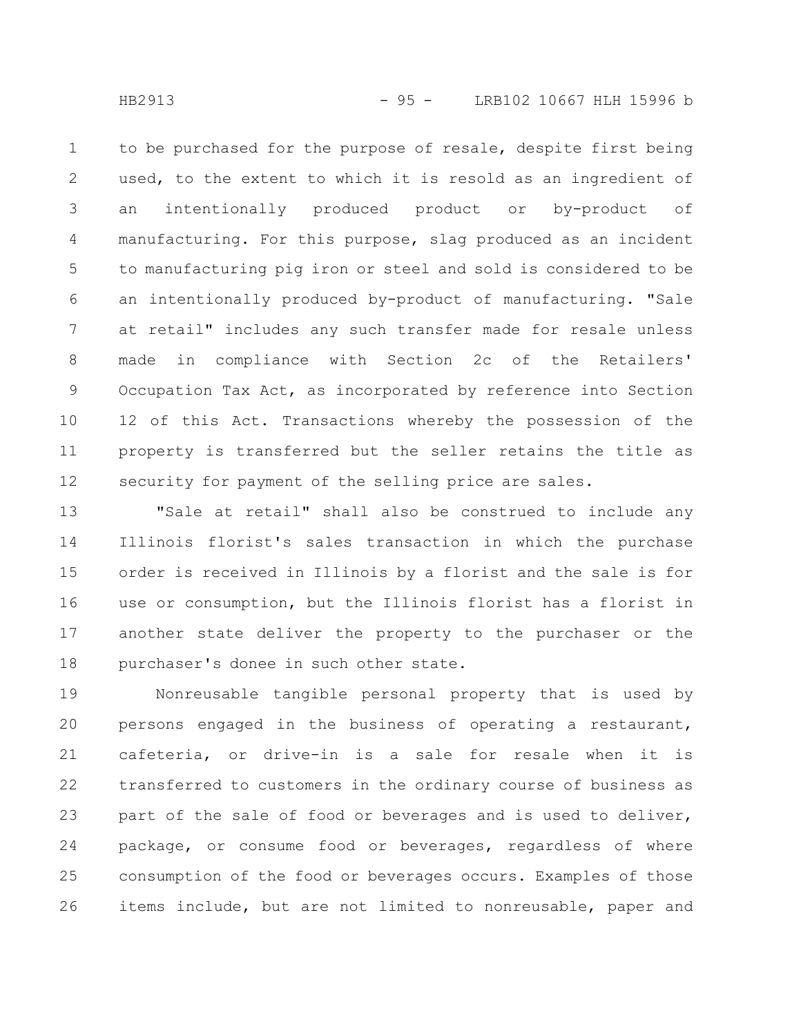to be purchased for the purpose of resale, despite first being used, to the extent to which it is resold as an ingredient of an intentionally produced product or by-product of manufacturing. For this purpose, slag produced as an incident to manufacturing pig iron or steel and sold is considered to be an intentionally produced by-product of manufacturing. "Sale at retail" includes any such transfer made for resale unless made in compliance with Section 2c of the Retailers' Occupation Tax Act, as incorporated by reference into Section 12 of this Act. Transactions whereby the possession of the property is transferred but the seller retains the title as security for payment of the selling price are sales. 1 2 3 4 5 6 7 8 9 10 11 12

"Sale at retail" shall also be construed to include any Illinois florist's sales transaction in which the purchase order is received in Illinois by a florist and the sale is for use or consumption, but the Illinois florist has a florist in another state deliver the property to the purchaser or the purchaser's donee in such other state. 13 14 15 16 17 18

Nonreusable tangible personal property that is used by persons engaged in the business of operating a restaurant, cafeteria, or drive-in is a sale for resale when it is transferred to customers in the ordinary course of business as part of the sale of food or beverages and is used to deliver, package, or consume food or beverages, regardless of where consumption of the food or beverages occurs. Examples of those items include, but are not limited to nonreusable, paper and 19 20 21 22 23 24 25 26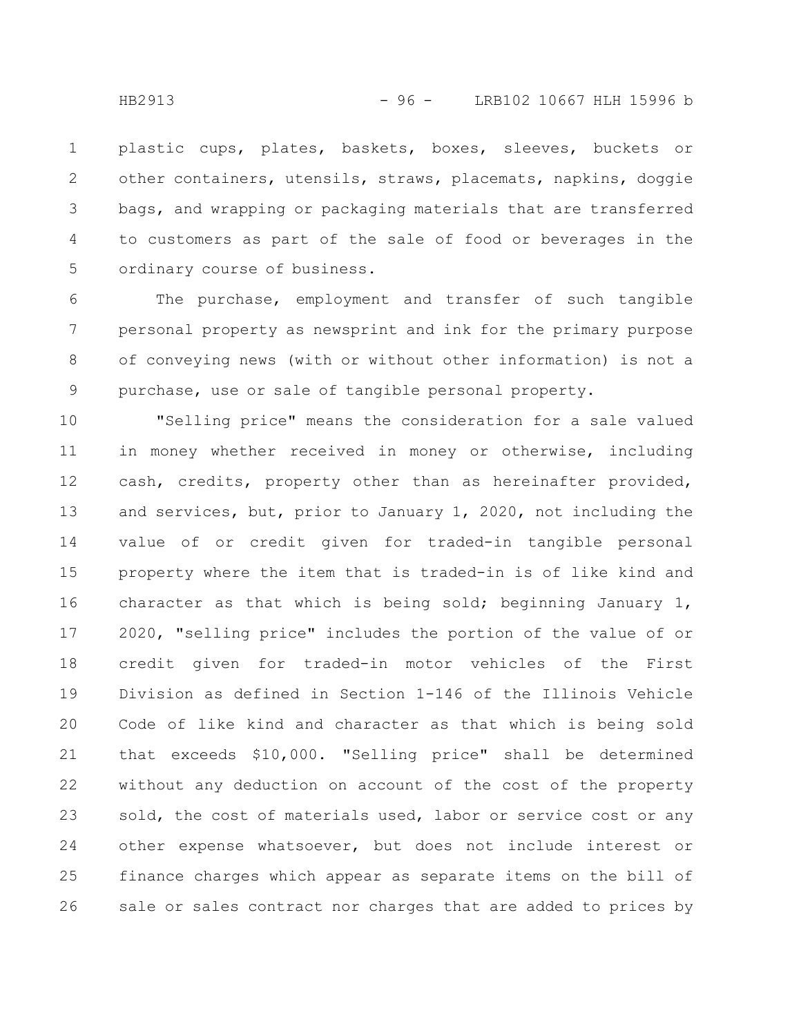plastic cups, plates, baskets, boxes, sleeves, buckets or other containers, utensils, straws, placemats, napkins, doggie bags, and wrapping or packaging materials that are transferred to customers as part of the sale of food or beverages in the ordinary course of business. 1 2 3 4 5

The purchase, employment and transfer of such tangible personal property as newsprint and ink for the primary purpose of conveying news (with or without other information) is not a purchase, use or sale of tangible personal property. 6 7 8 9

"Selling price" means the consideration for a sale valued in money whether received in money or otherwise, including cash, credits, property other than as hereinafter provided, and services, but, prior to January 1, 2020, not including the value of or credit given for traded-in tangible personal property where the item that is traded-in is of like kind and character as that which is being sold; beginning January 1, 2020, "selling price" includes the portion of the value of or credit given for traded-in motor vehicles of the First Division as defined in Section 1-146 of the Illinois Vehicle Code of like kind and character as that which is being sold that exceeds \$10,000. "Selling price" shall be determined without any deduction on account of the cost of the property sold, the cost of materials used, labor or service cost or any other expense whatsoever, but does not include interest or finance charges which appear as separate items on the bill of sale or sales contract nor charges that are added to prices by 10 11 12 13 14 15 16 17 18 19 20 21 22 23 24 25 26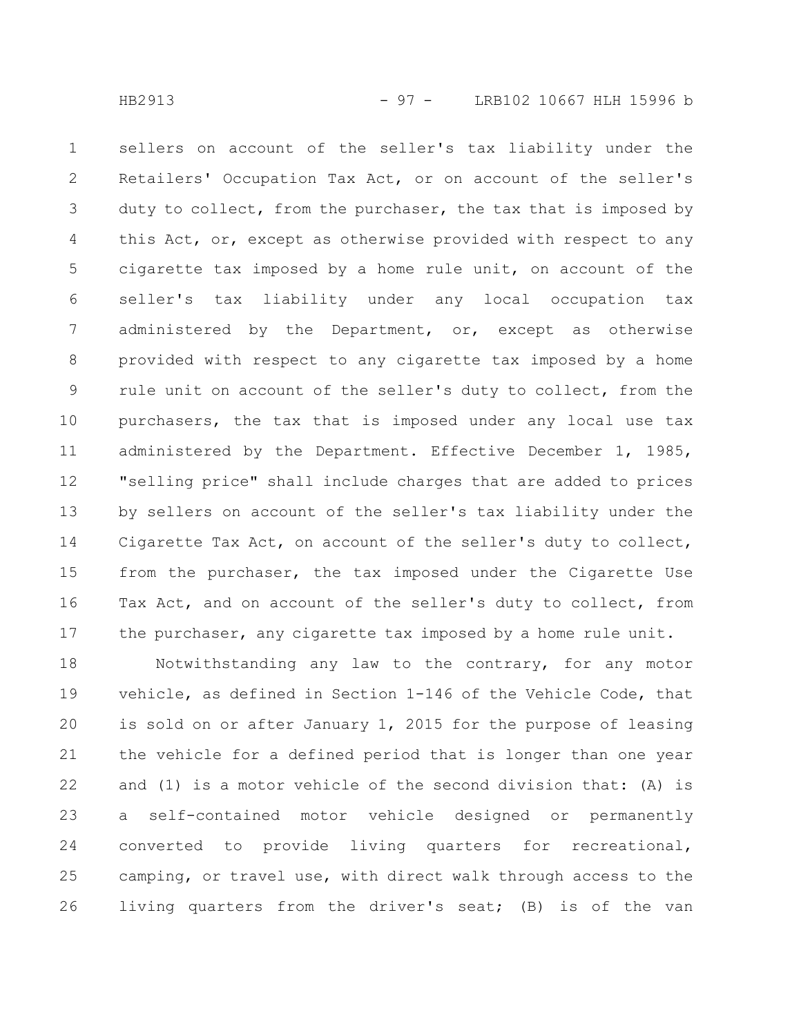sellers on account of the seller's tax liability under the Retailers' Occupation Tax Act, or on account of the seller's duty to collect, from the purchaser, the tax that is imposed by this Act, or, except as otherwise provided with respect to any cigarette tax imposed by a home rule unit, on account of the seller's tax liability under any local occupation tax administered by the Department, or, except as otherwise provided with respect to any cigarette tax imposed by a home rule unit on account of the seller's duty to collect, from the purchasers, the tax that is imposed under any local use tax administered by the Department. Effective December 1, 1985, "selling price" shall include charges that are added to prices by sellers on account of the seller's tax liability under the Cigarette Tax Act, on account of the seller's duty to collect, from the purchaser, the tax imposed under the Cigarette Use Tax Act, and on account of the seller's duty to collect, from the purchaser, any cigarette tax imposed by a home rule unit. 1 2 3 4 5 6 7 8 9 10 11 12 13 14 15 16 17

Notwithstanding any law to the contrary, for any motor vehicle, as defined in Section 1-146 of the Vehicle Code, that is sold on or after January 1, 2015 for the purpose of leasing the vehicle for a defined period that is longer than one year and (1) is a motor vehicle of the second division that: (A) is a self-contained motor vehicle designed or permanently converted to provide living quarters for recreational, camping, or travel use, with direct walk through access to the living quarters from the driver's seat; (B) is of the van 18 19 20 21 22 23 24 25 26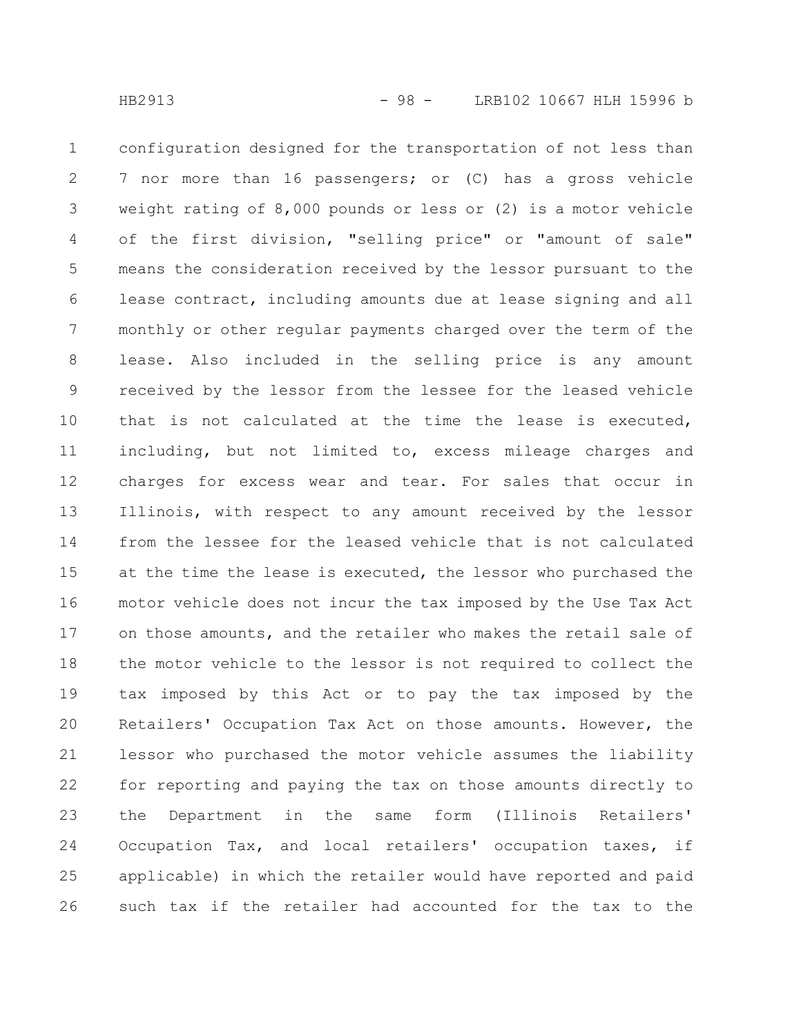configuration designed for the transportation of not less than 7 nor more than 16 passengers; or (C) has a gross vehicle weight rating of 8,000 pounds or less or (2) is a motor vehicle of the first division, "selling price" or "amount of sale" means the consideration received by the lessor pursuant to the lease contract, including amounts due at lease signing and all monthly or other regular payments charged over the term of the lease. Also included in the selling price is any amount received by the lessor from the lessee for the leased vehicle that is not calculated at the time the lease is executed, including, but not limited to, excess mileage charges and charges for excess wear and tear. For sales that occur in Illinois, with respect to any amount received by the lessor from the lessee for the leased vehicle that is not calculated at the time the lease is executed, the lessor who purchased the motor vehicle does not incur the tax imposed by the Use Tax Act on those amounts, and the retailer who makes the retail sale of the motor vehicle to the lessor is not required to collect the tax imposed by this Act or to pay the tax imposed by the Retailers' Occupation Tax Act on those amounts. However, the lessor who purchased the motor vehicle assumes the liability for reporting and paying the tax on those amounts directly to the Department in the same form (Illinois Retailers' Occupation Tax, and local retailers' occupation taxes, if applicable) in which the retailer would have reported and paid such tax if the retailer had accounted for the tax to the 1 2 3 4 5 6 7 8 9 10 11 12 13 14 15 16 17 18 19 20 21 22 23 24 25 26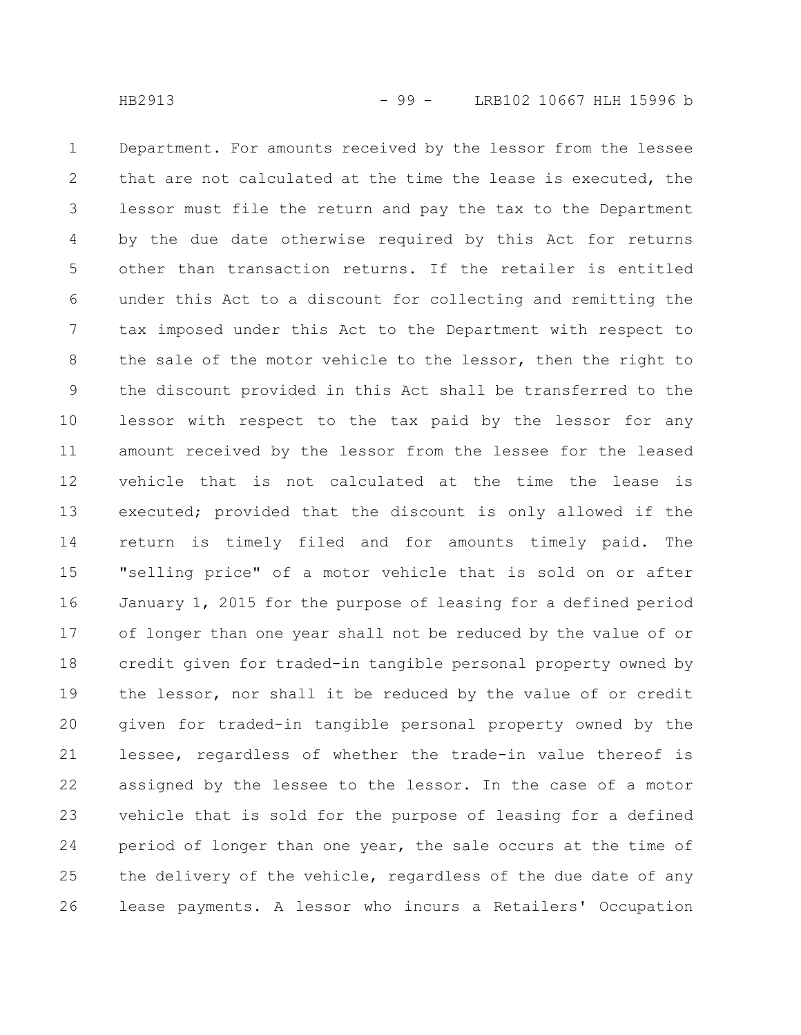Department. For amounts received by the lessor from the lessee that are not calculated at the time the lease is executed, the lessor must file the return and pay the tax to the Department by the due date otherwise required by this Act for returns other than transaction returns. If the retailer is entitled under this Act to a discount for collecting and remitting the tax imposed under this Act to the Department with respect to the sale of the motor vehicle to the lessor, then the right to the discount provided in this Act shall be transferred to the lessor with respect to the tax paid by the lessor for any amount received by the lessor from the lessee for the leased vehicle that is not calculated at the time the lease is executed; provided that the discount is only allowed if the return is timely filed and for amounts timely paid. The "selling price" of a motor vehicle that is sold on or after January 1, 2015 for the purpose of leasing for a defined period of longer than one year shall not be reduced by the value of or credit given for traded-in tangible personal property owned by the lessor, nor shall it be reduced by the value of or credit given for traded-in tangible personal property owned by the lessee, regardless of whether the trade-in value thereof is assigned by the lessee to the lessor. In the case of a motor vehicle that is sold for the purpose of leasing for a defined period of longer than one year, the sale occurs at the time of the delivery of the vehicle, regardless of the due date of any lease payments. A lessor who incurs a Retailers' Occupation 1 2 3 4 5 6 7 8 9 10 11 12 13 14 15 16 17 18 19 20 21 22 23 24 25 26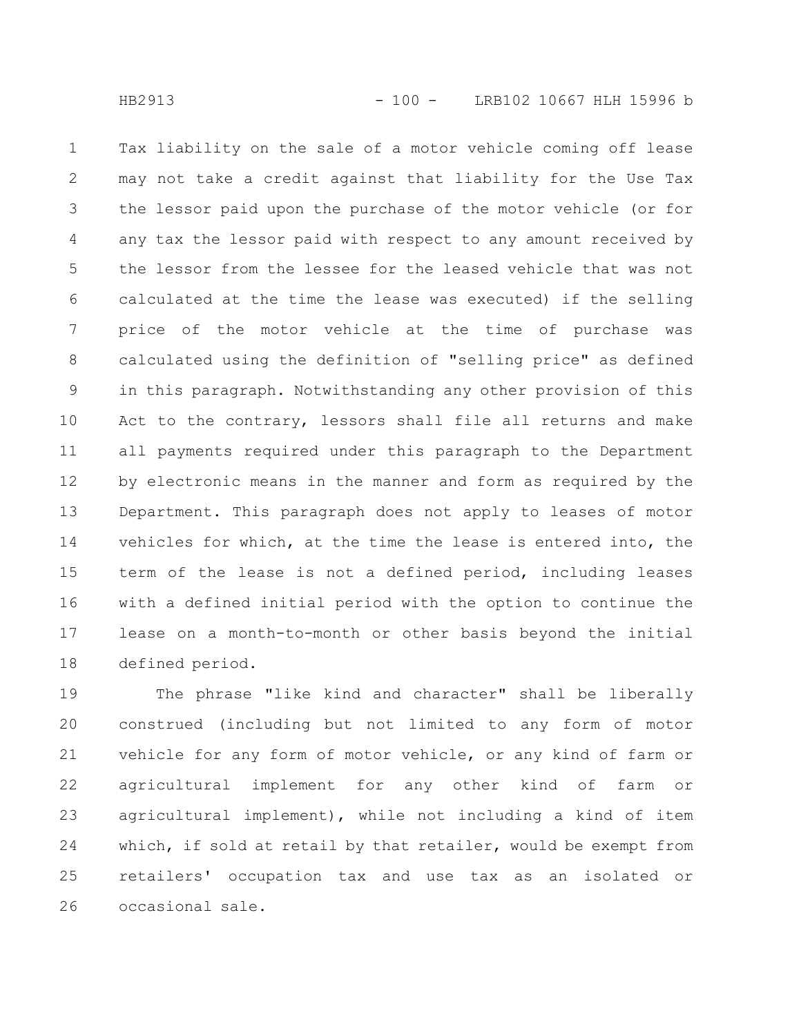Tax liability on the sale of a motor vehicle coming off lease may not take a credit against that liability for the Use Tax the lessor paid upon the purchase of the motor vehicle (or for any tax the lessor paid with respect to any amount received by the lessor from the lessee for the leased vehicle that was not calculated at the time the lease was executed) if the selling price of the motor vehicle at the time of purchase was calculated using the definition of "selling price" as defined in this paragraph. Notwithstanding any other provision of this Act to the contrary, lessors shall file all returns and make all payments required under this paragraph to the Department by electronic means in the manner and form as required by the Department. This paragraph does not apply to leases of motor vehicles for which, at the time the lease is entered into, the term of the lease is not a defined period, including leases with a defined initial period with the option to continue the lease on a month-to-month or other basis beyond the initial defined period. 1 2 3 4 5 6 7 8 9 10 11 12 13 14 15 16 17 18

The phrase "like kind and character" shall be liberally construed (including but not limited to any form of motor vehicle for any form of motor vehicle, or any kind of farm or agricultural implement for any other kind of farm or agricultural implement), while not including a kind of item which, if sold at retail by that retailer, would be exempt from retailers' occupation tax and use tax as an isolated or occasional sale. 19 20 21 22 23 24 25 26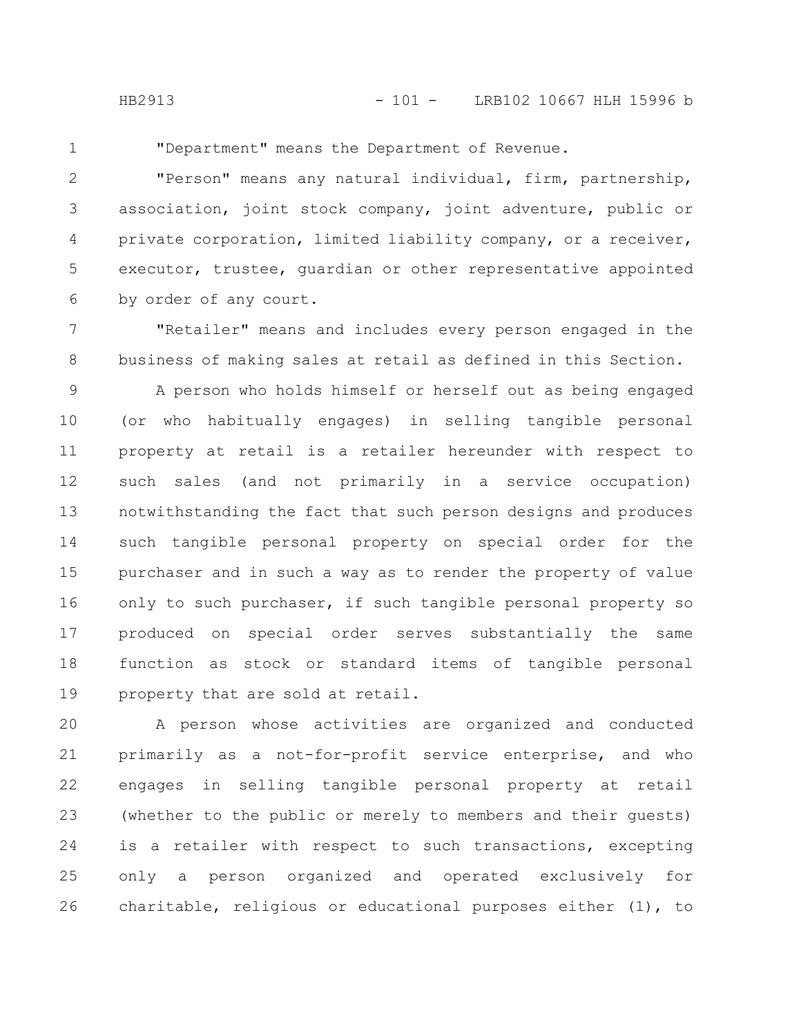1

"Department" means the Department of Revenue.

"Person" means any natural individual, firm, partnership, association, joint stock company, joint adventure, public or private corporation, limited liability company, or a receiver, executor, trustee, guardian or other representative appointed by order of any court. 2 3 4 5 6

"Retailer" means and includes every person engaged in the business of making sales at retail as defined in this Section. 7 8

A person who holds himself or herself out as being engaged (or who habitually engages) in selling tangible personal property at retail is a retailer hereunder with respect to such sales (and not primarily in a service occupation) notwithstanding the fact that such person designs and produces such tangible personal property on special order for the purchaser and in such a way as to render the property of value only to such purchaser, if such tangible personal property so produced on special order serves substantially the same function as stock or standard items of tangible personal property that are sold at retail. 9 10 11 12 13 14 15 16 17 18 19

A person whose activities are organized and conducted primarily as a not-for-profit service enterprise, and who engages in selling tangible personal property at retail (whether to the public or merely to members and their guests) is a retailer with respect to such transactions, excepting only a person organized and operated exclusively for charitable, religious or educational purposes either (1), to 20 21 22 23 24 25 26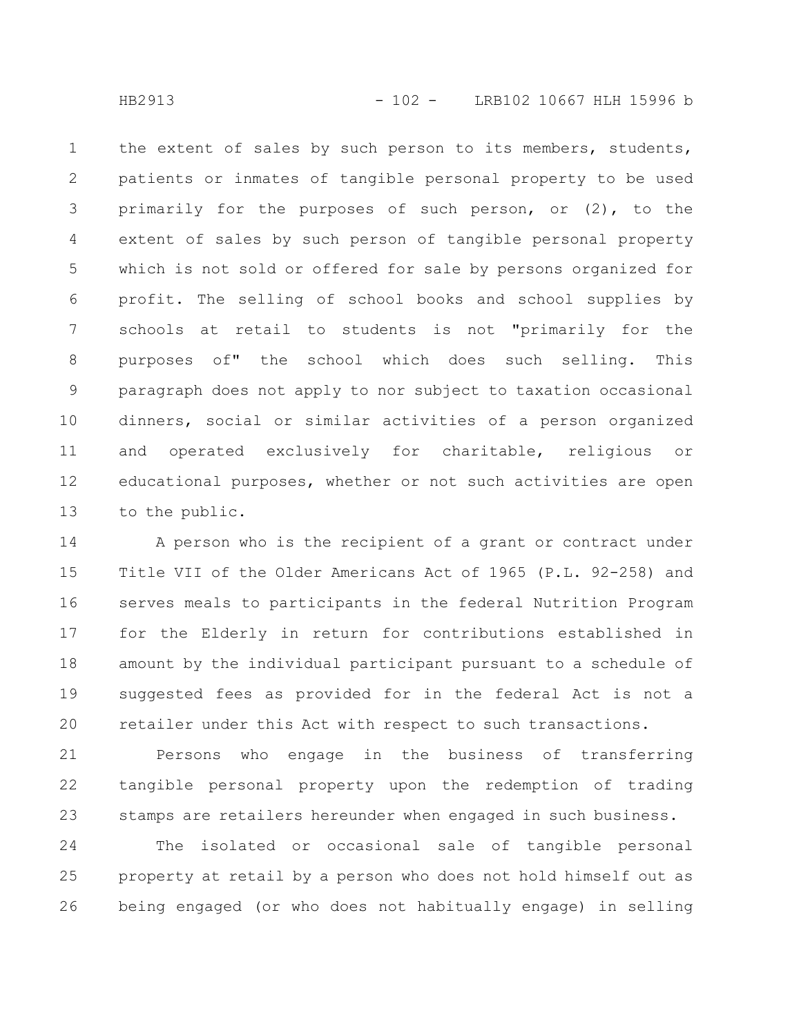the extent of sales by such person to its members, students, patients or inmates of tangible personal property to be used primarily for the purposes of such person, or (2), to the extent of sales by such person of tangible personal property which is not sold or offered for sale by persons organized for profit. The selling of school books and school supplies by schools at retail to students is not "primarily for the purposes of" the school which does such selling. This paragraph does not apply to nor subject to taxation occasional dinners, social or similar activities of a person organized and operated exclusively for charitable, religious or educational purposes, whether or not such activities are open to the public. 1 2 3 4 5 6 7 8 9 10 11 12 13

A person who is the recipient of a grant or contract under Title VII of the Older Americans Act of 1965 (P.L. 92-258) and serves meals to participants in the federal Nutrition Program for the Elderly in return for contributions established in amount by the individual participant pursuant to a schedule of suggested fees as provided for in the federal Act is not a retailer under this Act with respect to such transactions. 14 15 16 17 18 19 20

Persons who engage in the business of transferring tangible personal property upon the redemption of trading stamps are retailers hereunder when engaged in such business. 21 22 23

The isolated or occasional sale of tangible personal property at retail by a person who does not hold himself out as being engaged (or who does not habitually engage) in selling 24 25 26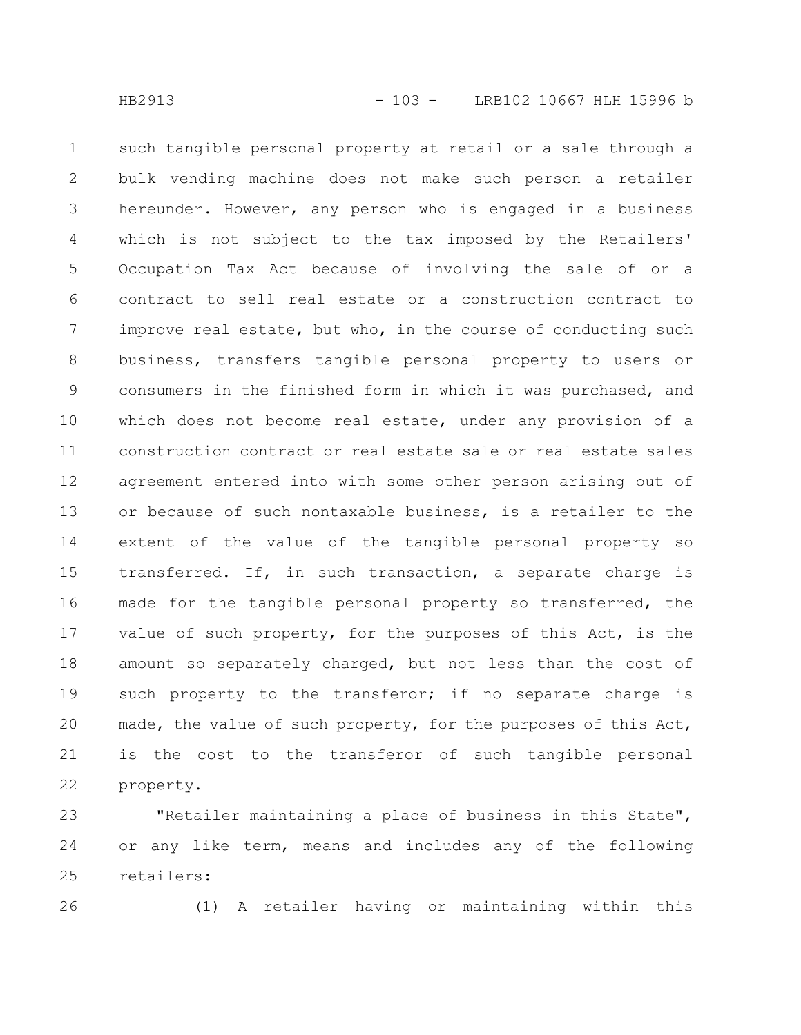such tangible personal property at retail or a sale through a bulk vending machine does not make such person a retailer hereunder. However, any person who is engaged in a business which is not subject to the tax imposed by the Retailers' Occupation Tax Act because of involving the sale of or a contract to sell real estate or a construction contract to improve real estate, but who, in the course of conducting such business, transfers tangible personal property to users or consumers in the finished form in which it was purchased, and which does not become real estate, under any provision of a construction contract or real estate sale or real estate sales agreement entered into with some other person arising out of or because of such nontaxable business, is a retailer to the extent of the value of the tangible personal property so transferred. If, in such transaction, a separate charge is made for the tangible personal property so transferred, the value of such property, for the purposes of this Act, is the amount so separately charged, but not less than the cost of such property to the transferor; if no separate charge is made, the value of such property, for the purposes of this Act, is the cost to the transferor of such tangible personal property. 1 2 3 4 5 6 7 8 9 10 11 12 13 14 15 16 17 18 19 20 21 22

"Retailer maintaining a place of business in this State", or any like term, means and includes any of the following retailers: 23 24 25

26

(1) A retailer having or maintaining within this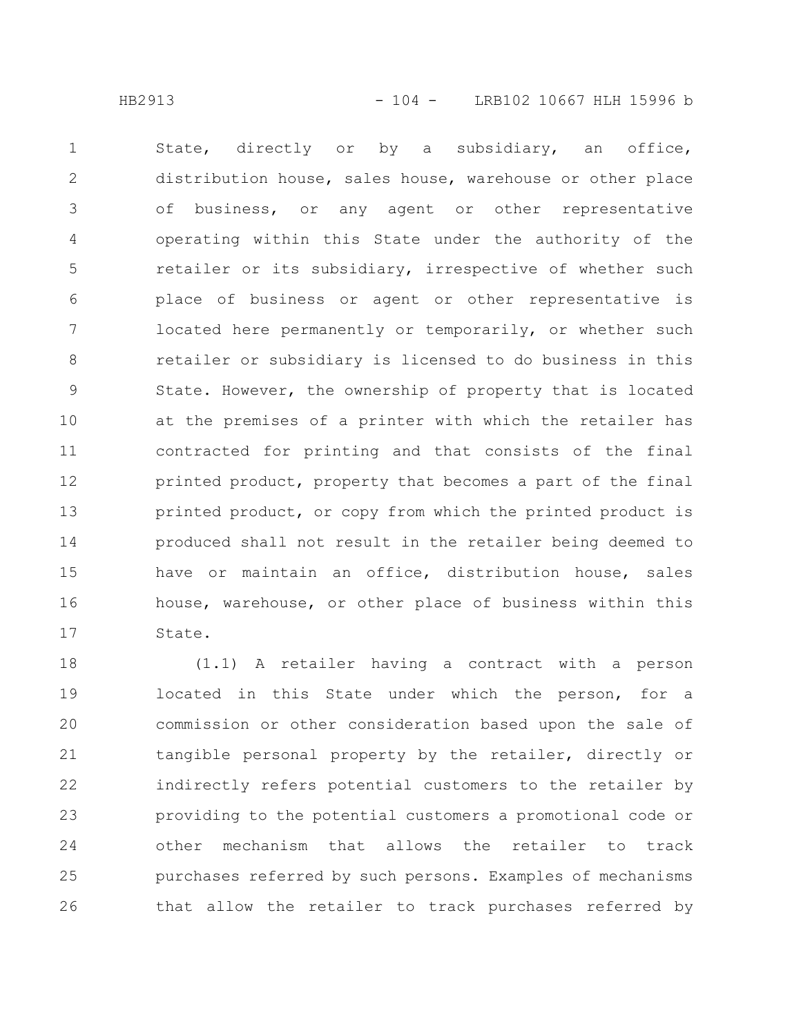State, directly or by a subsidiary, an office, distribution house, sales house, warehouse or other place of business, or any agent or other representative operating within this State under the authority of the retailer or its subsidiary, irrespective of whether such place of business or agent or other representative is located here permanently or temporarily, or whether such retailer or subsidiary is licensed to do business in this State. However, the ownership of property that is located at the premises of a printer with which the retailer has contracted for printing and that consists of the final printed product, property that becomes a part of the final printed product, or copy from which the printed product is produced shall not result in the retailer being deemed to have or maintain an office, distribution house, sales house, warehouse, or other place of business within this State. 1 2 3 4 5 6 7 8 9 10 11 12 13 14 15 16 17

(1.1) A retailer having a contract with a person located in this State under which the person, for a commission or other consideration based upon the sale of tangible personal property by the retailer, directly or indirectly refers potential customers to the retailer by providing to the potential customers a promotional code or other mechanism that allows the retailer to track purchases referred by such persons. Examples of mechanisms that allow the retailer to track purchases referred by 18 19 20 21 22 23 24 25 26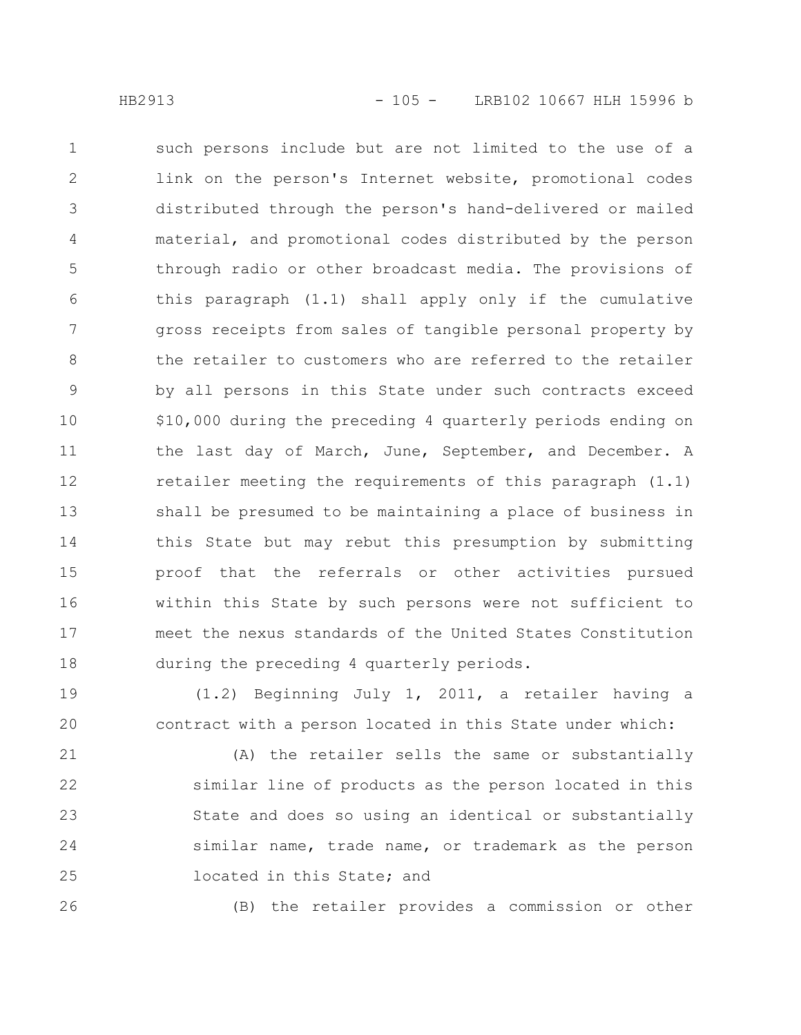such persons include but are not limited to the use of a link on the person's Internet website, promotional codes distributed through the person's hand-delivered or mailed material, and promotional codes distributed by the person through radio or other broadcast media. The provisions of this paragraph (1.1) shall apply only if the cumulative gross receipts from sales of tangible personal property by the retailer to customers who are referred to the retailer by all persons in this State under such contracts exceed \$10,000 during the preceding 4 quarterly periods ending on the last day of March, June, September, and December. A retailer meeting the requirements of this paragraph (1.1) shall be presumed to be maintaining a place of business in this State but may rebut this presumption by submitting proof that the referrals or other activities pursued within this State by such persons were not sufficient to meet the nexus standards of the United States Constitution during the preceding 4 quarterly periods. 1 2 3 4 5 6 7 8 9 10 11 12 13 14 15 16 17 18

(1.2) Beginning July 1, 2011, a retailer having a contract with a person located in this State under which: 19 20

(A) the retailer sells the same or substantially similar line of products as the person located in this State and does so using an identical or substantially similar name, trade name, or trademark as the person located in this State; and 21 22 23 24 25

26

(B) the retailer provides a commission or other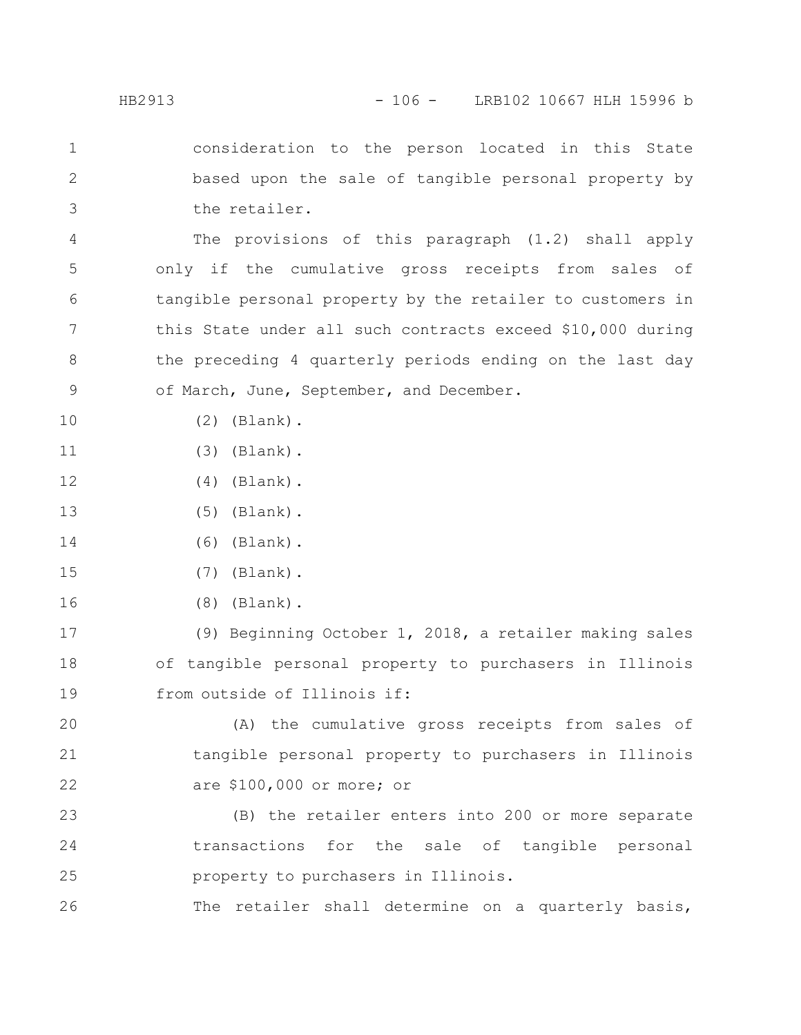consideration to the person located in this State based upon the sale of tangible personal property by the retailer. 1 2 3

The provisions of this paragraph (1.2) shall apply only if the cumulative gross receipts from sales of tangible personal property by the retailer to customers in this State under all such contracts exceed \$10,000 during the preceding 4 quarterly periods ending on the last day of March, June, September, and December. 4 5 6 7 8 9

(2) (Blank).

10

- (3) (Blank). 11
- (4) (Blank). 12
- (5) (Blank). 13
- (6) (Blank). 14
- (7) (Blank). 15
- (8) (Blank). 16

(9) Beginning October 1, 2018, a retailer making sales of tangible personal property to purchasers in Illinois from outside of Illinois if: 17 18 19

(A) the cumulative gross receipts from sales of tangible personal property to purchasers in Illinois are \$100,000 or more; or 20 21 22

(B) the retailer enters into 200 or more separate transactions for the sale of tangible personal property to purchasers in Illinois. 23 24 25

The retailer shall determine on a quarterly basis, 26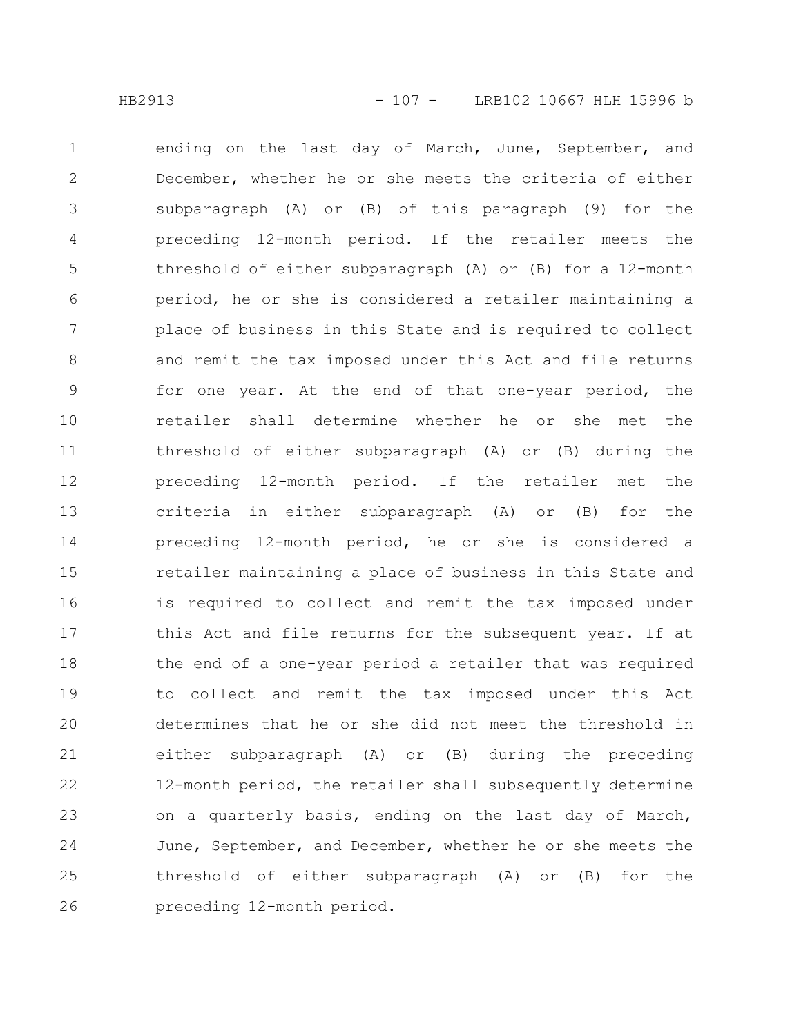ending on the last day of March, June, September, and December, whether he or she meets the criteria of either subparagraph (A) or (B) of this paragraph (9) for the preceding 12-month period. If the retailer meets the threshold of either subparagraph (A) or (B) for a 12-month period, he or she is considered a retailer maintaining a place of business in this State and is required to collect and remit the tax imposed under this Act and file returns for one year. At the end of that one-year period, the retailer shall determine whether he or she met the threshold of either subparagraph (A) or (B) during the preceding 12-month period. If the retailer met the criteria in either subparagraph (A) or (B) for the preceding 12-month period, he or she is considered a retailer maintaining a place of business in this State and is required to collect and remit the tax imposed under this Act and file returns for the subsequent year. If at the end of a one-year period a retailer that was required to collect and remit the tax imposed under this Act determines that he or she did not meet the threshold in either subparagraph (A) or (B) during the preceding 12-month period, the retailer shall subsequently determine on a quarterly basis, ending on the last day of March, June, September, and December, whether he or she meets the threshold of either subparagraph (A) or (B) for the preceding 12-month period. 1 2 3 4 5 6 7 8 9 10 11 12 13 14 15 16 17 18 19 20 21 22 23 24 25 26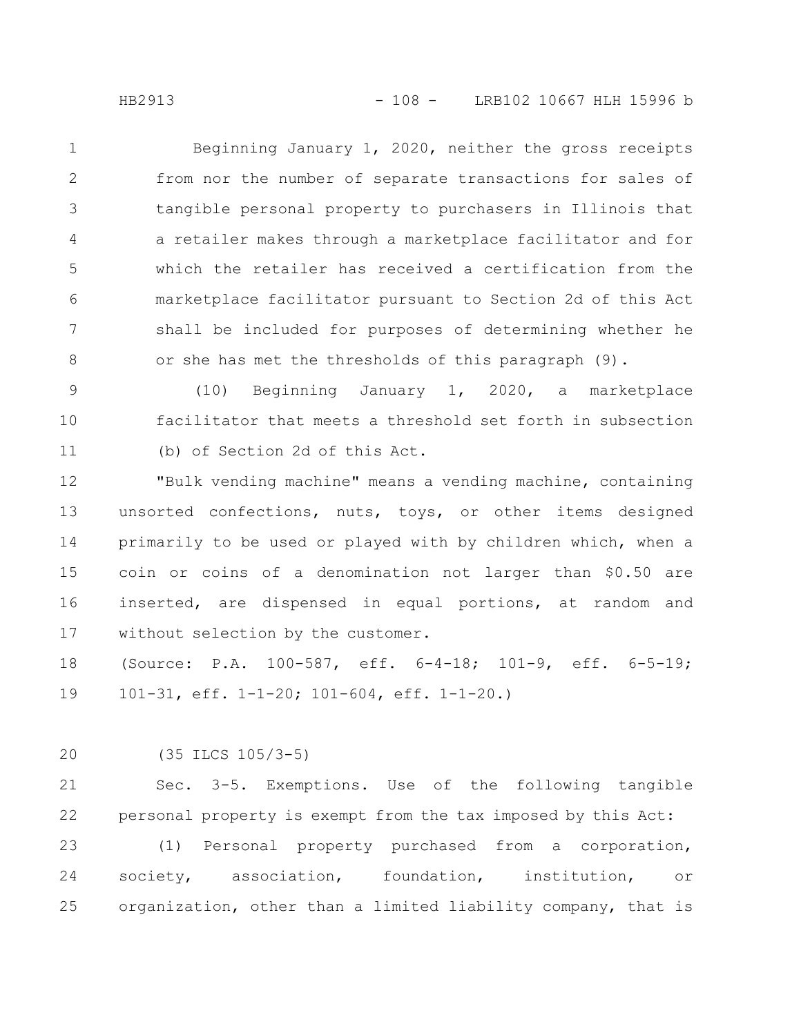Beginning January 1, 2020, neither the gross receipts from nor the number of separate transactions for sales of tangible personal property to purchasers in Illinois that a retailer makes through a marketplace facilitator and for which the retailer has received a certification from the marketplace facilitator pursuant to Section 2d of this Act shall be included for purposes of determining whether he or she has met the thresholds of this paragraph (9). 1 2 3 4 5 6 7 8

(10) Beginning January 1, 2020, a marketplace facilitator that meets a threshold set forth in subsection (b) of Section 2d of this Act. 9 10 11

"Bulk vending machine" means a vending machine, containing unsorted confections, nuts, toys, or other items designed primarily to be used or played with by children which, when a coin or coins of a denomination not larger than \$0.50 are inserted, are dispensed in equal portions, at random and without selection by the customer. 12 13 14 15 16 17

(Source: P.A. 100-587, eff. 6-4-18; 101-9, eff. 6-5-19; 101-31, eff. 1-1-20; 101-604, eff. 1-1-20.) 18 19

(35 ILCS 105/3-5) 20

Sec. 3-5. Exemptions. Use of the following tangible personal property is exempt from the tax imposed by this Act: 21 22

(1) Personal property purchased from a corporation, society, association, foundation, institution, or organization, other than a limited liability company, that is 23 24 25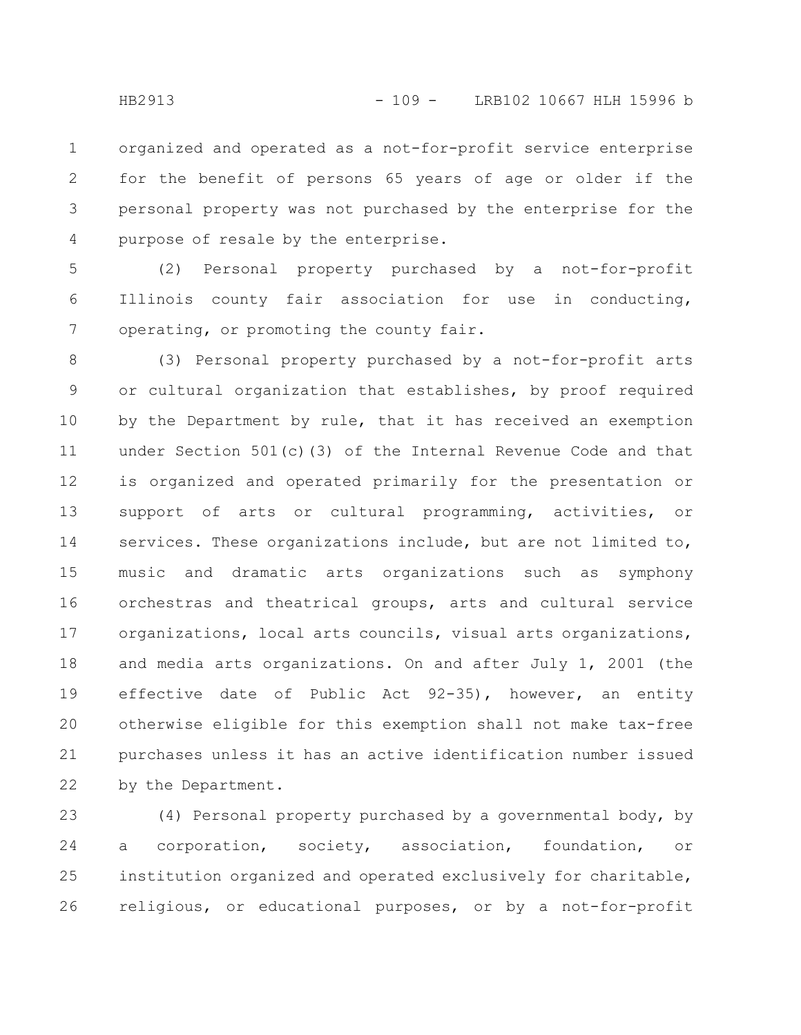organized and operated as a not-for-profit service enterprise for the benefit of persons 65 years of age or older if the personal property was not purchased by the enterprise for the purpose of resale by the enterprise. 1 2 3 4

(2) Personal property purchased by a not-for-profit Illinois county fair association for use in conducting, operating, or promoting the county fair. 5 6 7

(3) Personal property purchased by a not-for-profit arts or cultural organization that establishes, by proof required by the Department by rule, that it has received an exemption under Section 501(c)(3) of the Internal Revenue Code and that is organized and operated primarily for the presentation or support of arts or cultural programming, activities, or services. These organizations include, but are not limited to, music and dramatic arts organizations such as symphony orchestras and theatrical groups, arts and cultural service organizations, local arts councils, visual arts organizations, and media arts organizations. On and after July 1, 2001 (the effective date of Public Act 92-35), however, an entity otherwise eligible for this exemption shall not make tax-free purchases unless it has an active identification number issued by the Department. 8 9 10 11 12 13 14 15 16 17 18 19 20 21 22

(4) Personal property purchased by a governmental body, by a corporation, society, association, foundation, or institution organized and operated exclusively for charitable, religious, or educational purposes, or by a not-for-profit 23 24 25 26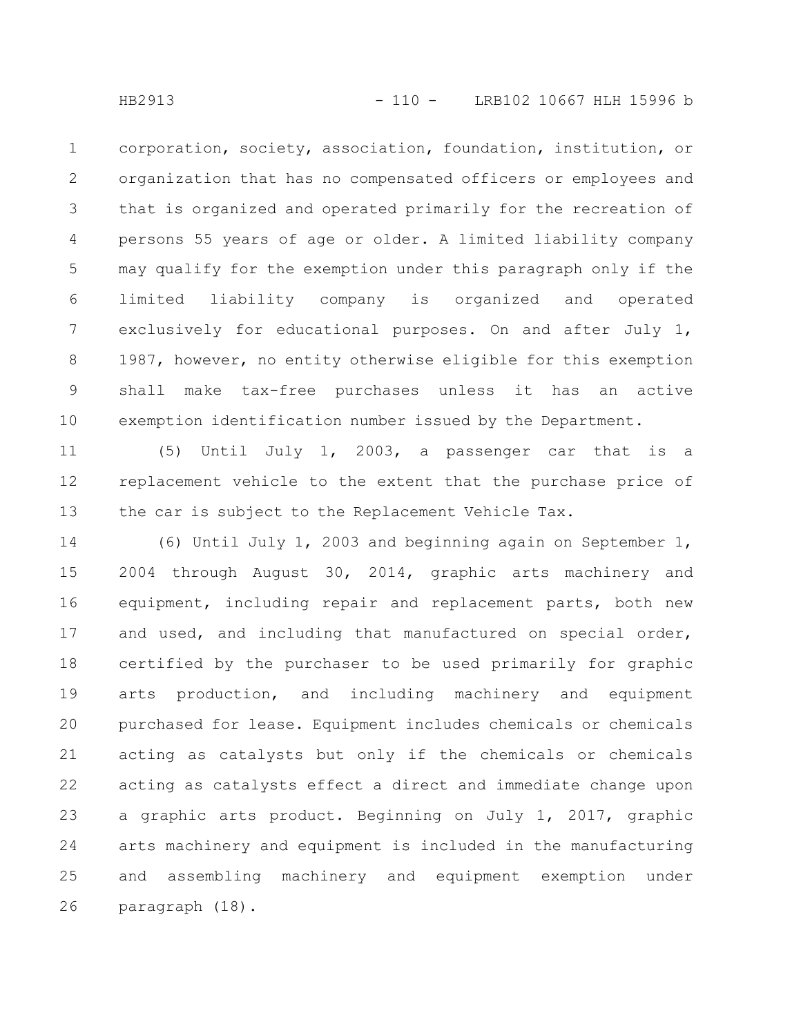corporation, society, association, foundation, institution, or organization that has no compensated officers or employees and that is organized and operated primarily for the recreation of persons 55 years of age or older. A limited liability company may qualify for the exemption under this paragraph only if the limited liability company is organized and operated exclusively for educational purposes. On and after July 1, 1987, however, no entity otherwise eligible for this exemption shall make tax-free purchases unless it has an active exemption identification number issued by the Department. 1 2 3 4 5 6 7 8 9 10

(5) Until July 1, 2003, a passenger car that is a replacement vehicle to the extent that the purchase price of the car is subject to the Replacement Vehicle Tax. 11 12 13

(6) Until July 1, 2003 and beginning again on September 1, 2004 through August 30, 2014, graphic arts machinery and equipment, including repair and replacement parts, both new and used, and including that manufactured on special order, certified by the purchaser to be used primarily for graphic arts production, and including machinery and equipment purchased for lease. Equipment includes chemicals or chemicals acting as catalysts but only if the chemicals or chemicals acting as catalysts effect a direct and immediate change upon a graphic arts product. Beginning on July 1, 2017, graphic arts machinery and equipment is included in the manufacturing and assembling machinery and equipment exemption under paragraph (18). 14 15 16 17 18 19 20 21 22 23 24 25 26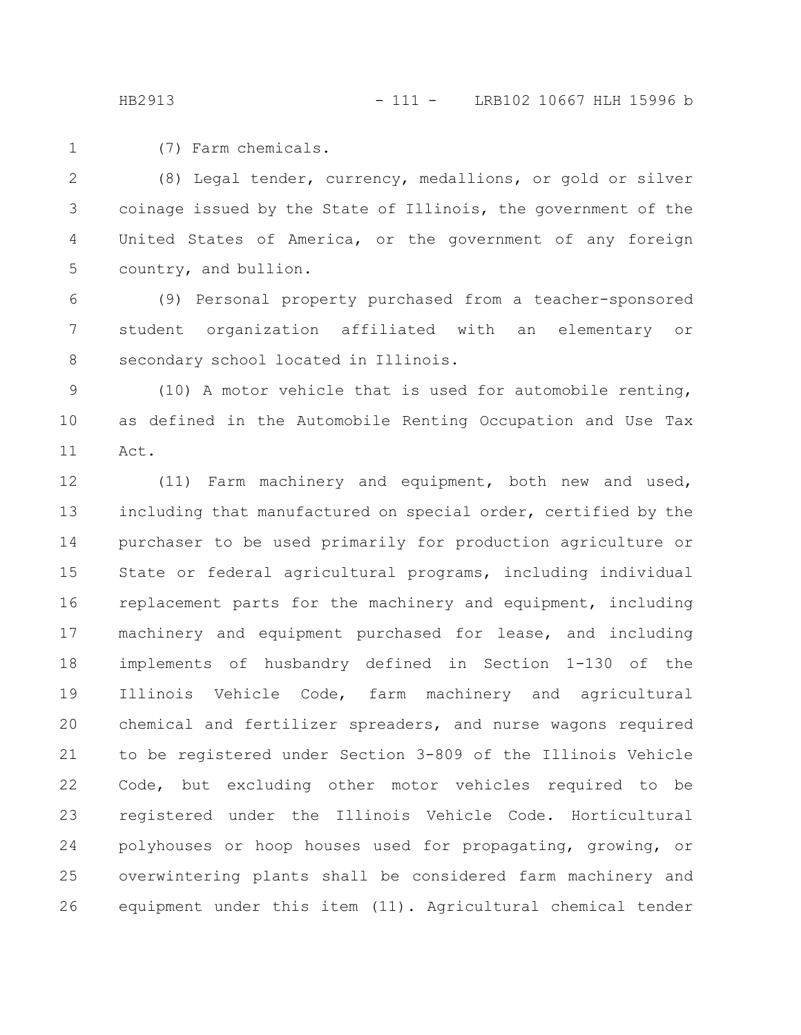1

(7) Farm chemicals.

(8) Legal tender, currency, medallions, or gold or silver coinage issued by the State of Illinois, the government of the United States of America, or the government of any foreign country, and bullion. 2 3 4 5

(9) Personal property purchased from a teacher-sponsored student organization affiliated with an elementary or secondary school located in Illinois. 6 7 8

(10) A motor vehicle that is used for automobile renting, as defined in the Automobile Renting Occupation and Use Tax Act. 9 10 11

(11) Farm machinery and equipment, both new and used, including that manufactured on special order, certified by the purchaser to be used primarily for production agriculture or State or federal agricultural programs, including individual replacement parts for the machinery and equipment, including machinery and equipment purchased for lease, and including implements of husbandry defined in Section 1-130 of the Illinois Vehicle Code, farm machinery and agricultural chemical and fertilizer spreaders, and nurse wagons required to be registered under Section 3-809 of the Illinois Vehicle Code, but excluding other motor vehicles required to be registered under the Illinois Vehicle Code. Horticultural polyhouses or hoop houses used for propagating, growing, or overwintering plants shall be considered farm machinery and equipment under this item (11). Agricultural chemical tender 12 13 14 15 16 17 18 19 20 21 22 23 24 25 26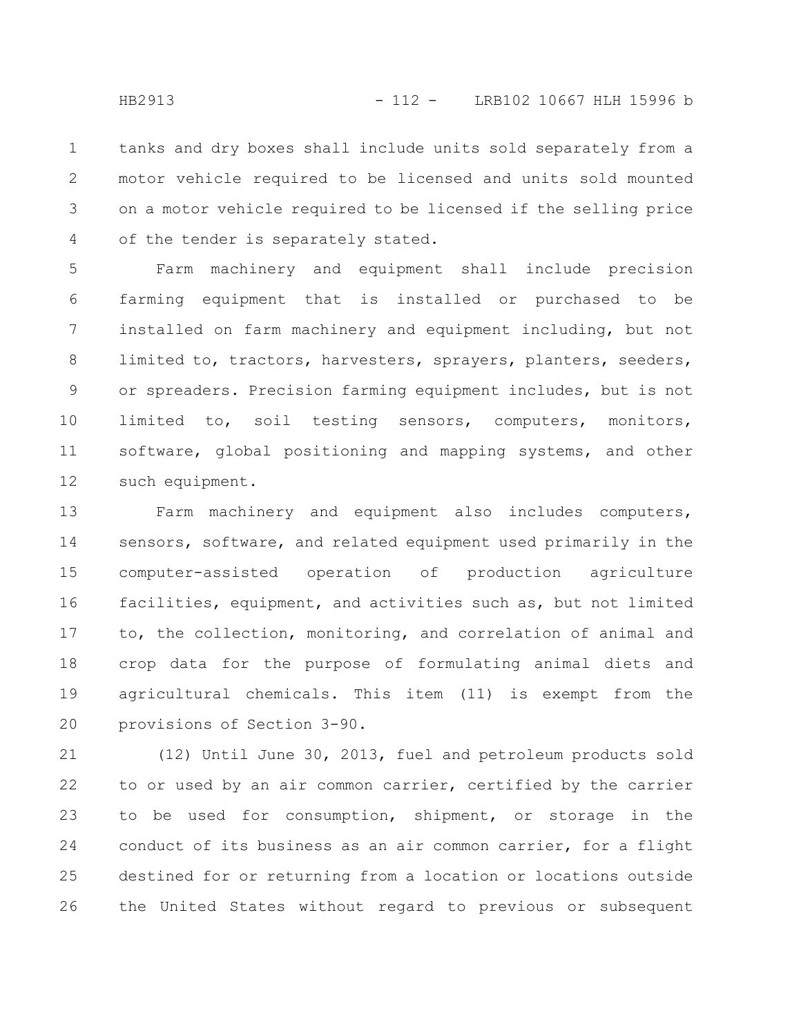tanks and dry boxes shall include units sold separately from a motor vehicle required to be licensed and units sold mounted on a motor vehicle required to be licensed if the selling price of the tender is separately stated. 1 2 3 4

Farm machinery and equipment shall include precision farming equipment that is installed or purchased to be installed on farm machinery and equipment including, but not limited to, tractors, harvesters, sprayers, planters, seeders, or spreaders. Precision farming equipment includes, but is not limited to, soil testing sensors, computers, monitors, software, global positioning and mapping systems, and other such equipment. 5 6 7 8 9 10 11 12

Farm machinery and equipment also includes computers, sensors, software, and related equipment used primarily in the computer-assisted operation of production agriculture facilities, equipment, and activities such as, but not limited to, the collection, monitoring, and correlation of animal and crop data for the purpose of formulating animal diets and agricultural chemicals. This item (11) is exempt from the provisions of Section 3-90. 13 14 15 16 17 18 19 20

(12) Until June 30, 2013, fuel and petroleum products sold to or used by an air common carrier, certified by the carrier to be used for consumption, shipment, or storage in the conduct of its business as an air common carrier, for a flight destined for or returning from a location or locations outside the United States without regard to previous or subsequent 21 22 23 24 25 26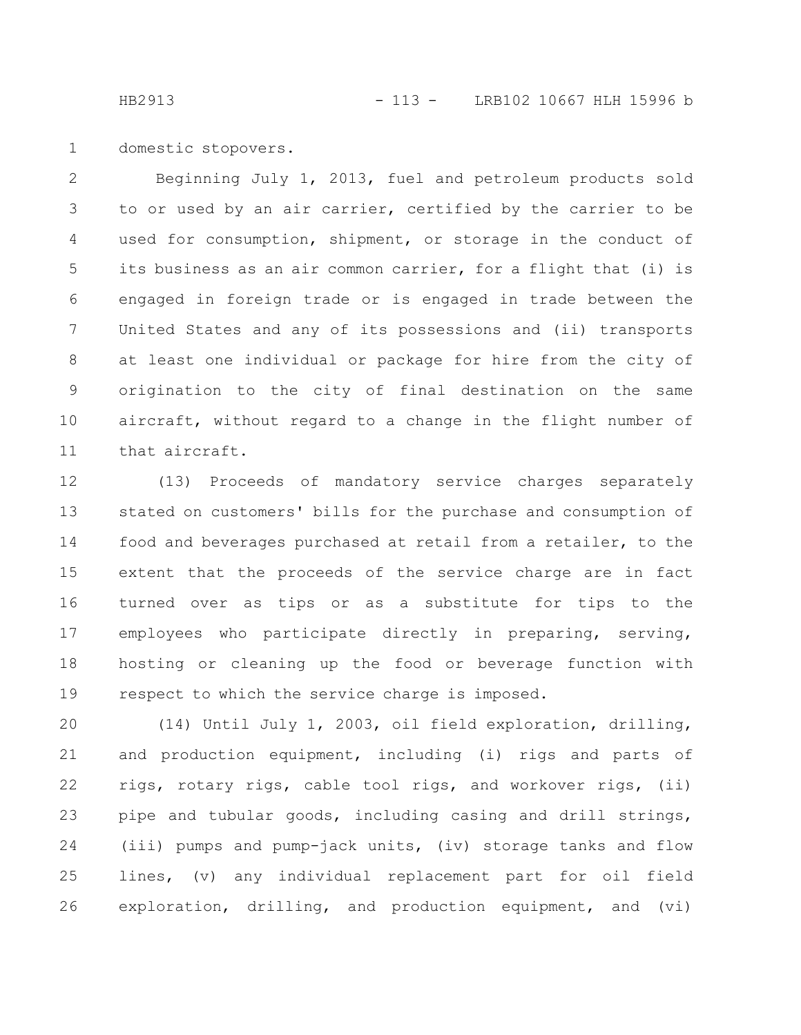domestic stopovers. 1

Beginning July 1, 2013, fuel and petroleum products sold to or used by an air carrier, certified by the carrier to be used for consumption, shipment, or storage in the conduct of its business as an air common carrier, for a flight that (i) is engaged in foreign trade or is engaged in trade between the United States and any of its possessions and (ii) transports at least one individual or package for hire from the city of origination to the city of final destination on the same aircraft, without regard to a change in the flight number of that aircraft. 2 3 4 5 6 7 8 9 10 11

(13) Proceeds of mandatory service charges separately stated on customers' bills for the purchase and consumption of food and beverages purchased at retail from a retailer, to the extent that the proceeds of the service charge are in fact turned over as tips or as a substitute for tips to the employees who participate directly in preparing, serving, hosting or cleaning up the food or beverage function with respect to which the service charge is imposed. 12 13 14 15 16 17 18 19

(14) Until July 1, 2003, oil field exploration, drilling, and production equipment, including (i) rigs and parts of rigs, rotary rigs, cable tool rigs, and workover rigs, (ii) pipe and tubular goods, including casing and drill strings, (iii) pumps and pump-jack units, (iv) storage tanks and flow lines, (v) any individual replacement part for oil field exploration, drilling, and production equipment, and (vi) 20 21 22 23 24 25 26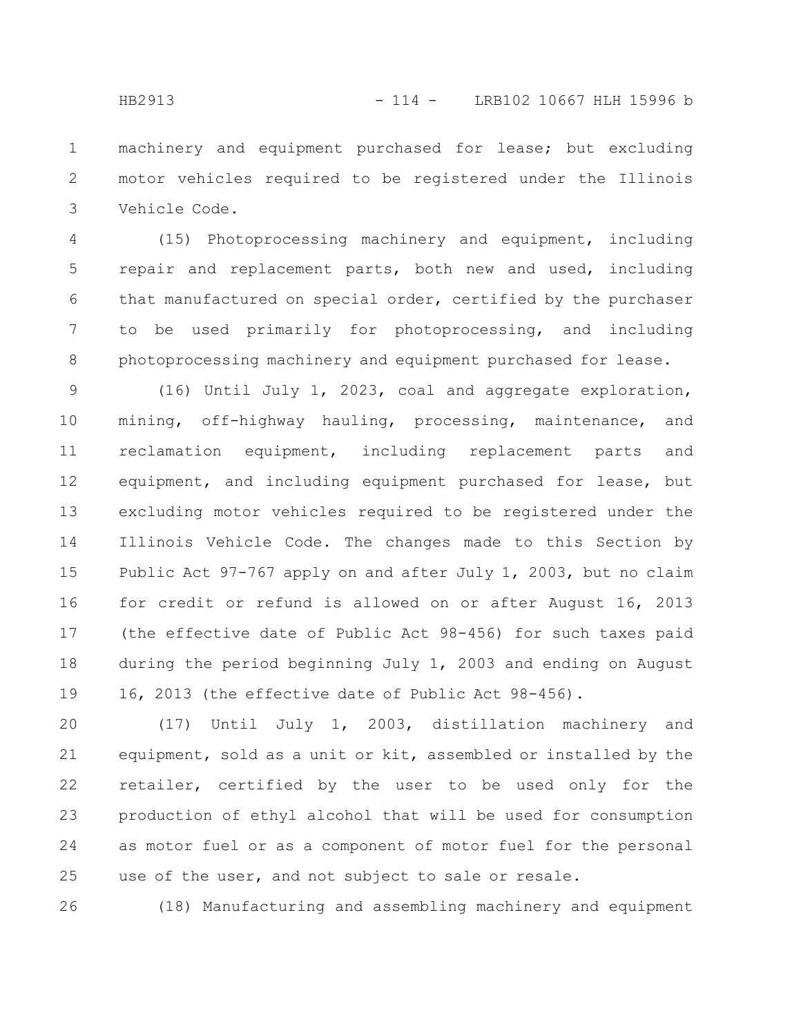machinery and equipment purchased for lease; but excluding motor vehicles required to be registered under the Illinois Vehicle Code. 1 2 3

(15) Photoprocessing machinery and equipment, including repair and replacement parts, both new and used, including that manufactured on special order, certified by the purchaser to be used primarily for photoprocessing, and including photoprocessing machinery and equipment purchased for lease. 4 5 6 7 8

(16) Until July 1, 2023, coal and aggregate exploration, mining, off-highway hauling, processing, maintenance, and reclamation equipment, including replacement parts and equipment, and including equipment purchased for lease, but excluding motor vehicles required to be registered under the Illinois Vehicle Code. The changes made to this Section by Public Act 97-767 apply on and after July 1, 2003, but no claim for credit or refund is allowed on or after August 16, 2013 (the effective date of Public Act 98-456) for such taxes paid during the period beginning July 1, 2003 and ending on August 16, 2013 (the effective date of Public Act 98-456). 9 10 11 12 13 14 15 16 17 18 19

(17) Until July 1, 2003, distillation machinery and equipment, sold as a unit or kit, assembled or installed by the retailer, certified by the user to be used only for the production of ethyl alcohol that will be used for consumption as motor fuel or as a component of motor fuel for the personal use of the user, and not subject to sale or resale. 20 21 22 23 24 25

(18) Manufacturing and assembling machinery and equipment 26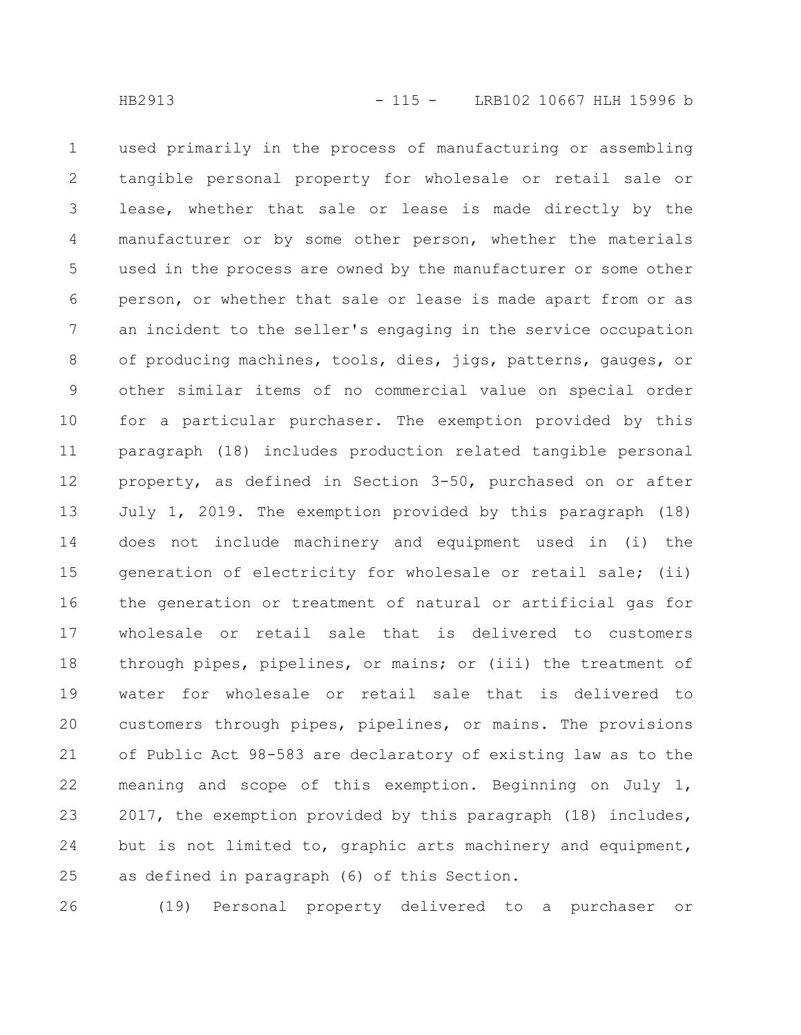used primarily in the process of manufacturing or assembling tangible personal property for wholesale or retail sale or lease, whether that sale or lease is made directly by the manufacturer or by some other person, whether the materials used in the process are owned by the manufacturer or some other person, or whether that sale or lease is made apart from or as an incident to the seller's engaging in the service occupation of producing machines, tools, dies, jigs, patterns, gauges, or other similar items of no commercial value on special order for a particular purchaser. The exemption provided by this paragraph (18) includes production related tangible personal property, as defined in Section 3-50, purchased on or after July 1, 2019. The exemption provided by this paragraph (18) does not include machinery and equipment used in (i) the generation of electricity for wholesale or retail sale; (ii) the generation or treatment of natural or artificial gas for wholesale or retail sale that is delivered to customers through pipes, pipelines, or mains; or (iii) the treatment of water for wholesale or retail sale that is delivered to customers through pipes, pipelines, or mains. The provisions of Public Act 98-583 are declaratory of existing law as to the meaning and scope of this exemption. Beginning on July 1, 2017, the exemption provided by this paragraph (18) includes, but is not limited to, graphic arts machinery and equipment, as defined in paragraph (6) of this Section. 1 2 3 4 5 6 7 8 9 10 11 12 13 14 15 16 17 18 19 20 21 22 23 24 25

(19) Personal property delivered to a purchaser or 26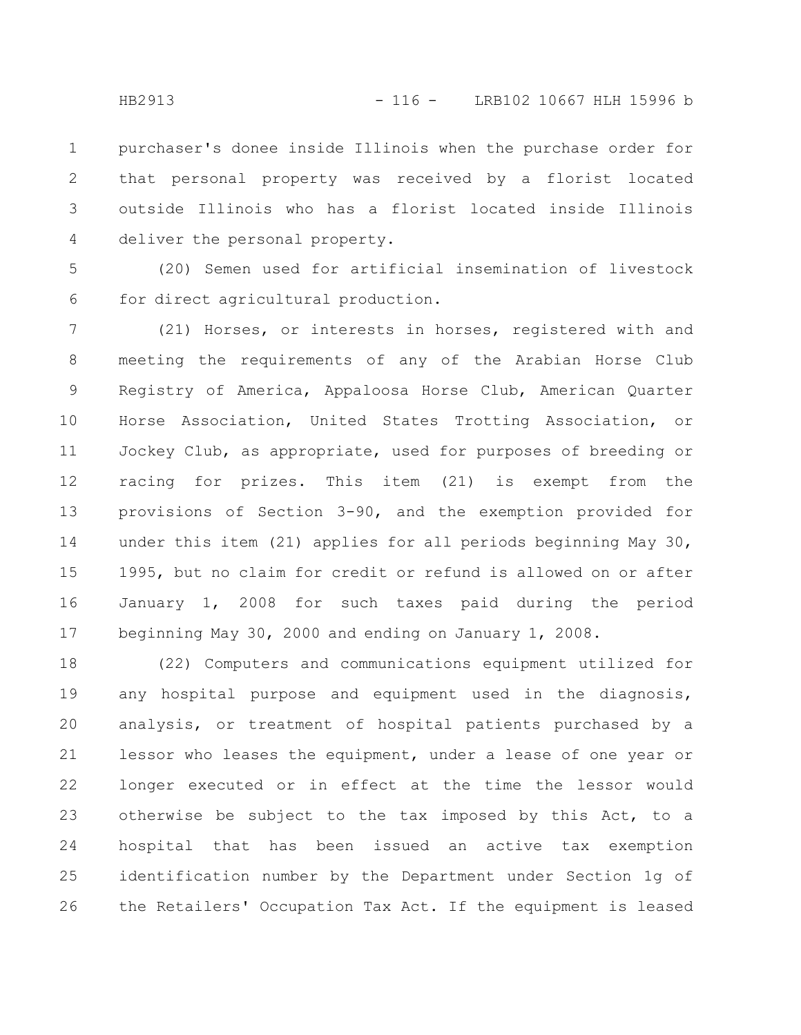purchaser's donee inside Illinois when the purchase order for that personal property was received by a florist located outside Illinois who has a florist located inside Illinois deliver the personal property. 1 2 3 4

(20) Semen used for artificial insemination of livestock for direct agricultural production. 5 6

(21) Horses, or interests in horses, registered with and meeting the requirements of any of the Arabian Horse Club Registry of America, Appaloosa Horse Club, American Quarter Horse Association, United States Trotting Association, or Jockey Club, as appropriate, used for purposes of breeding or racing for prizes. This item (21) is exempt from the provisions of Section 3-90, and the exemption provided for under this item (21) applies for all periods beginning May 30, 1995, but no claim for credit or refund is allowed on or after January 1, 2008 for such taxes paid during the period beginning May 30, 2000 and ending on January 1, 2008. 7 8 9 10 11 12 13 14 15 16 17

(22) Computers and communications equipment utilized for any hospital purpose and equipment used in the diagnosis, analysis, or treatment of hospital patients purchased by a lessor who leases the equipment, under a lease of one year or longer executed or in effect at the time the lessor would otherwise be subject to the tax imposed by this Act, to a hospital that has been issued an active tax exemption identification number by the Department under Section 1g of the Retailers' Occupation Tax Act. If the equipment is leased 18 19 20 21 22 23 24 25 26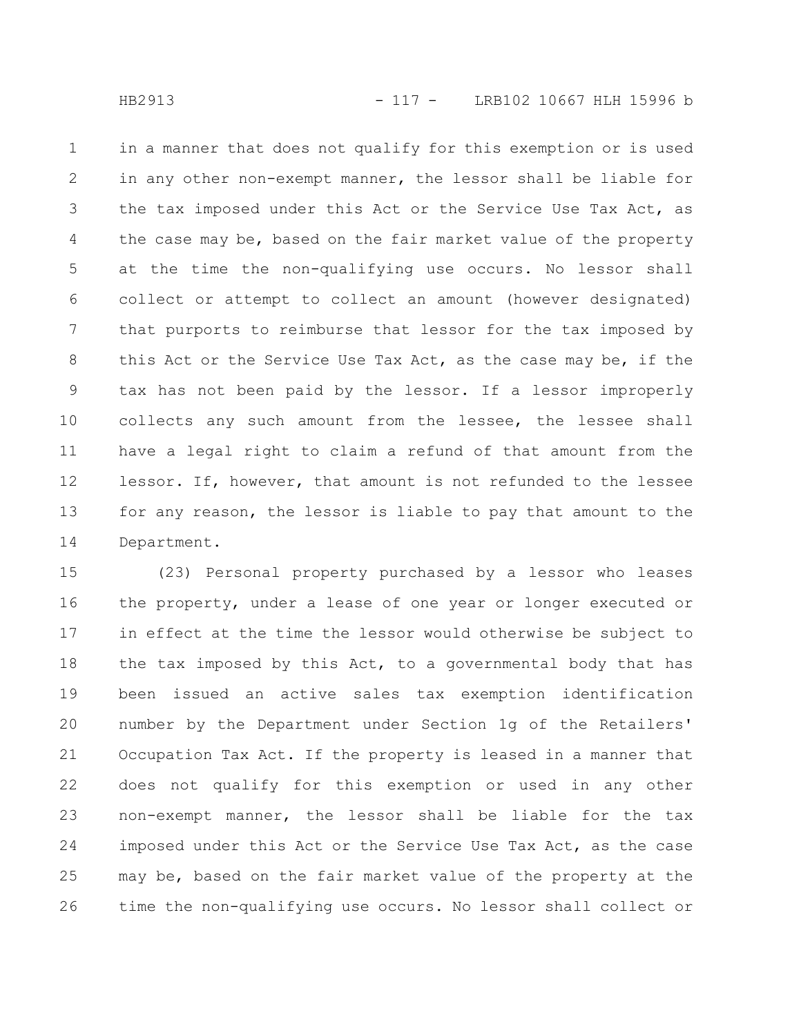in a manner that does not qualify for this exemption or is used in any other non-exempt manner, the lessor shall be liable for the tax imposed under this Act or the Service Use Tax Act, as the case may be, based on the fair market value of the property at the time the non-qualifying use occurs. No lessor shall collect or attempt to collect an amount (however designated) that purports to reimburse that lessor for the tax imposed by this Act or the Service Use Tax Act, as the case may be, if the tax has not been paid by the lessor. If a lessor improperly collects any such amount from the lessee, the lessee shall have a legal right to claim a refund of that amount from the lessor. If, however, that amount is not refunded to the lessee for any reason, the lessor is liable to pay that amount to the Department. 1 2 3 4 5 6 7 8 9 10 11 12 13 14

(23) Personal property purchased by a lessor who leases the property, under a lease of one year or longer executed or in effect at the time the lessor would otherwise be subject to the tax imposed by this Act, to a governmental body that has been issued an active sales tax exemption identification number by the Department under Section 1g of the Retailers' Occupation Tax Act. If the property is leased in a manner that does not qualify for this exemption or used in any other non-exempt manner, the lessor shall be liable for the tax imposed under this Act or the Service Use Tax Act, as the case may be, based on the fair market value of the property at the time the non-qualifying use occurs. No lessor shall collect or 15 16 17 18 19 20 21 22 23 24 25 26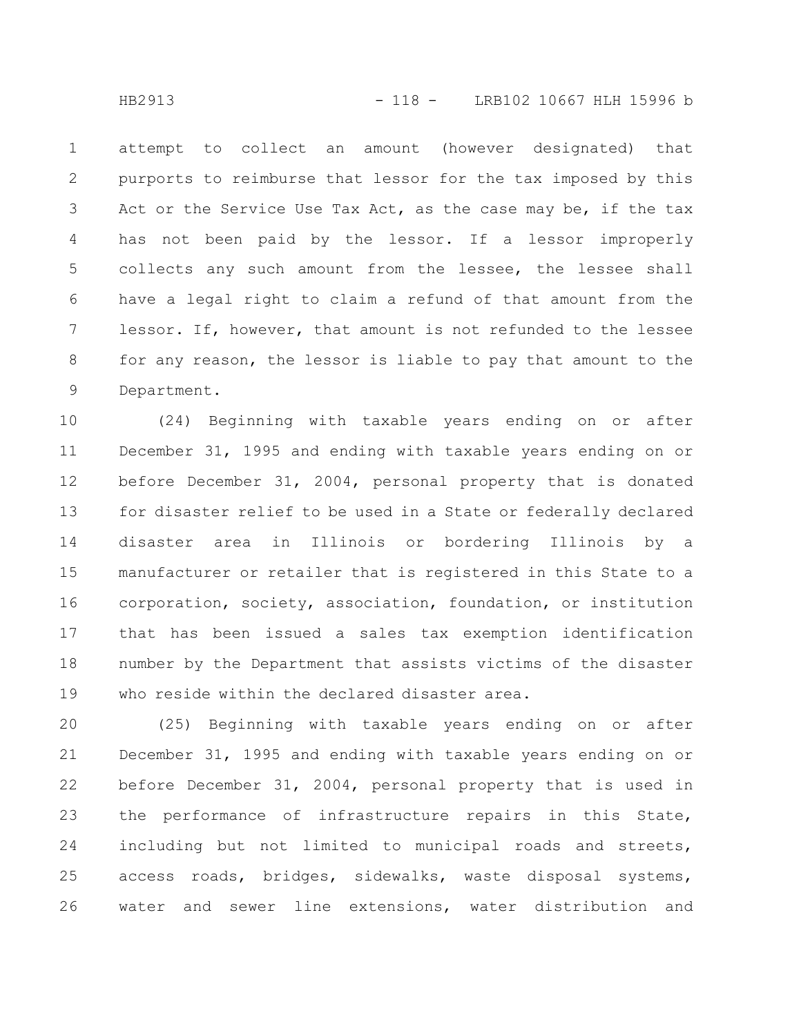attempt to collect an amount (however designated) that purports to reimburse that lessor for the tax imposed by this Act or the Service Use Tax Act, as the case may be, if the tax has not been paid by the lessor. If a lessor improperly collects any such amount from the lessee, the lessee shall have a legal right to claim a refund of that amount from the lessor. If, however, that amount is not refunded to the lessee for any reason, the lessor is liable to pay that amount to the Department. 1 2 3 4 5 6 7 8 9

(24) Beginning with taxable years ending on or after December 31, 1995 and ending with taxable years ending on or before December 31, 2004, personal property that is donated for disaster relief to be used in a State or federally declared disaster area in Illinois or bordering Illinois by a manufacturer or retailer that is registered in this State to a corporation, society, association, foundation, or institution that has been issued a sales tax exemption identification number by the Department that assists victims of the disaster who reside within the declared disaster area. 10 11 12 13 14 15 16 17 18 19

(25) Beginning with taxable years ending on or after December 31, 1995 and ending with taxable years ending on or before December 31, 2004, personal property that is used in the performance of infrastructure repairs in this State, including but not limited to municipal roads and streets, access roads, bridges, sidewalks, waste disposal systems, water and sewer line extensions, water distribution and 20 21 22 23 24 25 26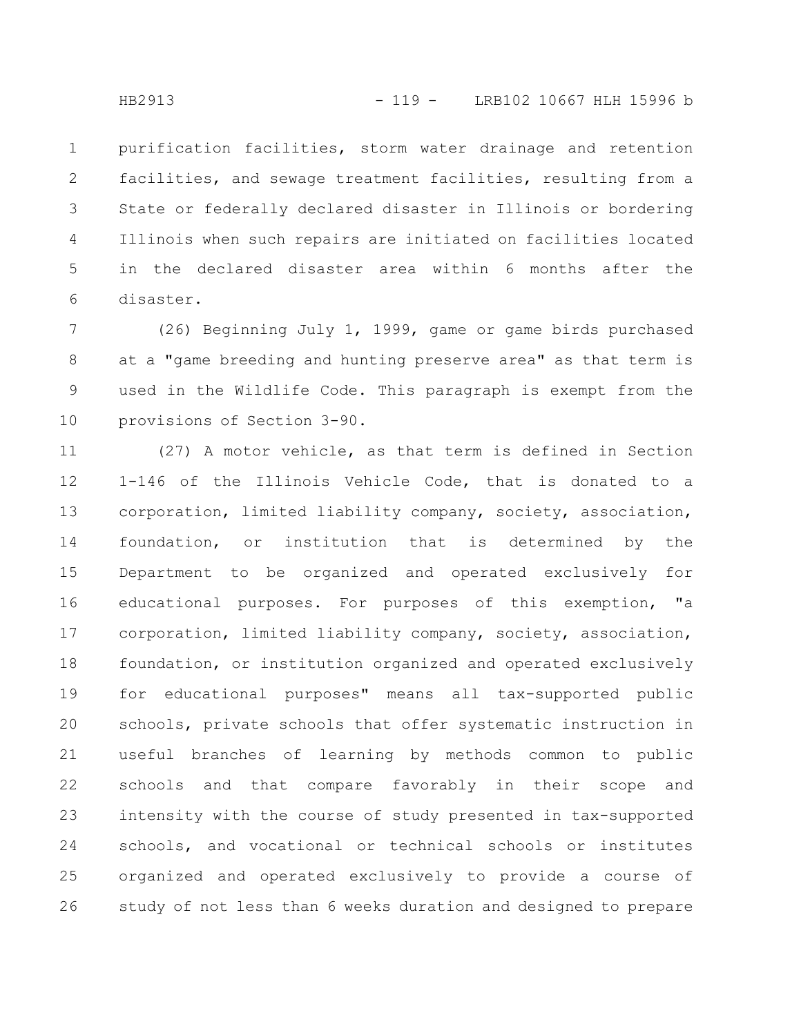purification facilities, storm water drainage and retention facilities, and sewage treatment facilities, resulting from a State or federally declared disaster in Illinois or bordering Illinois when such repairs are initiated on facilities located in the declared disaster area within 6 months after the disaster. 1 2 3 4 5 6

(26) Beginning July 1, 1999, game or game birds purchased at a "game breeding and hunting preserve area" as that term is used in the Wildlife Code. This paragraph is exempt from the provisions of Section 3-90. 7 8 9 10

(27) A motor vehicle, as that term is defined in Section 1-146 of the Illinois Vehicle Code, that is donated to a corporation, limited liability company, society, association, foundation, or institution that is determined by the Department to be organized and operated exclusively for educational purposes. For purposes of this exemption, "a corporation, limited liability company, society, association, foundation, or institution organized and operated exclusively for educational purposes" means all tax-supported public schools, private schools that offer systematic instruction in useful branches of learning by methods common to public schools and that compare favorably in their scope and intensity with the course of study presented in tax-supported schools, and vocational or technical schools or institutes organized and operated exclusively to provide a course of study of not less than 6 weeks duration and designed to prepare 11 12 13 14 15 16 17 18 19 20 21 22 23 24 25 26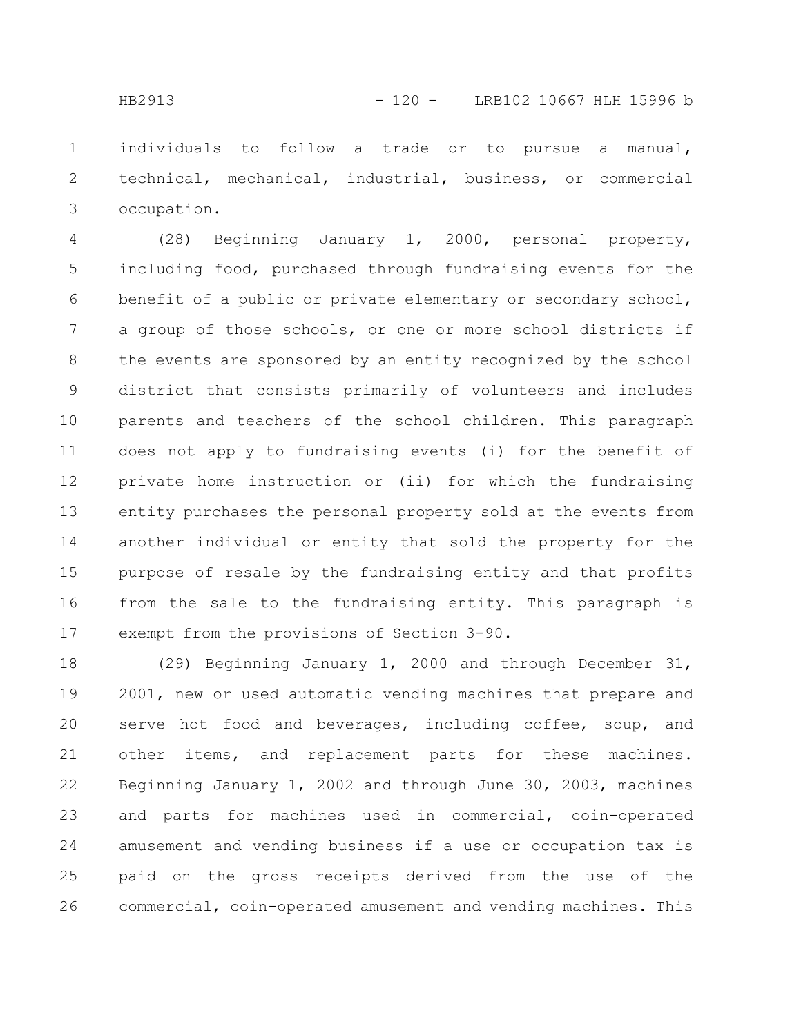individuals to follow a trade or to pursue a manual, technical, mechanical, industrial, business, or commercial occupation. 1 2 3

(28) Beginning January 1, 2000, personal property, including food, purchased through fundraising events for the benefit of a public or private elementary or secondary school, a group of those schools, or one or more school districts if the events are sponsored by an entity recognized by the school district that consists primarily of volunteers and includes parents and teachers of the school children. This paragraph does not apply to fundraising events (i) for the benefit of private home instruction or (ii) for which the fundraising entity purchases the personal property sold at the events from another individual or entity that sold the property for the purpose of resale by the fundraising entity and that profits from the sale to the fundraising entity. This paragraph is exempt from the provisions of Section 3-90. 4 5 6 7 8 9 10 11 12 13 14 15 16 17

(29) Beginning January 1, 2000 and through December 31, 2001, new or used automatic vending machines that prepare and serve hot food and beverages, including coffee, soup, and other items, and replacement parts for these machines. Beginning January 1, 2002 and through June 30, 2003, machines and parts for machines used in commercial, coin-operated amusement and vending business if a use or occupation tax is paid on the gross receipts derived from the use of the commercial, coin-operated amusement and vending machines. This 18 19 20 21 22 23 24 25 26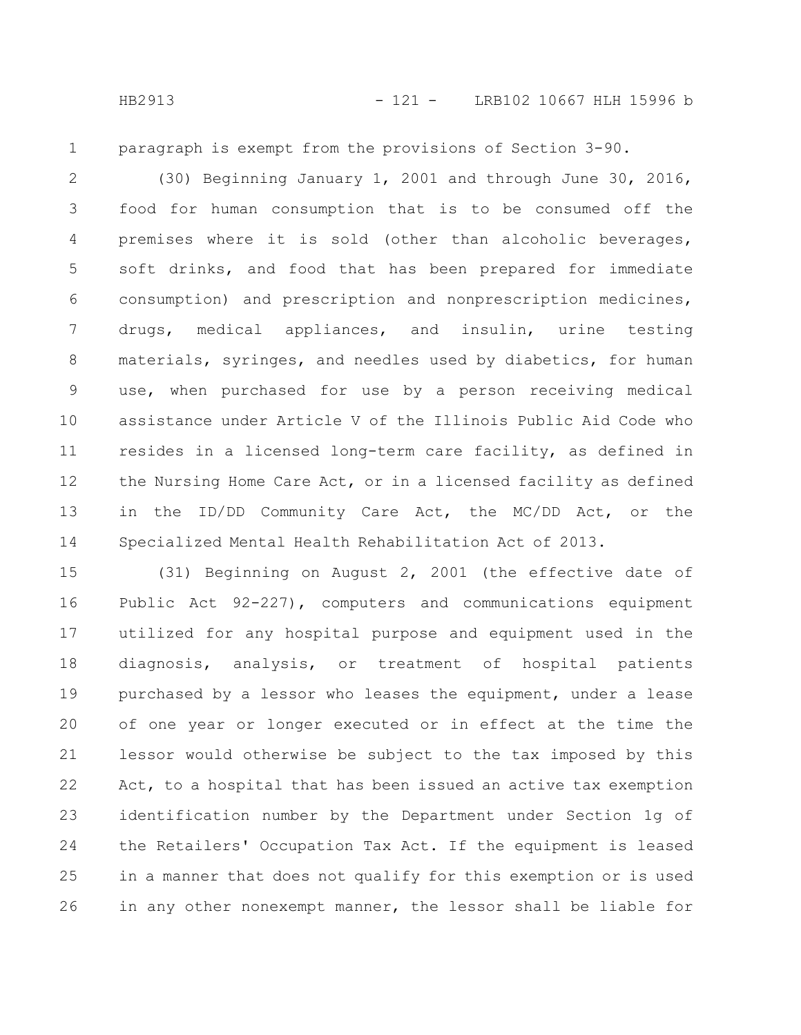1

paragraph is exempt from the provisions of Section 3-90.

(30) Beginning January 1, 2001 and through June 30, 2016, food for human consumption that is to be consumed off the premises where it is sold (other than alcoholic beverages, soft drinks, and food that has been prepared for immediate consumption) and prescription and nonprescription medicines, drugs, medical appliances, and insulin, urine testing materials, syringes, and needles used by diabetics, for human use, when purchased for use by a person receiving medical assistance under Article V of the Illinois Public Aid Code who resides in a licensed long-term care facility, as defined in the Nursing Home Care Act, or in a licensed facility as defined in the ID/DD Community Care Act, the MC/DD Act, or the Specialized Mental Health Rehabilitation Act of 2013. 2 3 4 5 6 7 8 9 10 11 12 13 14

(31) Beginning on August 2, 2001 (the effective date of Public Act 92-227), computers and communications equipment utilized for any hospital purpose and equipment used in the diagnosis, analysis, or treatment of hospital patients purchased by a lessor who leases the equipment, under a lease of one year or longer executed or in effect at the time the lessor would otherwise be subject to the tax imposed by this Act, to a hospital that has been issued an active tax exemption identification number by the Department under Section 1g of the Retailers' Occupation Tax Act. If the equipment is leased in a manner that does not qualify for this exemption or is used in any other nonexempt manner, the lessor shall be liable for 15 16 17 18 19 20 21 22 23 24 25 26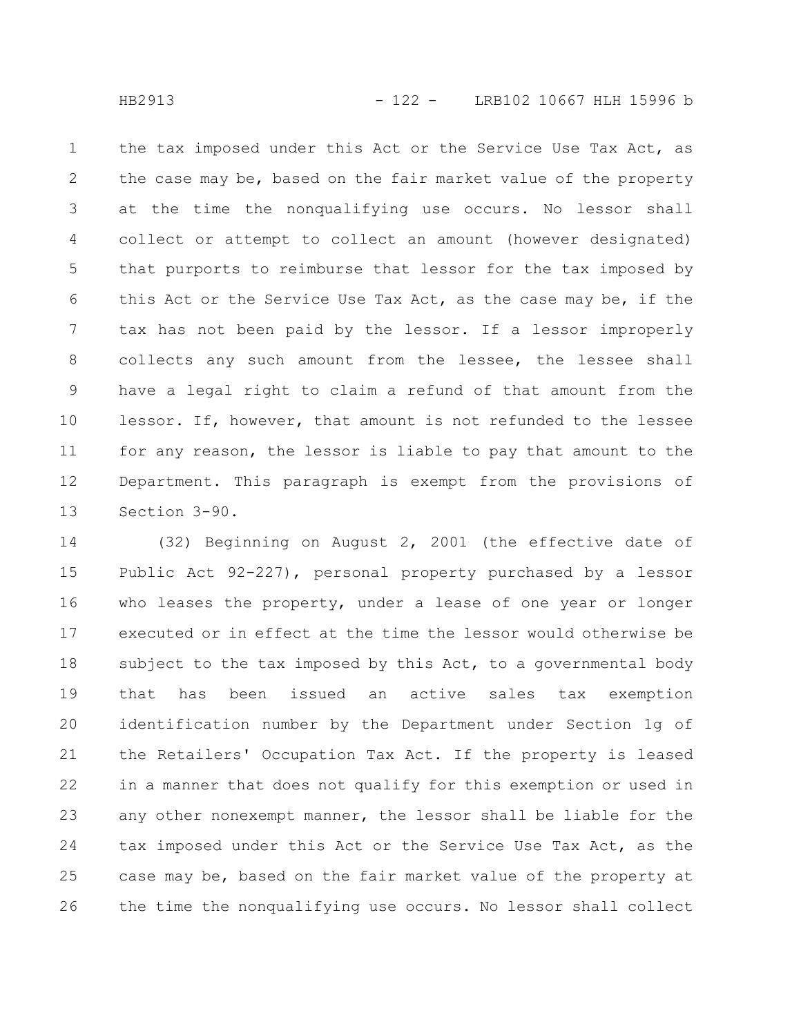the tax imposed under this Act or the Service Use Tax Act, as the case may be, based on the fair market value of the property at the time the nonqualifying use occurs. No lessor shall collect or attempt to collect an amount (however designated) that purports to reimburse that lessor for the tax imposed by this Act or the Service Use Tax Act, as the case may be, if the tax has not been paid by the lessor. If a lessor improperly collects any such amount from the lessee, the lessee shall have a legal right to claim a refund of that amount from the lessor. If, however, that amount is not refunded to the lessee for any reason, the lessor is liable to pay that amount to the Department. This paragraph is exempt from the provisions of Section 3-90. 1 2 3 4 5 6 7 8 9 10 11 12 13

(32) Beginning on August 2, 2001 (the effective date of Public Act 92-227), personal property purchased by a lessor who leases the property, under a lease of one year or longer executed or in effect at the time the lessor would otherwise be subject to the tax imposed by this Act, to a governmental body that has been issued an active sales tax exemption identification number by the Department under Section 1g of the Retailers' Occupation Tax Act. If the property is leased in a manner that does not qualify for this exemption or used in any other nonexempt manner, the lessor shall be liable for the tax imposed under this Act or the Service Use Tax Act, as the case may be, based on the fair market value of the property at the time the nonqualifying use occurs. No lessor shall collect 14 15 16 17 18 19 20 21 22 23 24 25 26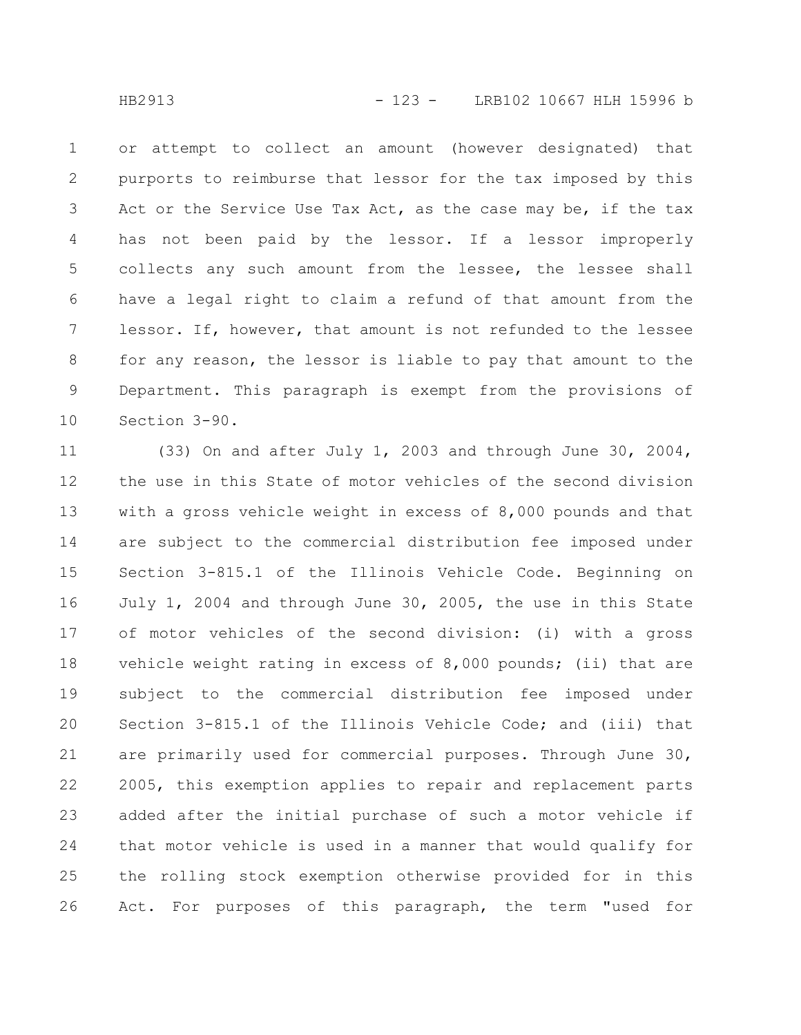or attempt to collect an amount (however designated) that purports to reimburse that lessor for the tax imposed by this Act or the Service Use Tax Act, as the case may be, if the tax has not been paid by the lessor. If a lessor improperly collects any such amount from the lessee, the lessee shall have a legal right to claim a refund of that amount from the lessor. If, however, that amount is not refunded to the lessee for any reason, the lessor is liable to pay that amount to the Department. This paragraph is exempt from the provisions of Section 3-90. 1 2 3 4 5 6 7 8 9 10

(33) On and after July 1, 2003 and through June 30, 2004, the use in this State of motor vehicles of the second division with a gross vehicle weight in excess of 8,000 pounds and that are subject to the commercial distribution fee imposed under Section 3-815.1 of the Illinois Vehicle Code. Beginning on July 1, 2004 and through June 30, 2005, the use in this State of motor vehicles of the second division: (i) with a gross vehicle weight rating in excess of 8,000 pounds; (ii) that are subject to the commercial distribution fee imposed under Section 3-815.1 of the Illinois Vehicle Code; and (iii) that are primarily used for commercial purposes. Through June 30, 2005, this exemption applies to repair and replacement parts added after the initial purchase of such a motor vehicle if that motor vehicle is used in a manner that would qualify for the rolling stock exemption otherwise provided for in this Act. For purposes of this paragraph, the term "used for 11 12 13 14 15 16 17 18 19 20 21 22 23 24 25 26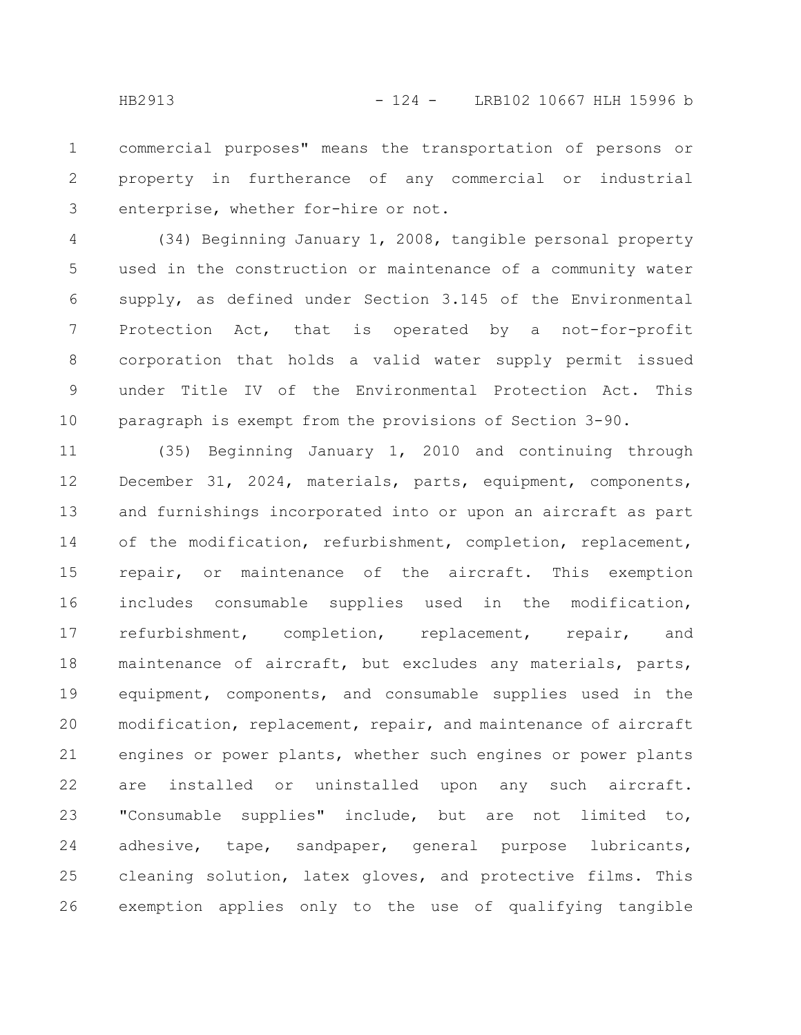commercial purposes" means the transportation of persons or property in furtherance of any commercial or industrial enterprise, whether for-hire or not. 1 2 3

(34) Beginning January 1, 2008, tangible personal property used in the construction or maintenance of a community water supply, as defined under Section 3.145 of the Environmental Protection Act, that is operated by a not-for-profit corporation that holds a valid water supply permit issued under Title IV of the Environmental Protection Act. This paragraph is exempt from the provisions of Section 3-90. 4 5 6 7 8 9 10

(35) Beginning January 1, 2010 and continuing through December 31, 2024, materials, parts, equipment, components, and furnishings incorporated into or upon an aircraft as part of the modification, refurbishment, completion, replacement, repair, or maintenance of the aircraft. This exemption includes consumable supplies used in the modification, refurbishment, completion, replacement, repair, and maintenance of aircraft, but excludes any materials, parts, equipment, components, and consumable supplies used in the modification, replacement, repair, and maintenance of aircraft engines or power plants, whether such engines or power plants are installed or uninstalled upon any such aircraft. "Consumable supplies" include, but are not limited to, adhesive, tape, sandpaper, general purpose lubricants, cleaning solution, latex gloves, and protective films. This exemption applies only to the use of qualifying tangible 11 12 13 14 15 16 17 18 19 20 21 22 23 24 25 26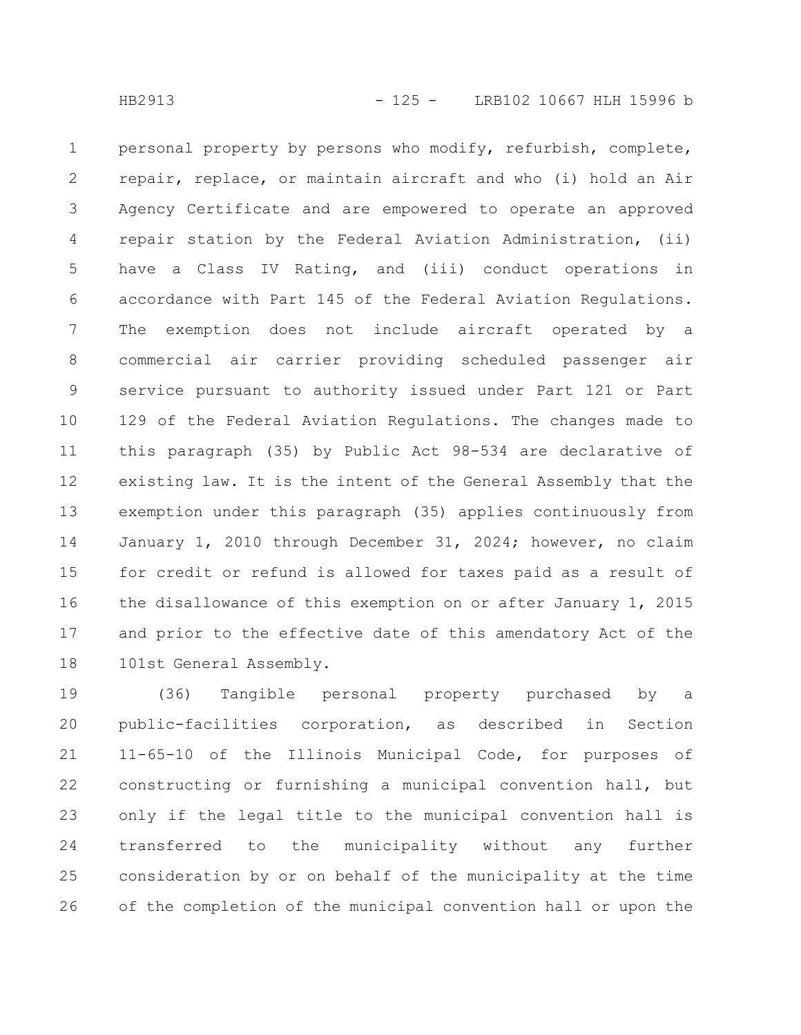personal property by persons who modify, refurbish, complete, repair, replace, or maintain aircraft and who (i) hold an Air Agency Certificate and are empowered to operate an approved repair station by the Federal Aviation Administration, (ii) have a Class IV Rating, and (iii) conduct operations in accordance with Part 145 of the Federal Aviation Regulations. The exemption does not include aircraft operated by a commercial air carrier providing scheduled passenger air service pursuant to authority issued under Part 121 or Part 129 of the Federal Aviation Regulations. The changes made to this paragraph (35) by Public Act 98-534 are declarative of existing law. It is the intent of the General Assembly that the exemption under this paragraph (35) applies continuously from January 1, 2010 through December 31, 2024; however, no claim for credit or refund is allowed for taxes paid as a result of the disallowance of this exemption on or after January 1, 2015 and prior to the effective date of this amendatory Act of the 101st General Assembly. 1 2 3 4 5 6 7 8 9 10 11 12 13 14 15 16 17 18

(36) Tangible personal property purchased by a public-facilities corporation, as described in Section 11-65-10 of the Illinois Municipal Code, for purposes of constructing or furnishing a municipal convention hall, but only if the legal title to the municipal convention hall is transferred to the municipality without any further consideration by or on behalf of the municipality at the time of the completion of the municipal convention hall or upon the 19 20 21 22 23 24 25 26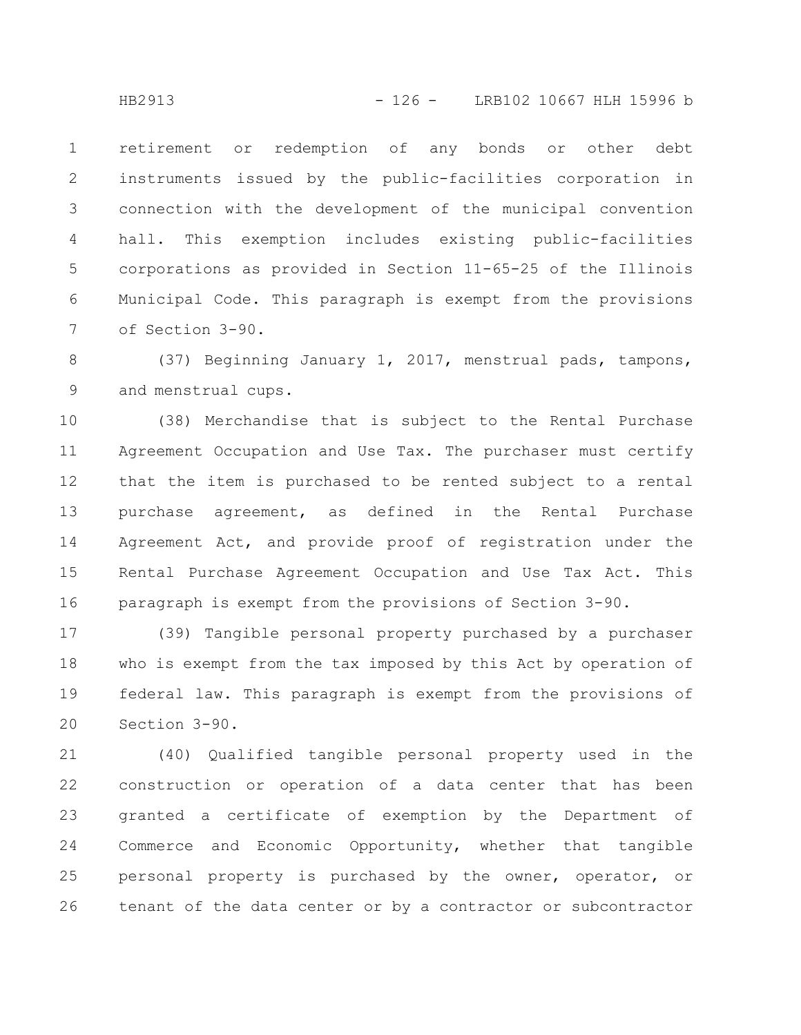retirement or redemption of any bonds or other debt instruments issued by the public-facilities corporation in connection with the development of the municipal convention hall. This exemption includes existing public-facilities corporations as provided in Section 11-65-25 of the Illinois Municipal Code. This paragraph is exempt from the provisions of Section 3-90. 1 2 3 4 5 6 7

(37) Beginning January 1, 2017, menstrual pads, tampons, and menstrual cups. 8 9

(38) Merchandise that is subject to the Rental Purchase Agreement Occupation and Use Tax. The purchaser must certify that the item is purchased to be rented subject to a rental purchase agreement, as defined in the Rental Purchase Agreement Act, and provide proof of registration under the Rental Purchase Agreement Occupation and Use Tax Act. This paragraph is exempt from the provisions of Section 3-90. 10 11 12 13 14 15 16

(39) Tangible personal property purchased by a purchaser who is exempt from the tax imposed by this Act by operation of federal law. This paragraph is exempt from the provisions of Section 3-90. 17 18 19 20

(40) Qualified tangible personal property used in the construction or operation of a data center that has been granted a certificate of exemption by the Department of Commerce and Economic Opportunity, whether that tangible personal property is purchased by the owner, operator, or tenant of the data center or by a contractor or subcontractor 21 22 23 24 25 26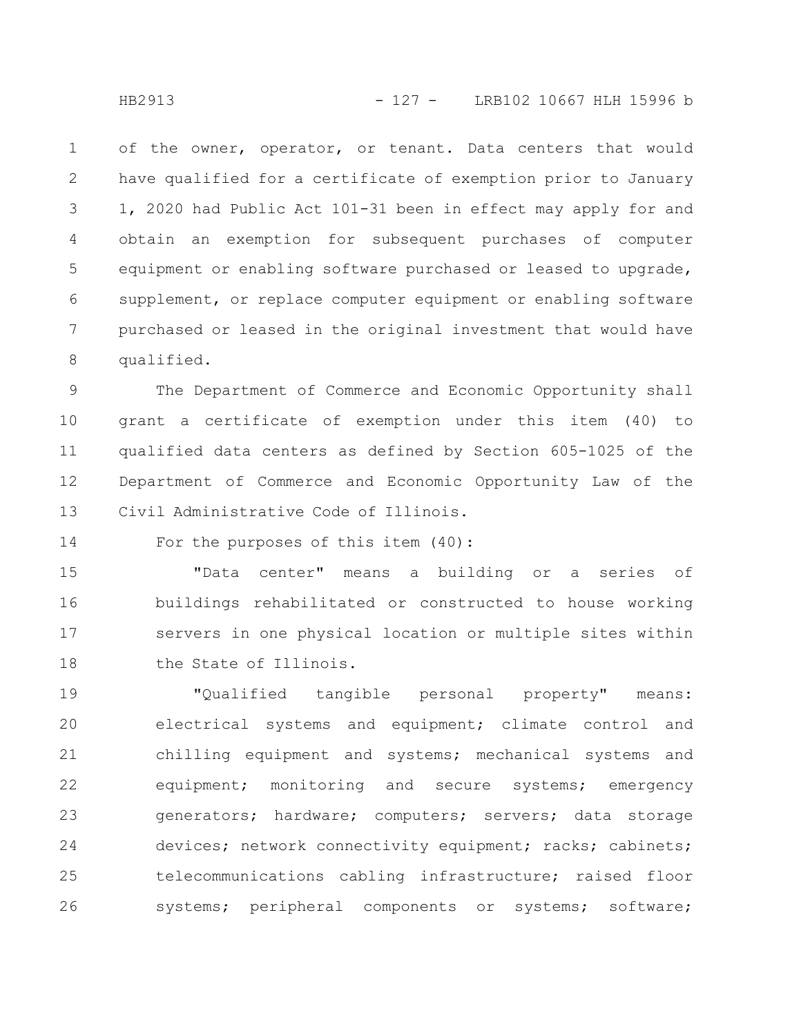of the owner, operator, or tenant. Data centers that would have qualified for a certificate of exemption prior to January 1, 2020 had Public Act 101-31 been in effect may apply for and obtain an exemption for subsequent purchases of computer equipment or enabling software purchased or leased to upgrade, supplement, or replace computer equipment or enabling software purchased or leased in the original investment that would have qualified. 1 2 3 4 5 6 7 8

The Department of Commerce and Economic Opportunity shall grant a certificate of exemption under this item (40) to qualified data centers as defined by Section 605-1025 of the Department of Commerce and Economic Opportunity Law of the Civil Administrative Code of Illinois. 9 10 11 12 13

For the purposes of this item (40): 14

"Data center" means a building or a series of buildings rehabilitated or constructed to house working servers in one physical location or multiple sites within the State of Illinois. 15 16 17 18

"Qualified tangible personal property" means: electrical systems and equipment; climate control and chilling equipment and systems; mechanical systems and equipment; monitoring and secure systems; emergency generators; hardware; computers; servers; data storage devices; network connectivity equipment; racks; cabinets; telecommunications cabling infrastructure; raised floor systems; peripheral components or systems; software; 19 20 21 22 23 24 25 26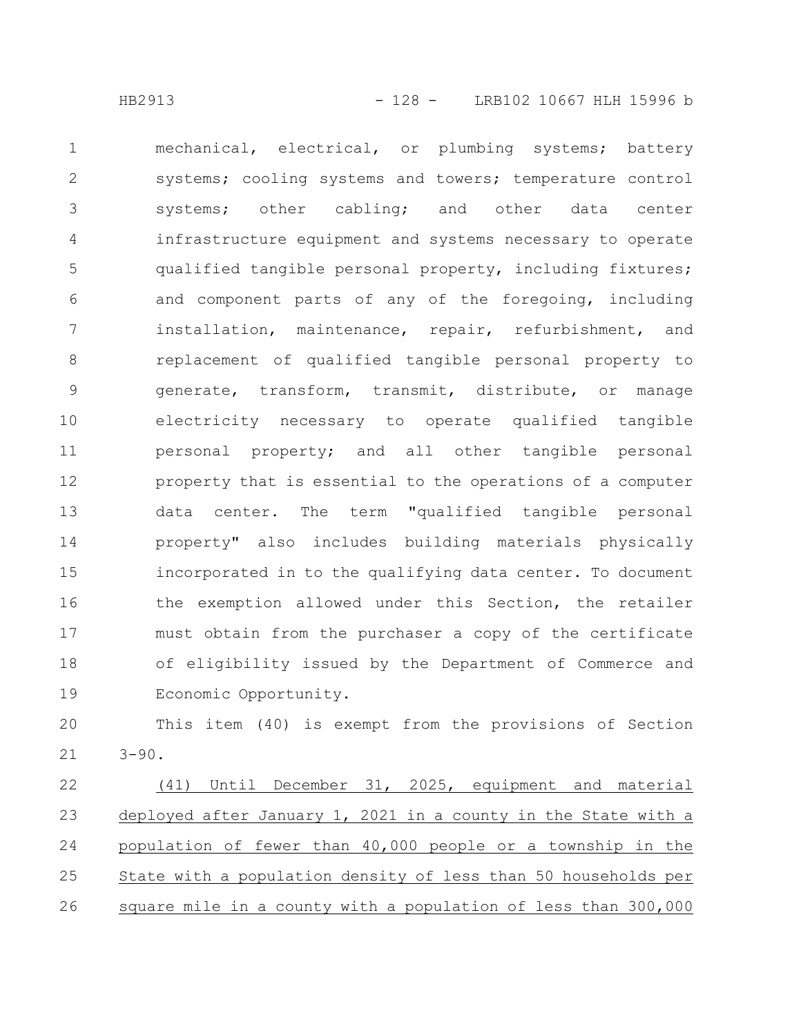mechanical, electrical, or plumbing systems; battery systems; cooling systems and towers; temperature control systems; other cabling; and other data center infrastructure equipment and systems necessary to operate qualified tangible personal property, including fixtures; and component parts of any of the foregoing, including installation, maintenance, repair, refurbishment, and replacement of qualified tangible personal property to generate, transform, transmit, distribute, or manage electricity necessary to operate qualified tangible personal property; and all other tangible personal property that is essential to the operations of a computer data center. The term "qualified tangible personal property" also includes building materials physically incorporated in to the qualifying data center. To document the exemption allowed under this Section, the retailer must obtain from the purchaser a copy of the certificate of eligibility issued by the Department of Commerce and Economic Opportunity. 1 2 3 4 5 6 7 8 9 10 11 12 13 14 15 16 17 18 19

This item (40) is exempt from the provisions of Section  $3 - 90.$ 20 21

(41) Until December 31, 2025, equipment and material deployed after January 1, 2021 in a county in the State with a population of fewer than 40,000 people or a township in the State with a population density of less than 50 households per square mile in a county with a population of less than 300,000 22 23 24 25 26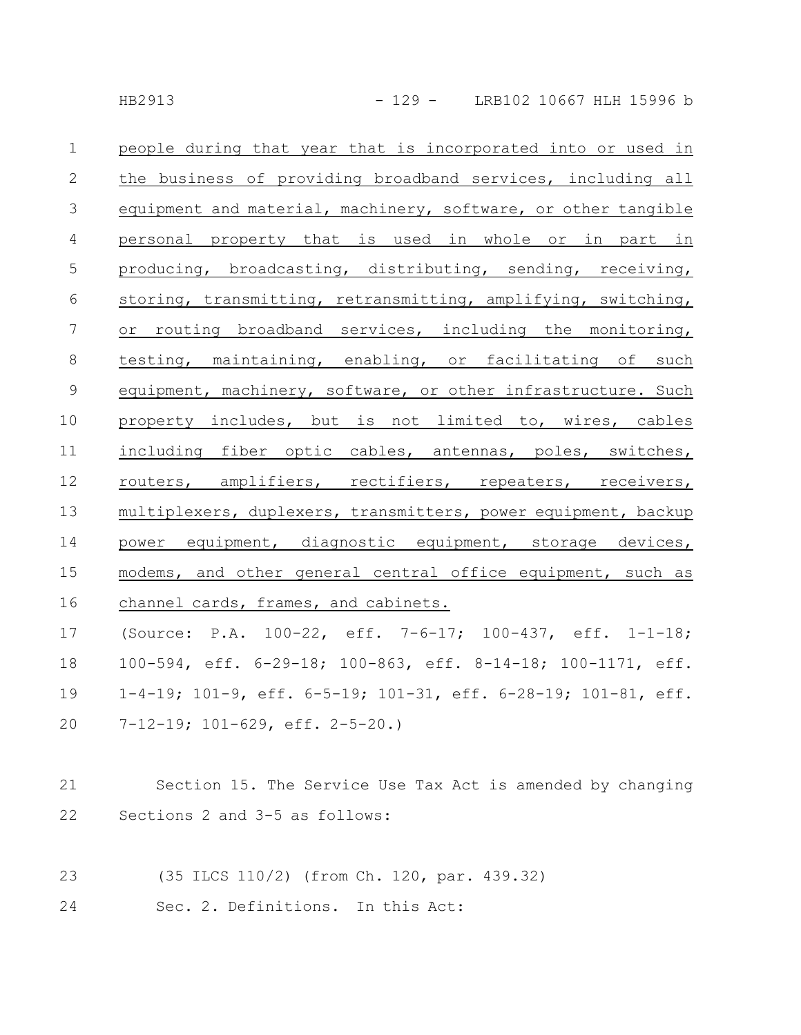| $\mathbf 1$     | people during that year that is incorporated into or used in                     |
|-----------------|----------------------------------------------------------------------------------|
| $\mathbf{2}$    | the business of providing broadband services, including all                      |
| $\mathfrak{Z}$  | equipment and material, machinery, software, or other tangible                   |
| $\overline{4}$  | personal property that is used in whole or in part in                            |
| $\mathsf S$     | producing, broadcasting, distributing, sending, receiving,                       |
| 6               | storing, transmitting, retransmitting, amplifying, switching,                    |
| $7\phantom{.0}$ | or routing broadband services, including the monitoring,                         |
| $\,8\,$         | testing, maintaining, enabling, or facilitating of such                          |
| $\mathsf 9$     | equipment, machinery, software, or other infrastructure. Such                    |
| 10              | property includes, but is not limited to, wires, cables                          |
| 11              | including fiber optic cables, antennas, poles, switches,                         |
| 12              | routers, amplifiers, rectifiers, repeaters, receivers,                           |
| 13              | multiplexers, duplexers, transmitters, power equipment, backup                   |
| 14              | power equipment, diagnostic equipment, storage devices,                          |
| 15              | modems, and other general central office equipment, such as                      |
| 16              | channel cards, frames, and cabinets.                                             |
| 17              | (Source: P.A. 100-22, eff. 7-6-17; 100-437, eff. 1-1-18;                         |
| 18              | 100-594, eff. 6-29-18; 100-863, eff. 8-14-18; 100-1171, eff.                     |
| 19              | $1-4-19$ ; $101-9$ , eff. $6-5-19$ ; $101-31$ , eff. $6-28-19$ ; $101-81$ , eff. |
| 20              | 7-12-19; 101-629, eff. 2-5-20.)                                                  |
|                 |                                                                                  |
| 21              | Section 15. The Service Use Tax Act is amended by changing                       |
| 22              | Sections 2 and 3-5 as follows:                                                   |
|                 |                                                                                  |
| 23              | (35 ILCS 110/2) (from Ch. 120, par. 439.32)                                      |
| 24              | Sec. 2. Definitions. In this Act:                                                |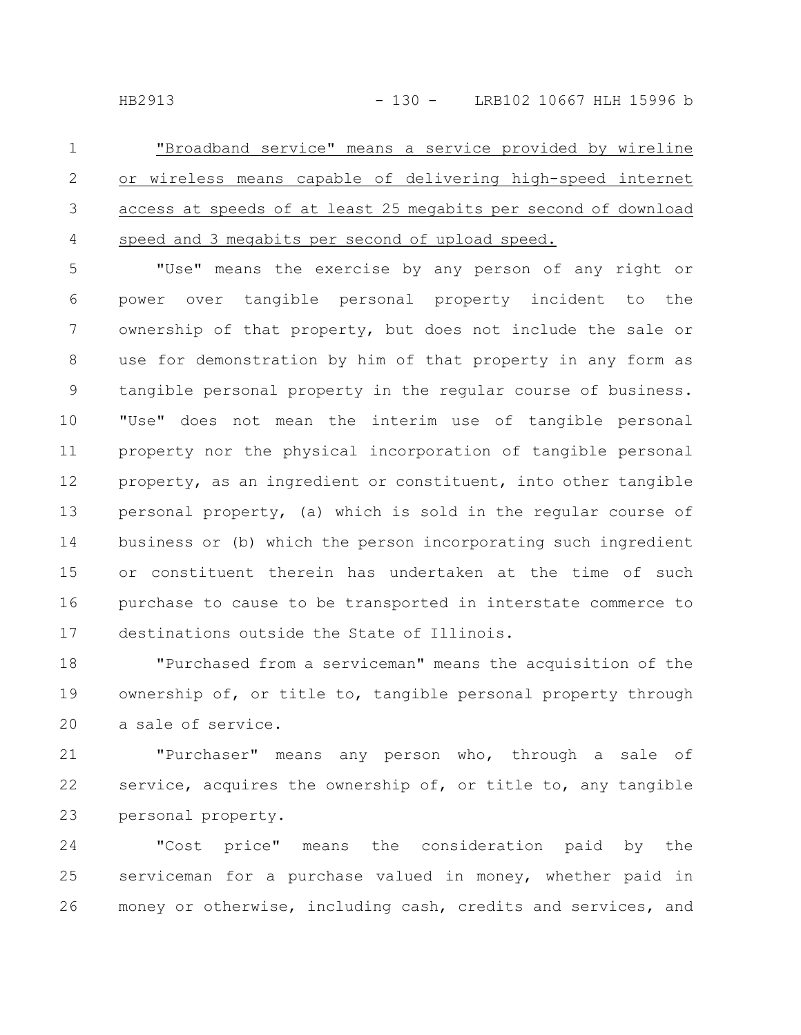"Broadband service" means a service provided by wireline or wireless means capable of delivering high-speed internet access at speeds of at least 25 megabits per second of download speed and 3 megabits per second of upload speed. 1 2 3 4

"Use" means the exercise by any person of any right or power over tangible personal property incident to the ownership of that property, but does not include the sale or use for demonstration by him of that property in any form as tangible personal property in the regular course of business. "Use" does not mean the interim use of tangible personal property nor the physical incorporation of tangible personal property, as an ingredient or constituent, into other tangible personal property, (a) which is sold in the regular course of business or (b) which the person incorporating such ingredient or constituent therein has undertaken at the time of such purchase to cause to be transported in interstate commerce to destinations outside the State of Illinois. 5 6 7 8 9 10 11 12 13 14 15 16 17

"Purchased from a serviceman" means the acquisition of the ownership of, or title to, tangible personal property through a sale of service. 18 19 20

"Purchaser" means any person who, through a sale of service, acquires the ownership of, or title to, any tangible personal property. 21 22 23

"Cost price" means the consideration paid by the serviceman for a purchase valued in money, whether paid in money or otherwise, including cash, credits and services, and 24 25 26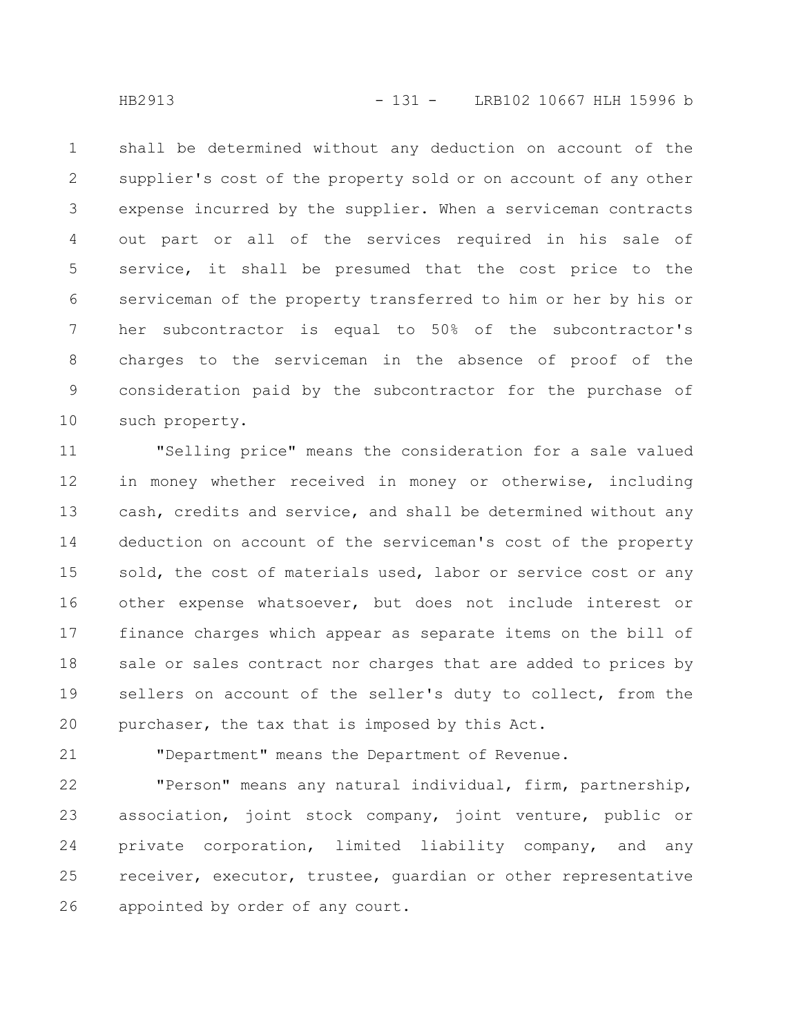shall be determined without any deduction on account of the supplier's cost of the property sold or on account of any other expense incurred by the supplier. When a serviceman contracts out part or all of the services required in his sale of service, it shall be presumed that the cost price to the serviceman of the property transferred to him or her by his or her subcontractor is equal to 50% of the subcontractor's charges to the serviceman in the absence of proof of the consideration paid by the subcontractor for the purchase of such property. 1 2 3 4 5 6 7 8 9 10

"Selling price" means the consideration for a sale valued in money whether received in money or otherwise, including cash, credits and service, and shall be determined without any deduction on account of the serviceman's cost of the property sold, the cost of materials used, labor or service cost or any other expense whatsoever, but does not include interest or finance charges which appear as separate items on the bill of sale or sales contract nor charges that are added to prices by sellers on account of the seller's duty to collect, from the purchaser, the tax that is imposed by this Act. 11 12 13 14 15 16 17 18 19 20

"Department" means the Department of Revenue.

"Person" means any natural individual, firm, partnership, association, joint stock company, joint venture, public or private corporation, limited liability company, and any receiver, executor, trustee, guardian or other representative appointed by order of any court. 22 23 24 25 26

21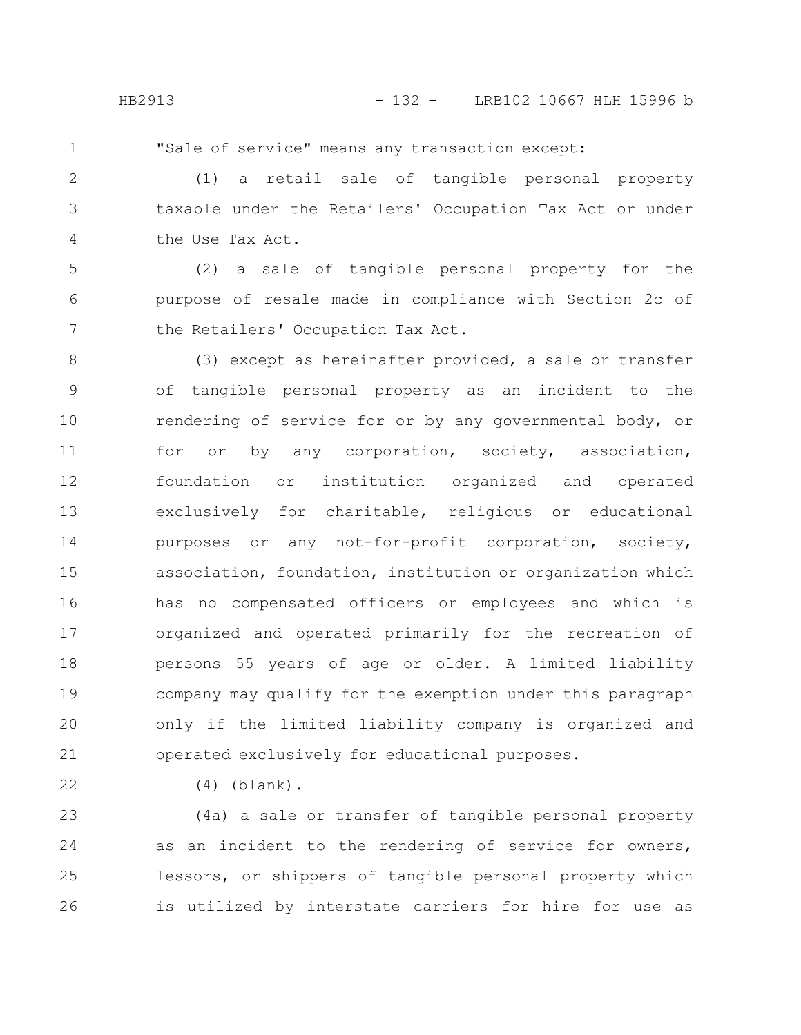1

"Sale of service" means any transaction except:

(1) a retail sale of tangible personal property taxable under the Retailers' Occupation Tax Act or under the Use Tax Act. 2 3 4

(2) a sale of tangible personal property for the purpose of resale made in compliance with Section 2c of the Retailers' Occupation Tax Act. 5 6 7

(3) except as hereinafter provided, a sale or transfer of tangible personal property as an incident to the rendering of service for or by any governmental body, or for or by any corporation, society, association, foundation or institution organized and operated exclusively for charitable, religious or educational purposes or any not-for-profit corporation, society, association, foundation, institution or organization which has no compensated officers or employees and which is organized and operated primarily for the recreation of persons 55 years of age or older. A limited liability company may qualify for the exemption under this paragraph only if the limited liability company is organized and operated exclusively for educational purposes. 8 9 10 11 12 13 14 15 16 17 18 19 20 21

22

(4) (blank).

(4a) a sale or transfer of tangible personal property as an incident to the rendering of service for owners, lessors, or shippers of tangible personal property which is utilized by interstate carriers for hire for use as 23 24 25 26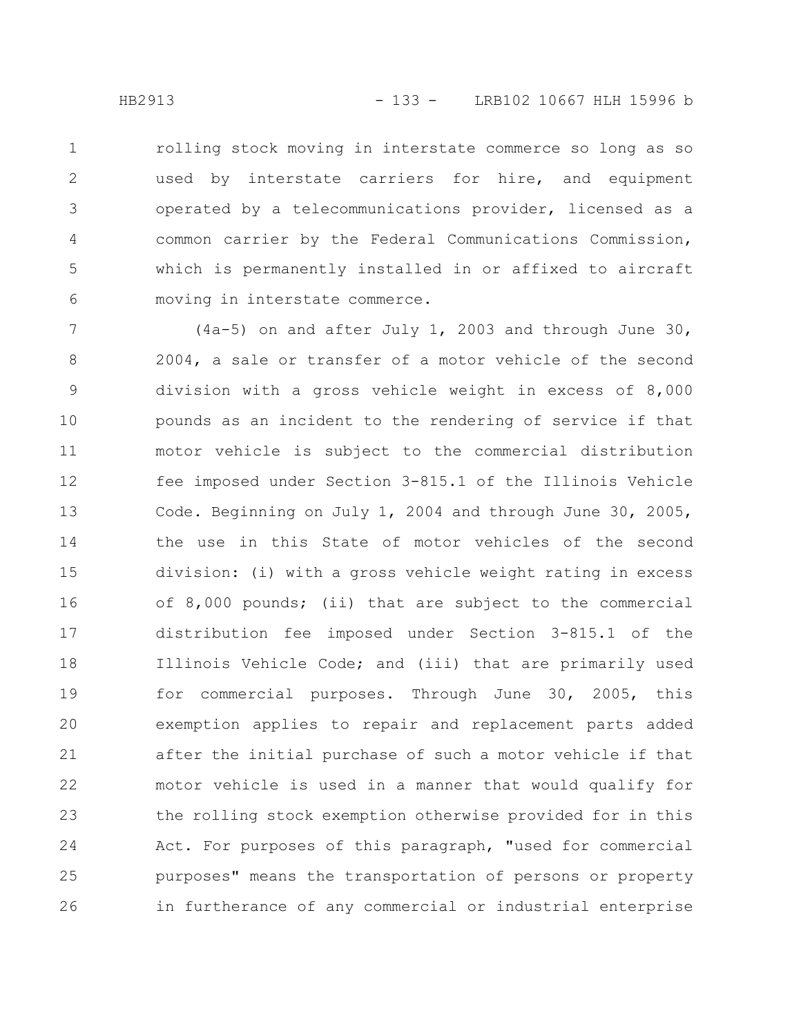rolling stock moving in interstate commerce so long as so used by interstate carriers for hire, and equipment operated by a telecommunications provider, licensed as a common carrier by the Federal Communications Commission, which is permanently installed in or affixed to aircraft moving in interstate commerce. 1 2 3 4 5 6

(4a-5) on and after July 1, 2003 and through June 30, 2004, a sale or transfer of a motor vehicle of the second division with a gross vehicle weight in excess of 8,000 pounds as an incident to the rendering of service if that motor vehicle is subject to the commercial distribution fee imposed under Section 3-815.1 of the Illinois Vehicle Code. Beginning on July 1, 2004 and through June 30, 2005, the use in this State of motor vehicles of the second division: (i) with a gross vehicle weight rating in excess of 8,000 pounds; (ii) that are subject to the commercial distribution fee imposed under Section 3-815.1 of the Illinois Vehicle Code; and (iii) that are primarily used for commercial purposes. Through June 30, 2005, this exemption applies to repair and replacement parts added after the initial purchase of such a motor vehicle if that motor vehicle is used in a manner that would qualify for the rolling stock exemption otherwise provided for in this Act. For purposes of this paragraph, "used for commercial purposes" means the transportation of persons or property in furtherance of any commercial or industrial enterprise 7 8 9 10 11 12 13 14 15 16 17 18 19 20 21 22 23 24 25 26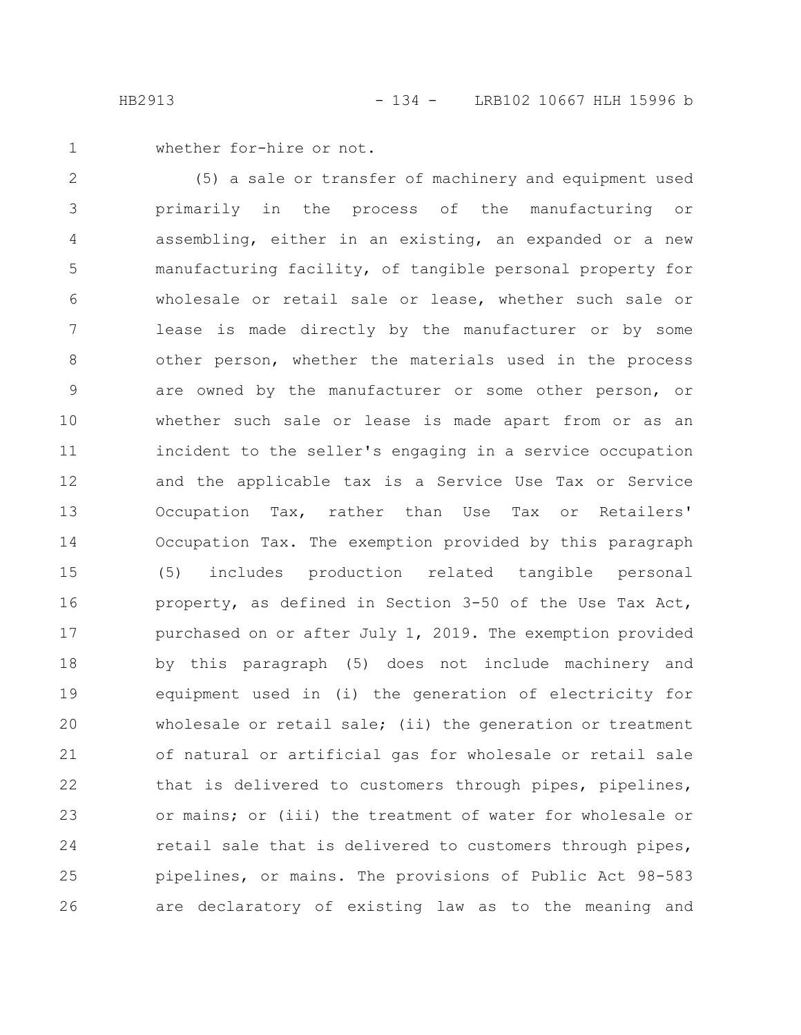whether for-hire or not. 1

(5) a sale or transfer of machinery and equipment used primarily in the process of the manufacturing or assembling, either in an existing, an expanded or a new manufacturing facility, of tangible personal property for wholesale or retail sale or lease, whether such sale or lease is made directly by the manufacturer or by some other person, whether the materials used in the process are owned by the manufacturer or some other person, or whether such sale or lease is made apart from or as an incident to the seller's engaging in a service occupation and the applicable tax is a Service Use Tax or Service Occupation Tax, rather than Use Tax or Retailers' Occupation Tax. The exemption provided by this paragraph (5) includes production related tangible personal property, as defined in Section 3-50 of the Use Tax Act, purchased on or after July 1, 2019. The exemption provided by this paragraph (5) does not include machinery and equipment used in (i) the generation of electricity for wholesale or retail sale; (ii) the generation or treatment of natural or artificial gas for wholesale or retail sale that is delivered to customers through pipes, pipelines, or mains; or (iii) the treatment of water for wholesale or retail sale that is delivered to customers through pipes, pipelines, or mains. The provisions of Public Act 98-583 are declaratory of existing law as to the meaning and 2 3 4 5 6 7 8 9 10 11 12 13 14 15 16 17 18 19 20 21 22 23 24 25 26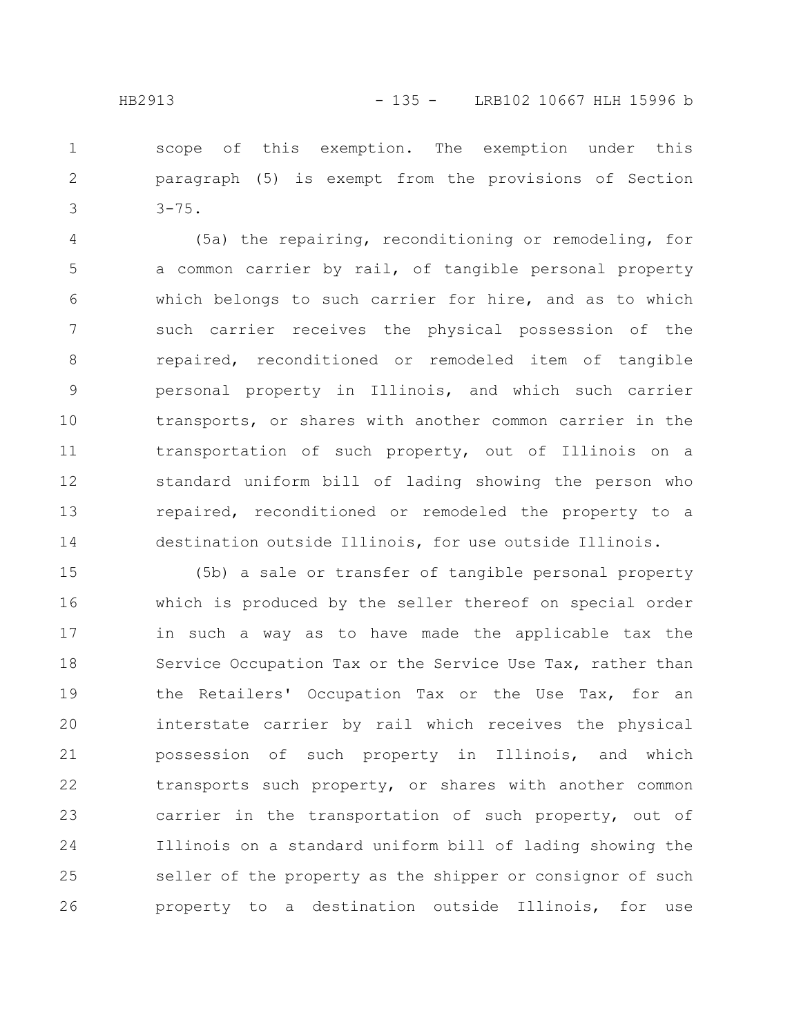scope of this exemption. The exemption under this paragraph (5) is exempt from the provisions of Section 1 2

(5a) the repairing, reconditioning or remodeling, for a common carrier by rail, of tangible personal property which belongs to such carrier for hire, and as to which such carrier receives the physical possession of the repaired, reconditioned or remodeled item of tangible personal property in Illinois, and which such carrier transports, or shares with another common carrier in the transportation of such property, out of Illinois on a standard uniform bill of lading showing the person who repaired, reconditioned or remodeled the property to a destination outside Illinois, for use outside Illinois. 4 5 6 7 8 9 10 11 12 13 14

(5b) a sale or transfer of tangible personal property which is produced by the seller thereof on special order in such a way as to have made the applicable tax the Service Occupation Tax or the Service Use Tax, rather than the Retailers' Occupation Tax or the Use Tax, for an interstate carrier by rail which receives the physical possession of such property in Illinois, and which transports such property, or shares with another common carrier in the transportation of such property, out of Illinois on a standard uniform bill of lading showing the seller of the property as the shipper or consignor of such property to a destination outside Illinois, for use 15 16 17 18 19 20 21 22 23 24 25 26

3

 $3 - 75.$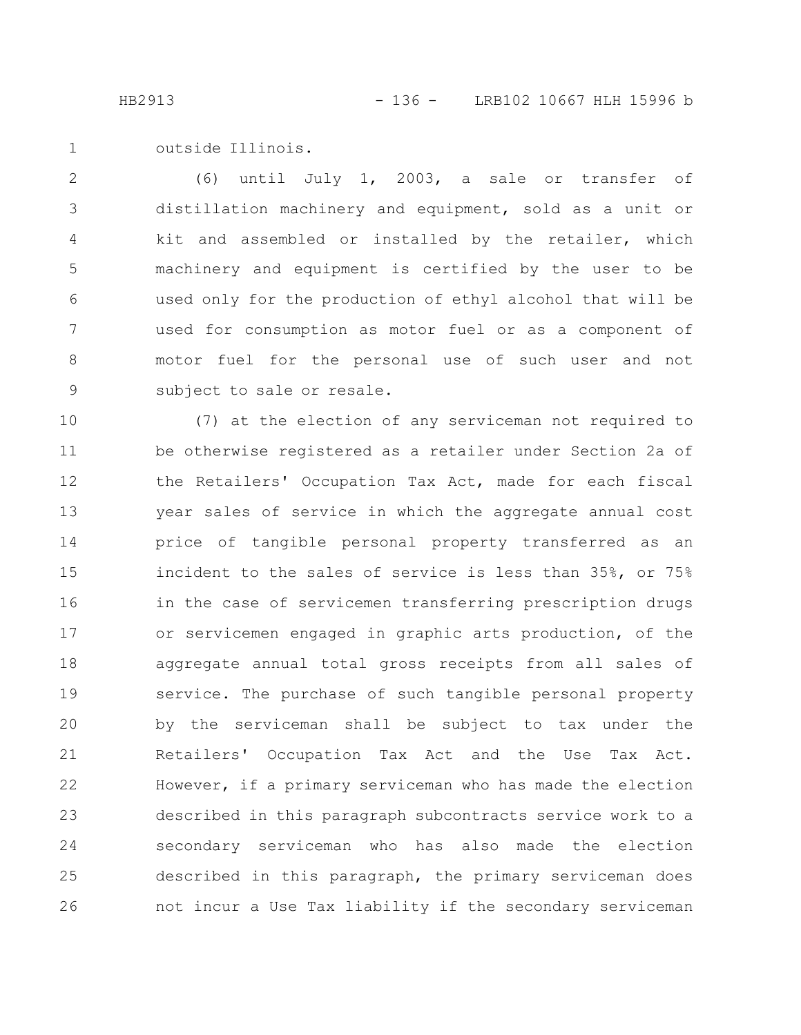outside Illinois. 1

(6) until July 1, 2003, a sale or transfer of distillation machinery and equipment, sold as a unit or kit and assembled or installed by the retailer, which machinery and equipment is certified by the user to be used only for the production of ethyl alcohol that will be used for consumption as motor fuel or as a component of motor fuel for the personal use of such user and not subject to sale or resale. 2 3 4 5 6 7 8 9

(7) at the election of any serviceman not required to be otherwise registered as a retailer under Section 2a of the Retailers' Occupation Tax Act, made for each fiscal year sales of service in which the aggregate annual cost price of tangible personal property transferred as an incident to the sales of service is less than 35%, or 75% in the case of servicemen transferring prescription drugs or servicemen engaged in graphic arts production, of the aggregate annual total gross receipts from all sales of service. The purchase of such tangible personal property by the serviceman shall be subject to tax under the Retailers' Occupation Tax Act and the Use Tax Act. However, if a primary serviceman who has made the election described in this paragraph subcontracts service work to a secondary serviceman who has also made the election described in this paragraph, the primary serviceman does not incur a Use Tax liability if the secondary serviceman 10 11 12 13 14 15 16 17 18 19 20 21 22 23 24 25 26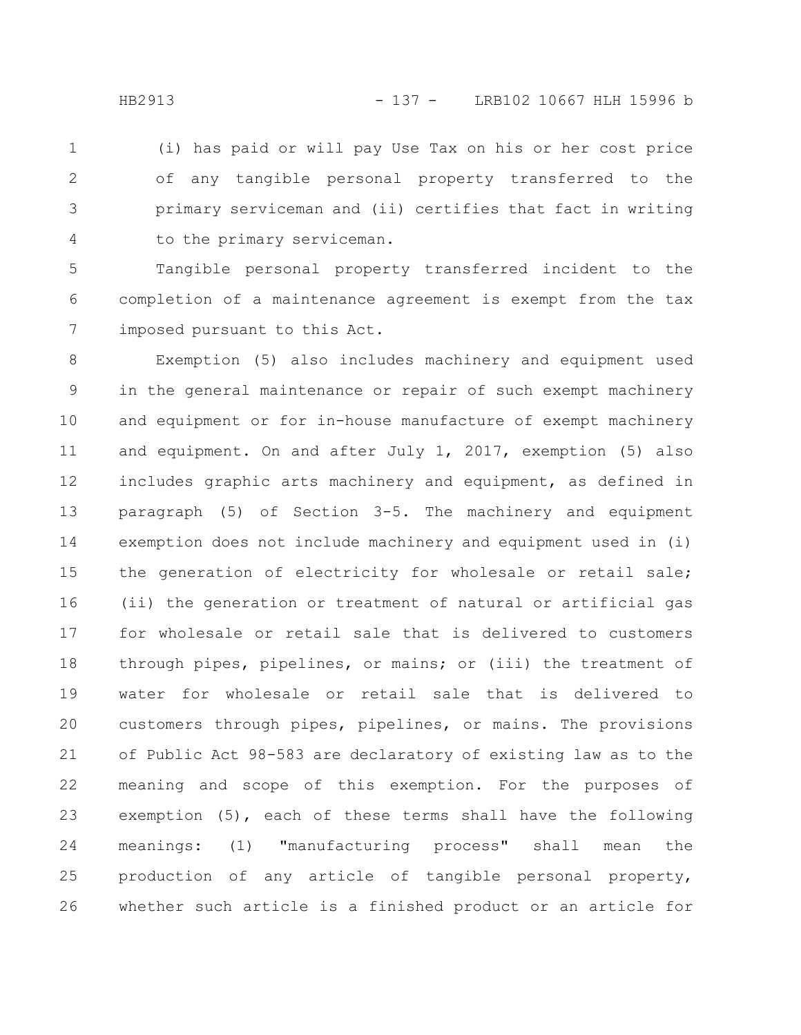(i) has paid or will pay Use Tax on his or her cost price of any tangible personal property transferred to the primary serviceman and (ii) certifies that fact in writing to the primary serviceman. 1 2 3 4

Tangible personal property transferred incident to the completion of a maintenance agreement is exempt from the tax imposed pursuant to this Act. 5 6 7

Exemption (5) also includes machinery and equipment used in the general maintenance or repair of such exempt machinery and equipment or for in-house manufacture of exempt machinery and equipment. On and after July 1, 2017, exemption (5) also includes graphic arts machinery and equipment, as defined in paragraph (5) of Section 3-5. The machinery and equipment exemption does not include machinery and equipment used in (i) the generation of electricity for wholesale or retail sale; (ii) the generation or treatment of natural or artificial gas for wholesale or retail sale that is delivered to customers through pipes, pipelines, or mains; or (iii) the treatment of water for wholesale or retail sale that is delivered to customers through pipes, pipelines, or mains. The provisions of Public Act 98-583 are declaratory of existing law as to the meaning and scope of this exemption. For the purposes of exemption (5), each of these terms shall have the following meanings: (1) "manufacturing process" shall mean the production of any article of tangible personal property, whether such article is a finished product or an article for 8 9 10 11 12 13 14 15 16 17 18 19 20 21 22 23 24 25 26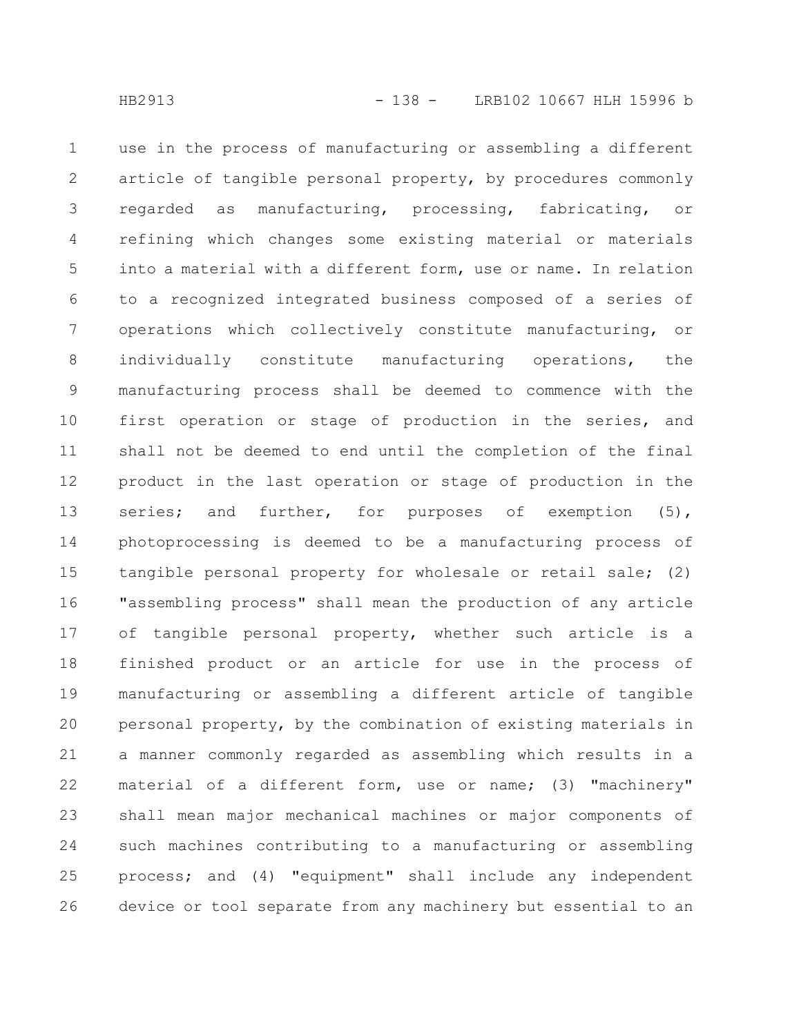use in the process of manufacturing or assembling a different article of tangible personal property, by procedures commonly regarded as manufacturing, processing, fabricating, or refining which changes some existing material or materials into a material with a different form, use or name. In relation to a recognized integrated business composed of a series of operations which collectively constitute manufacturing, or individually constitute manufacturing operations, the manufacturing process shall be deemed to commence with the first operation or stage of production in the series, and shall not be deemed to end until the completion of the final product in the last operation or stage of production in the series; and further, for purposes of exemption (5), photoprocessing is deemed to be a manufacturing process of tangible personal property for wholesale or retail sale; (2) "assembling process" shall mean the production of any article of tangible personal property, whether such article is a finished product or an article for use in the process of manufacturing or assembling a different article of tangible personal property, by the combination of existing materials in a manner commonly regarded as assembling which results in a material of a different form, use or name; (3) "machinery" shall mean major mechanical machines or major components of such machines contributing to a manufacturing or assembling process; and (4) "equipment" shall include any independent device or tool separate from any machinery but essential to an 1 2 3 4 5 6 7 8 9 10 11 12 13 14 15 16 17 18 19 20 21 22 23 24 25 26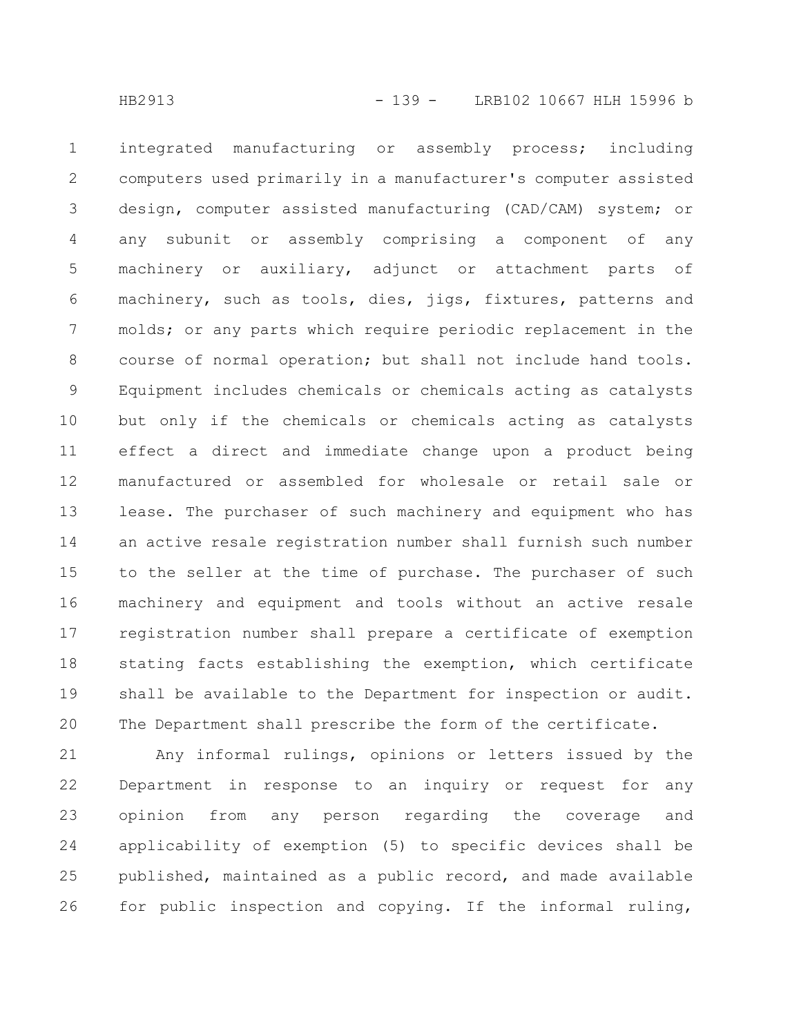integrated manufacturing or assembly process; including computers used primarily in a manufacturer's computer assisted design, computer assisted manufacturing (CAD/CAM) system; or any subunit or assembly comprising a component of any machinery or auxiliary, adjunct or attachment parts of machinery, such as tools, dies, jigs, fixtures, patterns and molds; or any parts which require periodic replacement in the course of normal operation; but shall not include hand tools. Equipment includes chemicals or chemicals acting as catalysts but only if the chemicals or chemicals acting as catalysts effect a direct and immediate change upon a product being manufactured or assembled for wholesale or retail sale or lease. The purchaser of such machinery and equipment who has an active resale registration number shall furnish such number to the seller at the time of purchase. The purchaser of such machinery and equipment and tools without an active resale registration number shall prepare a certificate of exemption stating facts establishing the exemption, which certificate shall be available to the Department for inspection or audit. The Department shall prescribe the form of the certificate. 1 2 3 4 5 6 7 8 9 10 11 12 13 14 15 16 17 18 19 20

Any informal rulings, opinions or letters issued by the Department in response to an inquiry or request for any opinion from any person regarding the coverage and applicability of exemption (5) to specific devices shall be published, maintained as a public record, and made available for public inspection and copying. If the informal ruling, 21 22 23 24 25 26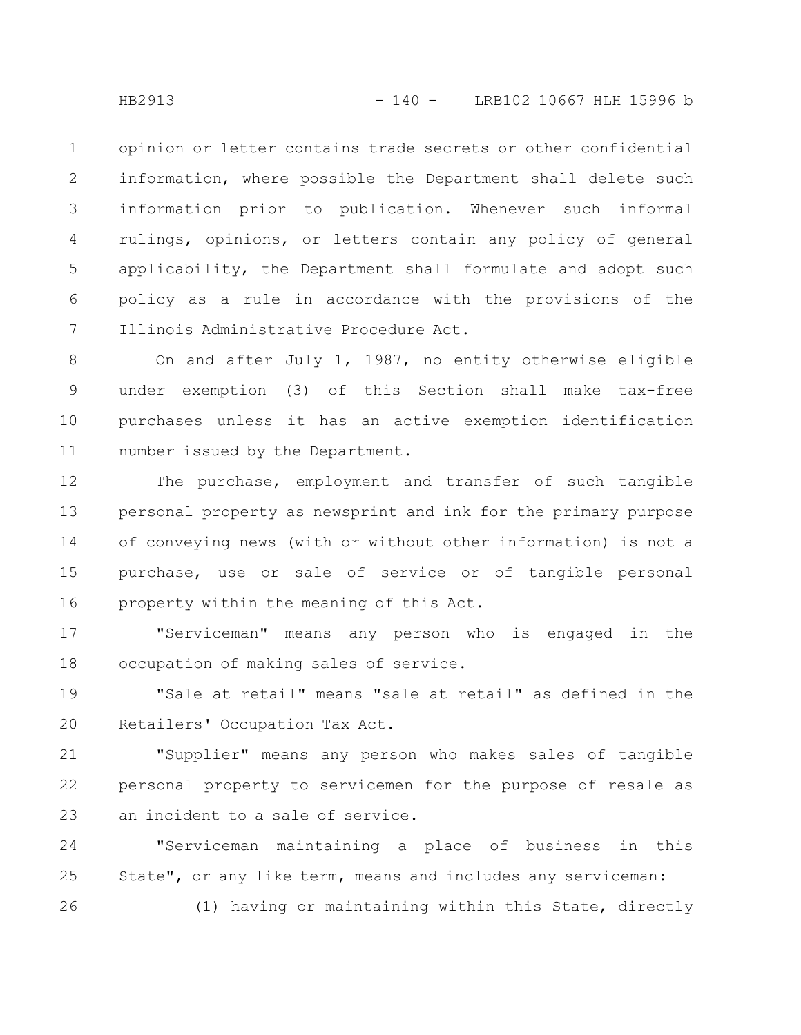opinion or letter contains trade secrets or other confidential information, where possible the Department shall delete such information prior to publication. Whenever such informal rulings, opinions, or letters contain any policy of general applicability, the Department shall formulate and adopt such policy as a rule in accordance with the provisions of the Illinois Administrative Procedure Act. 1 2 3 4 5 6 7

On and after July 1, 1987, no entity otherwise eligible under exemption (3) of this Section shall make tax-free purchases unless it has an active exemption identification number issued by the Department. 8 9 10 11

The purchase, employment and transfer of such tangible personal property as newsprint and ink for the primary purpose of conveying news (with or without other information) is not a purchase, use or sale of service or of tangible personal property within the meaning of this Act. 12 13 14 15 16

"Serviceman" means any person who is engaged in the occupation of making sales of service. 17 18

"Sale at retail" means "sale at retail" as defined in the Retailers' Occupation Tax Act. 19 20

"Supplier" means any person who makes sales of tangible personal property to servicemen for the purpose of resale as an incident to a sale of service. 21 22 23

"Serviceman maintaining a place of business in this State", or any like term, means and includes any serviceman: (1) having or maintaining within this State, directly 24 25 26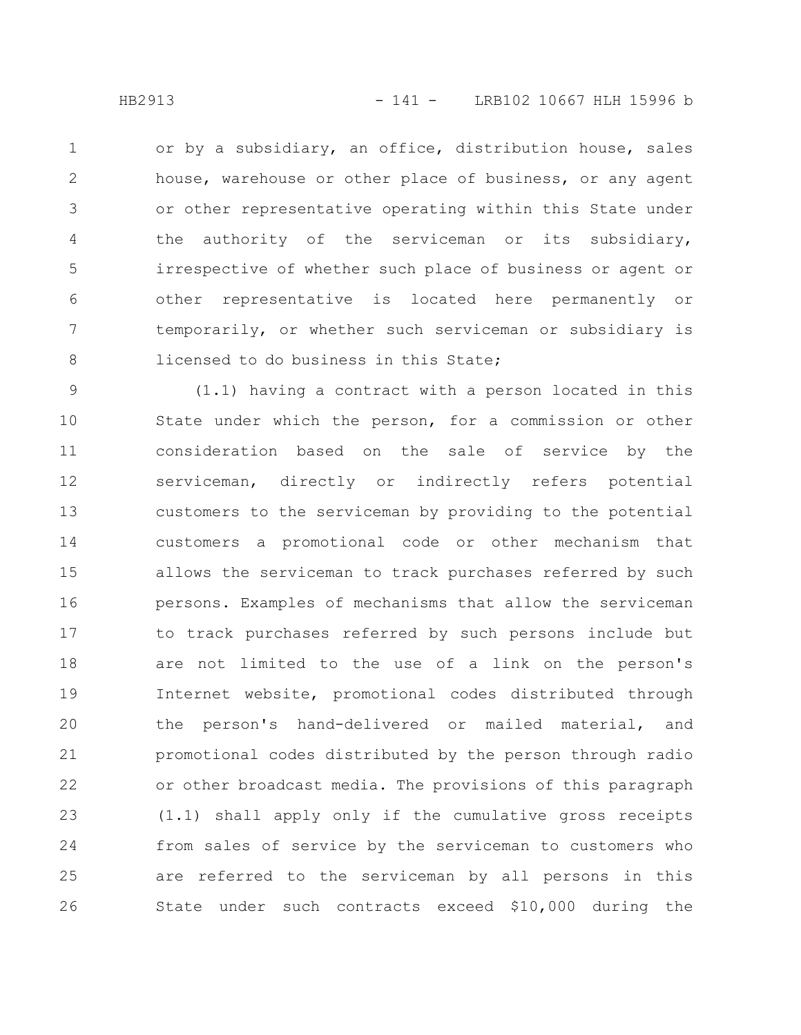or by a subsidiary, an office, distribution house, sales house, warehouse or other place of business, or any agent or other representative operating within this State under the authority of the serviceman or its subsidiary, irrespective of whether such place of business or agent or other representative is located here permanently or temporarily, or whether such serviceman or subsidiary is licensed to do business in this State; 1 2 3 4 5 6 7 8

(1.1) having a contract with a person located in this State under which the person, for a commission or other consideration based on the sale of service by the serviceman, directly or indirectly refers potential customers to the serviceman by providing to the potential customers a promotional code or other mechanism that allows the serviceman to track purchases referred by such persons. Examples of mechanisms that allow the serviceman to track purchases referred by such persons include but are not limited to the use of a link on the person's Internet website, promotional codes distributed through the person's hand-delivered or mailed material, and promotional codes distributed by the person through radio or other broadcast media. The provisions of this paragraph (1.1) shall apply only if the cumulative gross receipts from sales of service by the serviceman to customers who are referred to the serviceman by all persons in this State under such contracts exceed \$10,000 during the 9 10 11 12 13 14 15 16 17 18 19 20 21 22 23 24 25 26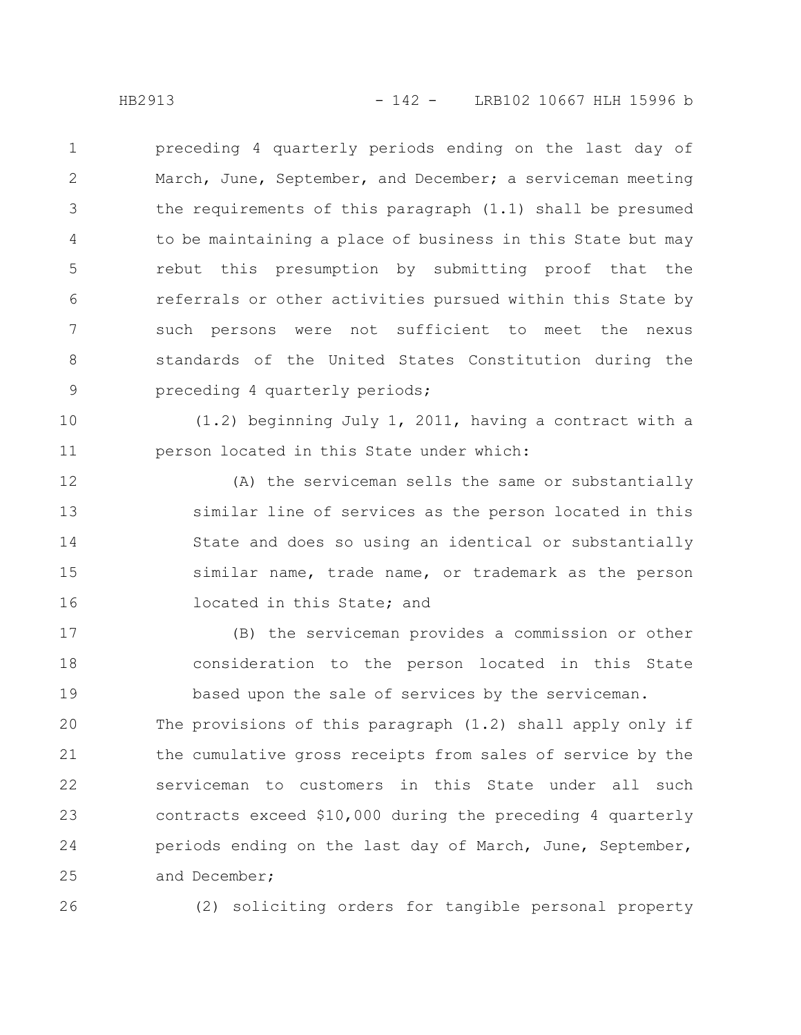preceding 4 quarterly periods ending on the last day of March, June, September, and December; a serviceman meeting the requirements of this paragraph (1.1) shall be presumed to be maintaining a place of business in this State but may rebut this presumption by submitting proof that the referrals or other activities pursued within this State by such persons were not sufficient to meet the nexus standards of the United States Constitution during the preceding 4 quarterly periods; 1 2 3 4 5 6 7 8 9

(1.2) beginning July 1, 2011, having a contract with a person located in this State under which: 10 11

(A) the serviceman sells the same or substantially similar line of services as the person located in this State and does so using an identical or substantially similar name, trade name, or trademark as the person located in this State; and 12 13 14 15 16

(B) the serviceman provides a commission or other consideration to the person located in this State based upon the sale of services by the serviceman. 17 18 19

The provisions of this paragraph (1.2) shall apply only if the cumulative gross receipts from sales of service by the serviceman to customers in this State under all such contracts exceed \$10,000 during the preceding 4 quarterly periods ending on the last day of March, June, September, and December; 20 21 22 23 24 25

26

(2) soliciting orders for tangible personal property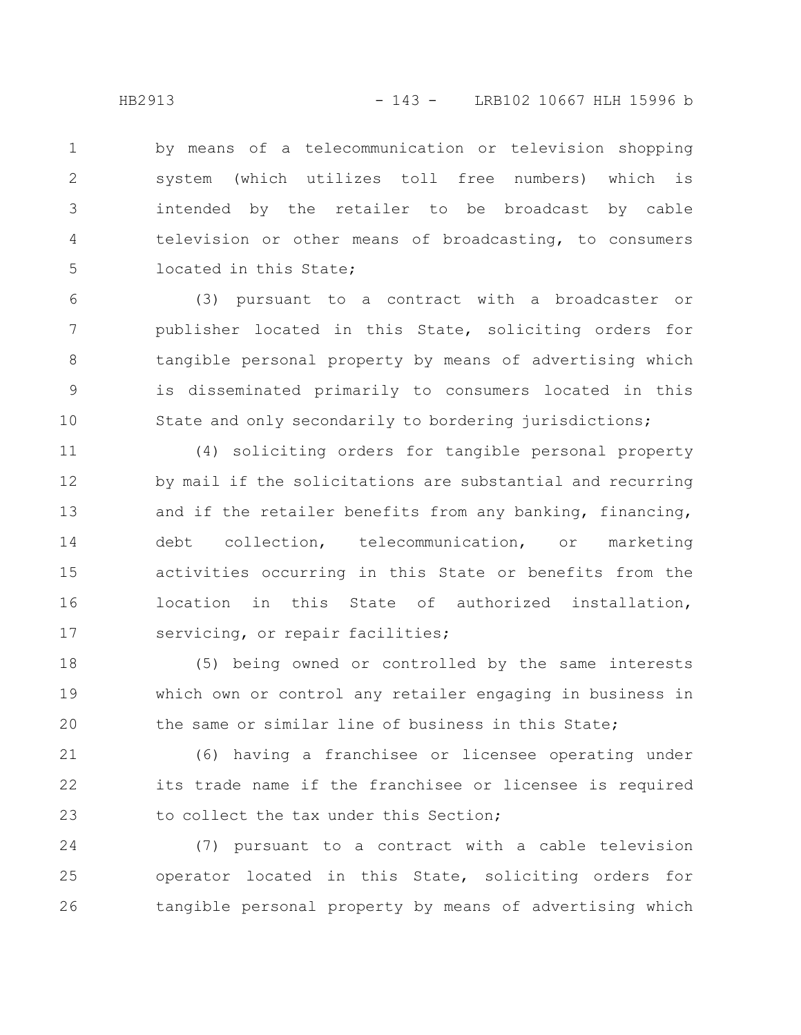by means of a telecommunication or television shopping system (which utilizes toll free numbers) which is intended by the retailer to be broadcast by cable television or other means of broadcasting, to consumers located in this State; 1 2 3 4 5

(3) pursuant to a contract with a broadcaster or publisher located in this State, soliciting orders for tangible personal property by means of advertising which is disseminated primarily to consumers located in this State and only secondarily to bordering jurisdictions; 6 7 8 9 10

(4) soliciting orders for tangible personal property by mail if the solicitations are substantial and recurring and if the retailer benefits from any banking, financing, debt collection, telecommunication, or marketing activities occurring in this State or benefits from the location in this State of authorized installation, servicing, or repair facilities; 11 12 13 14 15 16 17

(5) being owned or controlled by the same interests which own or control any retailer engaging in business in the same or similar line of business in this State; 18 19 20

(6) having a franchisee or licensee operating under its trade name if the franchisee or licensee is required to collect the tax under this Section; 21 22 23

(7) pursuant to a contract with a cable television operator located in this State, soliciting orders for tangible personal property by means of advertising which 24 25 26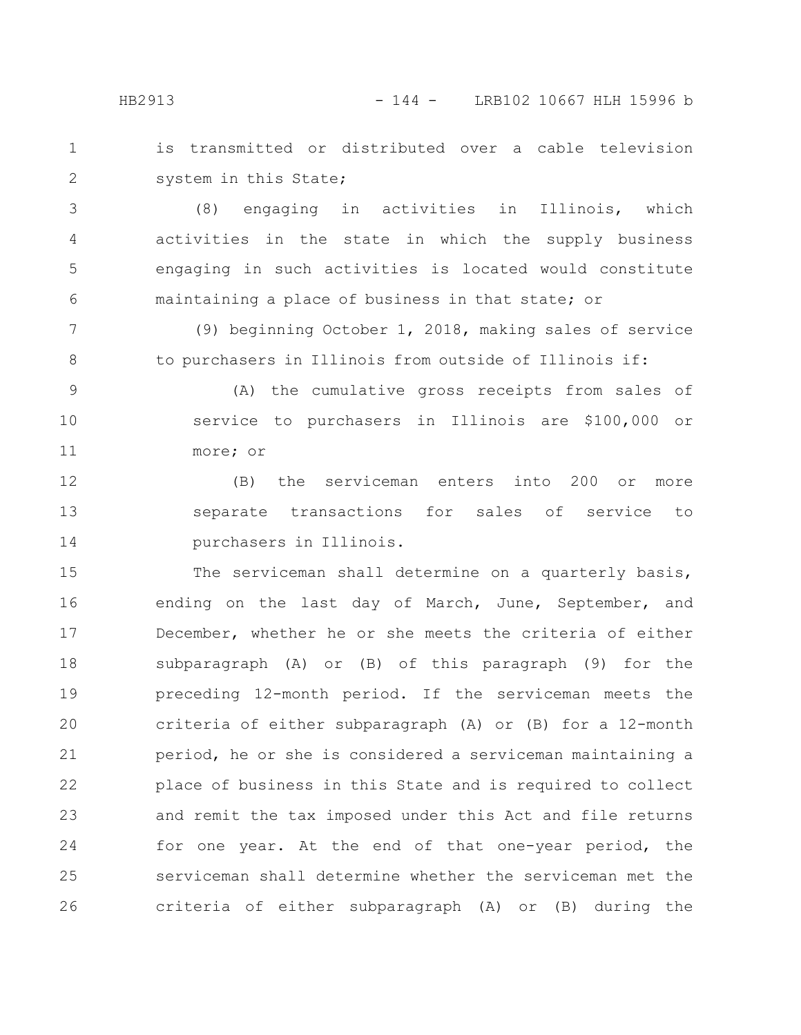is transmitted or distributed over a cable television system in this State; 1 2

(8) engaging in activities in Illinois, which activities in the state in which the supply business engaging in such activities is located would constitute maintaining a place of business in that state; or 3 4 5 6

(9) beginning October 1, 2018, making sales of service to purchasers in Illinois from outside of Illinois if: 7 8

(A) the cumulative gross receipts from sales of service to purchasers in Illinois are \$100,000 or more; or 9 10 11

(B) the serviceman enters into 200 or more separate transactions for sales of service to purchasers in Illinois. 12 13 14

The serviceman shall determine on a quarterly basis, ending on the last day of March, June, September, and December, whether he or she meets the criteria of either subparagraph (A) or (B) of this paragraph (9) for the preceding 12-month period. If the serviceman meets the criteria of either subparagraph (A) or (B) for a 12-month period, he or she is considered a serviceman maintaining a place of business in this State and is required to collect and remit the tax imposed under this Act and file returns for one year. At the end of that one-year period, the serviceman shall determine whether the serviceman met the criteria of either subparagraph (A) or (B) during the 15 16 17 18 19 20 21 22 23 24 25 26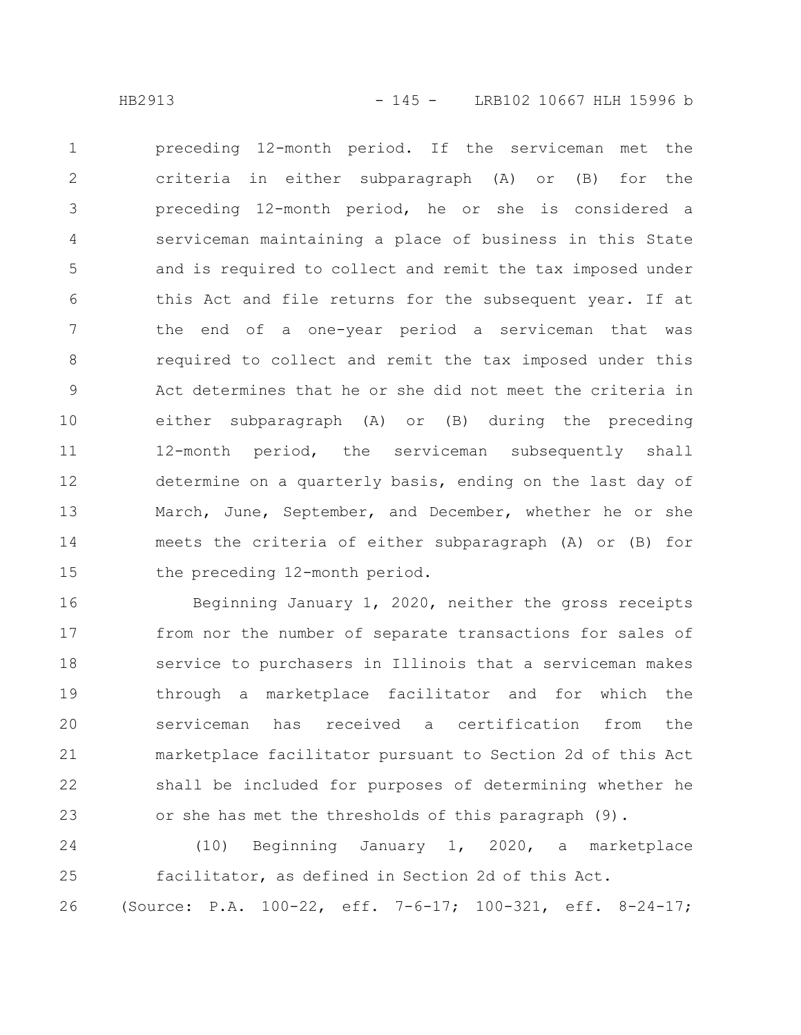preceding 12-month period. If the serviceman met the criteria in either subparagraph (A) or (B) for the preceding 12-month period, he or she is considered a serviceman maintaining a place of business in this State and is required to collect and remit the tax imposed under this Act and file returns for the subsequent year. If at the end of a one-year period a serviceman that was required to collect and remit the tax imposed under this Act determines that he or she did not meet the criteria in either subparagraph (A) or (B) during the preceding 12-month period, the serviceman subsequently shall determine on a quarterly basis, ending on the last day of March, June, September, and December, whether he or she meets the criteria of either subparagraph (A) or (B) for the preceding 12-month period. 1 2 3 4 5 6 7 8 9 10 11 12 13 14 15

Beginning January 1, 2020, neither the gross receipts from nor the number of separate transactions for sales of service to purchasers in Illinois that a serviceman makes through a marketplace facilitator and for which the serviceman has received a certification from the marketplace facilitator pursuant to Section 2d of this Act shall be included for purposes of determining whether he or she has met the thresholds of this paragraph (9). 16 17 18 19 20 21 22 23

(10) Beginning January 1, 2020, a marketplace facilitator, as defined in Section 2d of this Act. (Source: P.A. 100-22, eff. 7-6-17; 100-321, eff. 8-24-17; 24 25 26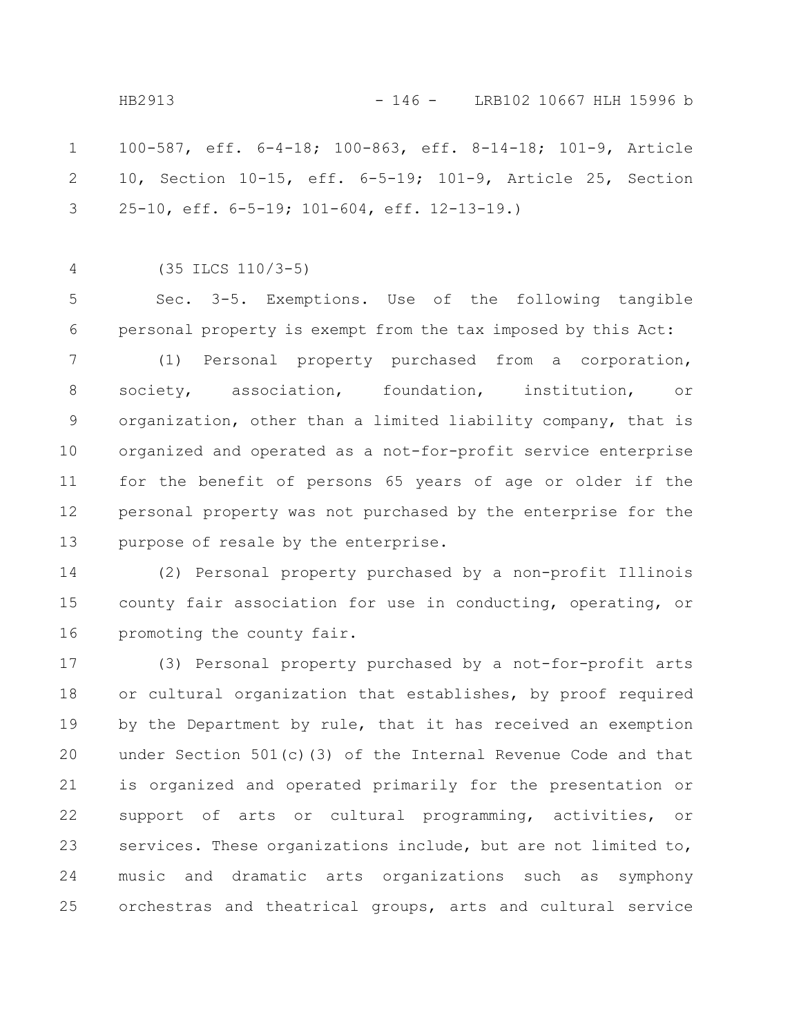100-587, eff. 6-4-18; 100-863, eff. 8-14-18; 101-9, Article 10, Section 10-15, eff. 6-5-19; 101-9, Article 25, Section 25-10, eff. 6-5-19; 101-604, eff. 12-13-19.) 1 2 3

(35 ILCS 110/3-5) 4

Sec. 3-5. Exemptions. Use of the following tangible personal property is exempt from the tax imposed by this Act: 5 6

(1) Personal property purchased from a corporation, society, association, foundation, institution, or organization, other than a limited liability company, that is organized and operated as a not-for-profit service enterprise for the benefit of persons 65 years of age or older if the personal property was not purchased by the enterprise for the purpose of resale by the enterprise. 7 8 9 10 11 12 13

(2) Personal property purchased by a non-profit Illinois county fair association for use in conducting, operating, or promoting the county fair. 14 15 16

(3) Personal property purchased by a not-for-profit arts or cultural organization that establishes, by proof required by the Department by rule, that it has received an exemption under Section 501(c)(3) of the Internal Revenue Code and that is organized and operated primarily for the presentation or support of arts or cultural programming, activities, or services. These organizations include, but are not limited to, music and dramatic arts organizations such as symphony orchestras and theatrical groups, arts and cultural service 17 18 19 20 21 22 23 24 25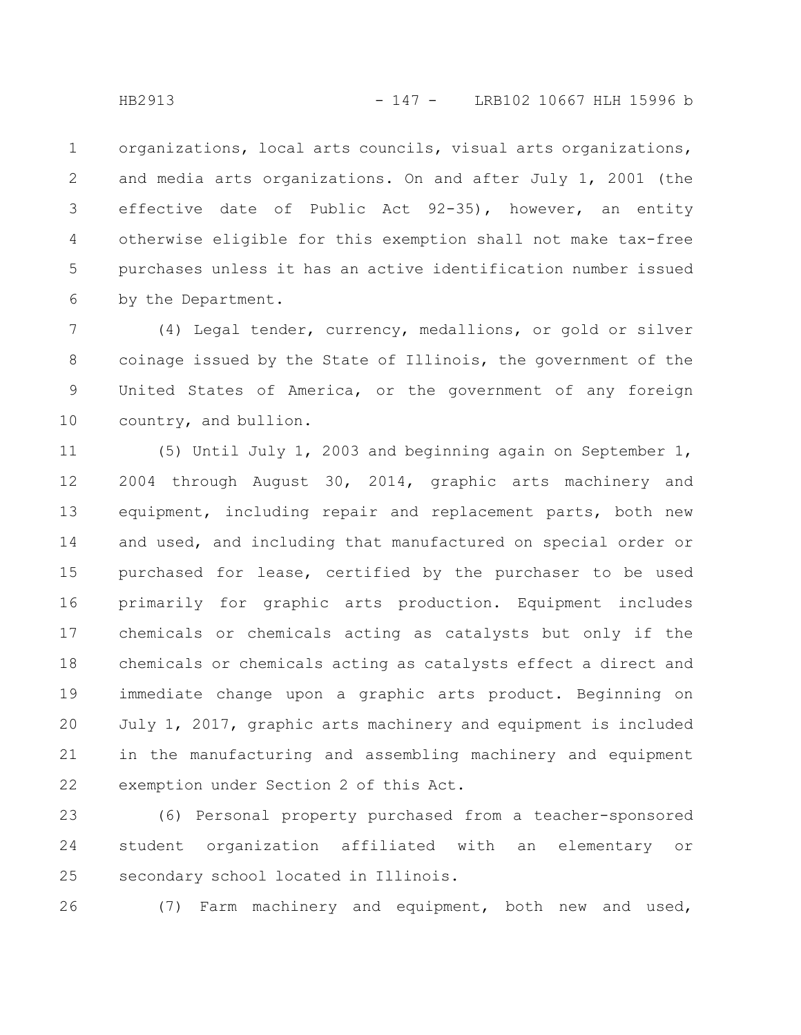organizations, local arts councils, visual arts organizations, and media arts organizations. On and after July 1, 2001 (the effective date of Public Act 92-35), however, an entity otherwise eligible for this exemption shall not make tax-free purchases unless it has an active identification number issued by the Department. 1 2 3 4 5 6

(4) Legal tender, currency, medallions, or gold or silver coinage issued by the State of Illinois, the government of the United States of America, or the government of any foreign country, and bullion. 7 8 9 10

(5) Until July 1, 2003 and beginning again on September 1, 2004 through August 30, 2014, graphic arts machinery and equipment, including repair and replacement parts, both new and used, and including that manufactured on special order or purchased for lease, certified by the purchaser to be used primarily for graphic arts production. Equipment includes chemicals or chemicals acting as catalysts but only if the chemicals or chemicals acting as catalysts effect a direct and immediate change upon a graphic arts product. Beginning on July 1, 2017, graphic arts machinery and equipment is included in the manufacturing and assembling machinery and equipment exemption under Section 2 of this Act. 11 12 13 14 15 16 17 18 19 20 21 22

(6) Personal property purchased from a teacher-sponsored student organization affiliated with an elementary or secondary school located in Illinois. 23 24 25

(7) Farm machinery and equipment, both new and used, 26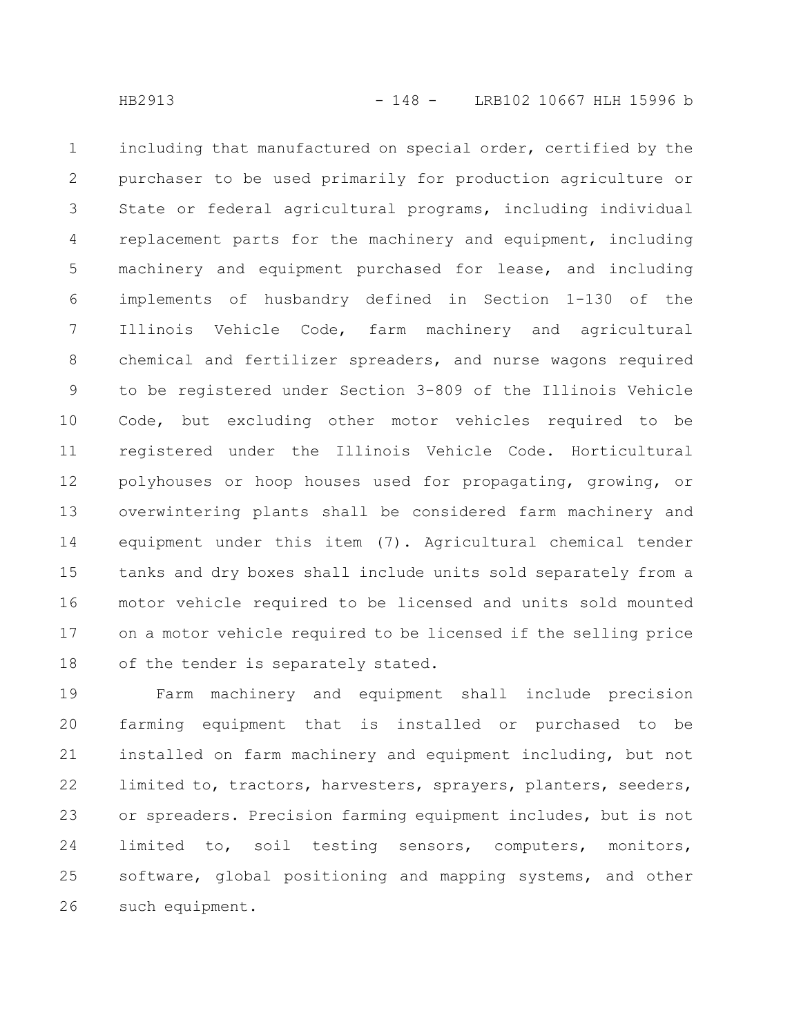including that manufactured on special order, certified by the purchaser to be used primarily for production agriculture or State or federal agricultural programs, including individual replacement parts for the machinery and equipment, including machinery and equipment purchased for lease, and including implements of husbandry defined in Section 1-130 of the Illinois Vehicle Code, farm machinery and agricultural chemical and fertilizer spreaders, and nurse wagons required to be registered under Section 3-809 of the Illinois Vehicle Code, but excluding other motor vehicles required to be registered under the Illinois Vehicle Code. Horticultural polyhouses or hoop houses used for propagating, growing, or overwintering plants shall be considered farm machinery and equipment under this item (7). Agricultural chemical tender tanks and dry boxes shall include units sold separately from a motor vehicle required to be licensed and units sold mounted on a motor vehicle required to be licensed if the selling price of the tender is separately stated. 1 2 3 4 5 6 7 8 9 10 11 12 13 14 15 16 17 18

Farm machinery and equipment shall include precision farming equipment that is installed or purchased to be installed on farm machinery and equipment including, but not limited to, tractors, harvesters, sprayers, planters, seeders, or spreaders. Precision farming equipment includes, but is not limited to, soil testing sensors, computers, monitors, software, global positioning and mapping systems, and other such equipment. 19 20 21 22 23 24 25 26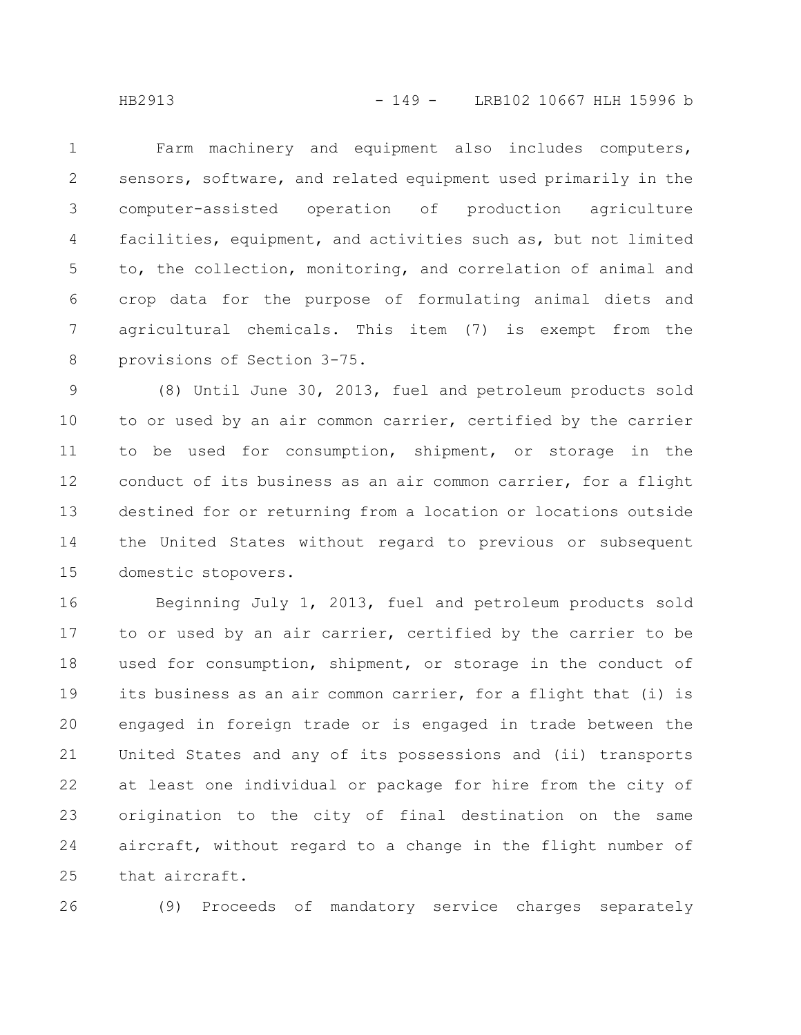Farm machinery and equipment also includes computers, sensors, software, and related equipment used primarily in the computer-assisted operation of production agriculture facilities, equipment, and activities such as, but not limited to, the collection, monitoring, and correlation of animal and crop data for the purpose of formulating animal diets and agricultural chemicals. This item (7) is exempt from the provisions of Section 3-75. 1 2 3 4 5 6 7 8

(8) Until June 30, 2013, fuel and petroleum products sold to or used by an air common carrier, certified by the carrier to be used for consumption, shipment, or storage in the conduct of its business as an air common carrier, for a flight destined for or returning from a location or locations outside the United States without regard to previous or subsequent domestic stopovers. 9 10 11 12 13 14 15

Beginning July 1, 2013, fuel and petroleum products sold to or used by an air carrier, certified by the carrier to be used for consumption, shipment, or storage in the conduct of its business as an air common carrier, for a flight that (i) is engaged in foreign trade or is engaged in trade between the United States and any of its possessions and (ii) transports at least one individual or package for hire from the city of origination to the city of final destination on the same aircraft, without regard to a change in the flight number of that aircraft. 16 17 18 19 20 21 22 23 24 25

26

(9) Proceeds of mandatory service charges separately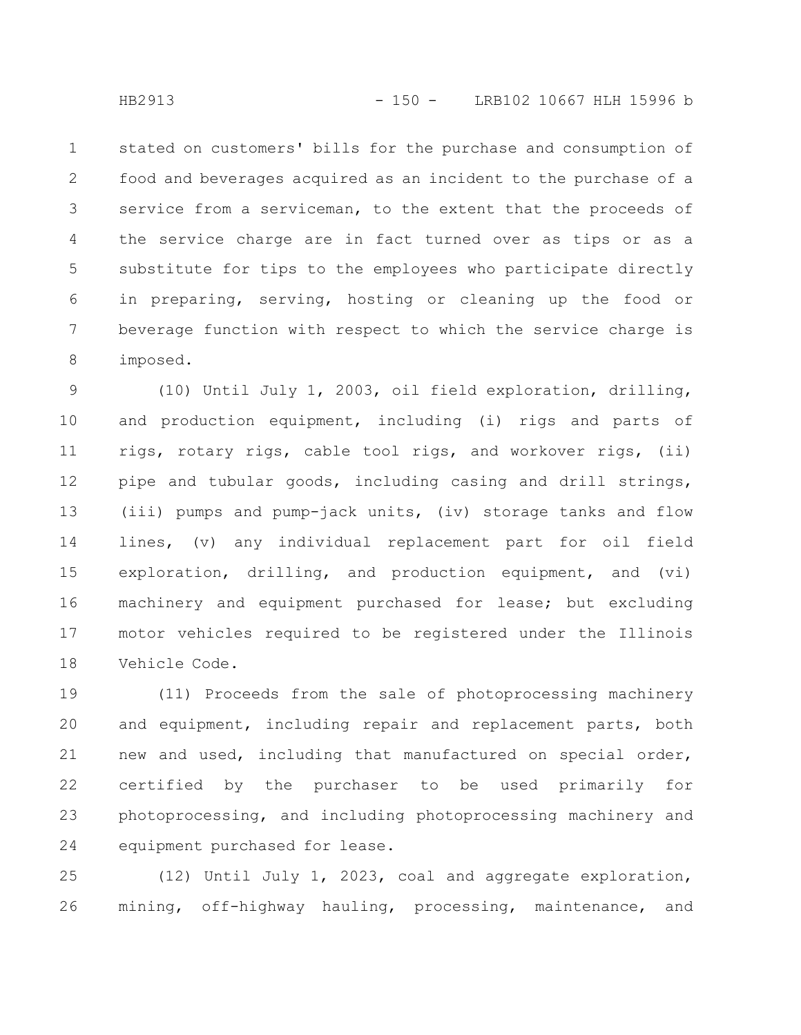stated on customers' bills for the purchase and consumption of food and beverages acquired as an incident to the purchase of a service from a serviceman, to the extent that the proceeds of the service charge are in fact turned over as tips or as a substitute for tips to the employees who participate directly in preparing, serving, hosting or cleaning up the food or beverage function with respect to which the service charge is imposed. 1 2 3 4 5 6 7 8

(10) Until July 1, 2003, oil field exploration, drilling, and production equipment, including (i) rigs and parts of rigs, rotary rigs, cable tool rigs, and workover rigs, (ii) pipe and tubular goods, including casing and drill strings, (iii) pumps and pump-jack units, (iv) storage tanks and flow lines, (v) any individual replacement part for oil field exploration, drilling, and production equipment, and (vi) machinery and equipment purchased for lease; but excluding motor vehicles required to be registered under the Illinois Vehicle Code. 9 10 11 12 13 14 15 16 17 18

(11) Proceeds from the sale of photoprocessing machinery and equipment, including repair and replacement parts, both new and used, including that manufactured on special order, certified by the purchaser to be used primarily for photoprocessing, and including photoprocessing machinery and equipment purchased for lease. 19 20 21 22 23 24

(12) Until July 1, 2023, coal and aggregate exploration, mining, off-highway hauling, processing, maintenance, and 25 26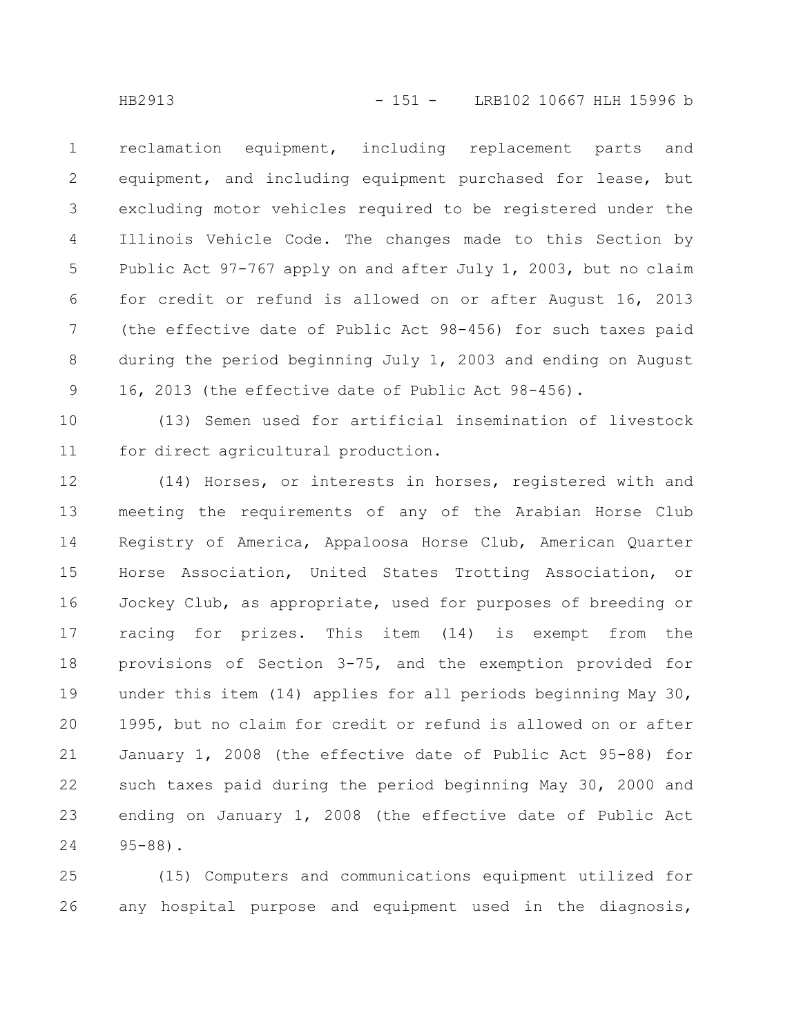reclamation equipment, including replacement parts and equipment, and including equipment purchased for lease, but excluding motor vehicles required to be registered under the Illinois Vehicle Code. The changes made to this Section by Public Act 97-767 apply on and after July 1, 2003, but no claim for credit or refund is allowed on or after August 16, 2013 (the effective date of Public Act 98-456) for such taxes paid during the period beginning July 1, 2003 and ending on August 16, 2013 (the effective date of Public Act 98-456). 1 2 3 4 5 6 7 8 9

(13) Semen used for artificial insemination of livestock for direct agricultural production. 10 11

(14) Horses, or interests in horses, registered with and meeting the requirements of any of the Arabian Horse Club Registry of America, Appaloosa Horse Club, American Quarter Horse Association, United States Trotting Association, or Jockey Club, as appropriate, used for purposes of breeding or racing for prizes. This item (14) is exempt from the provisions of Section 3-75, and the exemption provided for under this item (14) applies for all periods beginning May 30, 1995, but no claim for credit or refund is allowed on or after January 1, 2008 (the effective date of Public Act 95-88) for such taxes paid during the period beginning May 30, 2000 and ending on January 1, 2008 (the effective date of Public Act 95-88). 12 13 14 15 16 17 18 19 20 21 22 23 24

(15) Computers and communications equipment utilized for any hospital purpose and equipment used in the diagnosis, 25 26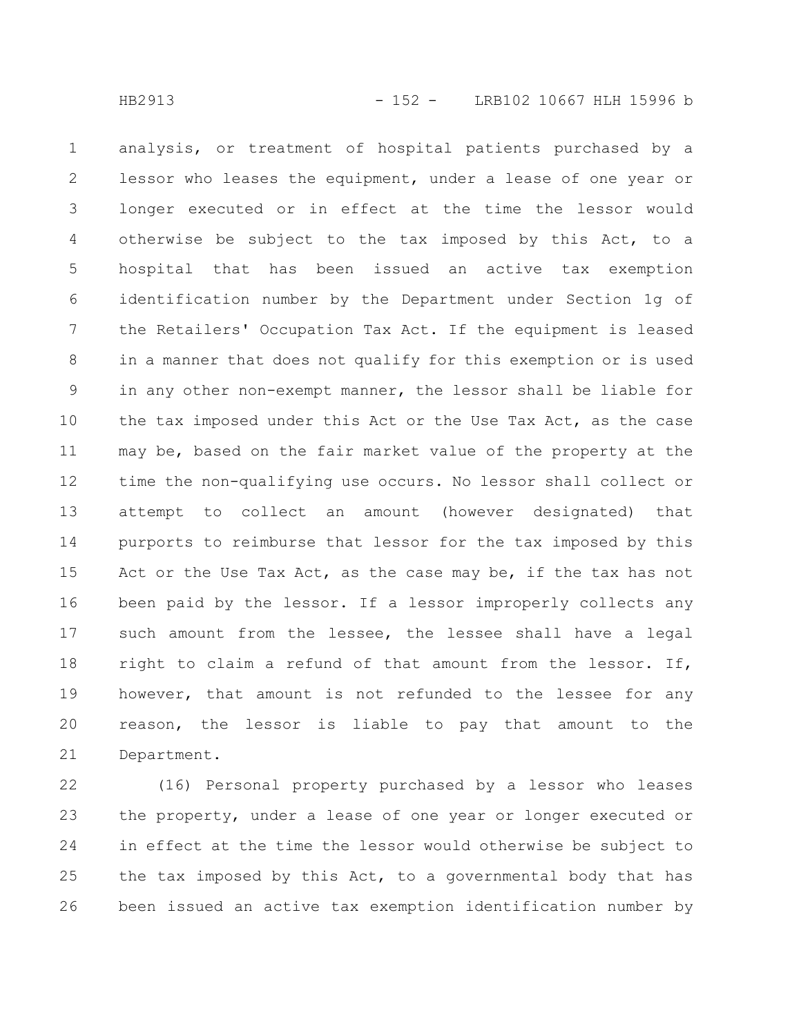analysis, or treatment of hospital patients purchased by a lessor who leases the equipment, under a lease of one year or longer executed or in effect at the time the lessor would otherwise be subject to the tax imposed by this Act, to a hospital that has been issued an active tax exemption identification number by the Department under Section 1g of the Retailers' Occupation Tax Act. If the equipment is leased in a manner that does not qualify for this exemption or is used in any other non-exempt manner, the lessor shall be liable for the tax imposed under this Act or the Use Tax Act, as the case may be, based on the fair market value of the property at the time the non-qualifying use occurs. No lessor shall collect or attempt to collect an amount (however designated) that purports to reimburse that lessor for the tax imposed by this Act or the Use Tax Act, as the case may be, if the tax has not been paid by the lessor. If a lessor improperly collects any such amount from the lessee, the lessee shall have a legal right to claim a refund of that amount from the lessor. If, however, that amount is not refunded to the lessee for any reason, the lessor is liable to pay that amount to the Department. 1 2 3 4 5 6 7 8 9 10 11 12 13 14 15 16 17 18 19 20 21

(16) Personal property purchased by a lessor who leases the property, under a lease of one year or longer executed or in effect at the time the lessor would otherwise be subject to the tax imposed by this Act, to a governmental body that has been issued an active tax exemption identification number by 22 23 24 25 26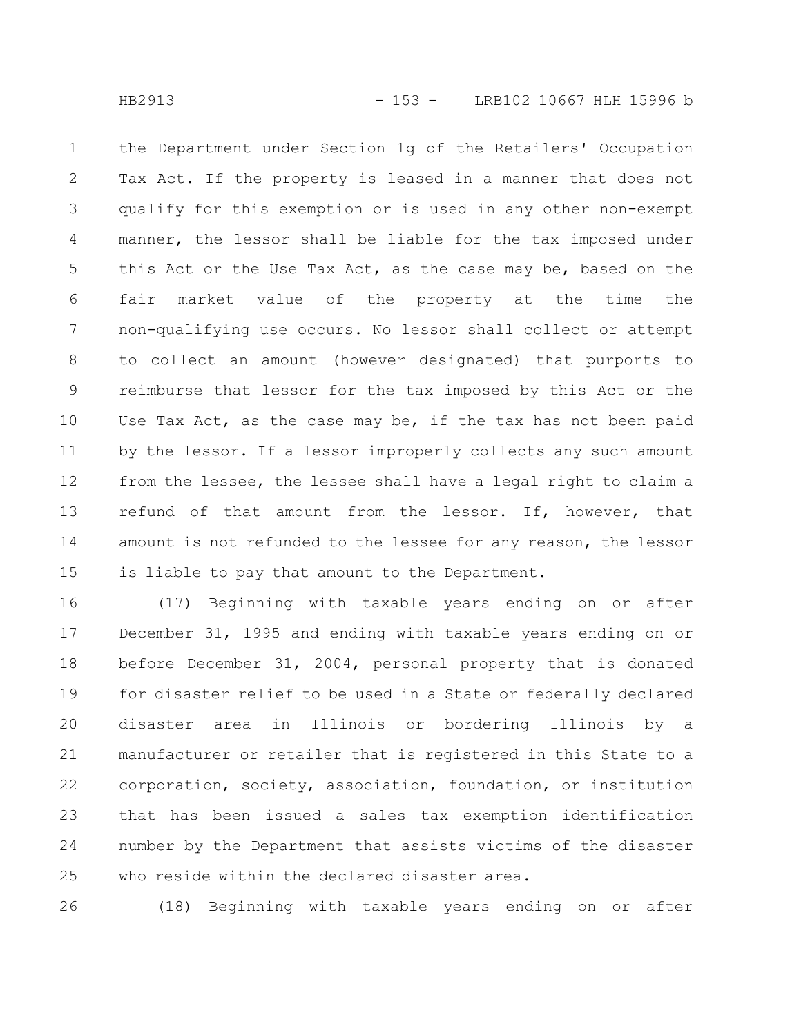the Department under Section 1g of the Retailers' Occupation Tax Act. If the property is leased in a manner that does not qualify for this exemption or is used in any other non-exempt manner, the lessor shall be liable for the tax imposed under this Act or the Use Tax Act, as the case may be, based on the fair market value of the property at the time the non-qualifying use occurs. No lessor shall collect or attempt to collect an amount (however designated) that purports to reimburse that lessor for the tax imposed by this Act or the Use Tax Act, as the case may be, if the tax has not been paid by the lessor. If a lessor improperly collects any such amount from the lessee, the lessee shall have a legal right to claim a refund of that amount from the lessor. If, however, that amount is not refunded to the lessee for any reason, the lessor is liable to pay that amount to the Department. 1 2 3 4 5 6 7 8 9 10 11 12 13 14 15

(17) Beginning with taxable years ending on or after December 31, 1995 and ending with taxable years ending on or before December 31, 2004, personal property that is donated for disaster relief to be used in a State or federally declared disaster area in Illinois or bordering Illinois by a manufacturer or retailer that is registered in this State to a corporation, society, association, foundation, or institution that has been issued a sales tax exemption identification number by the Department that assists victims of the disaster who reside within the declared disaster area. 16 17 18 19 20 21 22 23 24 25

(18) Beginning with taxable years ending on or after 26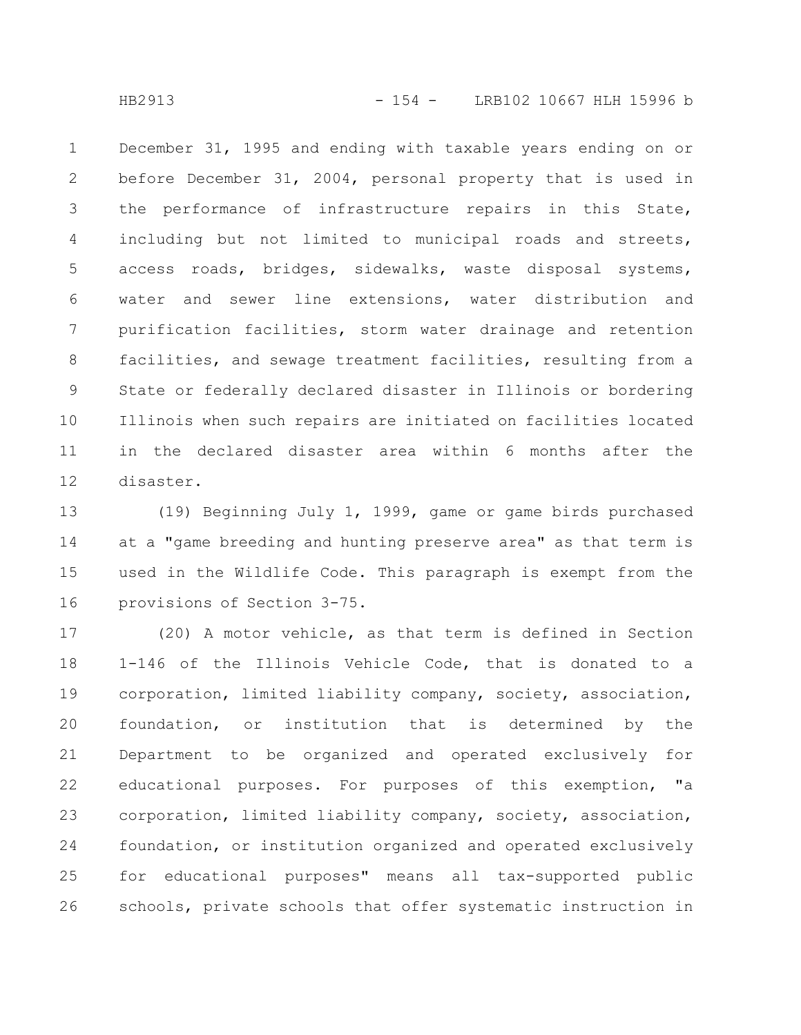December 31, 1995 and ending with taxable years ending on or before December 31, 2004, personal property that is used in the performance of infrastructure repairs in this State, including but not limited to municipal roads and streets, access roads, bridges, sidewalks, waste disposal systems, water and sewer line extensions, water distribution and purification facilities, storm water drainage and retention facilities, and sewage treatment facilities, resulting from a State or federally declared disaster in Illinois or bordering Illinois when such repairs are initiated on facilities located in the declared disaster area within 6 months after the disaster. 1 2 3 4 5 6 7 8 9 10 11 12

(19) Beginning July 1, 1999, game or game birds purchased at a "game breeding and hunting preserve area" as that term is used in the Wildlife Code. This paragraph is exempt from the provisions of Section 3-75. 13 14 15 16

(20) A motor vehicle, as that term is defined in Section 1-146 of the Illinois Vehicle Code, that is donated to a corporation, limited liability company, society, association, foundation, or institution that is determined by the Department to be organized and operated exclusively for educational purposes. For purposes of this exemption, "a corporation, limited liability company, society, association, foundation, or institution organized and operated exclusively for educational purposes" means all tax-supported public schools, private schools that offer systematic instruction in 17 18 19 20 21 22 23 24 25 26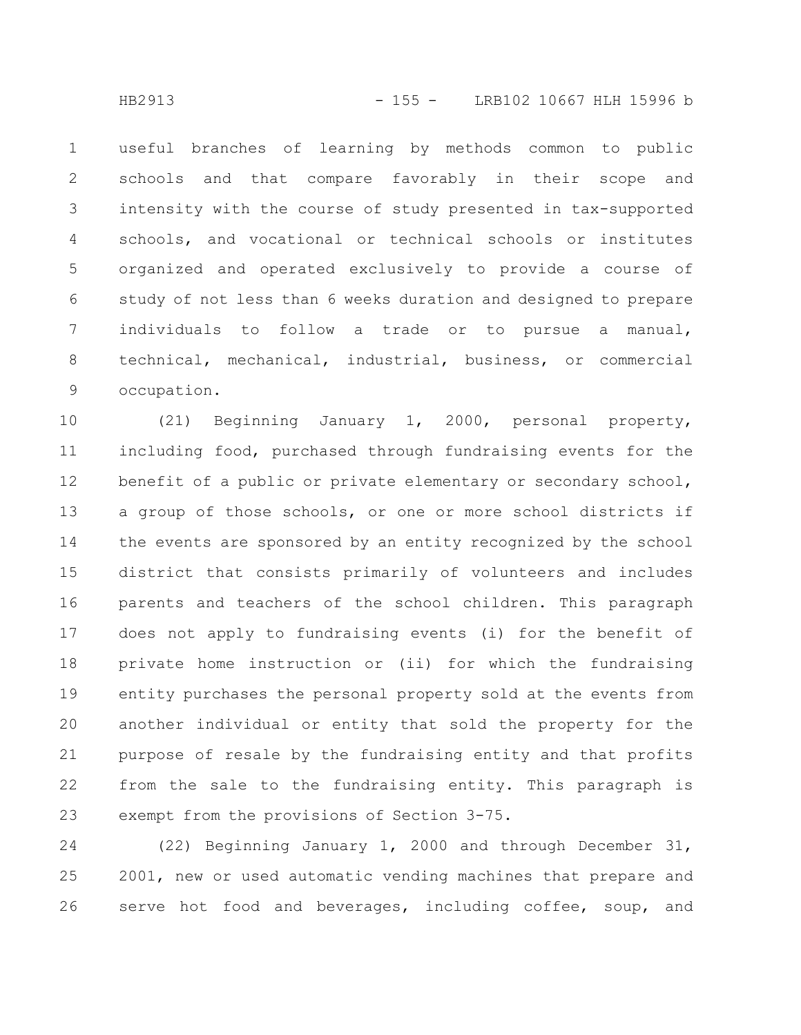useful branches of learning by methods common to public schools and that compare favorably in their scope and intensity with the course of study presented in tax-supported schools, and vocational or technical schools or institutes organized and operated exclusively to provide a course of study of not less than 6 weeks duration and designed to prepare individuals to follow a trade or to pursue a manual, technical, mechanical, industrial, business, or commercial occupation. 1 2 3 4 5 6 7 8 9

(21) Beginning January 1, 2000, personal property, including food, purchased through fundraising events for the benefit of a public or private elementary or secondary school, a group of those schools, or one or more school districts if the events are sponsored by an entity recognized by the school district that consists primarily of volunteers and includes parents and teachers of the school children. This paragraph does not apply to fundraising events (i) for the benefit of private home instruction or (ii) for which the fundraising entity purchases the personal property sold at the events from another individual or entity that sold the property for the purpose of resale by the fundraising entity and that profits from the sale to the fundraising entity. This paragraph is exempt from the provisions of Section 3-75. 10 11 12 13 14 15 16 17 18 19 20 21 22 23

(22) Beginning January 1, 2000 and through December 31, 2001, new or used automatic vending machines that prepare and serve hot food and beverages, including coffee, soup, and 24 25 26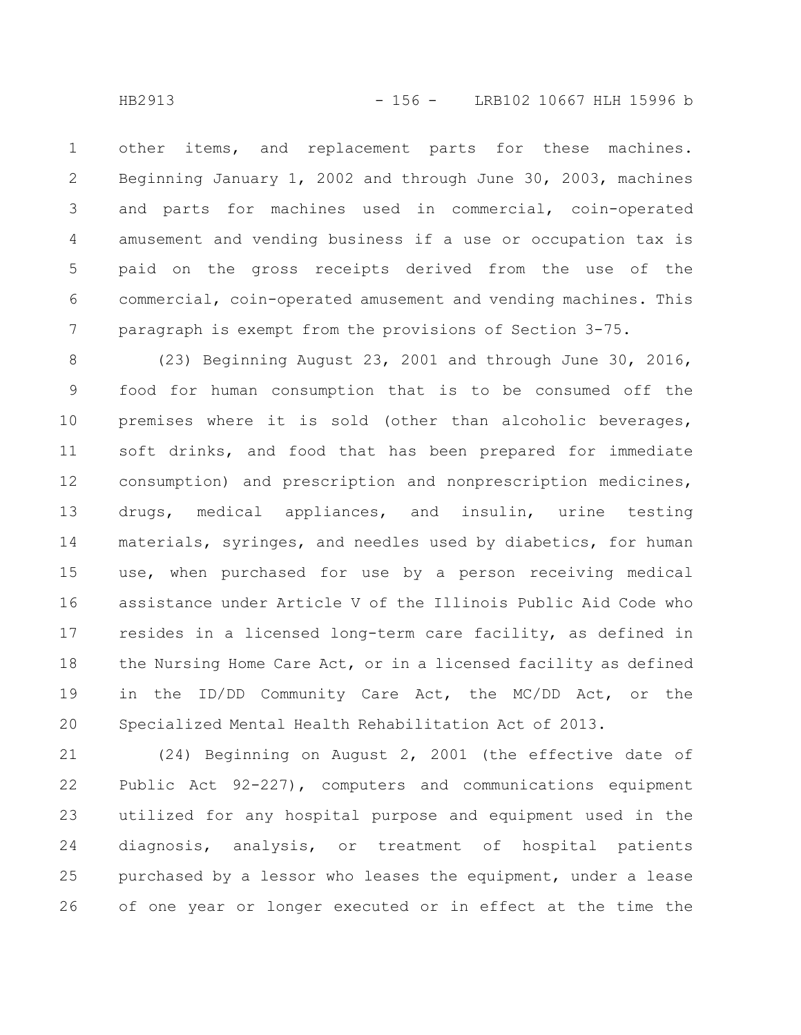other items, and replacement parts for these machines. Beginning January 1, 2002 and through June 30, 2003, machines and parts for machines used in commercial, coin-operated amusement and vending business if a use or occupation tax is paid on the gross receipts derived from the use of the commercial, coin-operated amusement and vending machines. This paragraph is exempt from the provisions of Section 3-75. 1 2 3 4 5 6 7

(23) Beginning August 23, 2001 and through June 30, 2016, food for human consumption that is to be consumed off the premises where it is sold (other than alcoholic beverages, soft drinks, and food that has been prepared for immediate consumption) and prescription and nonprescription medicines, drugs, medical appliances, and insulin, urine testing materials, syringes, and needles used by diabetics, for human use, when purchased for use by a person receiving medical assistance under Article V of the Illinois Public Aid Code who resides in a licensed long-term care facility, as defined in the Nursing Home Care Act, or in a licensed facility as defined in the ID/DD Community Care Act, the MC/DD Act, or the Specialized Mental Health Rehabilitation Act of 2013. 8 9 10 11 12 13 14 15 16 17 18 19 20

(24) Beginning on August 2, 2001 (the effective date of Public Act 92-227), computers and communications equipment utilized for any hospital purpose and equipment used in the diagnosis, analysis, or treatment of hospital patients purchased by a lessor who leases the equipment, under a lease of one year or longer executed or in effect at the time the 21 22 23 24 25 26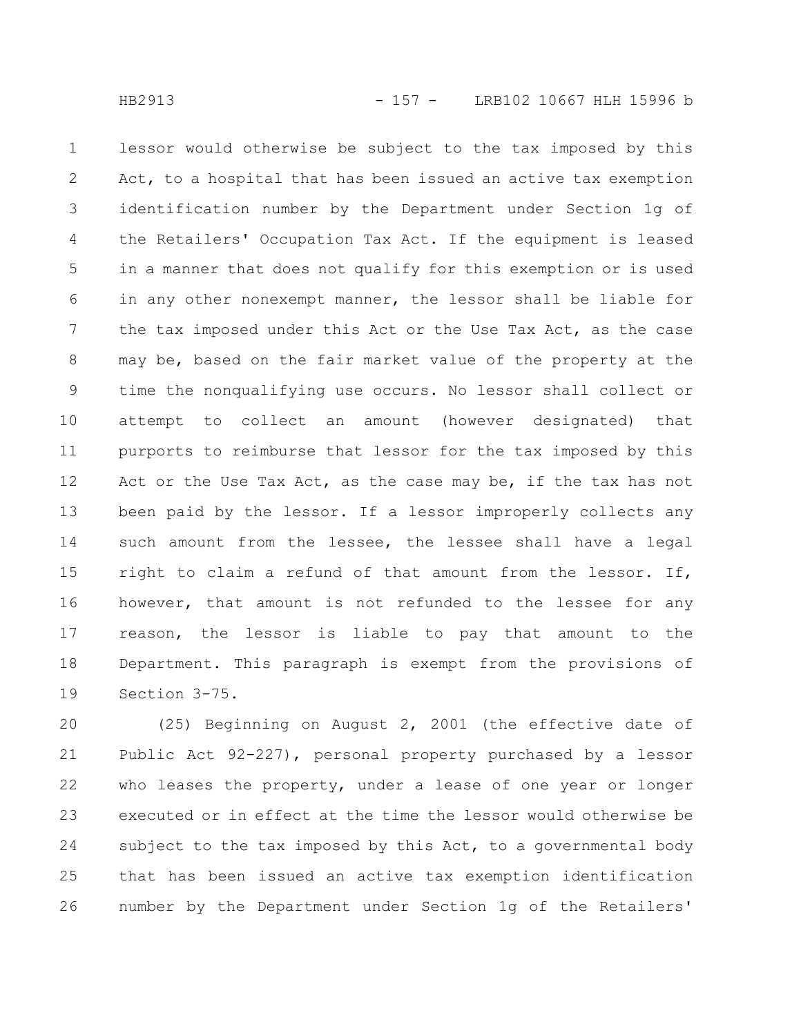lessor would otherwise be subject to the tax imposed by this Act, to a hospital that has been issued an active tax exemption identification number by the Department under Section 1g of the Retailers' Occupation Tax Act. If the equipment is leased in a manner that does not qualify for this exemption or is used in any other nonexempt manner, the lessor shall be liable for the tax imposed under this Act or the Use Tax Act, as the case may be, based on the fair market value of the property at the time the nonqualifying use occurs. No lessor shall collect or attempt to collect an amount (however designated) that purports to reimburse that lessor for the tax imposed by this Act or the Use Tax Act, as the case may be, if the tax has not been paid by the lessor. If a lessor improperly collects any such amount from the lessee, the lessee shall have a legal right to claim a refund of that amount from the lessor. If, however, that amount is not refunded to the lessee for any reason, the lessor is liable to pay that amount to the Department. This paragraph is exempt from the provisions of Section 3-75. 1 2 3 4 5 6 7 8 9 10 11 12 13 14 15 16 17 18 19

(25) Beginning on August 2, 2001 (the effective date of Public Act 92-227), personal property purchased by a lessor who leases the property, under a lease of one year or longer executed or in effect at the time the lessor would otherwise be subject to the tax imposed by this Act, to a governmental body that has been issued an active tax exemption identification number by the Department under Section 1g of the Retailers' 20 21 22 23 24 25 26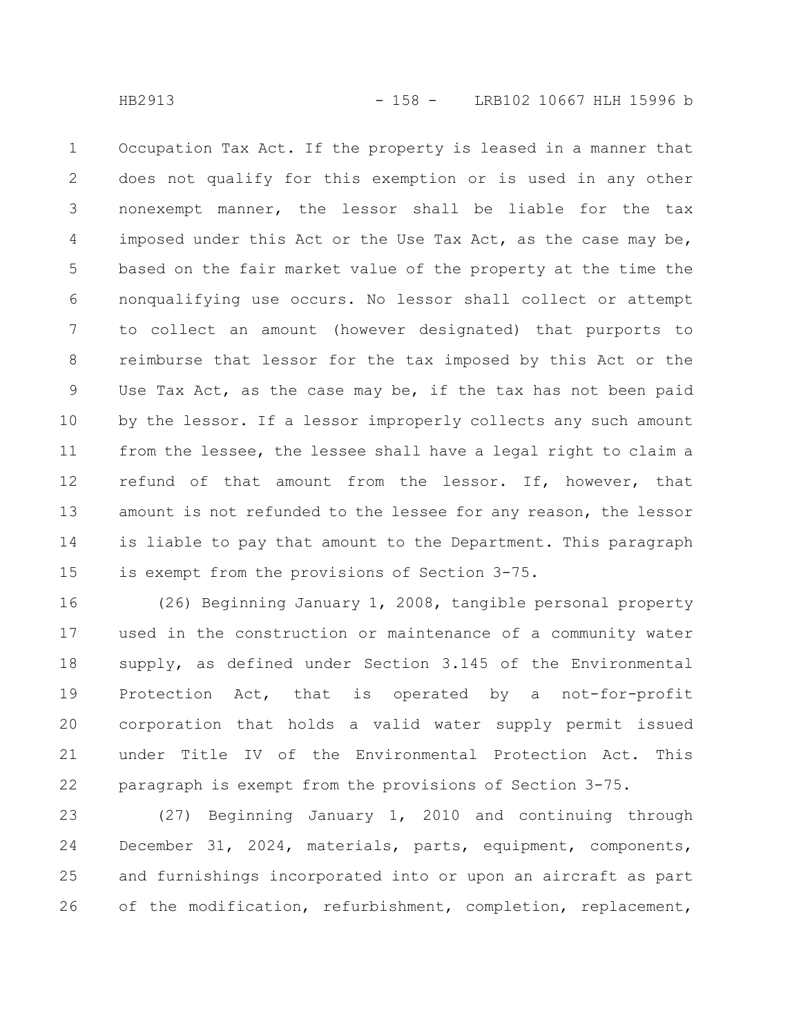Occupation Tax Act. If the property is leased in a manner that does not qualify for this exemption or is used in any other nonexempt manner, the lessor shall be liable for the tax imposed under this Act or the Use Tax Act, as the case may be, based on the fair market value of the property at the time the nonqualifying use occurs. No lessor shall collect or attempt to collect an amount (however designated) that purports to reimburse that lessor for the tax imposed by this Act or the Use Tax Act, as the case may be, if the tax has not been paid by the lessor. If a lessor improperly collects any such amount from the lessee, the lessee shall have a legal right to claim a refund of that amount from the lessor. If, however, that amount is not refunded to the lessee for any reason, the lessor is liable to pay that amount to the Department. This paragraph is exempt from the provisions of Section 3-75. 1 2 3 4 5 6 7 8 9 10 11 12 13 14 15

(26) Beginning January 1, 2008, tangible personal property used in the construction or maintenance of a community water supply, as defined under Section 3.145 of the Environmental Protection Act, that is operated by a not-for-profit corporation that holds a valid water supply permit issued under Title IV of the Environmental Protection Act. This paragraph is exempt from the provisions of Section 3-75. 16 17 18 19 20 21 22

(27) Beginning January 1, 2010 and continuing through December 31, 2024, materials, parts, equipment, components, and furnishings incorporated into or upon an aircraft as part of the modification, refurbishment, completion, replacement, 23 24 25 26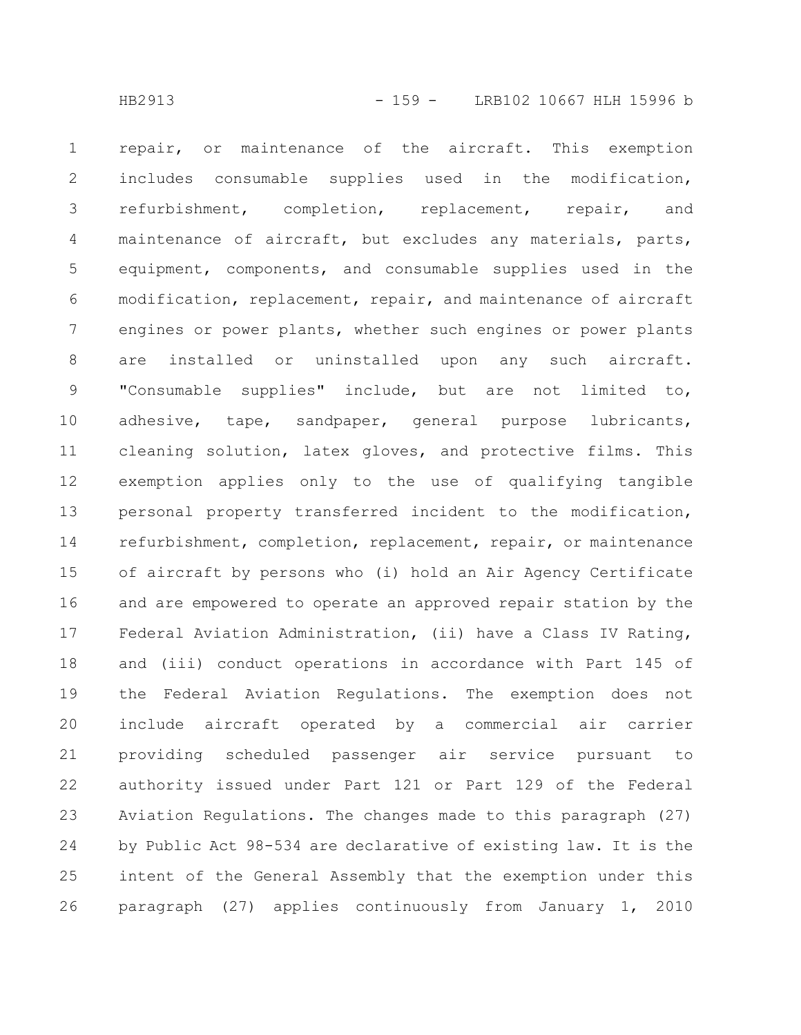repair, or maintenance of the aircraft. This exemption includes consumable supplies used in the modification, refurbishment, completion, replacement, repair, and maintenance of aircraft, but excludes any materials, parts, equipment, components, and consumable supplies used in the modification, replacement, repair, and maintenance of aircraft engines or power plants, whether such engines or power plants are installed or uninstalled upon any such aircraft. "Consumable supplies" include, but are not limited to, adhesive, tape, sandpaper, general purpose lubricants, cleaning solution, latex gloves, and protective films. This exemption applies only to the use of qualifying tangible personal property transferred incident to the modification, refurbishment, completion, replacement, repair, or maintenance of aircraft by persons who (i) hold an Air Agency Certificate and are empowered to operate an approved repair station by the Federal Aviation Administration, (ii) have a Class IV Rating, and (iii) conduct operations in accordance with Part 145 of the Federal Aviation Regulations. The exemption does not include aircraft operated by a commercial air carrier providing scheduled passenger air service pursuant to authority issued under Part 121 or Part 129 of the Federal Aviation Regulations. The changes made to this paragraph (27) by Public Act 98-534 are declarative of existing law. It is the intent of the General Assembly that the exemption under this paragraph (27) applies continuously from January 1, 2010 1 2 3 4 5 6 7 8 9 10 11 12 13 14 15 16 17 18 19 20 21 22 23 24 25 26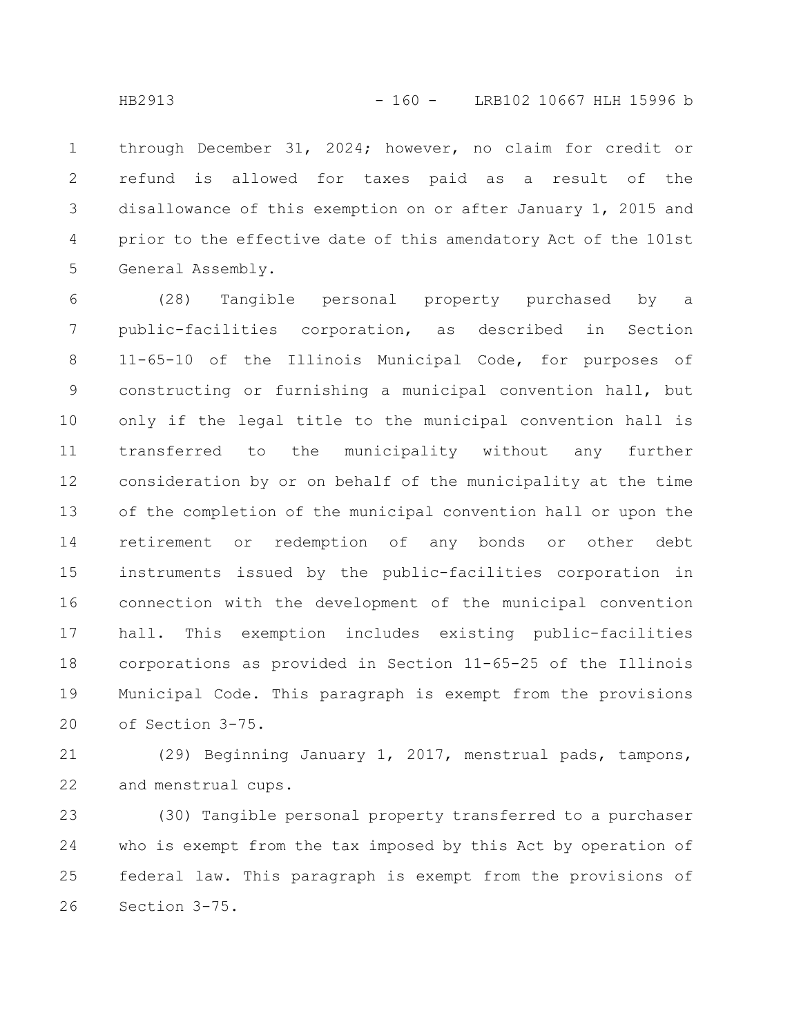through December 31, 2024; however, no claim for credit or refund is allowed for taxes paid as a result of the disallowance of this exemption on or after January 1, 2015 and prior to the effective date of this amendatory Act of the 101st General Assembly. 1 2 3 4 5

(28) Tangible personal property purchased by a public-facilities corporation, as described in Section 11-65-10 of the Illinois Municipal Code, for purposes of constructing or furnishing a municipal convention hall, but only if the legal title to the municipal convention hall is transferred to the municipality without any further consideration by or on behalf of the municipality at the time of the completion of the municipal convention hall or upon the retirement or redemption of any bonds or other debt instruments issued by the public-facilities corporation in connection with the development of the municipal convention hall. This exemption includes existing public-facilities corporations as provided in Section 11-65-25 of the Illinois Municipal Code. This paragraph is exempt from the provisions of Section 3-75. 6 7 8 9 10 11 12 13 14 15 16 17 18 19 20

(29) Beginning January 1, 2017, menstrual pads, tampons, and menstrual cups. 21 22

(30) Tangible personal property transferred to a purchaser who is exempt from the tax imposed by this Act by operation of federal law. This paragraph is exempt from the provisions of Section 3-75. 23 24 25 26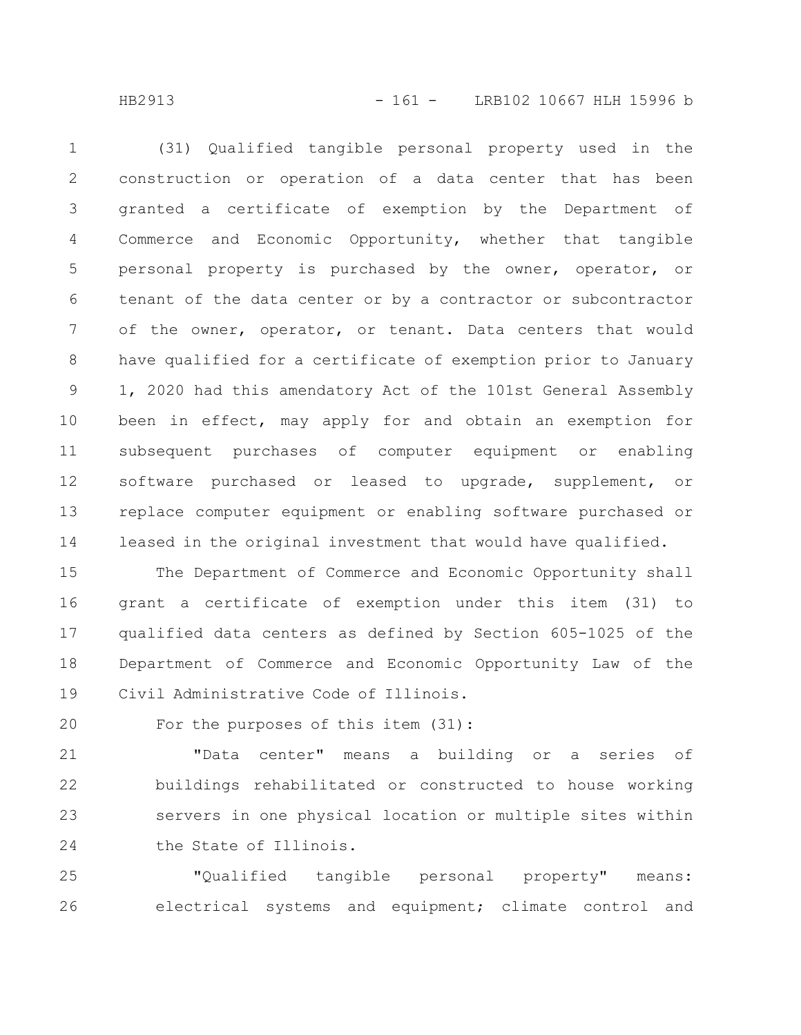HB2913 - 161 - LRB102 10667 HLH 15996 b

(31) Qualified tangible personal property used in the construction or operation of a data center that has been granted a certificate of exemption by the Department of Commerce and Economic Opportunity, whether that tangible personal property is purchased by the owner, operator, or tenant of the data center or by a contractor or subcontractor of the owner, operator, or tenant. Data centers that would have qualified for a certificate of exemption prior to January 1, 2020 had this amendatory Act of the 101st General Assembly been in effect, may apply for and obtain an exemption for subsequent purchases of computer equipment or enabling software purchased or leased to upgrade, supplement, or replace computer equipment or enabling software purchased or leased in the original investment that would have qualified. 1 2 3 4 5 6 7 8 9 10 11 12 13 14

The Department of Commerce and Economic Opportunity shall grant a certificate of exemption under this item (31) to qualified data centers as defined by Section 605-1025 of the Department of Commerce and Economic Opportunity Law of the Civil Administrative Code of Illinois. 15 16 17 18 19

For the purposes of this item (31): 20

"Data center" means a building or a series of buildings rehabilitated or constructed to house working servers in one physical location or multiple sites within the State of Illinois. 21 22 23 24

"Qualified tangible personal property" means: electrical systems and equipment; climate control and 25 26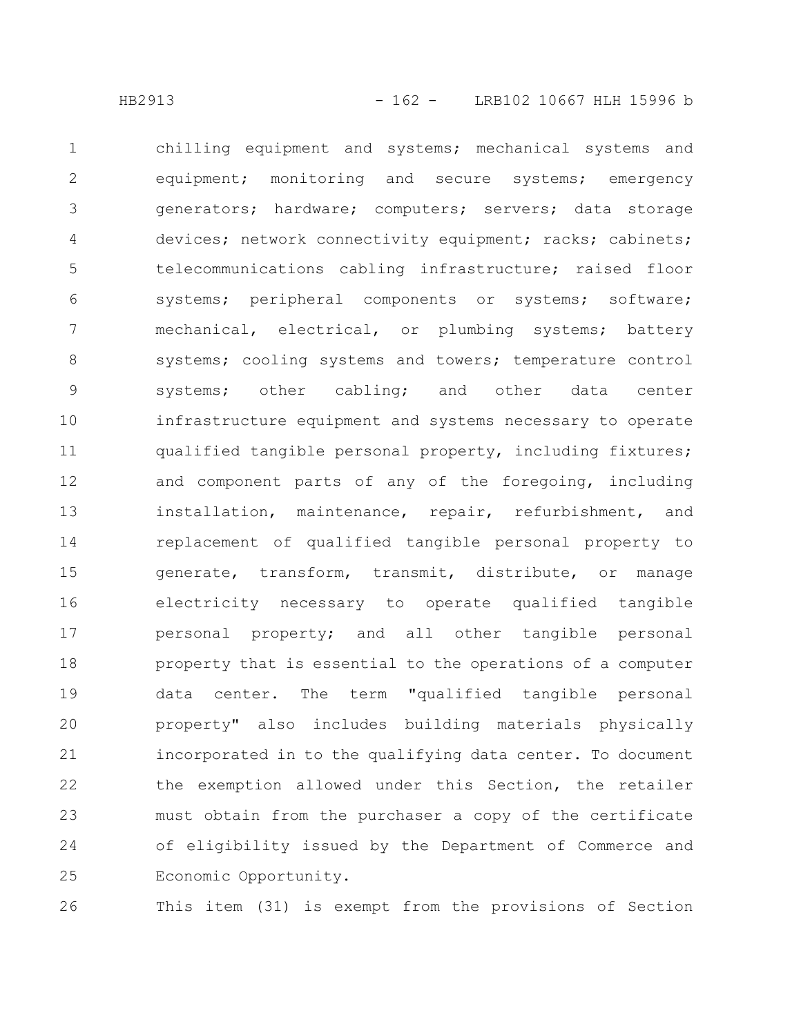chilling equipment and systems; mechanical systems and equipment; monitoring and secure systems; emergency generators; hardware; computers; servers; data storage devices; network connectivity equipment; racks; cabinets; telecommunications cabling infrastructure; raised floor systems; peripheral components or systems; software; mechanical, electrical, or plumbing systems; battery systems; cooling systems and towers; temperature control systems; other cabling; and other data center infrastructure equipment and systems necessary to operate qualified tangible personal property, including fixtures; and component parts of any of the foregoing, including installation, maintenance, repair, refurbishment, and replacement of qualified tangible personal property to generate, transform, transmit, distribute, or manage electricity necessary to operate qualified tangible personal property; and all other tangible personal property that is essential to the operations of a computer data center. The term "qualified tangible personal property" also includes building materials physically incorporated in to the qualifying data center. To document the exemption allowed under this Section, the retailer must obtain from the purchaser a copy of the certificate of eligibility issued by the Department of Commerce and Economic Opportunity. 1 2 3 4 5 6 7 8 9 10 11 12 13 14 15 16 17 18 19 20 21 22 23 24 25

26

This item (31) is exempt from the provisions of Section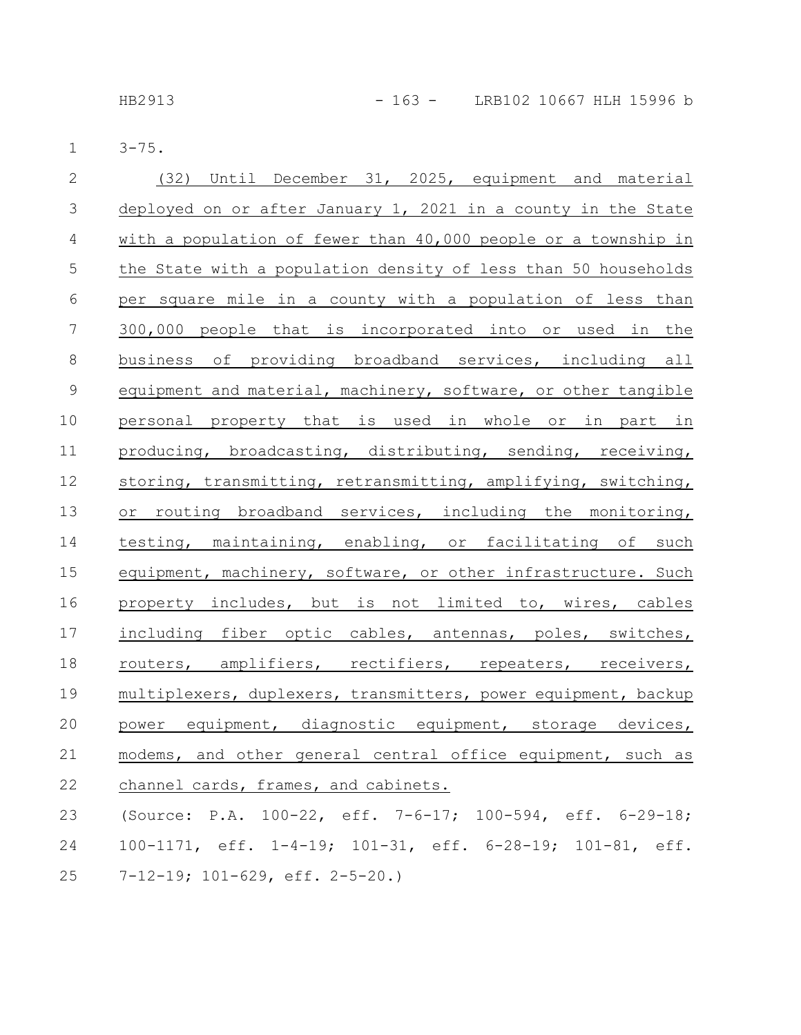HB2913 - 163 - LRB102 10667 HLH 15996 b

3-75. 1

| $\overline{2}$ | (32) Until December 31, 2025, equipment and material           |
|----------------|----------------------------------------------------------------|
| $\mathcal{S}$  | deployed on or after January 1, 2021 in a county in the State  |
| $\overline{4}$ | with a population of fewer than 40,000 people or a township in |
| 5              | the State with a population density of less than 50 households |
| 6              | per square mile in a county with a population of less than     |
| 7              | 300,000 people that is incorporated into or used in the        |
| $8\,$          | business of providing broadband services, including all        |
| $\mathsf 9$    | equipment and material, machinery, software, or other tangible |
| 10             | personal property that is used in whole or in part in          |
| 11             | producing, broadcasting, distributing, sending, receiving,     |
| 12             | storing, transmitting, retransmitting, amplifying, switching,  |
| 13             | or routing broadband services, including the monitoring,       |
| 14             | testing, maintaining, enabling, or facilitating of such        |
| 15             | equipment, machinery, software, or other infrastructure. Such  |
| 16             | property includes, but is not limited to, wires, cables        |
| 17             | including fiber optic cables, antennas, poles, switches,       |
| 18             | routers, amplifiers, rectifiers, repeaters, receivers,         |
| 19             | multiplexers, duplexers, transmitters, power equipment, backup |
| 20             | power equipment, diagnostic equipment, storage devices,        |
| $2\sqrt{1}$    | modems, and other general central office equipment, such as    |
| 22             | channel cards, frames, and cabinets.                           |
| 23             | (Source: P.A. 100-22, eff. 7-6-17; 100-594, eff. 6-29-18;      |
| 24             | 100-1171, eff. 1-4-19; 101-31, eff. 6-28-19; 101-81, eff.      |
| 25             | $7-12-19$ ; $101-629$ , eff. $2-5-20$ .)                       |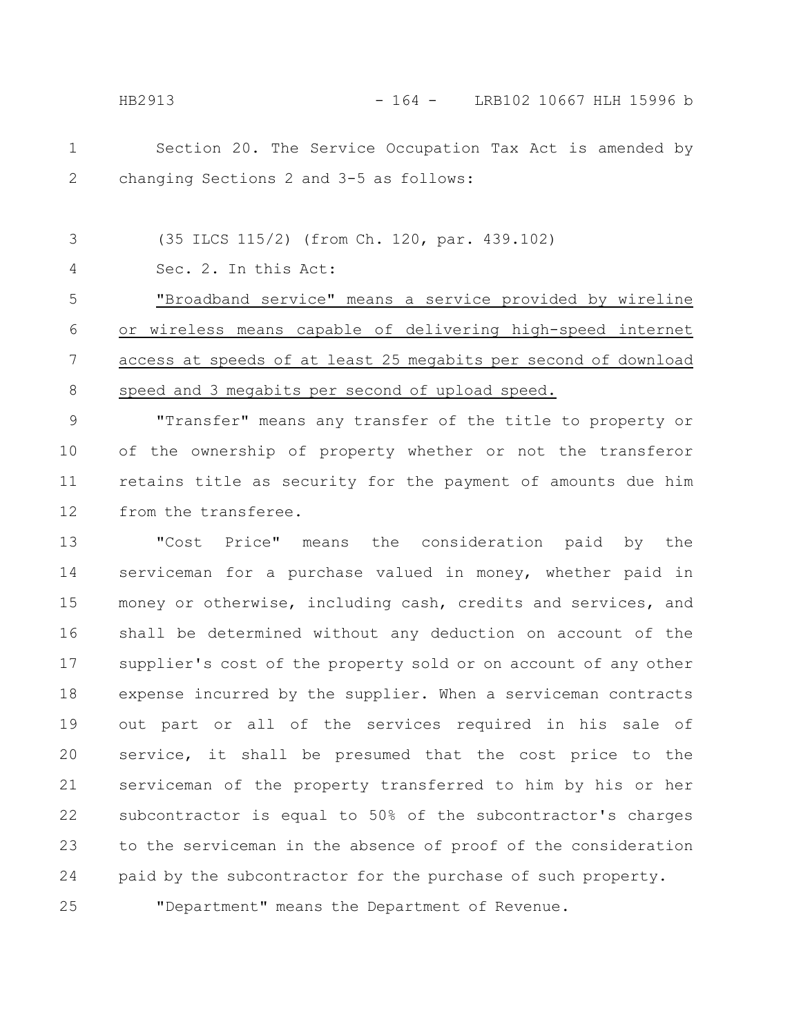HB2913 - 164 - LRB102 10667 HLH 15996 b

Section 20. The Service Occupation Tax Act is amended by changing Sections 2 and 3-5 as follows: 1 2

(35 ILCS 115/2) (from Ch. 120, par. 439.102) 3

Sec. 2. In this Act: 4

25

"Broadband service" means a service provided by wireline or wireless means capable of delivering high-speed internet access at speeds of at least 25 megabits per second of download speed and 3 megabits per second of upload speed. 5 6 7 8

"Transfer" means any transfer of the title to property or of the ownership of property whether or not the transferor retains title as security for the payment of amounts due him from the transferee. 9 10 11 12

"Cost Price" means the consideration paid by the serviceman for a purchase valued in money, whether paid in money or otherwise, including cash, credits and services, and shall be determined without any deduction on account of the supplier's cost of the property sold or on account of any other expense incurred by the supplier. When a serviceman contracts out part or all of the services required in his sale of service, it shall be presumed that the cost price to the serviceman of the property transferred to him by his or her subcontractor is equal to 50% of the subcontractor's charges to the serviceman in the absence of proof of the consideration paid by the subcontractor for the purchase of such property. 13 14 15 16 17 18 19 20 21 22 23 24

"Department" means the Department of Revenue.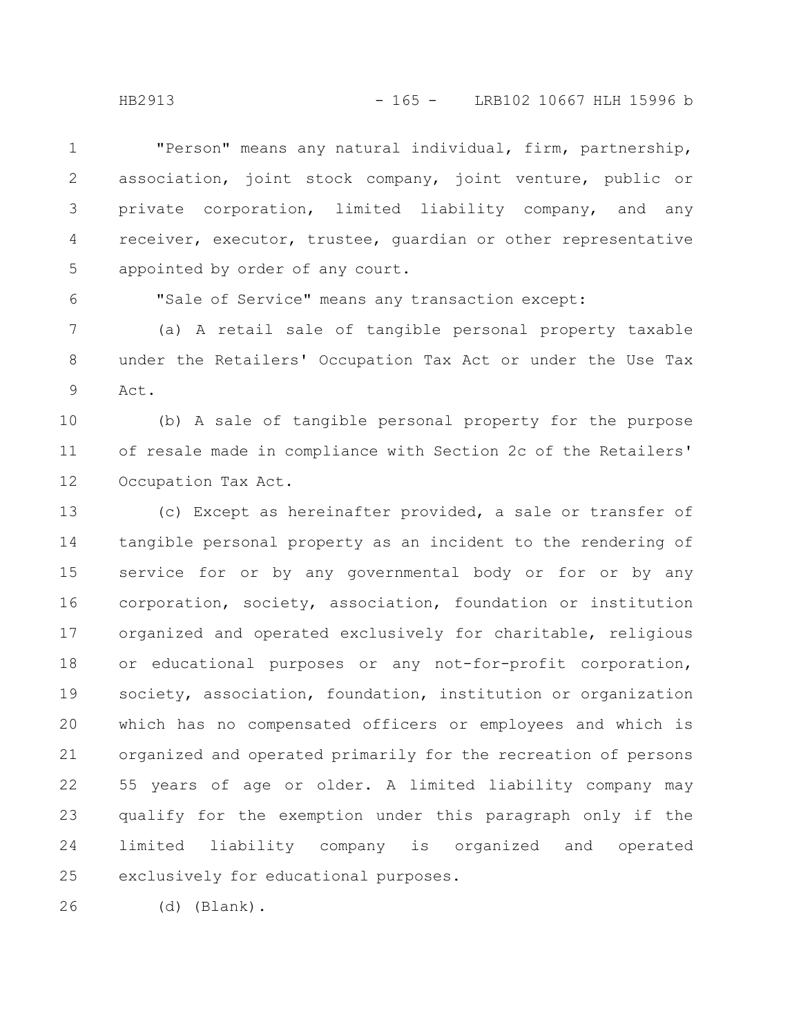"Person" means any natural individual, firm, partnership, association, joint stock company, joint venture, public or private corporation, limited liability company, and any receiver, executor, trustee, guardian or other representative appointed by order of any court. 1 2 3 4 5

"Sale of Service" means any transaction except:

(a) A retail sale of tangible personal property taxable under the Retailers' Occupation Tax Act or under the Use Tax Act. 7 8 9

(b) A sale of tangible personal property for the purpose of resale made in compliance with Section 2c of the Retailers' Occupation Tax Act. 10 11 12

(c) Except as hereinafter provided, a sale or transfer of tangible personal property as an incident to the rendering of service for or by any governmental body or for or by any corporation, society, association, foundation or institution organized and operated exclusively for charitable, religious or educational purposes or any not-for-profit corporation, society, association, foundation, institution or organization which has no compensated officers or employees and which is organized and operated primarily for the recreation of persons 55 years of age or older. A limited liability company may qualify for the exemption under this paragraph only if the limited liability company is organized and operated exclusively for educational purposes. 13 14 15 16 17 18 19 20 21 22 23 24 25

(d) (Blank). 26

6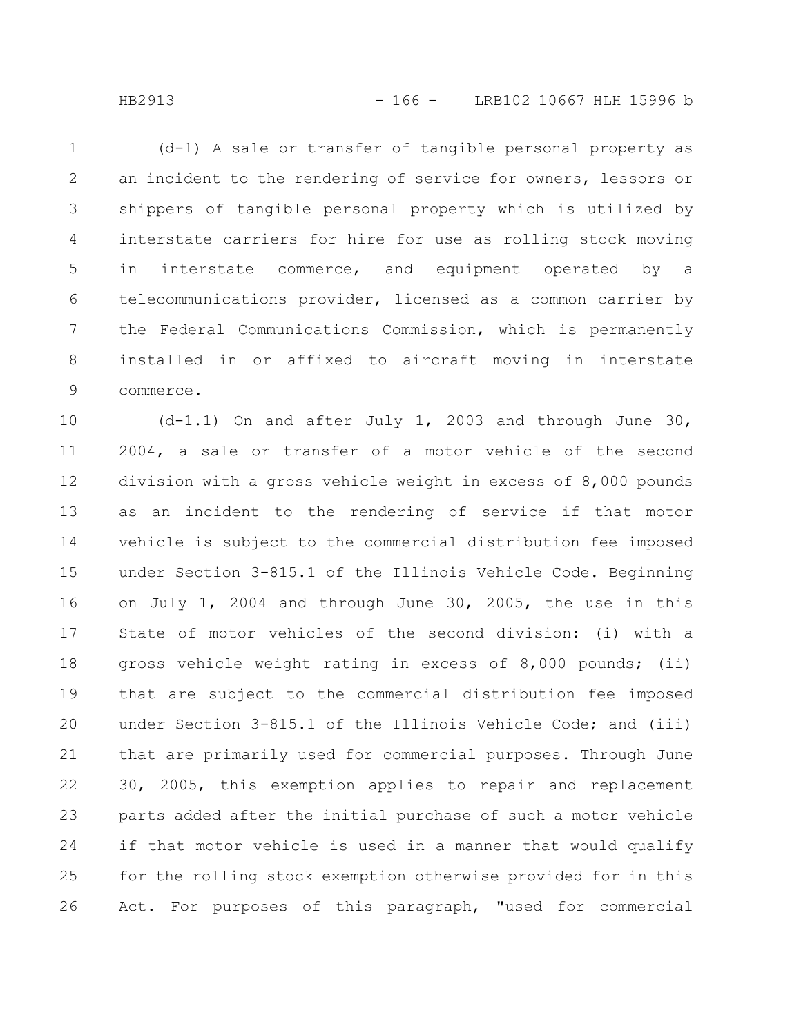(d-1) A sale or transfer of tangible personal property as an incident to the rendering of service for owners, lessors or shippers of tangible personal property which is utilized by interstate carriers for hire for use as rolling stock moving in interstate commerce, and equipment operated by a telecommunications provider, licensed as a common carrier by the Federal Communications Commission, which is permanently installed in or affixed to aircraft moving in interstate commerce. 1 2 3 4 5 6 7 8 9

(d-1.1) On and after July 1, 2003 and through June 30, 2004, a sale or transfer of a motor vehicle of the second division with a gross vehicle weight in excess of 8,000 pounds as an incident to the rendering of service if that motor vehicle is subject to the commercial distribution fee imposed under Section 3-815.1 of the Illinois Vehicle Code. Beginning on July 1, 2004 and through June 30, 2005, the use in this State of motor vehicles of the second division: (i) with a gross vehicle weight rating in excess of 8,000 pounds; (ii) that are subject to the commercial distribution fee imposed under Section 3-815.1 of the Illinois Vehicle Code; and (iii) that are primarily used for commercial purposes. Through June 30, 2005, this exemption applies to repair and replacement parts added after the initial purchase of such a motor vehicle if that motor vehicle is used in a manner that would qualify for the rolling stock exemption otherwise provided for in this Act. For purposes of this paragraph, "used for commercial 10 11 12 13 14 15 16 17 18 19 20 21 22 23 24 25 26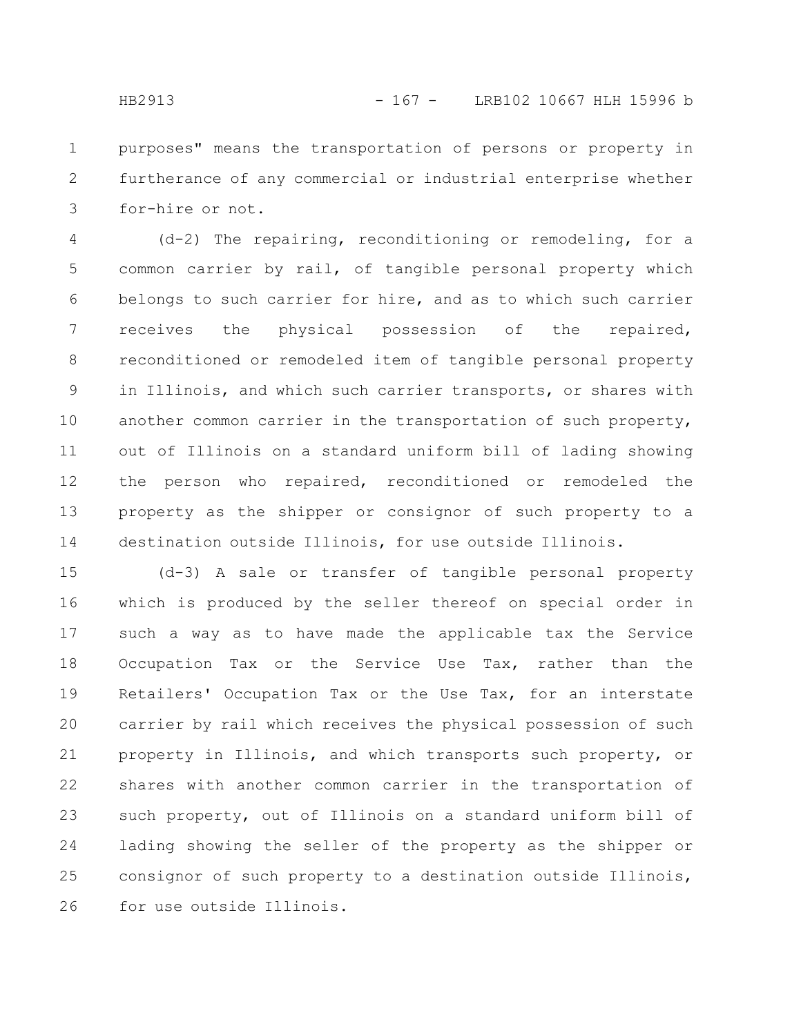purposes" means the transportation of persons or property in furtherance of any commercial or industrial enterprise whether for-hire or not. 1 2 3

(d-2) The repairing, reconditioning or remodeling, for a common carrier by rail, of tangible personal property which belongs to such carrier for hire, and as to which such carrier receives the physical possession of the repaired, reconditioned or remodeled item of tangible personal property in Illinois, and which such carrier transports, or shares with another common carrier in the transportation of such property, out of Illinois on a standard uniform bill of lading showing the person who repaired, reconditioned or remodeled the property as the shipper or consignor of such property to a destination outside Illinois, for use outside Illinois. 4 5 6 7 8 9 10 11 12 13 14

(d-3) A sale or transfer of tangible personal property which is produced by the seller thereof on special order in such a way as to have made the applicable tax the Service Occupation Tax or the Service Use Tax, rather than the Retailers' Occupation Tax or the Use Tax, for an interstate carrier by rail which receives the physical possession of such property in Illinois, and which transports such property, or shares with another common carrier in the transportation of such property, out of Illinois on a standard uniform bill of lading showing the seller of the property as the shipper or consignor of such property to a destination outside Illinois, for use outside Illinois. 15 16 17 18 19 20 21 22 23 24 25 26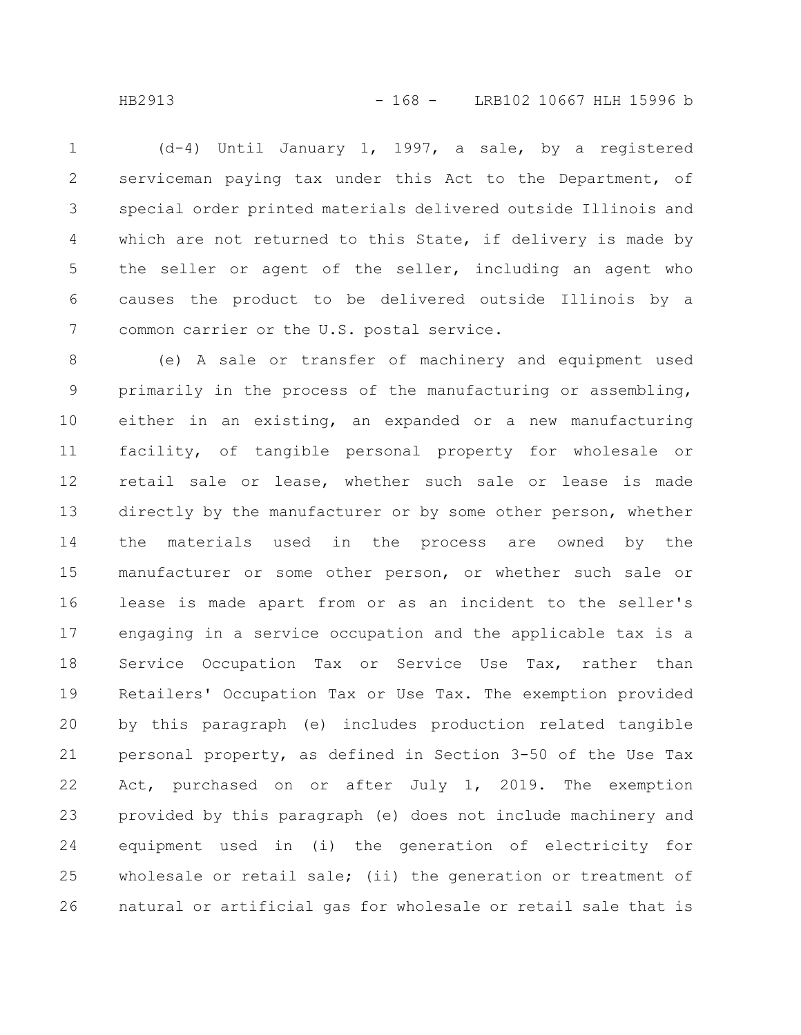(d-4) Until January 1, 1997, a sale, by a registered serviceman paying tax under this Act to the Department, of special order printed materials delivered outside Illinois and which are not returned to this State, if delivery is made by the seller or agent of the seller, including an agent who causes the product to be delivered outside Illinois by a common carrier or the U.S. postal service. 1 2 3 4 5 6 7

(e) A sale or transfer of machinery and equipment used primarily in the process of the manufacturing or assembling, either in an existing, an expanded or a new manufacturing facility, of tangible personal property for wholesale or retail sale or lease, whether such sale or lease is made directly by the manufacturer or by some other person, whether the materials used in the process are owned by the manufacturer or some other person, or whether such sale or lease is made apart from or as an incident to the seller's engaging in a service occupation and the applicable tax is a Service Occupation Tax or Service Use Tax, rather than Retailers' Occupation Tax or Use Tax. The exemption provided by this paragraph (e) includes production related tangible personal property, as defined in Section 3-50 of the Use Tax Act, purchased on or after July 1, 2019. The exemption provided by this paragraph (e) does not include machinery and equipment used in (i) the generation of electricity for wholesale or retail sale; (ii) the generation or treatment of natural or artificial gas for wholesale or retail sale that is 8 9 10 11 12 13 14 15 16 17 18 19 20 21 22 23 24 25 26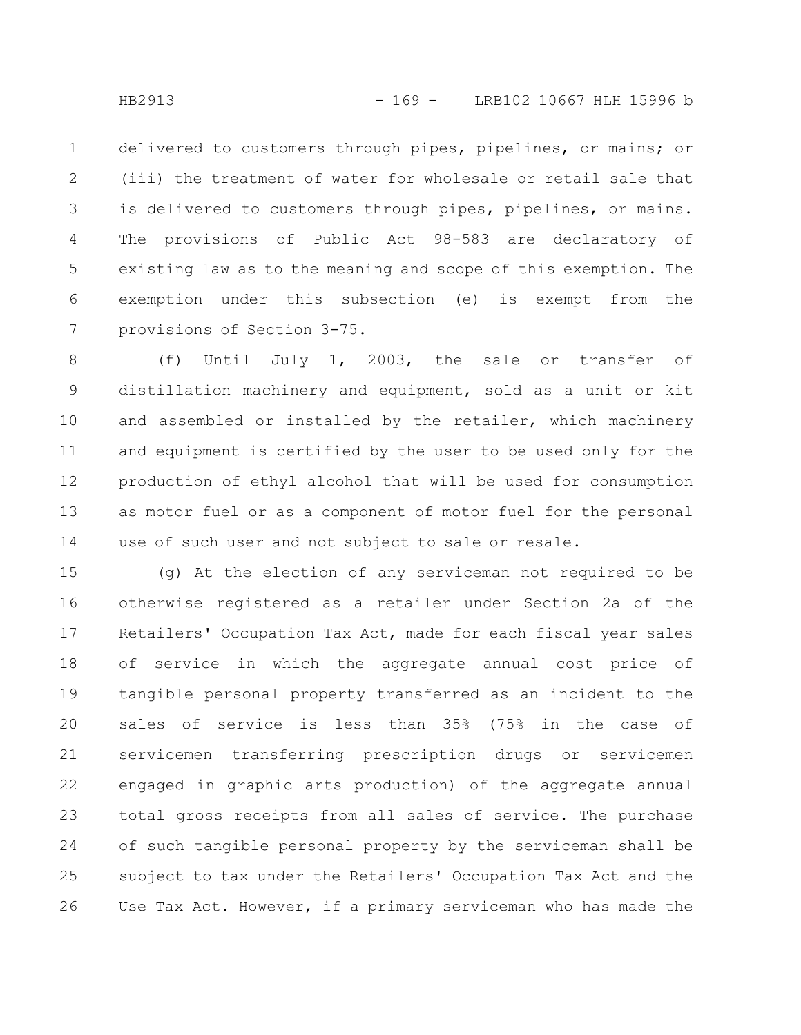delivered to customers through pipes, pipelines, or mains; or (iii) the treatment of water for wholesale or retail sale that is delivered to customers through pipes, pipelines, or mains. The provisions of Public Act 98-583 are declaratory of existing law as to the meaning and scope of this exemption. The exemption under this subsection (e) is exempt from the provisions of Section 3-75. 1 2 3 4 5 6 7

(f) Until July 1, 2003, the sale or transfer of distillation machinery and equipment, sold as a unit or kit and assembled or installed by the retailer, which machinery and equipment is certified by the user to be used only for the production of ethyl alcohol that will be used for consumption as motor fuel or as a component of motor fuel for the personal use of such user and not subject to sale or resale. 8 9 10 11 12 13 14

(g) At the election of any serviceman not required to be otherwise registered as a retailer under Section 2a of the Retailers' Occupation Tax Act, made for each fiscal year sales of service in which the aggregate annual cost price of tangible personal property transferred as an incident to the sales of service is less than 35% (75% in the case of servicemen transferring prescription drugs or servicemen engaged in graphic arts production) of the aggregate annual total gross receipts from all sales of service. The purchase of such tangible personal property by the serviceman shall be subject to tax under the Retailers' Occupation Tax Act and the Use Tax Act. However, if a primary serviceman who has made the 15 16 17 18 19 20 21 22 23 24 25 26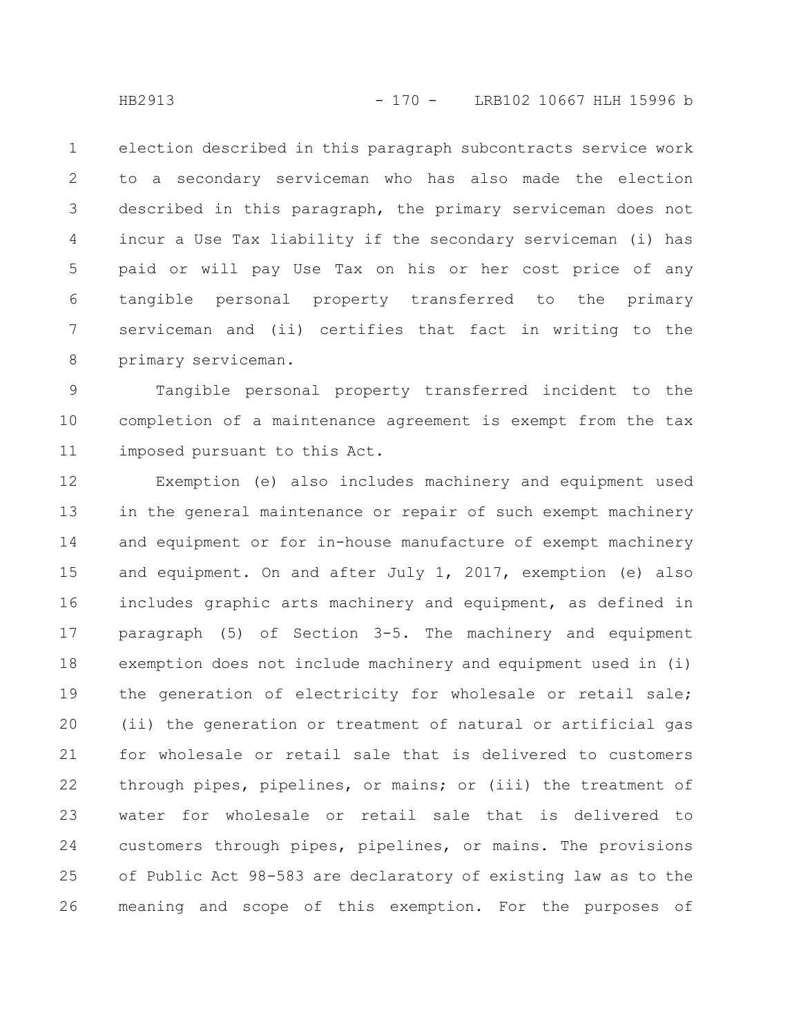election described in this paragraph subcontracts service work to a secondary serviceman who has also made the election described in this paragraph, the primary serviceman does not incur a Use Tax liability if the secondary serviceman (i) has paid or will pay Use Tax on his or her cost price of any tangible personal property transferred to the primary serviceman and (ii) certifies that fact in writing to the primary serviceman. 1 2 3 4 5 6 7 8

Tangible personal property transferred incident to the completion of a maintenance agreement is exempt from the tax imposed pursuant to this Act. 9 10 11

Exemption (e) also includes machinery and equipment used in the general maintenance or repair of such exempt machinery and equipment or for in-house manufacture of exempt machinery and equipment. On and after July 1, 2017, exemption (e) also includes graphic arts machinery and equipment, as defined in paragraph (5) of Section 3-5. The machinery and equipment exemption does not include machinery and equipment used in (i) the generation of electricity for wholesale or retail sale; (ii) the generation or treatment of natural or artificial gas for wholesale or retail sale that is delivered to customers through pipes, pipelines, or mains; or (iii) the treatment of water for wholesale or retail sale that is delivered to customers through pipes, pipelines, or mains. The provisions of Public Act 98-583 are declaratory of existing law as to the meaning and scope of this exemption. For the purposes of 12 13 14 15 16 17 18 19 20 21 22 23 24 25 26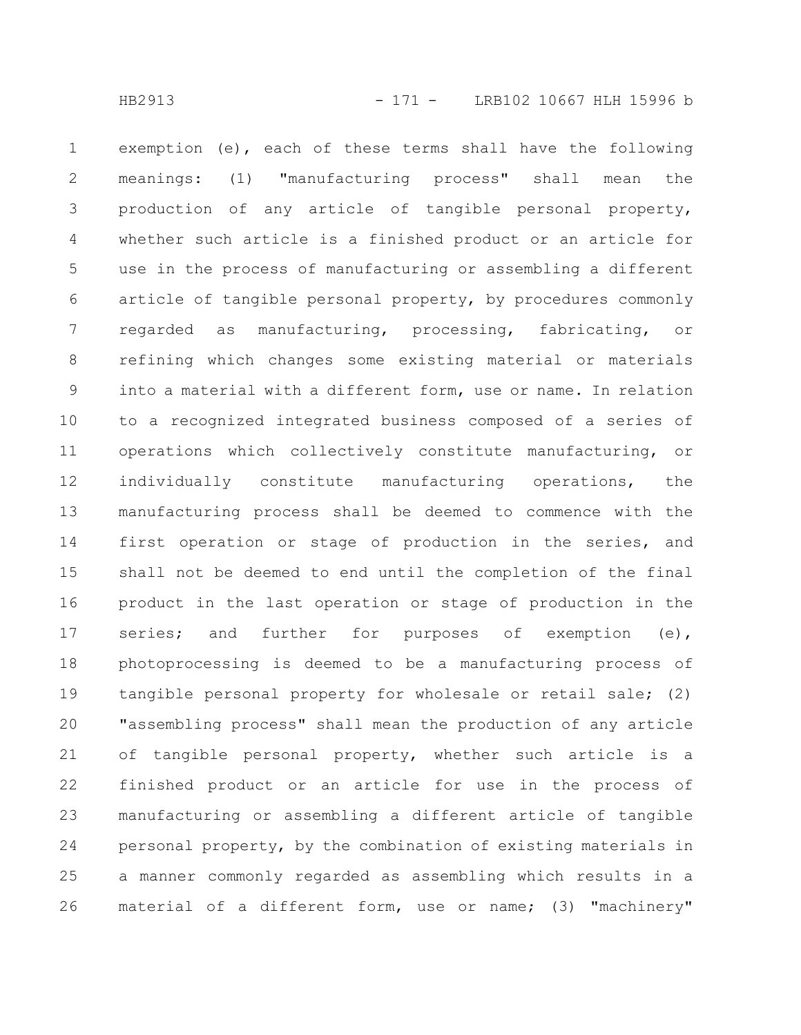exemption (e), each of these terms shall have the following meanings: (1) "manufacturing process" shall mean the production of any article of tangible personal property, whether such article is a finished product or an article for use in the process of manufacturing or assembling a different article of tangible personal property, by procedures commonly regarded as manufacturing, processing, fabricating, or refining which changes some existing material or materials into a material with a different form, use or name. In relation to a recognized integrated business composed of a series of operations which collectively constitute manufacturing, or individually constitute manufacturing operations, the manufacturing process shall be deemed to commence with the first operation or stage of production in the series, and shall not be deemed to end until the completion of the final product in the last operation or stage of production in the series; and further for purposes of exemption (e), photoprocessing is deemed to be a manufacturing process of tangible personal property for wholesale or retail sale; (2) "assembling process" shall mean the production of any article of tangible personal property, whether such article is a finished product or an article for use in the process of manufacturing or assembling a different article of tangible personal property, by the combination of existing materials in a manner commonly regarded as assembling which results in a material of a different form, use or name; (3) "machinery" 1 2 3 4 5 6 7 8 9 10 11 12 13 14 15 16 17 18 19 20 21 22 23 24 25 26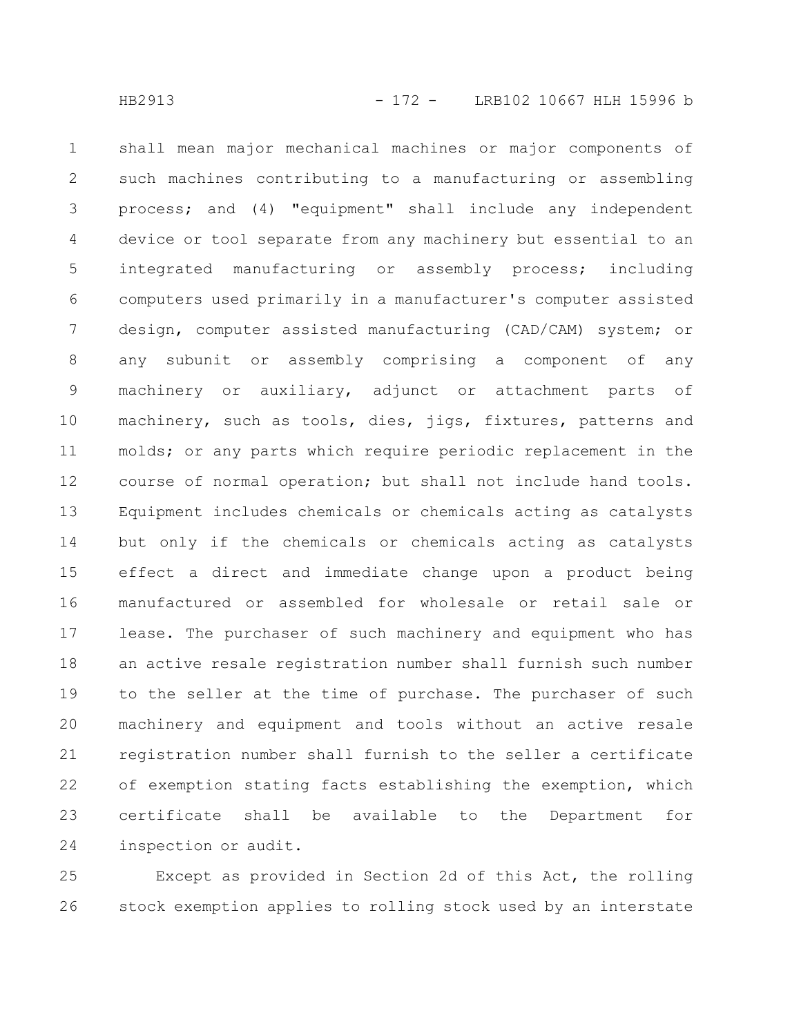shall mean major mechanical machines or major components of such machines contributing to a manufacturing or assembling process; and (4) "equipment" shall include any independent device or tool separate from any machinery but essential to an integrated manufacturing or assembly process; including computers used primarily in a manufacturer's computer assisted design, computer assisted manufacturing (CAD/CAM) system; or any subunit or assembly comprising a component of any machinery or auxiliary, adjunct or attachment parts of machinery, such as tools, dies, jigs, fixtures, patterns and molds; or any parts which require periodic replacement in the course of normal operation; but shall not include hand tools. Equipment includes chemicals or chemicals acting as catalysts but only if the chemicals or chemicals acting as catalysts effect a direct and immediate change upon a product being manufactured or assembled for wholesale or retail sale or lease. The purchaser of such machinery and equipment who has an active resale registration number shall furnish such number to the seller at the time of purchase. The purchaser of such machinery and equipment and tools without an active resale registration number shall furnish to the seller a certificate of exemption stating facts establishing the exemption, which certificate shall be available to the Department for inspection or audit. 1 2 3 4 5 6 7 8 9 10 11 12 13 14 15 16 17 18 19 20 21 22 23 24

Except as provided in Section 2d of this Act, the rolling stock exemption applies to rolling stock used by an interstate 25 26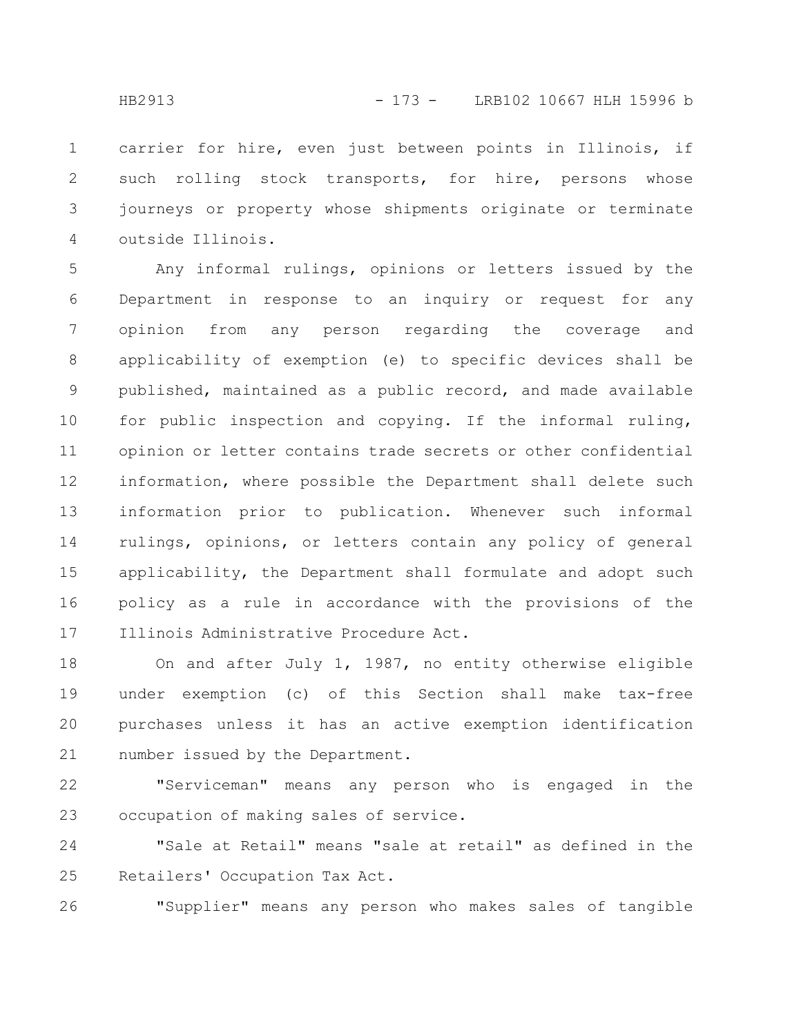carrier for hire, even just between points in Illinois, if such rolling stock transports, for hire, persons whose journeys or property whose shipments originate or terminate outside Illinois. 1 2 3 4

Any informal rulings, opinions or letters issued by the Department in response to an inquiry or request for any opinion from any person regarding the coverage and applicability of exemption (e) to specific devices shall be published, maintained as a public record, and made available for public inspection and copying. If the informal ruling, opinion or letter contains trade secrets or other confidential information, where possible the Department shall delete such information prior to publication. Whenever such informal rulings, opinions, or letters contain any policy of general applicability, the Department shall formulate and adopt such policy as a rule in accordance with the provisions of the Illinois Administrative Procedure Act. 5 6 7 8 9 10 11 12 13 14 15 16 17

On and after July 1, 1987, no entity otherwise eligible under exemption (c) of this Section shall make tax-free purchases unless it has an active exemption identification number issued by the Department. 18 19 20 21

"Serviceman" means any person who is engaged in the occupation of making sales of service. 22 23

"Sale at Retail" means "sale at retail" as defined in the Retailers' Occupation Tax Act. 24 25

"Supplier" means any person who makes sales of tangible 26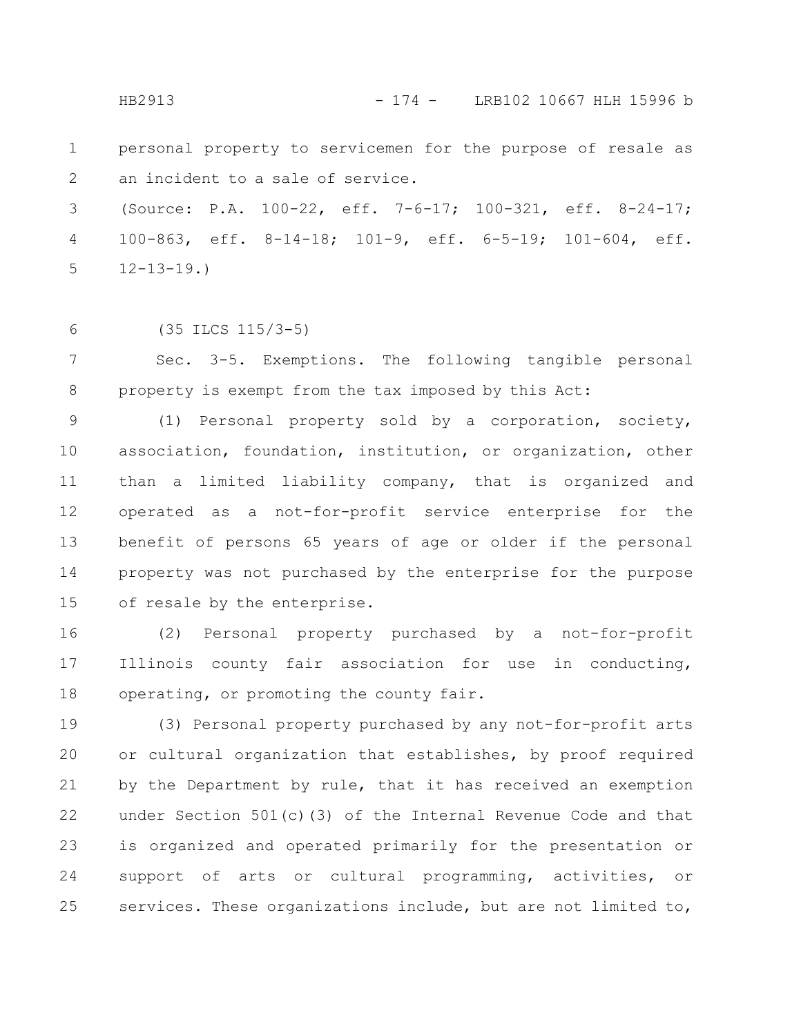HB2913 - 174 - LRB102 10667 HLH 15996 b

personal property to servicemen for the purpose of resale as an incident to a sale of service. 1 2

(Source: P.A. 100-22, eff. 7-6-17; 100-321, eff. 8-24-17; 100-863, eff. 8-14-18; 101-9, eff. 6-5-19; 101-604, eff.  $12 - 13 - 19.$ 3 4 5

6

(35 ILCS 115/3-5)

Sec. 3-5. Exemptions. The following tangible personal property is exempt from the tax imposed by this Act: 7 8

(1) Personal property sold by a corporation, society, association, foundation, institution, or organization, other than a limited liability company, that is organized and operated as a not-for-profit service enterprise for the benefit of persons 65 years of age or older if the personal property was not purchased by the enterprise for the purpose of resale by the enterprise. 9 10 11 12 13 14 15

(2) Personal property purchased by a not-for-profit Illinois county fair association for use in conducting, operating, or promoting the county fair. 16 17 18

(3) Personal property purchased by any not-for-profit arts or cultural organization that establishes, by proof required by the Department by rule, that it has received an exemption under Section 501(c)(3) of the Internal Revenue Code and that is organized and operated primarily for the presentation or support of arts or cultural programming, activities, or services. These organizations include, but are not limited to, 19 20 21 22 23 24 25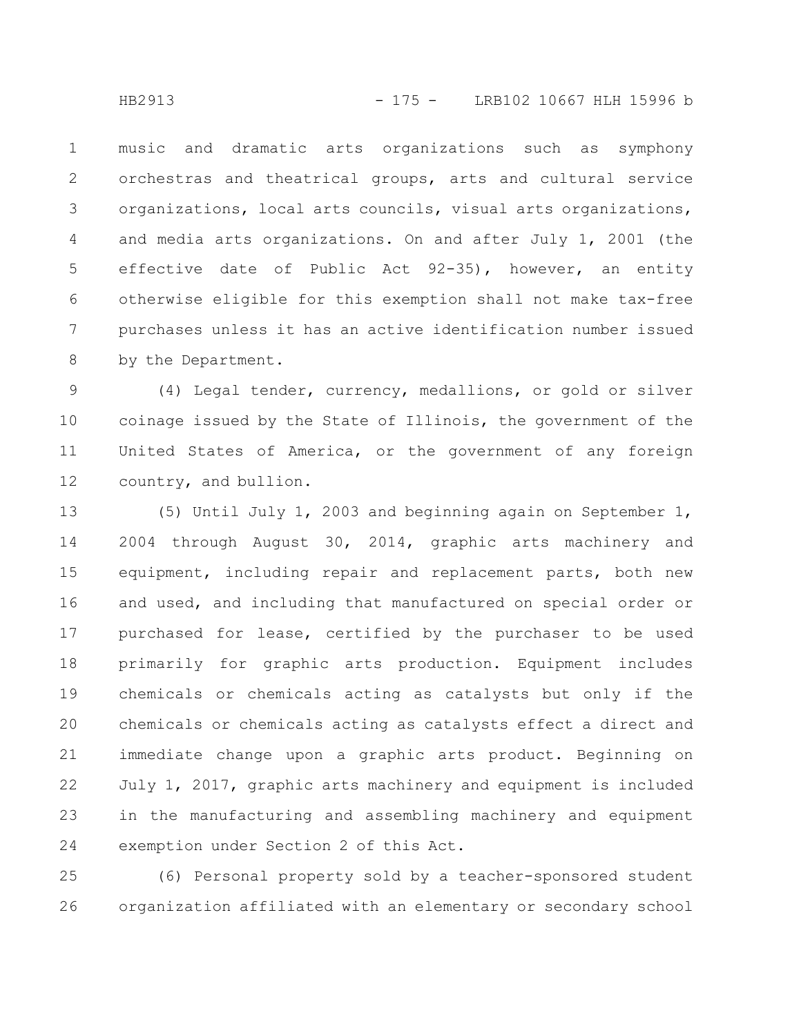music and dramatic arts organizations such as symphony orchestras and theatrical groups, arts and cultural service organizations, local arts councils, visual arts organizations, and media arts organizations. On and after July 1, 2001 (the effective date of Public Act 92-35), however, an entity otherwise eligible for this exemption shall not make tax-free purchases unless it has an active identification number issued by the Department. 1 2 3 4 5 6 7 8

(4) Legal tender, currency, medallions, or gold or silver coinage issued by the State of Illinois, the government of the United States of America, or the government of any foreign country, and bullion. 9 10 11 12

(5) Until July 1, 2003 and beginning again on September 1, 2004 through August 30, 2014, graphic arts machinery and equipment, including repair and replacement parts, both new and used, and including that manufactured on special order or purchased for lease, certified by the purchaser to be used primarily for graphic arts production. Equipment includes chemicals or chemicals acting as catalysts but only if the chemicals or chemicals acting as catalysts effect a direct and immediate change upon a graphic arts product. Beginning on July 1, 2017, graphic arts machinery and equipment is included in the manufacturing and assembling machinery and equipment exemption under Section 2 of this Act. 13 14 15 16 17 18 19 20 21 22 23 24

(6) Personal property sold by a teacher-sponsored student organization affiliated with an elementary or secondary school 25 26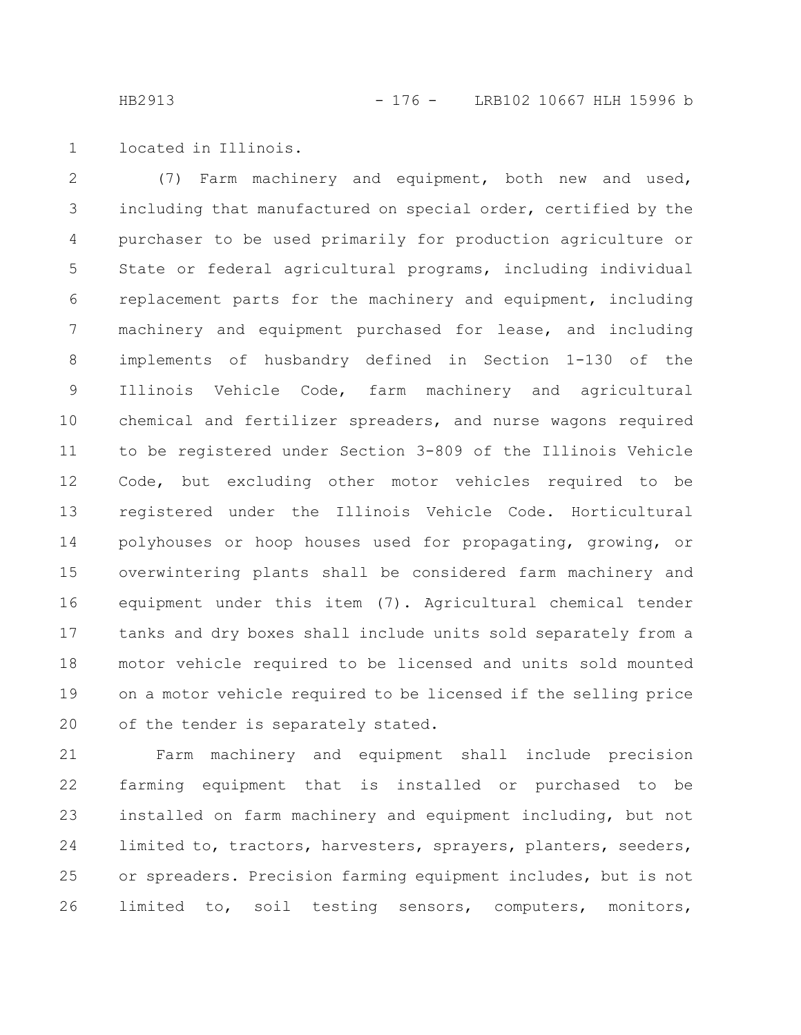located in Illinois. 1

(7) Farm machinery and equipment, both new and used, including that manufactured on special order, certified by the purchaser to be used primarily for production agriculture or State or federal agricultural programs, including individual replacement parts for the machinery and equipment, including machinery and equipment purchased for lease, and including implements of husbandry defined in Section 1-130 of the Illinois Vehicle Code, farm machinery and agricultural chemical and fertilizer spreaders, and nurse wagons required to be registered under Section 3-809 of the Illinois Vehicle Code, but excluding other motor vehicles required to be registered under the Illinois Vehicle Code. Horticultural polyhouses or hoop houses used for propagating, growing, or overwintering plants shall be considered farm machinery and equipment under this item (7). Agricultural chemical tender tanks and dry boxes shall include units sold separately from a motor vehicle required to be licensed and units sold mounted on a motor vehicle required to be licensed if the selling price of the tender is separately stated. 2 3 4 5 6 7 8 9 10 11 12 13 14 15 16 17 18 19 20

Farm machinery and equipment shall include precision farming equipment that is installed or purchased to be installed on farm machinery and equipment including, but not limited to, tractors, harvesters, sprayers, planters, seeders, or spreaders. Precision farming equipment includes, but is not limited to, soil testing sensors, computers, monitors, 21 22 23 24 25 26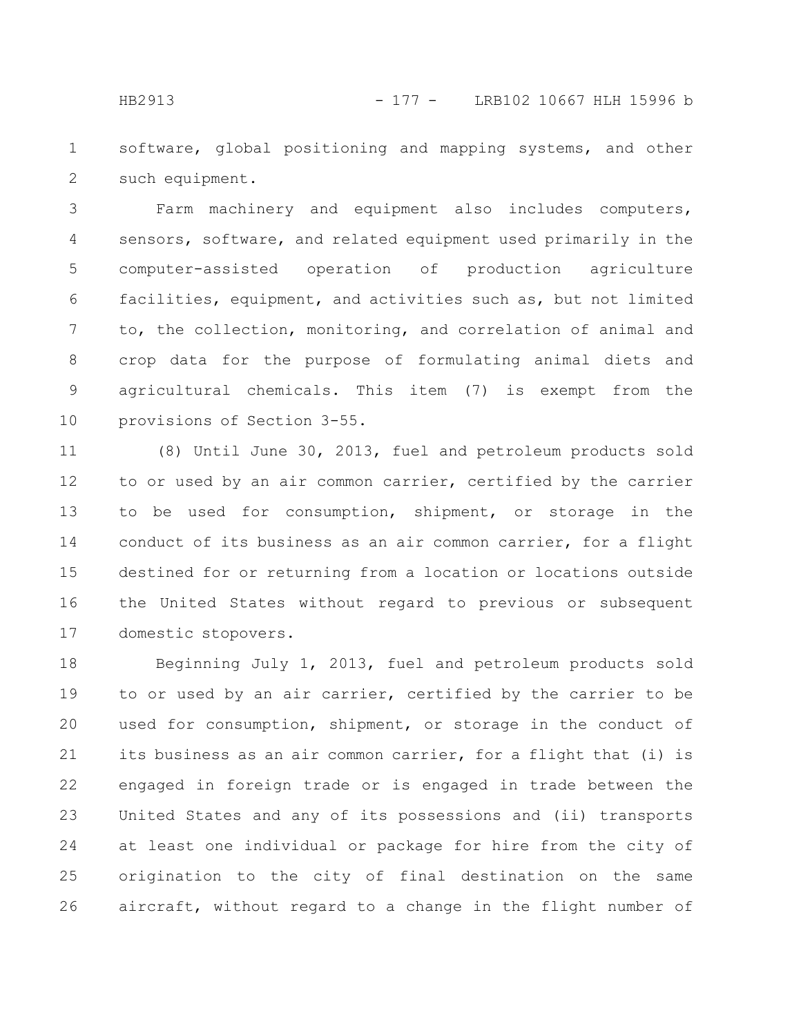software, global positioning and mapping systems, and other such equipment. 1 2

Farm machinery and equipment also includes computers, sensors, software, and related equipment used primarily in the computer-assisted operation of production agriculture facilities, equipment, and activities such as, but not limited to, the collection, monitoring, and correlation of animal and crop data for the purpose of formulating animal diets and agricultural chemicals. This item (7) is exempt from the provisions of Section 3-55. 3 4 5 6 7 8 9 10

(8) Until June 30, 2013, fuel and petroleum products sold to or used by an air common carrier, certified by the carrier to be used for consumption, shipment, or storage in the conduct of its business as an air common carrier, for a flight destined for or returning from a location or locations outside the United States without regard to previous or subsequent domestic stopovers. 11 12 13 14 15 16 17

Beginning July 1, 2013, fuel and petroleum products sold to or used by an air carrier, certified by the carrier to be used for consumption, shipment, or storage in the conduct of its business as an air common carrier, for a flight that (i) is engaged in foreign trade or is engaged in trade between the United States and any of its possessions and (ii) transports at least one individual or package for hire from the city of origination to the city of final destination on the same aircraft, without regard to a change in the flight number of 18 19 20 21 22 23 24 25 26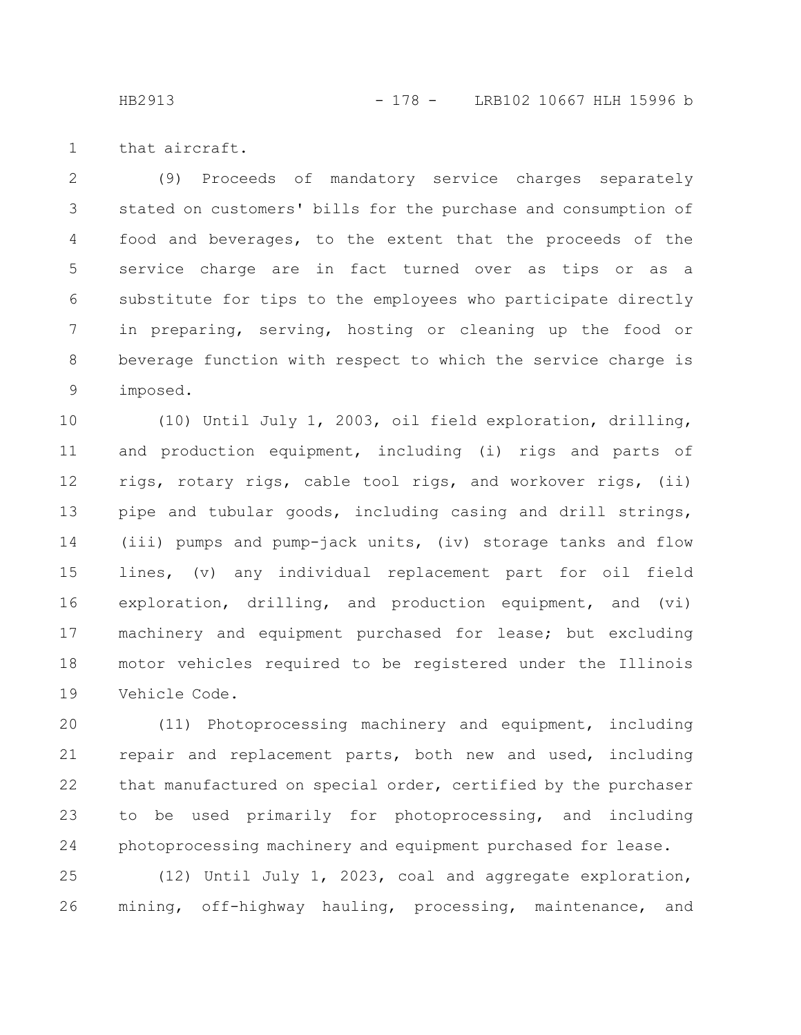that aircraft. 1

(9) Proceeds of mandatory service charges separately stated on customers' bills for the purchase and consumption of food and beverages, to the extent that the proceeds of the service charge are in fact turned over as tips or as a substitute for tips to the employees who participate directly in preparing, serving, hosting or cleaning up the food or beverage function with respect to which the service charge is imposed. 2 3 4 5 6 7 8 9

(10) Until July 1, 2003, oil field exploration, drilling, and production equipment, including (i) rigs and parts of rigs, rotary rigs, cable tool rigs, and workover rigs, (ii) pipe and tubular goods, including casing and drill strings, (iii) pumps and pump-jack units, (iv) storage tanks and flow lines, (v) any individual replacement part for oil field exploration, drilling, and production equipment, and (vi) machinery and equipment purchased for lease; but excluding motor vehicles required to be registered under the Illinois Vehicle Code. 10 11 12 13 14 15 16 17 18 19

(11) Photoprocessing machinery and equipment, including repair and replacement parts, both new and used, including that manufactured on special order, certified by the purchaser to be used primarily for photoprocessing, and including photoprocessing machinery and equipment purchased for lease. 20 21 22 23 24

(12) Until July 1, 2023, coal and aggregate exploration, mining, off-highway hauling, processing, maintenance, and 25 26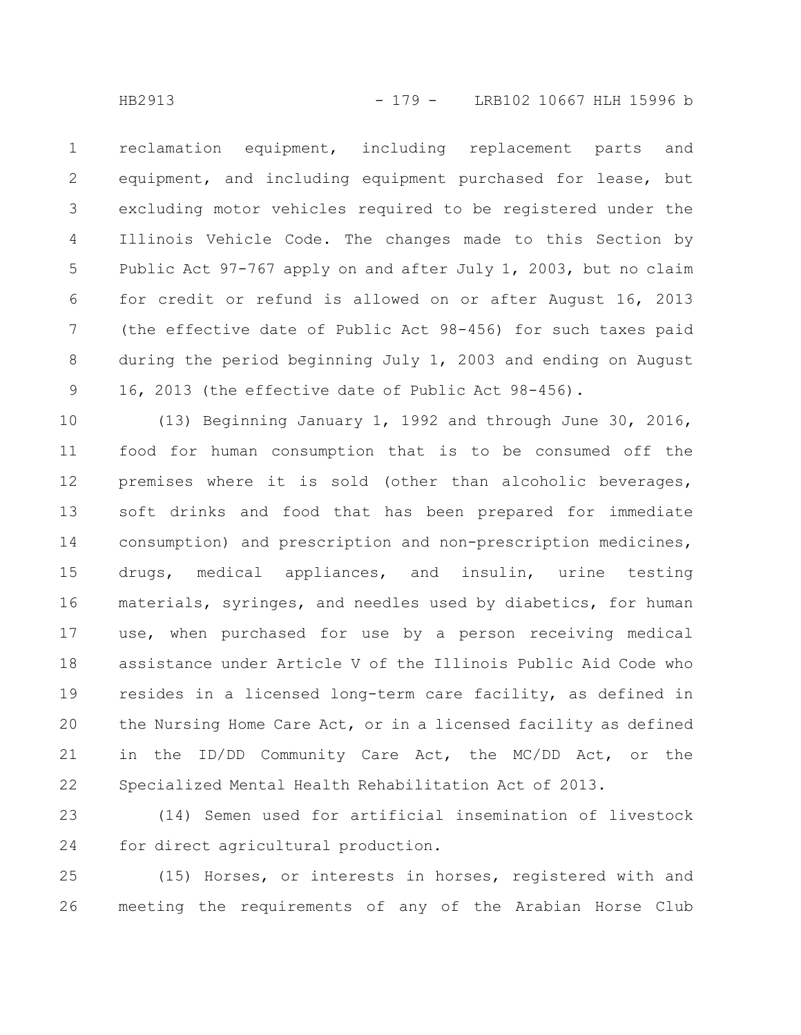reclamation equipment, including replacement parts and equipment, and including equipment purchased for lease, but excluding motor vehicles required to be registered under the Illinois Vehicle Code. The changes made to this Section by Public Act 97-767 apply on and after July 1, 2003, but no claim for credit or refund is allowed on or after August 16, 2013 (the effective date of Public Act 98-456) for such taxes paid during the period beginning July 1, 2003 and ending on August 16, 2013 (the effective date of Public Act 98-456). 1 2 3 4 5 6 7 8 9

(13) Beginning January 1, 1992 and through June 30, 2016, food for human consumption that is to be consumed off the premises where it is sold (other than alcoholic beverages, soft drinks and food that has been prepared for immediate consumption) and prescription and non-prescription medicines, drugs, medical appliances, and insulin, urine testing materials, syringes, and needles used by diabetics, for human use, when purchased for use by a person receiving medical assistance under Article V of the Illinois Public Aid Code who resides in a licensed long-term care facility, as defined in the Nursing Home Care Act, or in a licensed facility as defined in the ID/DD Community Care Act, the MC/DD Act, or the Specialized Mental Health Rehabilitation Act of 2013. 10 11 12 13 14 15 16 17 18 19 20 21 22

(14) Semen used for artificial insemination of livestock for direct agricultural production. 23 24

(15) Horses, or interests in horses, registered with and meeting the requirements of any of the Arabian Horse Club 25 26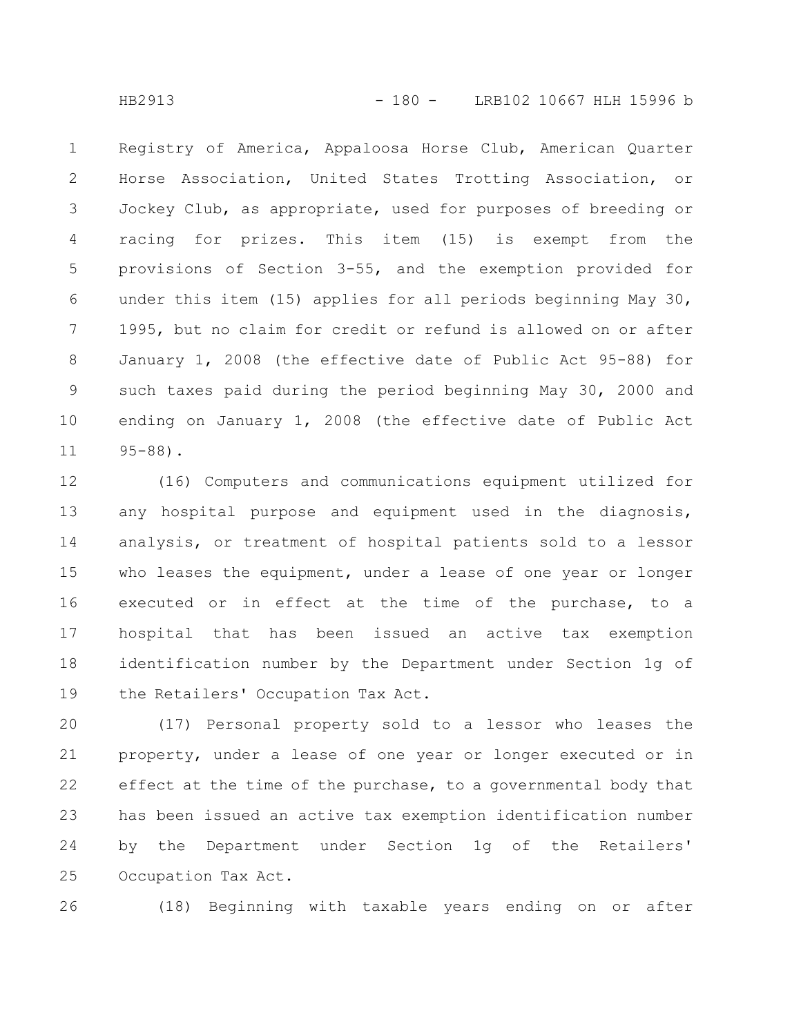Registry of America, Appaloosa Horse Club, American Quarter Horse Association, United States Trotting Association, or Jockey Club, as appropriate, used for purposes of breeding or racing for prizes. This item (15) is exempt from the provisions of Section 3-55, and the exemption provided for under this item (15) applies for all periods beginning May 30, 1995, but no claim for credit or refund is allowed on or after January 1, 2008 (the effective date of Public Act 95-88) for such taxes paid during the period beginning May 30, 2000 and ending on January 1, 2008 (the effective date of Public Act 95-88). 1 2 3 4 5 6 7 8 9 10 11

(16) Computers and communications equipment utilized for any hospital purpose and equipment used in the diagnosis, analysis, or treatment of hospital patients sold to a lessor who leases the equipment, under a lease of one year or longer executed or in effect at the time of the purchase, to a hospital that has been issued an active tax exemption identification number by the Department under Section 1g of the Retailers' Occupation Tax Act. 12 13 14 15 16 17 18 19

(17) Personal property sold to a lessor who leases the property, under a lease of one year or longer executed or in effect at the time of the purchase, to a governmental body that has been issued an active tax exemption identification number by the Department under Section 1g of the Retailers' Occupation Tax Act. 20 21 22 23 24 25

(18) Beginning with taxable years ending on or after 26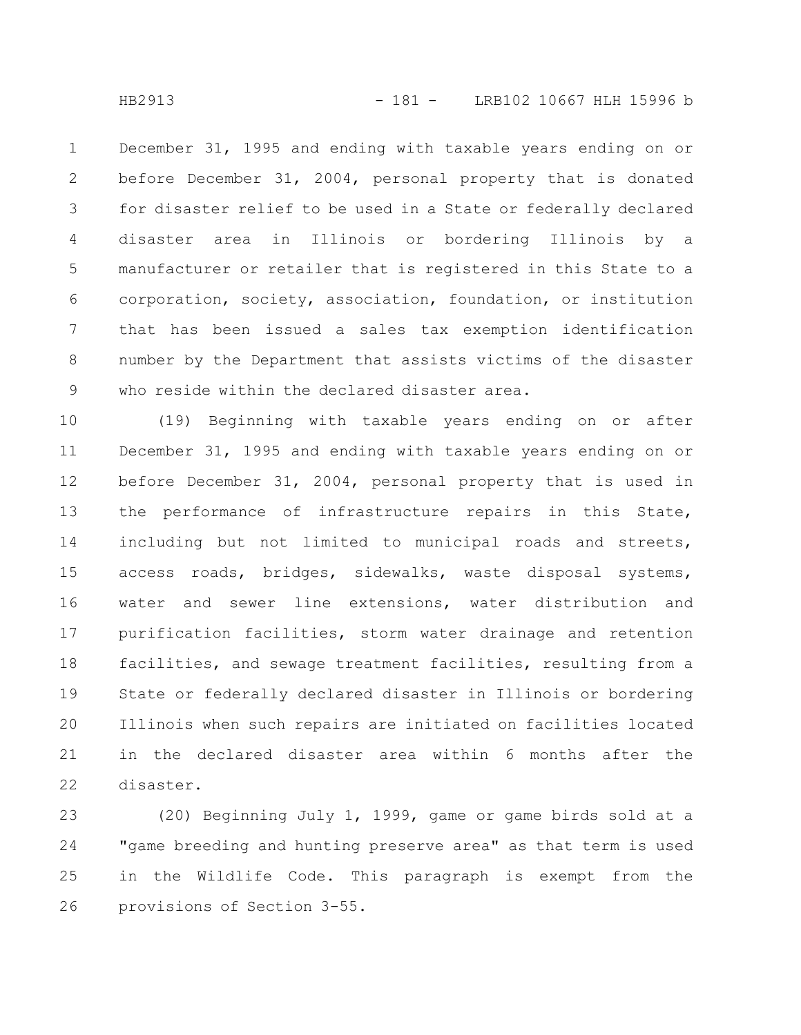December 31, 1995 and ending with taxable years ending on or before December 31, 2004, personal property that is donated for disaster relief to be used in a State or federally declared disaster area in Illinois or bordering Illinois by a manufacturer or retailer that is registered in this State to a corporation, society, association, foundation, or institution that has been issued a sales tax exemption identification number by the Department that assists victims of the disaster who reside within the declared disaster area. 1 2 3 4 5 6 7 8 9

(19) Beginning with taxable years ending on or after December 31, 1995 and ending with taxable years ending on or before December 31, 2004, personal property that is used in the performance of infrastructure repairs in this State, including but not limited to municipal roads and streets, access roads, bridges, sidewalks, waste disposal systems, water and sewer line extensions, water distribution and purification facilities, storm water drainage and retention facilities, and sewage treatment facilities, resulting from a State or federally declared disaster in Illinois or bordering Illinois when such repairs are initiated on facilities located in the declared disaster area within 6 months after the disaster. 10 11 12 13 14 15 16 17 18 19 20 21 22

(20) Beginning July 1, 1999, game or game birds sold at a "game breeding and hunting preserve area" as that term is used in the Wildlife Code. This paragraph is exempt from the provisions of Section 3-55. 23 24 25 26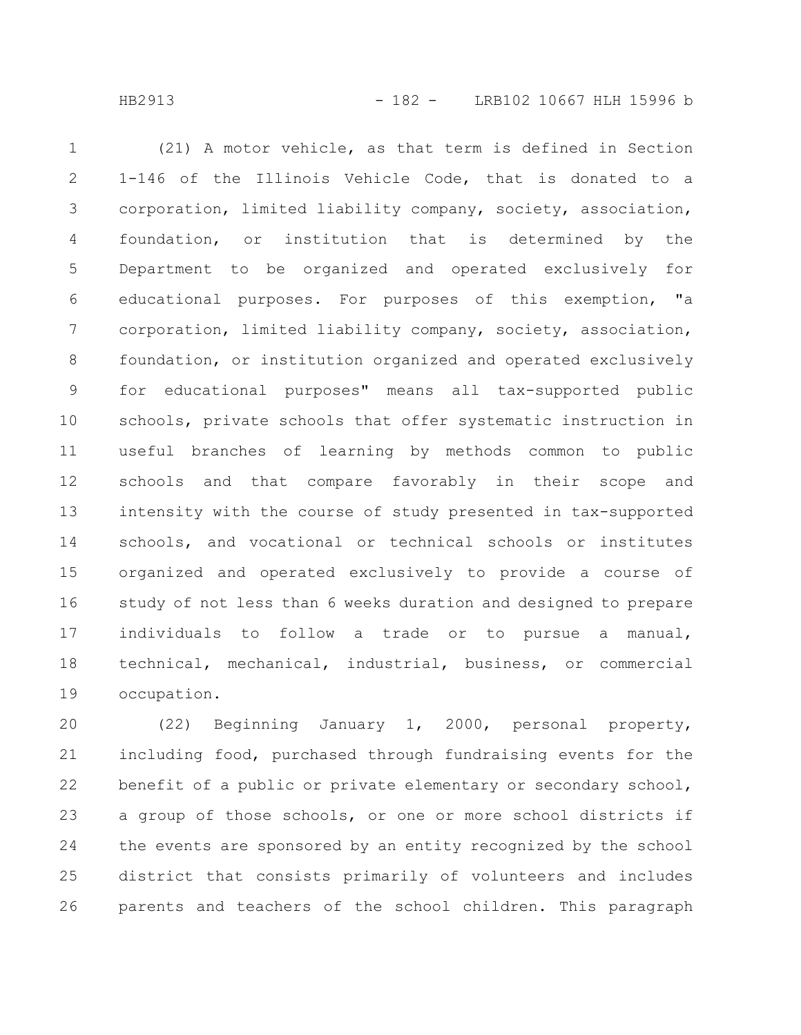HB2913 - 182 - LRB102 10667 HLH 15996 b

(21) A motor vehicle, as that term is defined in Section 1-146 of the Illinois Vehicle Code, that is donated to a corporation, limited liability company, society, association, foundation, or institution that is determined by the Department to be organized and operated exclusively for educational purposes. For purposes of this exemption, "a corporation, limited liability company, society, association, foundation, or institution organized and operated exclusively for educational purposes" means all tax-supported public schools, private schools that offer systematic instruction in useful branches of learning by methods common to public schools and that compare favorably in their scope and intensity with the course of study presented in tax-supported schools, and vocational or technical schools or institutes organized and operated exclusively to provide a course of study of not less than 6 weeks duration and designed to prepare individuals to follow a trade or to pursue a manual, technical, mechanical, industrial, business, or commercial occupation. 1 2 3 4 5 6 7 8 9 10 11 12 13 14 15 16 17 18 19

(22) Beginning January 1, 2000, personal property, including food, purchased through fundraising events for the benefit of a public or private elementary or secondary school, a group of those schools, or one or more school districts if the events are sponsored by an entity recognized by the school district that consists primarily of volunteers and includes parents and teachers of the school children. This paragraph 20 21 22 23 24 25 26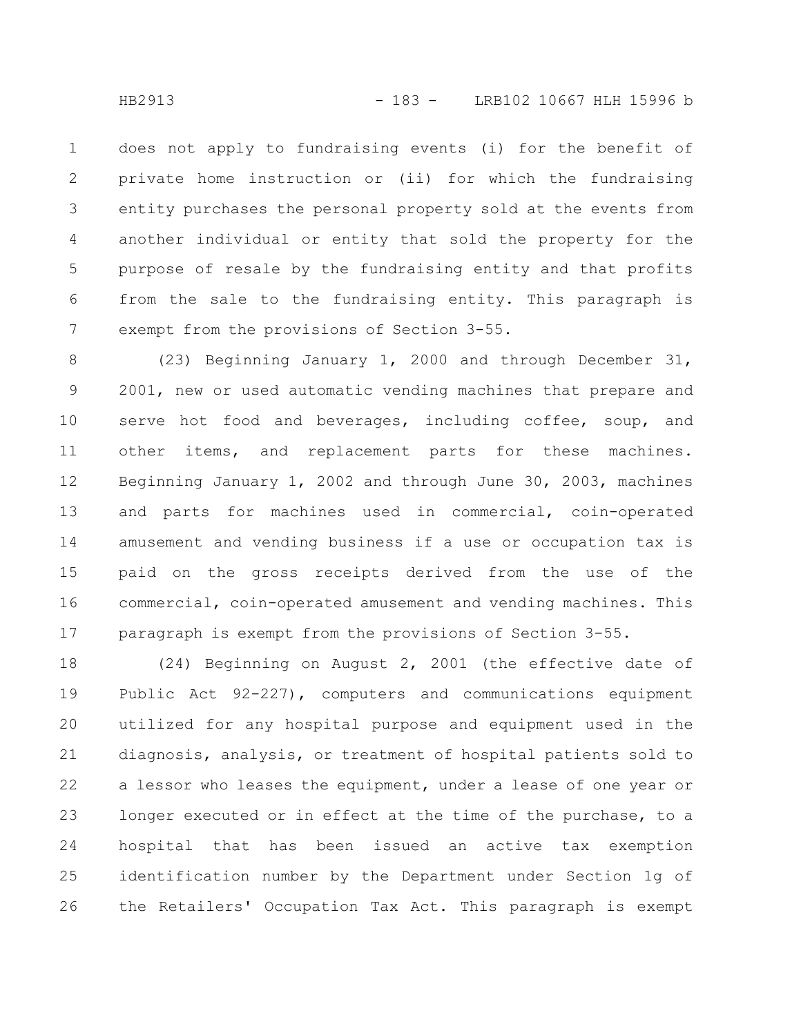does not apply to fundraising events (i) for the benefit of private home instruction or (ii) for which the fundraising entity purchases the personal property sold at the events from another individual or entity that sold the property for the purpose of resale by the fundraising entity and that profits from the sale to the fundraising entity. This paragraph is exempt from the provisions of Section 3-55. 1 2 3 4 5 6 7

(23) Beginning January 1, 2000 and through December 31, 2001, new or used automatic vending machines that prepare and serve hot food and beverages, including coffee, soup, and other items, and replacement parts for these machines. Beginning January 1, 2002 and through June 30, 2003, machines and parts for machines used in commercial, coin-operated amusement and vending business if a use or occupation tax is paid on the gross receipts derived from the use of the commercial, coin-operated amusement and vending machines. This paragraph is exempt from the provisions of Section 3-55. 8 9 10 11 12 13 14 15 16 17

(24) Beginning on August 2, 2001 (the effective date of Public Act 92-227), computers and communications equipment utilized for any hospital purpose and equipment used in the diagnosis, analysis, or treatment of hospital patients sold to a lessor who leases the equipment, under a lease of one year or longer executed or in effect at the time of the purchase, to a hospital that has been issued an active tax exemption identification number by the Department under Section 1g of the Retailers' Occupation Tax Act. This paragraph is exempt 18 19 20 21 22 23 24 25 26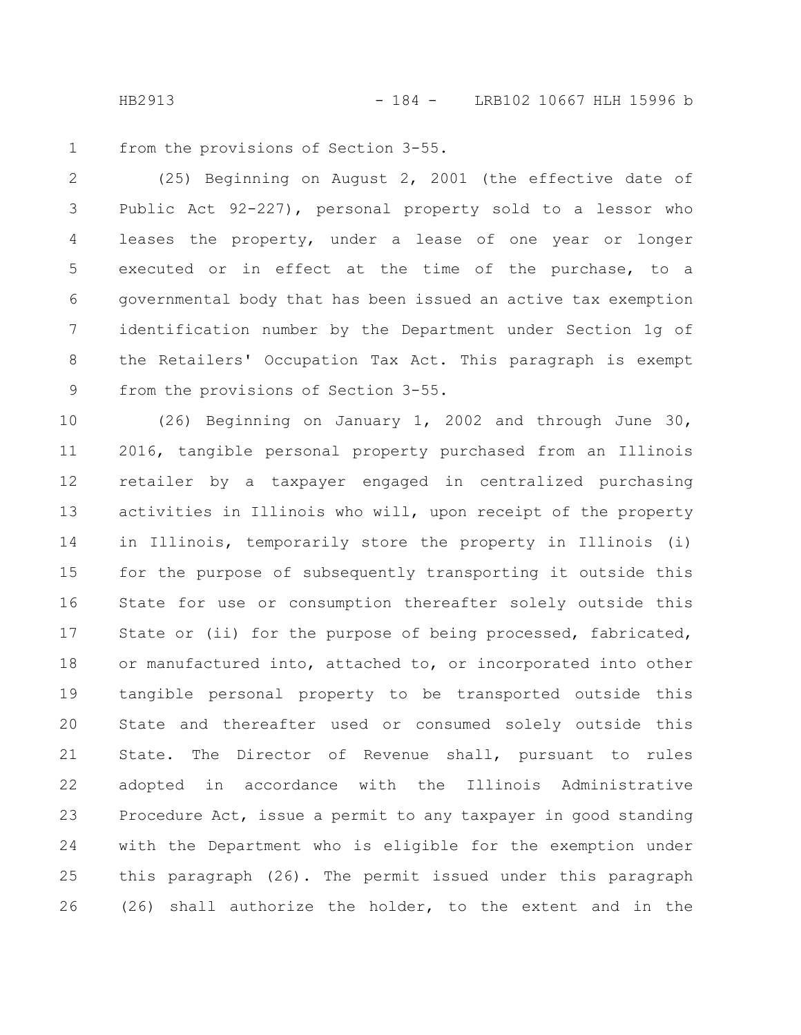from the provisions of Section 3-55. 1

(25) Beginning on August 2, 2001 (the effective date of Public Act 92-227), personal property sold to a lessor who leases the property, under a lease of one year or longer executed or in effect at the time of the purchase, to a governmental body that has been issued an active tax exemption identification number by the Department under Section 1g of the Retailers' Occupation Tax Act. This paragraph is exempt from the provisions of Section 3-55. 2 3 4 5 6 7 8 9

(26) Beginning on January 1, 2002 and through June 30, 2016, tangible personal property purchased from an Illinois retailer by a taxpayer engaged in centralized purchasing activities in Illinois who will, upon receipt of the property in Illinois, temporarily store the property in Illinois (i) for the purpose of subsequently transporting it outside this State for use or consumption thereafter solely outside this State or (ii) for the purpose of being processed, fabricated, or manufactured into, attached to, or incorporated into other tangible personal property to be transported outside this State and thereafter used or consumed solely outside this State. The Director of Revenue shall, pursuant to rules adopted in accordance with the Illinois Administrative Procedure Act, issue a permit to any taxpayer in good standing with the Department who is eligible for the exemption under this paragraph (26). The permit issued under this paragraph (26) shall authorize the holder, to the extent and in the 10 11 12 13 14 15 16 17 18 19 20 21 22 23 24 25 26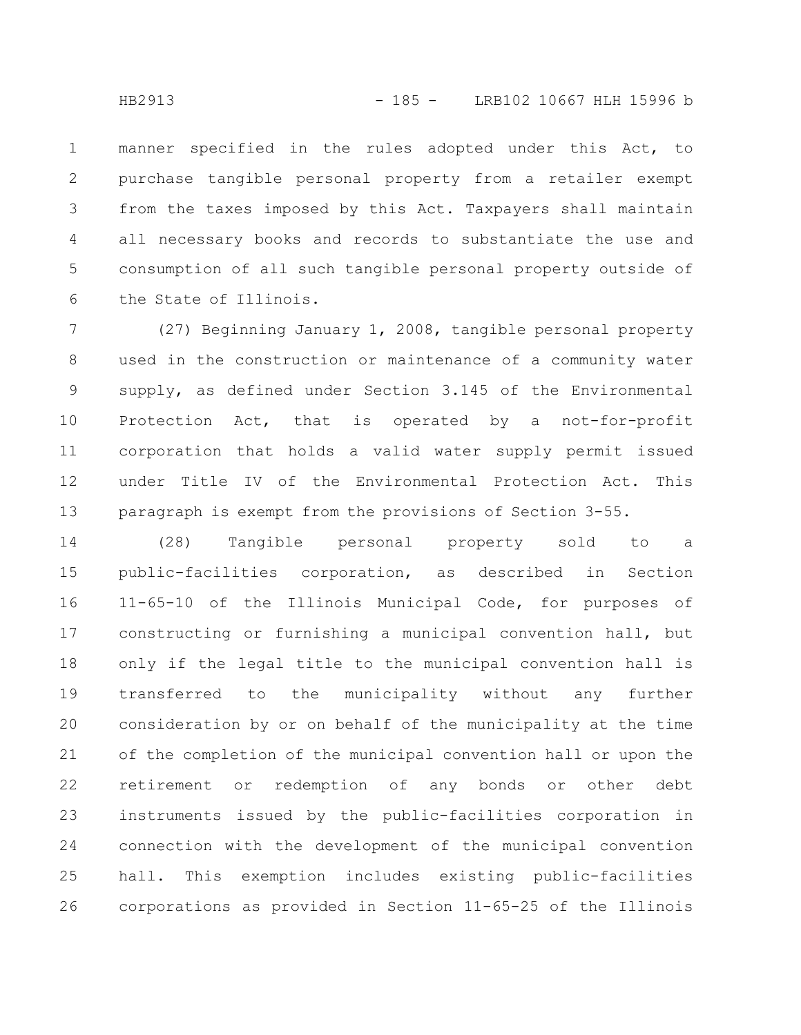manner specified in the rules adopted under this Act, to purchase tangible personal property from a retailer exempt from the taxes imposed by this Act. Taxpayers shall maintain all necessary books and records to substantiate the use and consumption of all such tangible personal property outside of the State of Illinois. 1 2 3 4 5 6

(27) Beginning January 1, 2008, tangible personal property used in the construction or maintenance of a community water supply, as defined under Section 3.145 of the Environmental Protection Act, that is operated by a not-for-profit corporation that holds a valid water supply permit issued under Title IV of the Environmental Protection Act. This paragraph is exempt from the provisions of Section 3-55. 7 8 9 10 11 12 13

(28) Tangible personal property sold to a public-facilities corporation, as described in Section 11-65-10 of the Illinois Municipal Code, for purposes of constructing or furnishing a municipal convention hall, but only if the legal title to the municipal convention hall is transferred to the municipality without any further consideration by or on behalf of the municipality at the time of the completion of the municipal convention hall or upon the retirement or redemption of any bonds or other debt instruments issued by the public-facilities corporation in connection with the development of the municipal convention hall. This exemption includes existing public-facilities corporations as provided in Section 11-65-25 of the Illinois 14 15 16 17 18 19 20 21 22 23 24 25 26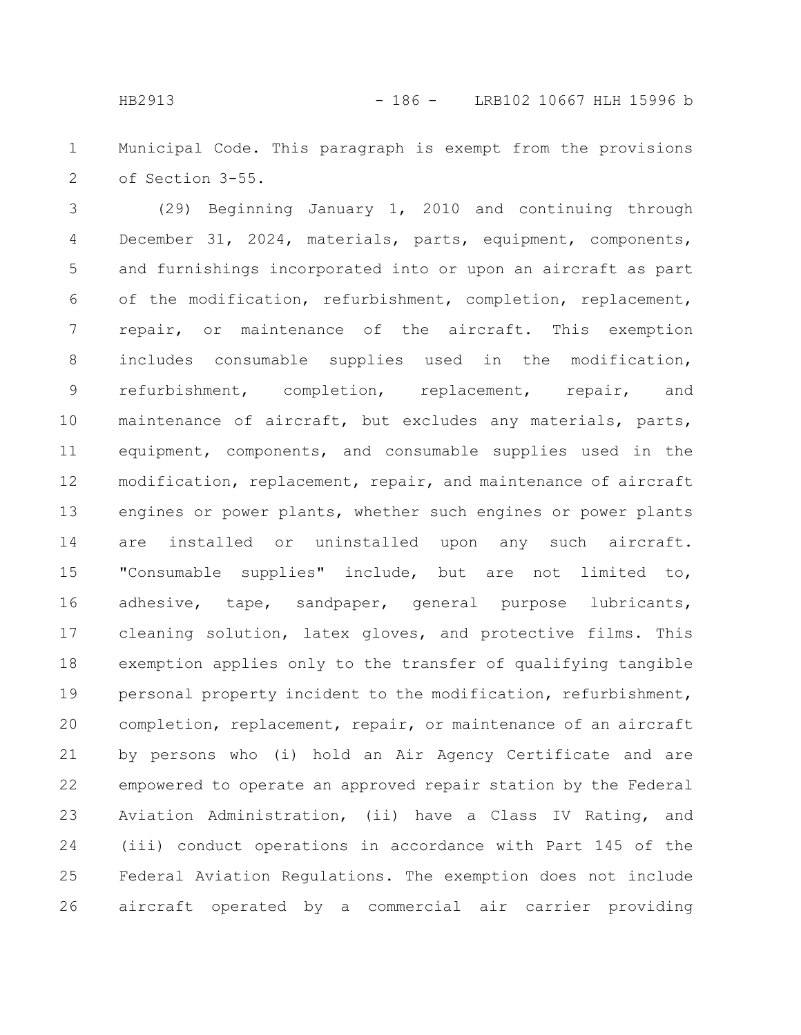Municipal Code. This paragraph is exempt from the provisions of Section 3-55. 1 2

(29) Beginning January 1, 2010 and continuing through December 31, 2024, materials, parts, equipment, components, and furnishings incorporated into or upon an aircraft as part of the modification, refurbishment, completion, replacement, repair, or maintenance of the aircraft. This exemption includes consumable supplies used in the modification, refurbishment, completion, replacement, repair, and maintenance of aircraft, but excludes any materials, parts, equipment, components, and consumable supplies used in the modification, replacement, repair, and maintenance of aircraft engines or power plants, whether such engines or power plants are installed or uninstalled upon any such aircraft. "Consumable supplies" include, but are not limited to, adhesive, tape, sandpaper, general purpose lubricants, cleaning solution, latex gloves, and protective films. This exemption applies only to the transfer of qualifying tangible personal property incident to the modification, refurbishment, completion, replacement, repair, or maintenance of an aircraft by persons who (i) hold an Air Agency Certificate and are empowered to operate an approved repair station by the Federal Aviation Administration, (ii) have a Class IV Rating, and (iii) conduct operations in accordance with Part 145 of the Federal Aviation Regulations. The exemption does not include aircraft operated by a commercial air carrier providing 3 4 5 6 7 8 9 10 11 12 13 14 15 16 17 18 19 20 21 22 23 24 25 26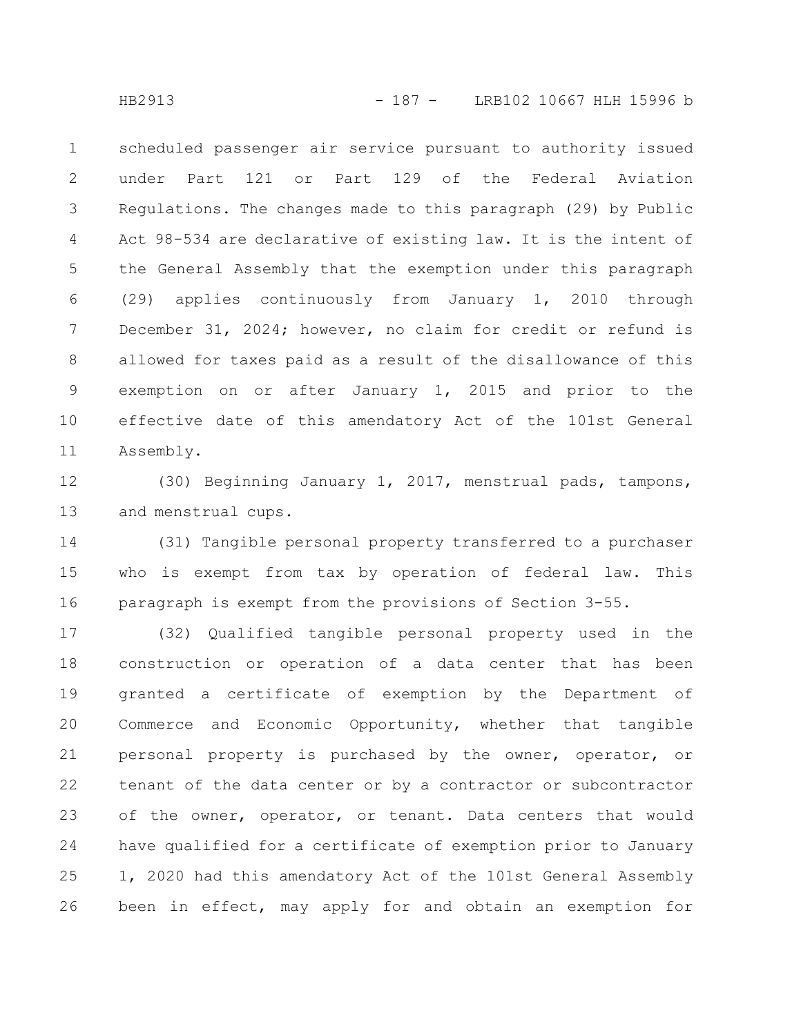scheduled passenger air service pursuant to authority issued under Part 121 or Part 129 of the Federal Aviation Regulations. The changes made to this paragraph (29) by Public Act 98-534 are declarative of existing law. It is the intent of the General Assembly that the exemption under this paragraph (29) applies continuously from January 1, 2010 through December 31, 2024; however, no claim for credit or refund is allowed for taxes paid as a result of the disallowance of this exemption on or after January 1, 2015 and prior to the effective date of this amendatory Act of the 101st General Assembly. 1 2 3 4 5 6 7 8 9 10 11

(30) Beginning January 1, 2017, menstrual pads, tampons, and menstrual cups. 12 13

(31) Tangible personal property transferred to a purchaser who is exempt from tax by operation of federal law. This paragraph is exempt from the provisions of Section 3-55. 14 15 16

(32) Qualified tangible personal property used in the construction or operation of a data center that has been granted a certificate of exemption by the Department of Commerce and Economic Opportunity, whether that tangible personal property is purchased by the owner, operator, or tenant of the data center or by a contractor or subcontractor of the owner, operator, or tenant. Data centers that would have qualified for a certificate of exemption prior to January 1, 2020 had this amendatory Act of the 101st General Assembly been in effect, may apply for and obtain an exemption for 17 18 19 20 21 22 23 24 25 26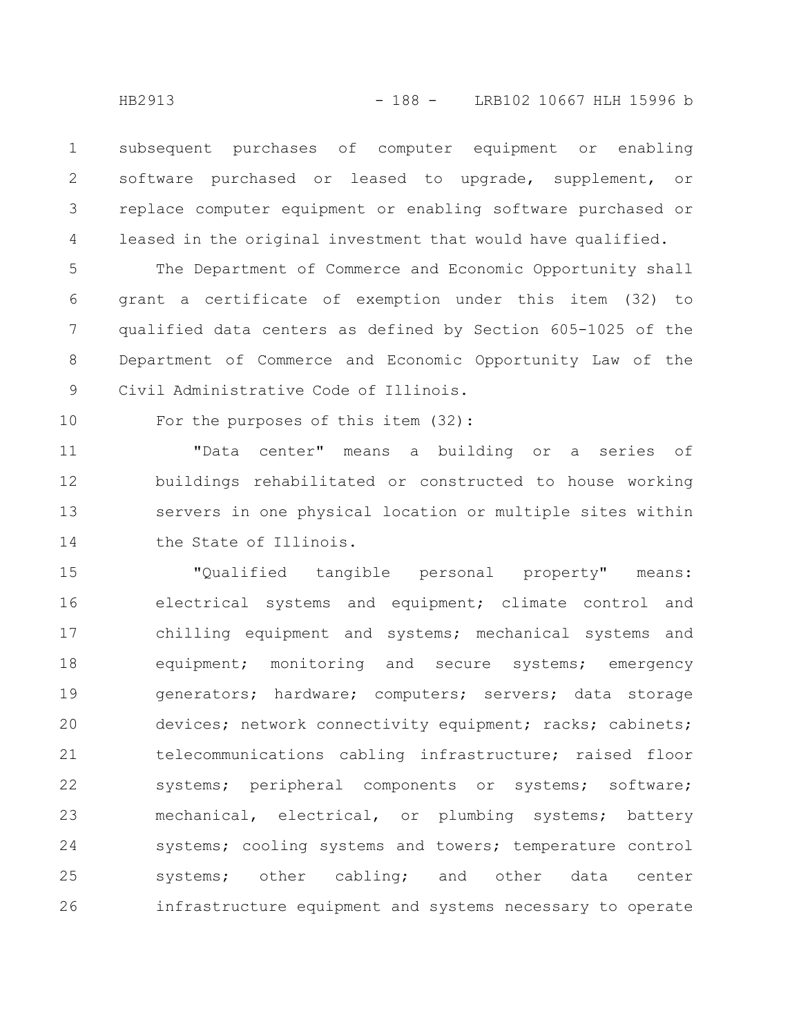subsequent purchases of computer equipment or enabling software purchased or leased to upgrade, supplement, or replace computer equipment or enabling software purchased or leased in the original investment that would have qualified. 1 2 3 4

The Department of Commerce and Economic Opportunity shall grant a certificate of exemption under this item (32) to qualified data centers as defined by Section 605-1025 of the Department of Commerce and Economic Opportunity Law of the Civil Administrative Code of Illinois. 5 6 7 8 9

10

For the purposes of this item (32):

"Data center" means a building or a series of buildings rehabilitated or constructed to house working servers in one physical location or multiple sites within the State of Illinois. 11 12 13 14

"Qualified tangible personal property" means: electrical systems and equipment; climate control and chilling equipment and systems; mechanical systems and equipment; monitoring and secure systems; emergency generators; hardware; computers; servers; data storage devices; network connectivity equipment; racks; cabinets; telecommunications cabling infrastructure; raised floor systems; peripheral components or systems; software; mechanical, electrical, or plumbing systems; battery systems; cooling systems and towers; temperature control systems; other cabling; and other data center infrastructure equipment and systems necessary to operate 15 16 17 18 19 20 21 22 23 24 25 26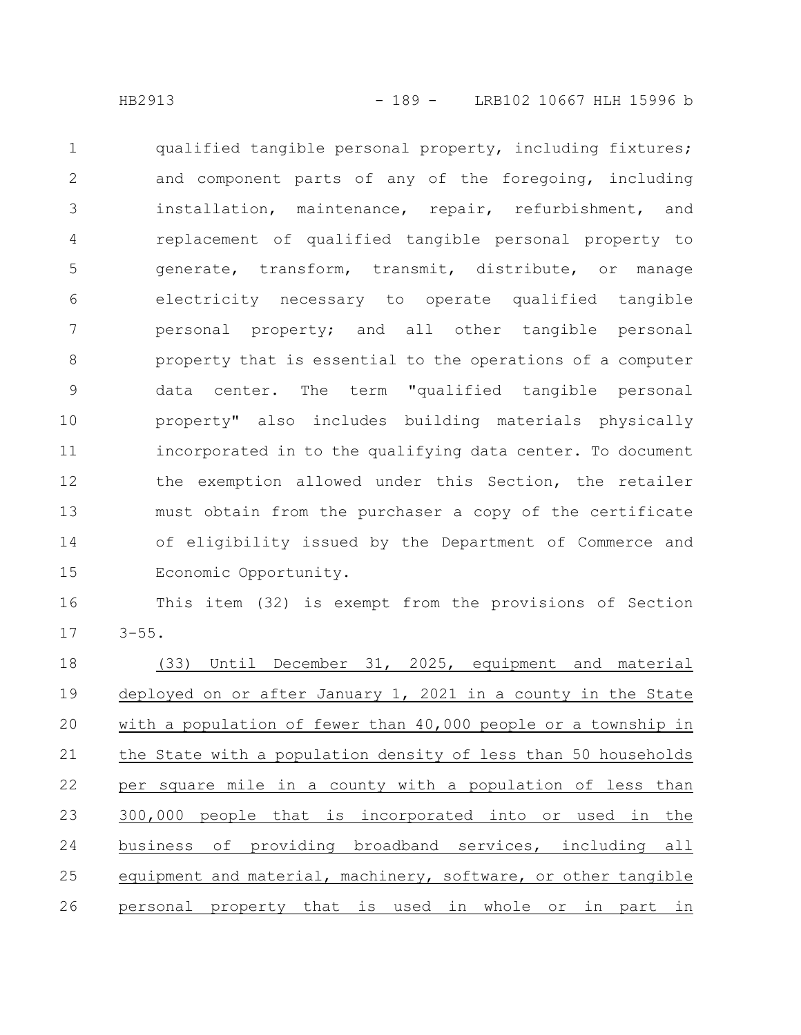qualified tangible personal property, including fixtures; and component parts of any of the foregoing, including installation, maintenance, repair, refurbishment, and replacement of qualified tangible personal property to generate, transform, transmit, distribute, or manage electricity necessary to operate qualified tangible personal property; and all other tangible personal property that is essential to the operations of a computer data center. The term "qualified tangible personal property" also includes building materials physically incorporated in to the qualifying data center. To document the exemption allowed under this Section, the retailer must obtain from the purchaser a copy of the certificate of eligibility issued by the Department of Commerce and Economic Opportunity. 1 2 3 4 5 6 7 8 9 10 11 12 13 14 15

This item (32) is exempt from the provisions of Section  $3 - 55$ . 16 17

(33) Until December 31, 2025, equipment and material deployed on or after January 1, 2021 in a county in the State with a population of fewer than 40,000 people or a township in the State with a population density of less than 50 households per square mile in a county with a population of less than 300,000 people that is incorporated into or used in the business of providing broadband services, including all equipment and material, machinery, software, or other tangible personal property that is used in whole or in part in 18 19 20 21 22 23 24 25 26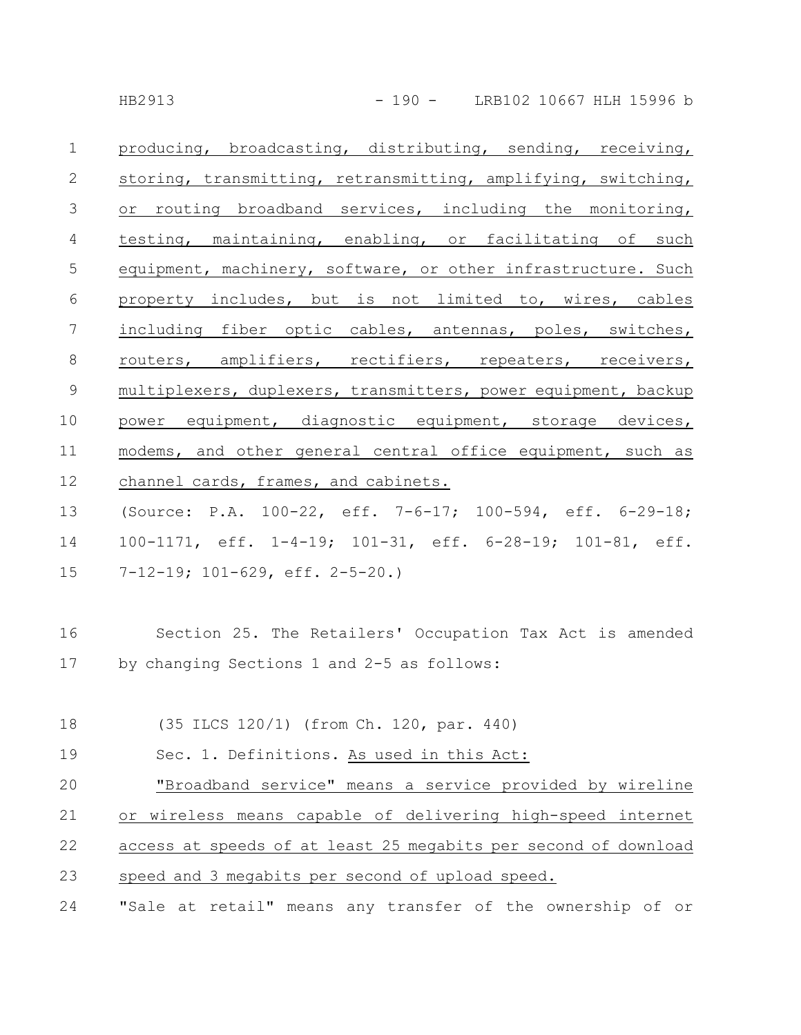| $\mathbf{1}$   | producing, broadcasting, distributing, sending, receiving,      |
|----------------|-----------------------------------------------------------------|
| 2              | storing, transmitting, retransmitting, amplifying, switching,   |
| 3              | or routing broadband services, including the monitoring,        |
| 4              | testing, maintaining, enabling, or facilitating of such         |
| 5              | equipment, machinery, software, or other infrastructure. Such   |
| 6              | property includes, but is not limited to, wires, cables         |
| 7              | including fiber optic cables, antennas, poles, switches,        |
| 8              | routers, amplifiers, rectifiers, repeaters, receivers,          |
| $\overline{9}$ | multiplexers, duplexers, transmitters, power equipment, backup  |
| 10             | power equipment, diagnostic equipment, storage devices,         |
| 11             | modems, and other general central office equipment, such as     |
| 12             | channel cards, frames, and cabinets.                            |
| 13             | (Source: P.A. 100-22, eff. 7-6-17; 100-594, eff. 6-29-18;       |
| 14             | 100-1171, eff. 1-4-19; 101-31, eff. 6-28-19; 101-81, eff.       |
| 15             | $7-12-19$ ; $101-629$ , eff. $2-5-20$ .)                        |
| 16             | Section 25. The Retailers' Occupation Tax Act is amended        |
| 17             | by changing Sections 1 and 2-5 as follows:                      |
| 18             | (35 ILCS 120/1) (from Ch. 120, par. 440)                        |
| 19             | Sec. 1. Definitions. As used in this Act:                       |
| 20             | "Broadband service" means a service provided by wireline        |
| 21             | or wireless means capable of delivering high-speed internet     |
| 22             | access at speeds of at least 25 megabits per second of download |
| 23             | speed and 3 megabits per second of upload speed.                |
| 24             | "Sale at retail" means any transfer of the ownership of or      |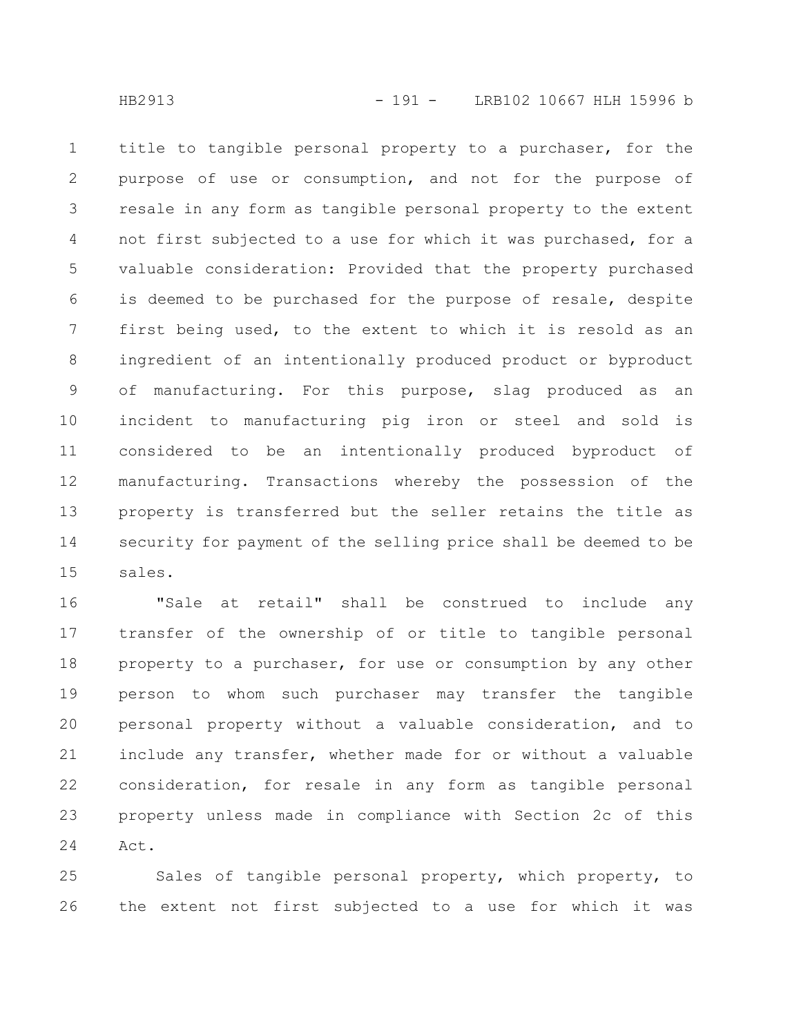title to tangible personal property to a purchaser, for the purpose of use or consumption, and not for the purpose of resale in any form as tangible personal property to the extent not first subjected to a use for which it was purchased, for a valuable consideration: Provided that the property purchased is deemed to be purchased for the purpose of resale, despite first being used, to the extent to which it is resold as an ingredient of an intentionally produced product or byproduct of manufacturing. For this purpose, slag produced as an incident to manufacturing pig iron or steel and sold is considered to be an intentionally produced byproduct of manufacturing. Transactions whereby the possession of the property is transferred but the seller retains the title as security for payment of the selling price shall be deemed to be sales. 1 2 3 4 5 6 7 8 9 10 11 12 13 14 15

"Sale at retail" shall be construed to include any transfer of the ownership of or title to tangible personal property to a purchaser, for use or consumption by any other person to whom such purchaser may transfer the tangible personal property without a valuable consideration, and to include any transfer, whether made for or without a valuable consideration, for resale in any form as tangible personal property unless made in compliance with Section 2c of this Act. 16 17 18 19 20 21 22 23 24

Sales of tangible personal property, which property, to the extent not first subjected to a use for which it was 25 26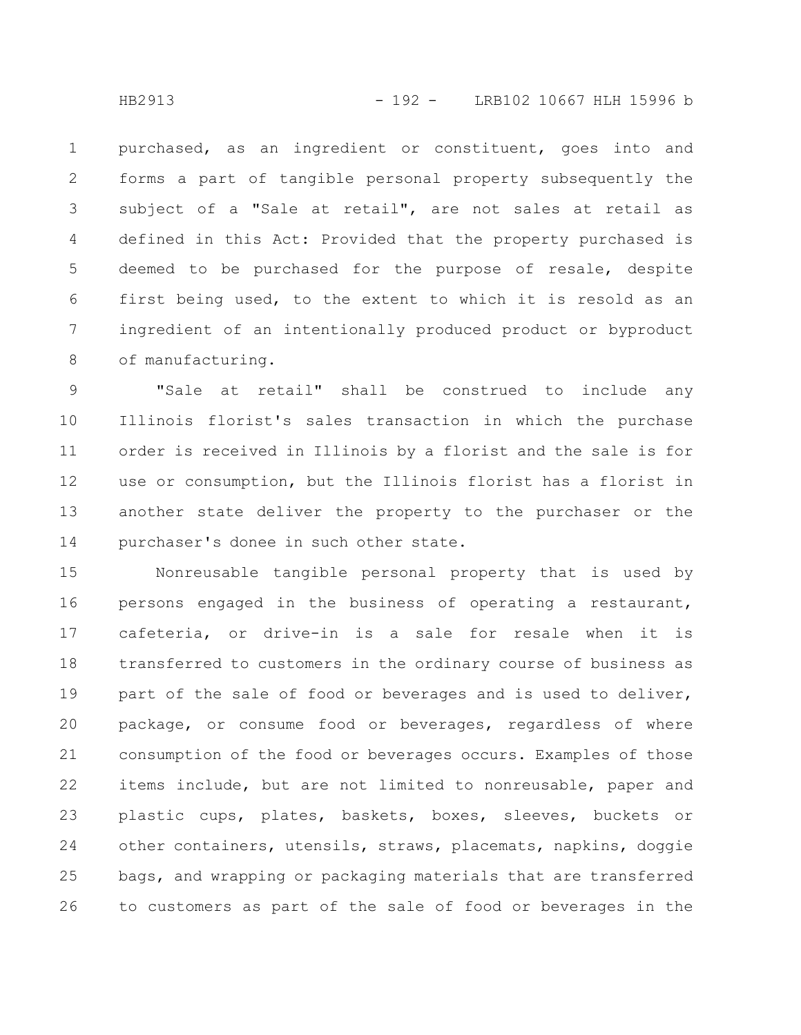purchased, as an ingredient or constituent, goes into and forms a part of tangible personal property subsequently the subject of a "Sale at retail", are not sales at retail as defined in this Act: Provided that the property purchased is deemed to be purchased for the purpose of resale, despite first being used, to the extent to which it is resold as an ingredient of an intentionally produced product or byproduct of manufacturing. 1 2 3 4 5 6 7 8

"Sale at retail" shall be construed to include any Illinois florist's sales transaction in which the purchase order is received in Illinois by a florist and the sale is for use or consumption, but the Illinois florist has a florist in another state deliver the property to the purchaser or the purchaser's donee in such other state. 9 10 11 12 13 14

Nonreusable tangible personal property that is used by persons engaged in the business of operating a restaurant, cafeteria, or drive-in is a sale for resale when it is transferred to customers in the ordinary course of business as part of the sale of food or beverages and is used to deliver, package, or consume food or beverages, regardless of where consumption of the food or beverages occurs. Examples of those items include, but are not limited to nonreusable, paper and plastic cups, plates, baskets, boxes, sleeves, buckets or other containers, utensils, straws, placemats, napkins, doggie bags, and wrapping or packaging materials that are transferred to customers as part of the sale of food or beverages in the 15 16 17 18 19 20 21 22 23 24 25 26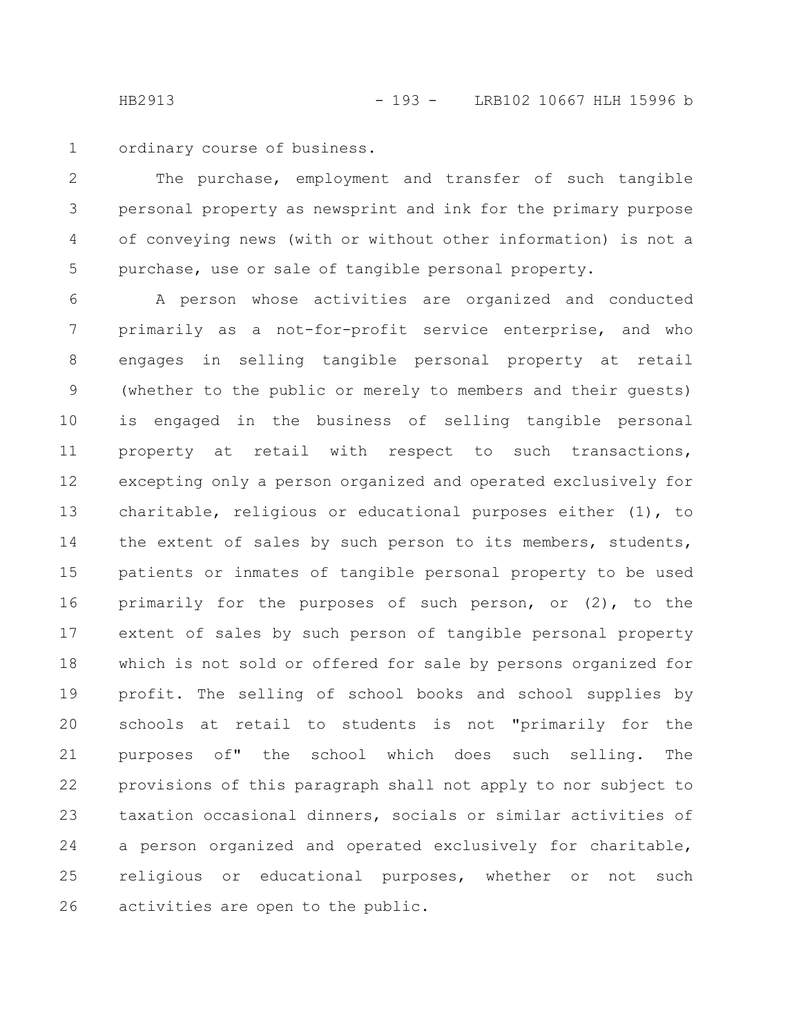ordinary course of business. 1

The purchase, employment and transfer of such tangible personal property as newsprint and ink for the primary purpose of conveying news (with or without other information) is not a purchase, use or sale of tangible personal property. 2 3 4 5

A person whose activities are organized and conducted primarily as a not-for-profit service enterprise, and who engages in selling tangible personal property at retail (whether to the public or merely to members and their guests) is engaged in the business of selling tangible personal property at retail with respect to such transactions, excepting only a person organized and operated exclusively for charitable, religious or educational purposes either (1), to the extent of sales by such person to its members, students, patients or inmates of tangible personal property to be used primarily for the purposes of such person, or (2), to the extent of sales by such person of tangible personal property which is not sold or offered for sale by persons organized for profit. The selling of school books and school supplies by schools at retail to students is not "primarily for the purposes of" the school which does such selling. The provisions of this paragraph shall not apply to nor subject to taxation occasional dinners, socials or similar activities of a person organized and operated exclusively for charitable, religious or educational purposes, whether or not such activities are open to the public. 6 7 8 9 10 11 12 13 14 15 16 17 18 19 20 21 22 23 24 25 26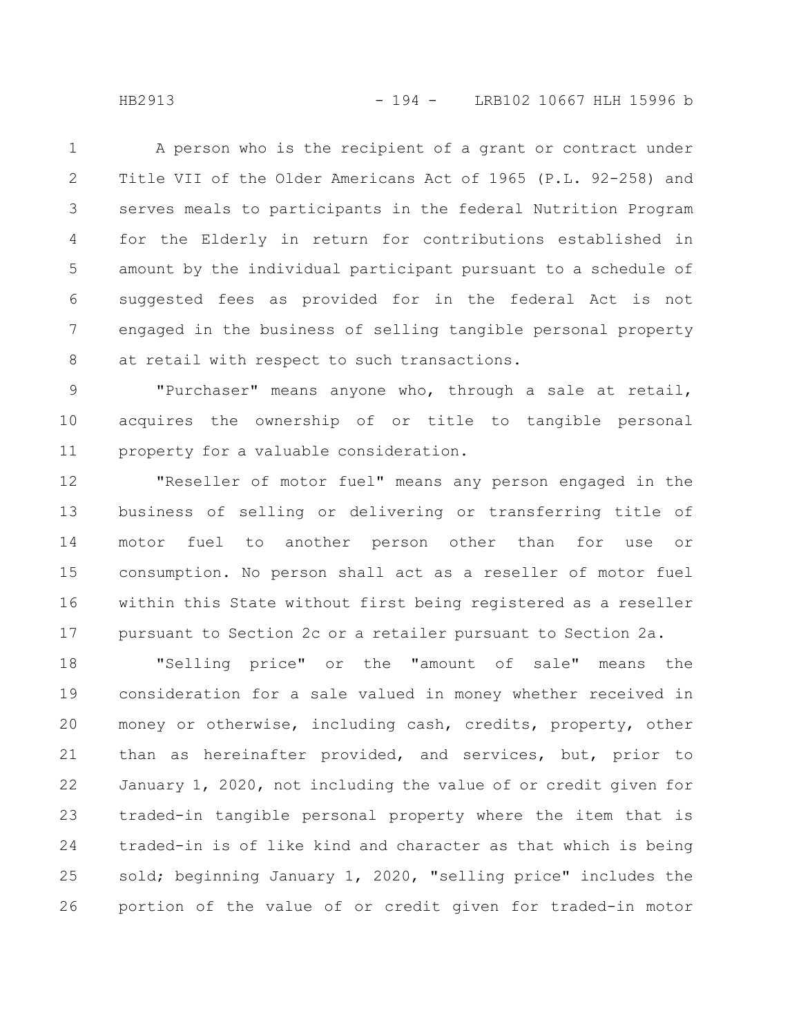HB2913 - 194 - LRB102 10667 HLH 15996 b

A person who is the recipient of a grant or contract under Title VII of the Older Americans Act of 1965 (P.L. 92-258) and serves meals to participants in the federal Nutrition Program for the Elderly in return for contributions established in amount by the individual participant pursuant to a schedule of suggested fees as provided for in the federal Act is not engaged in the business of selling tangible personal property at retail with respect to such transactions. 1 2 3 4 5 6 7 8

"Purchaser" means anyone who, through a sale at retail, acquires the ownership of or title to tangible personal property for a valuable consideration. 9 10 11

"Reseller of motor fuel" means any person engaged in the business of selling or delivering or transferring title of motor fuel to another person other than for use or consumption. No person shall act as a reseller of motor fuel within this State without first being registered as a reseller pursuant to Section 2c or a retailer pursuant to Section 2a. 12 13 14 15 16 17

"Selling price" or the "amount of sale" means the consideration for a sale valued in money whether received in money or otherwise, including cash, credits, property, other than as hereinafter provided, and services, but, prior to January 1, 2020, not including the value of or credit given for traded-in tangible personal property where the item that is traded-in is of like kind and character as that which is being sold; beginning January 1, 2020, "selling price" includes the portion of the value of or credit given for traded-in motor 18 19 20 21 22 23 24 25 26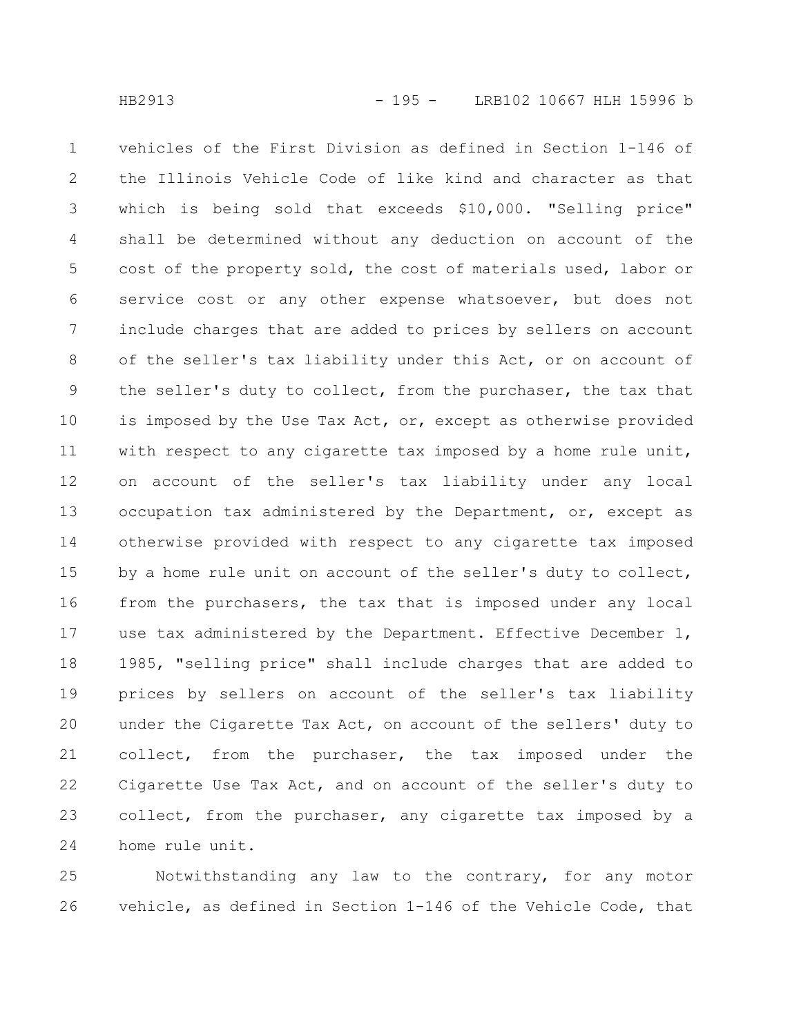vehicles of the First Division as defined in Section 1-146 of the Illinois Vehicle Code of like kind and character as that which is being sold that exceeds \$10,000. "Selling price" shall be determined without any deduction on account of the cost of the property sold, the cost of materials used, labor or service cost or any other expense whatsoever, but does not include charges that are added to prices by sellers on account of the seller's tax liability under this Act, or on account of the seller's duty to collect, from the purchaser, the tax that is imposed by the Use Tax Act, or, except as otherwise provided with respect to any cigarette tax imposed by a home rule unit, on account of the seller's tax liability under any local occupation tax administered by the Department, or, except as otherwise provided with respect to any cigarette tax imposed by a home rule unit on account of the seller's duty to collect, from the purchasers, the tax that is imposed under any local use tax administered by the Department. Effective December 1, 1985, "selling price" shall include charges that are added to prices by sellers on account of the seller's tax liability under the Cigarette Tax Act, on account of the sellers' duty to collect, from the purchaser, the tax imposed under the Cigarette Use Tax Act, and on account of the seller's duty to collect, from the purchaser, any cigarette tax imposed by a home rule unit. 1 2 3 4 5 6 7 8 9 10 11 12 13 14 15 16 17 18 19 20 21 22 23 24

Notwithstanding any law to the contrary, for any motor vehicle, as defined in Section 1-146 of the Vehicle Code, that 25 26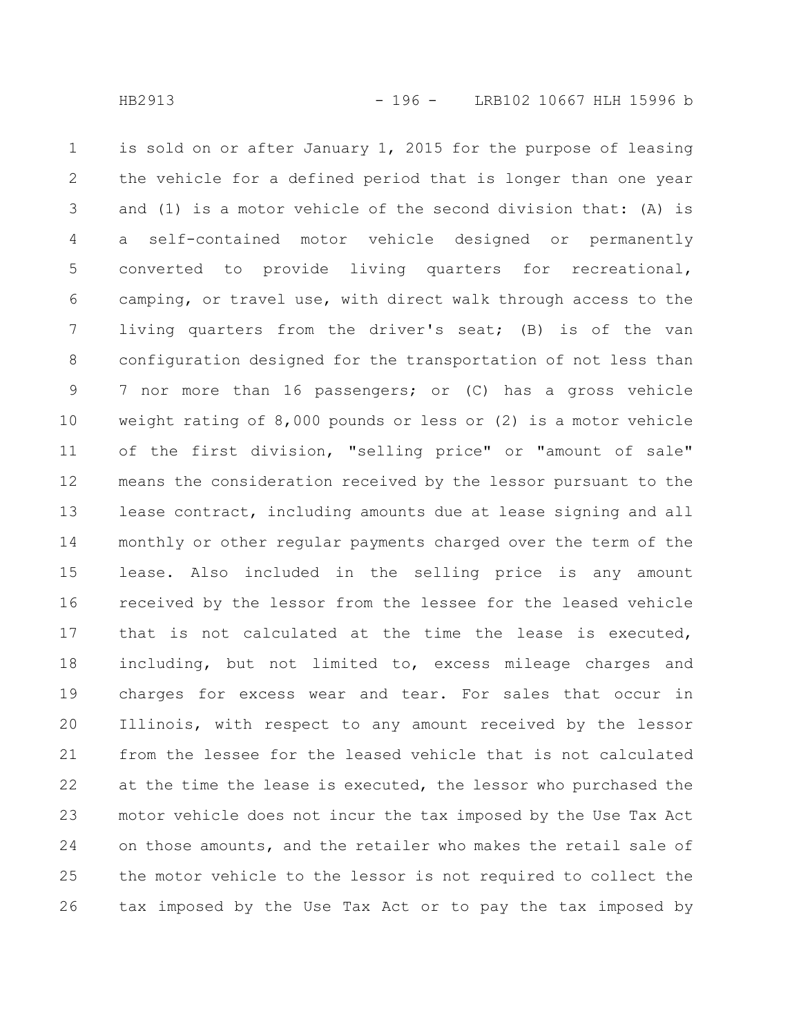is sold on or after January 1, 2015 for the purpose of leasing the vehicle for a defined period that is longer than one year and (1) is a motor vehicle of the second division that: (A) is a self-contained motor vehicle designed or permanently converted to provide living quarters for recreational, camping, or travel use, with direct walk through access to the living quarters from the driver's seat; (B) is of the van configuration designed for the transportation of not less than 7 nor more than 16 passengers; or (C) has a gross vehicle weight rating of 8,000 pounds or less or (2) is a motor vehicle of the first division, "selling price" or "amount of sale" means the consideration received by the lessor pursuant to the lease contract, including amounts due at lease signing and all monthly or other regular payments charged over the term of the lease. Also included in the selling price is any amount received by the lessor from the lessee for the leased vehicle that is not calculated at the time the lease is executed, including, but not limited to, excess mileage charges and charges for excess wear and tear. For sales that occur in Illinois, with respect to any amount received by the lessor from the lessee for the leased vehicle that is not calculated at the time the lease is executed, the lessor who purchased the motor vehicle does not incur the tax imposed by the Use Tax Act on those amounts, and the retailer who makes the retail sale of the motor vehicle to the lessor is not required to collect the tax imposed by the Use Tax Act or to pay the tax imposed by 1 2 3 4 5 6 7 8 9 10 11 12 13 14 15 16 17 18 19 20 21 22 23 24 25 26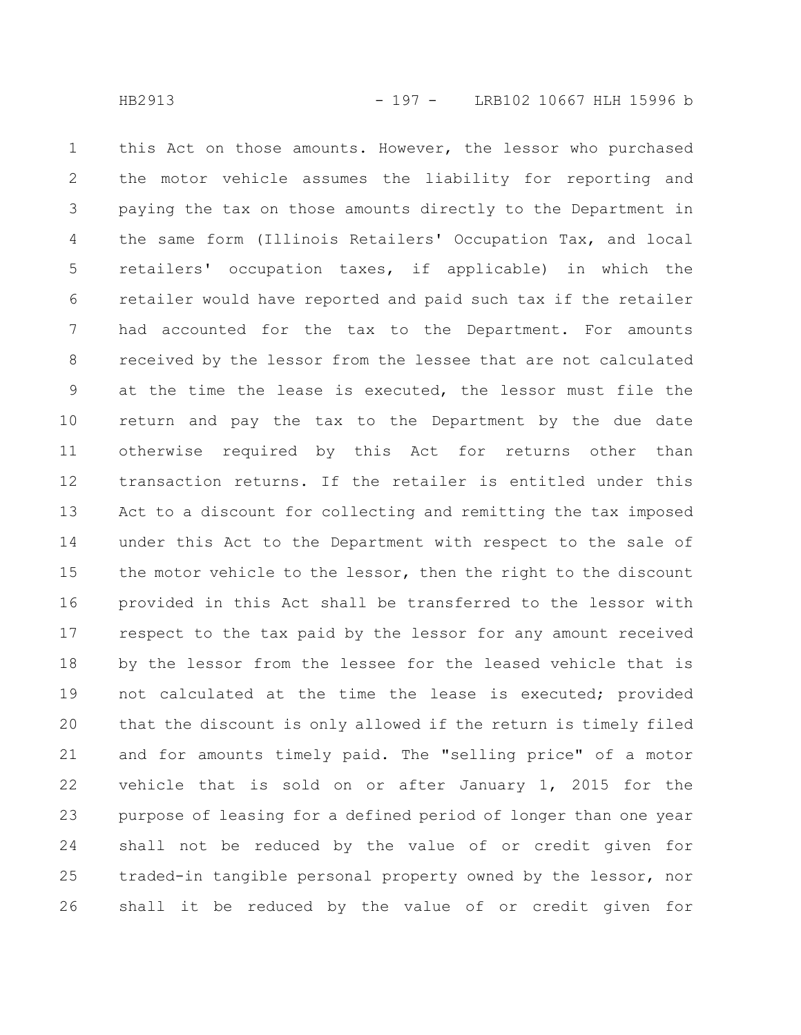this Act on those amounts. However, the lessor who purchased the motor vehicle assumes the liability for reporting and paying the tax on those amounts directly to the Department in the same form (Illinois Retailers' Occupation Tax, and local retailers' occupation taxes, if applicable) in which the retailer would have reported and paid such tax if the retailer had accounted for the tax to the Department. For amounts received by the lessor from the lessee that are not calculated at the time the lease is executed, the lessor must file the return and pay the tax to the Department by the due date otherwise required by this Act for returns other than transaction returns. If the retailer is entitled under this Act to a discount for collecting and remitting the tax imposed under this Act to the Department with respect to the sale of the motor vehicle to the lessor, then the right to the discount provided in this Act shall be transferred to the lessor with respect to the tax paid by the lessor for any amount received by the lessor from the lessee for the leased vehicle that is not calculated at the time the lease is executed; provided that the discount is only allowed if the return is timely filed and for amounts timely paid. The "selling price" of a motor vehicle that is sold on or after January 1, 2015 for the purpose of leasing for a defined period of longer than one year shall not be reduced by the value of or credit given for traded-in tangible personal property owned by the lessor, nor shall it be reduced by the value of or credit given for 1 2 3 4 5 6 7 8 9 10 11 12 13 14 15 16 17 18 19 20 21 22 23 24 25 26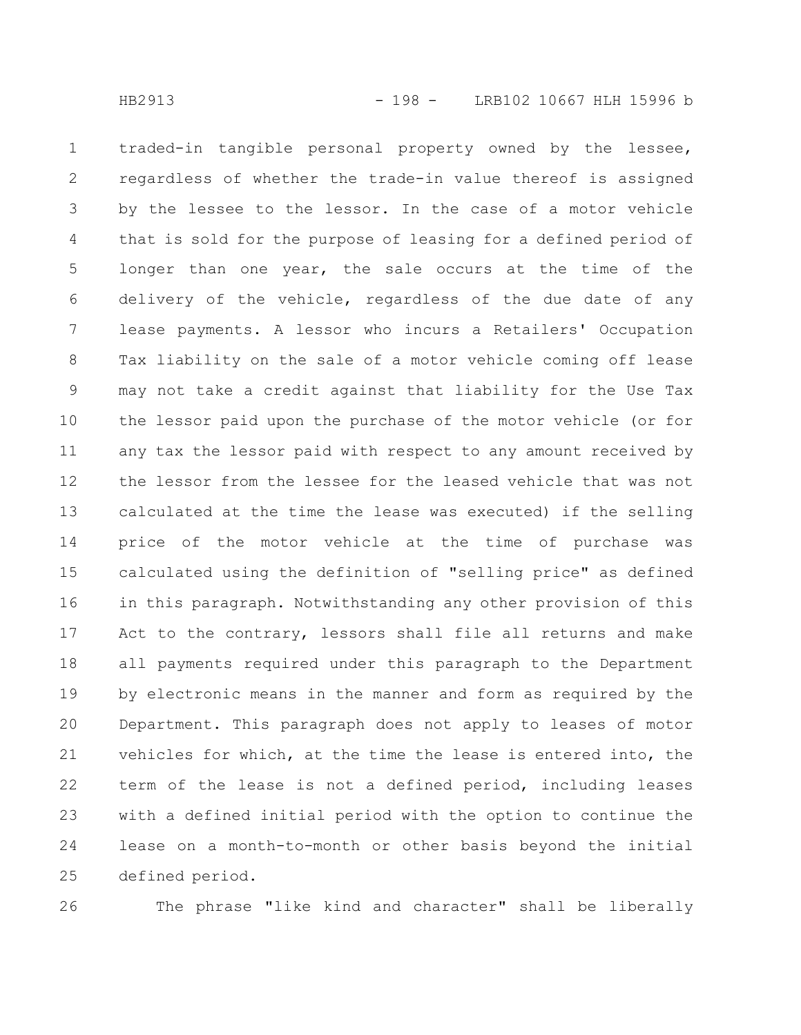traded-in tangible personal property owned by the lessee, regardless of whether the trade-in value thereof is assigned by the lessee to the lessor. In the case of a motor vehicle that is sold for the purpose of leasing for a defined period of longer than one year, the sale occurs at the time of the delivery of the vehicle, regardless of the due date of any lease payments. A lessor who incurs a Retailers' Occupation Tax liability on the sale of a motor vehicle coming off lease may not take a credit against that liability for the Use Tax the lessor paid upon the purchase of the motor vehicle (or for any tax the lessor paid with respect to any amount received by the lessor from the lessee for the leased vehicle that was not calculated at the time the lease was executed) if the selling price of the motor vehicle at the time of purchase was calculated using the definition of "selling price" as defined in this paragraph. Notwithstanding any other provision of this Act to the contrary, lessors shall file all returns and make all payments required under this paragraph to the Department by electronic means in the manner and form as required by the Department. This paragraph does not apply to leases of motor vehicles for which, at the time the lease is entered into, the term of the lease is not a defined period, including leases with a defined initial period with the option to continue the lease on a month-to-month or other basis beyond the initial defined period. 1 2 3 4 5 6 7 8 9 10 11 12 13 14 15 16 17 18 19 20 21 22 23 24 25

26

The phrase "like kind and character" shall be liberally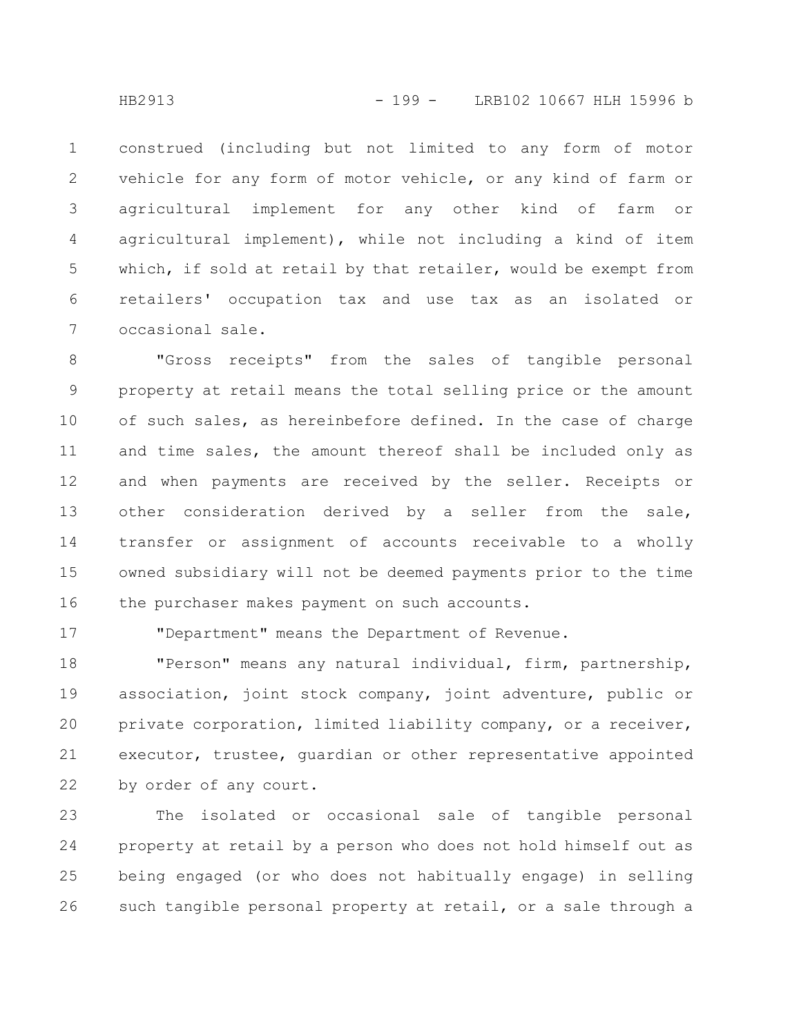construed (including but not limited to any form of motor vehicle for any form of motor vehicle, or any kind of farm or agricultural implement for any other kind of farm or agricultural implement), while not including a kind of item which, if sold at retail by that retailer, would be exempt from retailers' occupation tax and use tax as an isolated or occasional sale. 1 2 3 4 5 6 7

"Gross receipts" from the sales of tangible personal property at retail means the total selling price or the amount of such sales, as hereinbefore defined. In the case of charge and time sales, the amount thereof shall be included only as and when payments are received by the seller. Receipts or other consideration derived by a seller from the sale, transfer or assignment of accounts receivable to a wholly owned subsidiary will not be deemed payments prior to the time the purchaser makes payment on such accounts. 8 9 10 11 12 13 14 15 16

17

"Department" means the Department of Revenue.

"Person" means any natural individual, firm, partnership, association, joint stock company, joint adventure, public or private corporation, limited liability company, or a receiver, executor, trustee, guardian or other representative appointed by order of any court. 18 19 20 21 22

The isolated or occasional sale of tangible personal property at retail by a person who does not hold himself out as being engaged (or who does not habitually engage) in selling such tangible personal property at retail, or a sale through a 23 24 25 26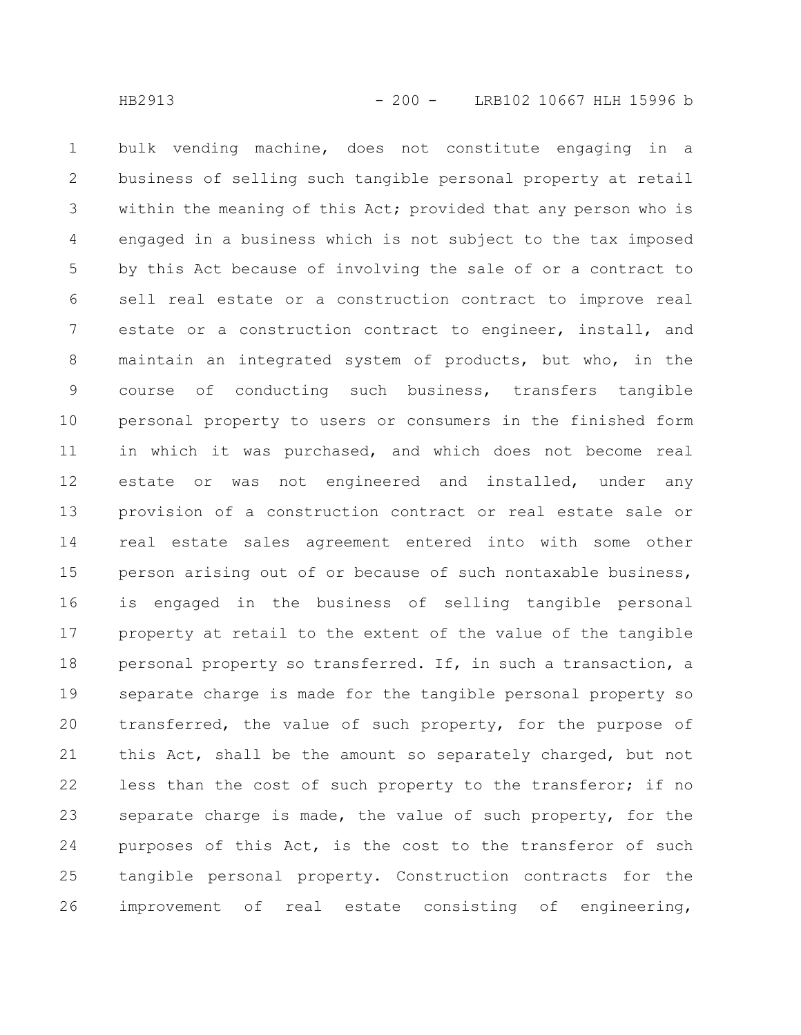bulk vending machine, does not constitute engaging in a business of selling such tangible personal property at retail within the meaning of this Act; provided that any person who is engaged in a business which is not subject to the tax imposed by this Act because of involving the sale of or a contract to sell real estate or a construction contract to improve real estate or a construction contract to engineer, install, and maintain an integrated system of products, but who, in the course of conducting such business, transfers tangible personal property to users or consumers in the finished form in which it was purchased, and which does not become real estate or was not engineered and installed, under any provision of a construction contract or real estate sale or real estate sales agreement entered into with some other person arising out of or because of such nontaxable business, is engaged in the business of selling tangible personal property at retail to the extent of the value of the tangible personal property so transferred. If, in such a transaction, a separate charge is made for the tangible personal property so transferred, the value of such property, for the purpose of this Act, shall be the amount so separately charged, but not less than the cost of such property to the transferor; if no separate charge is made, the value of such property, for the purposes of this Act, is the cost to the transferor of such tangible personal property. Construction contracts for the improvement of real estate consisting of engineering, 1 2 3 4 5 6 7 8 9 10 11 12 13 14 15 16 17 18 19 20 21 22 23 24 25 26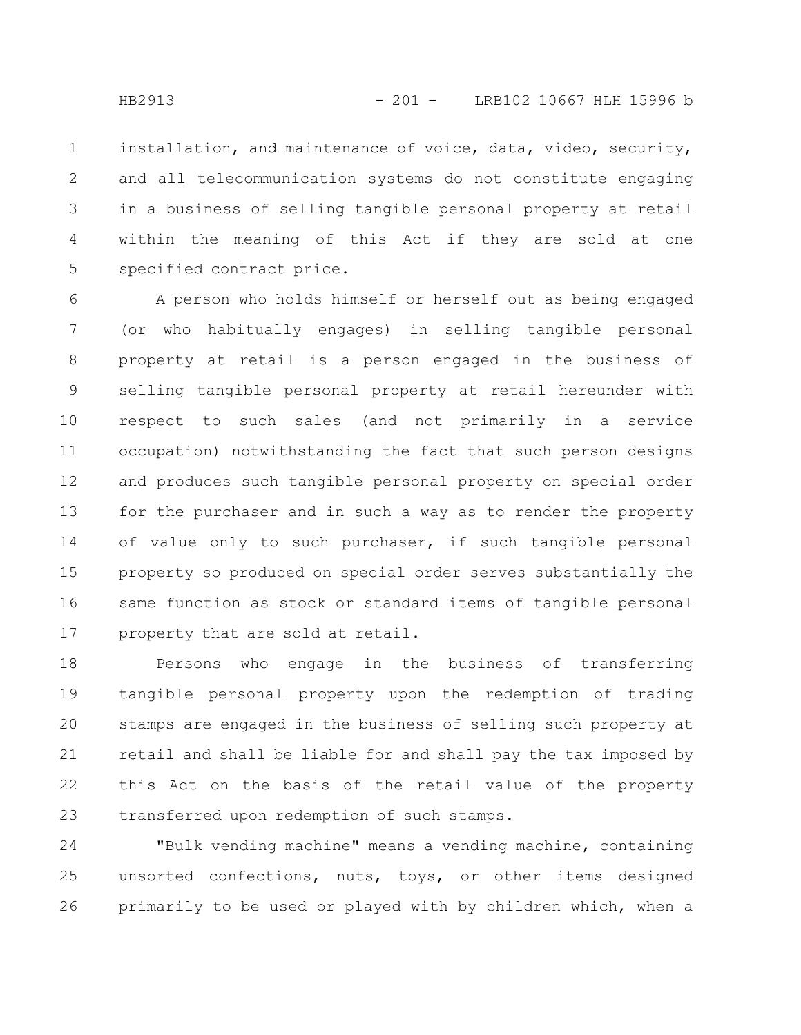installation, and maintenance of voice, data, video, security, and all telecommunication systems do not constitute engaging in a business of selling tangible personal property at retail within the meaning of this Act if they are sold at one specified contract price. 1 2 3 4 5

A person who holds himself or herself out as being engaged (or who habitually engages) in selling tangible personal property at retail is a person engaged in the business of selling tangible personal property at retail hereunder with respect to such sales (and not primarily in a service occupation) notwithstanding the fact that such person designs and produces such tangible personal property on special order for the purchaser and in such a way as to render the property of value only to such purchaser, if such tangible personal property so produced on special order serves substantially the same function as stock or standard items of tangible personal property that are sold at retail. 6 7 8 9 10 11 12 13 14 15 16 17

Persons who engage in the business of transferring tangible personal property upon the redemption of trading stamps are engaged in the business of selling such property at retail and shall be liable for and shall pay the tax imposed by this Act on the basis of the retail value of the property transferred upon redemption of such stamps. 18 19 20 21 22 23

"Bulk vending machine" means a vending machine, containing unsorted confections, nuts, toys, or other items designed primarily to be used or played with by children which, when a 24 25 26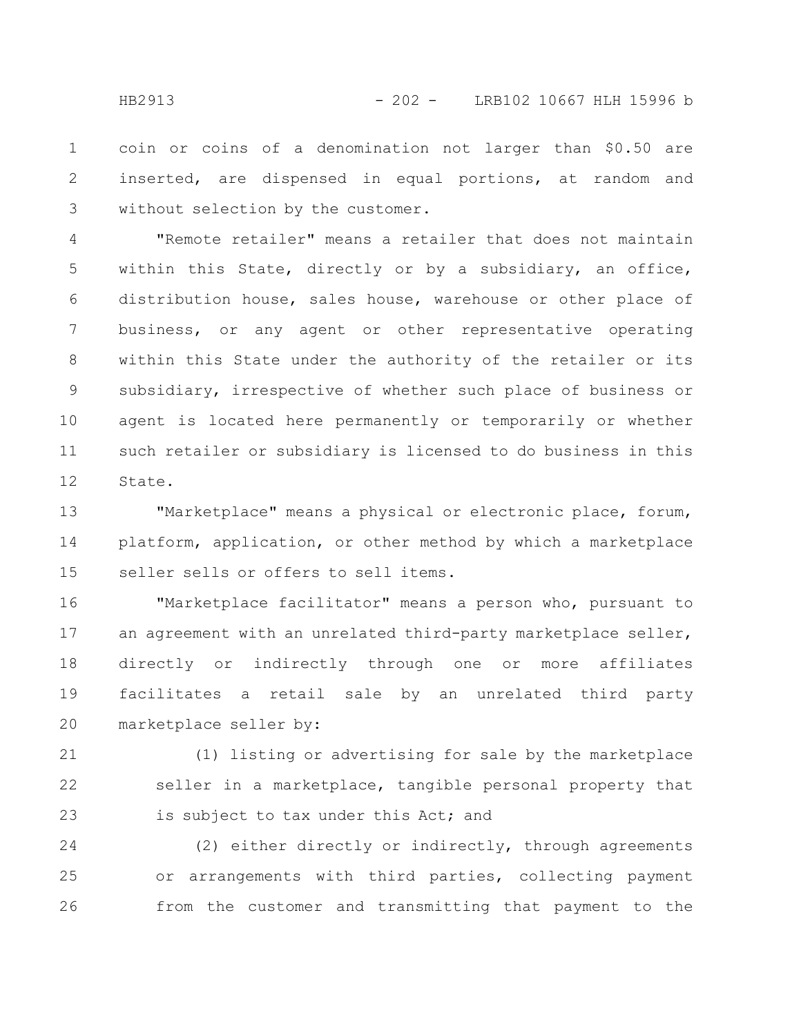coin or coins of a denomination not larger than \$0.50 are inserted, are dispensed in equal portions, at random and without selection by the customer. 1 2 3

"Remote retailer" means a retailer that does not maintain within this State, directly or by a subsidiary, an office, distribution house, sales house, warehouse or other place of business, or any agent or other representative operating within this State under the authority of the retailer or its subsidiary, irrespective of whether such place of business or agent is located here permanently or temporarily or whether such retailer or subsidiary is licensed to do business in this State. 4 5 6 7 8 9 10 11 12

"Marketplace" means a physical or electronic place, forum, platform, application, or other method by which a marketplace seller sells or offers to sell items. 13 14 15

"Marketplace facilitator" means a person who, pursuant to an agreement with an unrelated third-party marketplace seller, directly or indirectly through one or more affiliates facilitates a retail sale by an unrelated third party marketplace seller by: 16 17 18 19 20

(1) listing or advertising for sale by the marketplace seller in a marketplace, tangible personal property that is subject to tax under this Act; and 21 22 23

(2) either directly or indirectly, through agreements or arrangements with third parties, collecting payment from the customer and transmitting that payment to the 24 25 26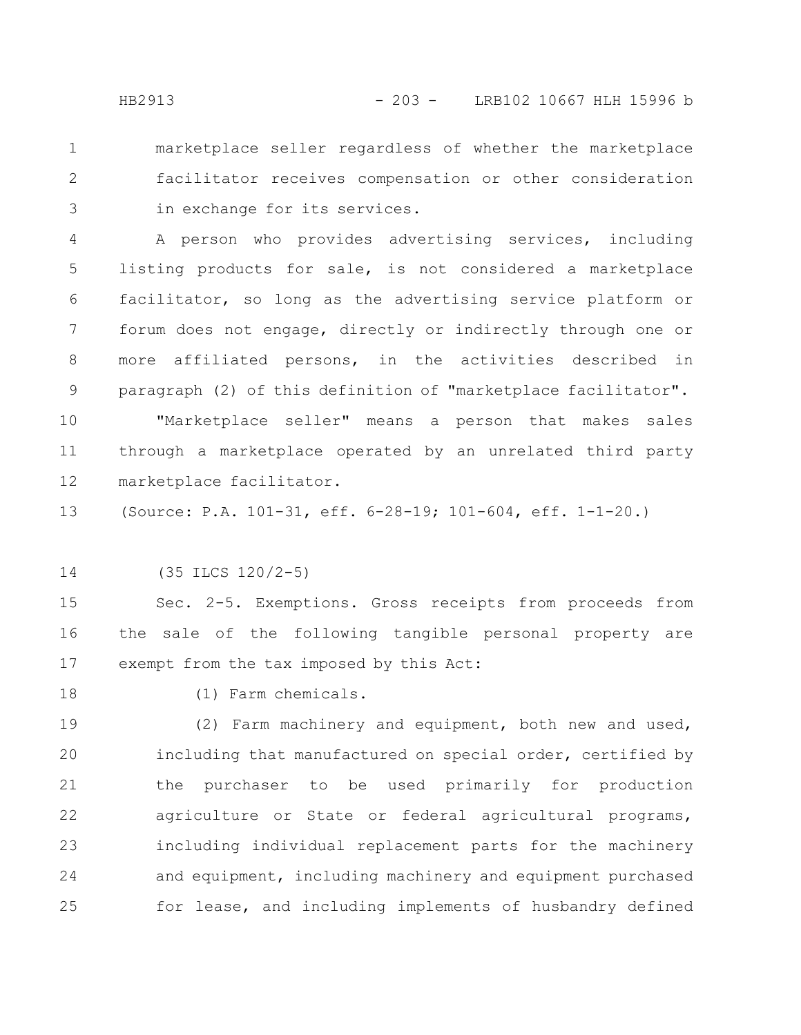marketplace seller regardless of whether the marketplace facilitator receives compensation or other consideration in exchange for its services. 1 2 3

A person who provides advertising services, including listing products for sale, is not considered a marketplace facilitator, so long as the advertising service platform or forum does not engage, directly or indirectly through one or more affiliated persons, in the activities described in paragraph (2) of this definition of "marketplace facilitator". 4 5 6 7 8 9

"Marketplace seller" means a person that makes sales through a marketplace operated by an unrelated third party marketplace facilitator. 10 11 12

(Source: P.A. 101-31, eff. 6-28-19; 101-604, eff. 1-1-20.) 13

(35 ILCS 120/2-5) 14

Sec. 2-5. Exemptions. Gross receipts from proceeds from the sale of the following tangible personal property are exempt from the tax imposed by this Act: 15 16 17

18

(1) Farm chemicals.

(2) Farm machinery and equipment, both new and used, including that manufactured on special order, certified by the purchaser to be used primarily for production agriculture or State or federal agricultural programs, including individual replacement parts for the machinery and equipment, including machinery and equipment purchased for lease, and including implements of husbandry defined 19 20 21 22 23 24 25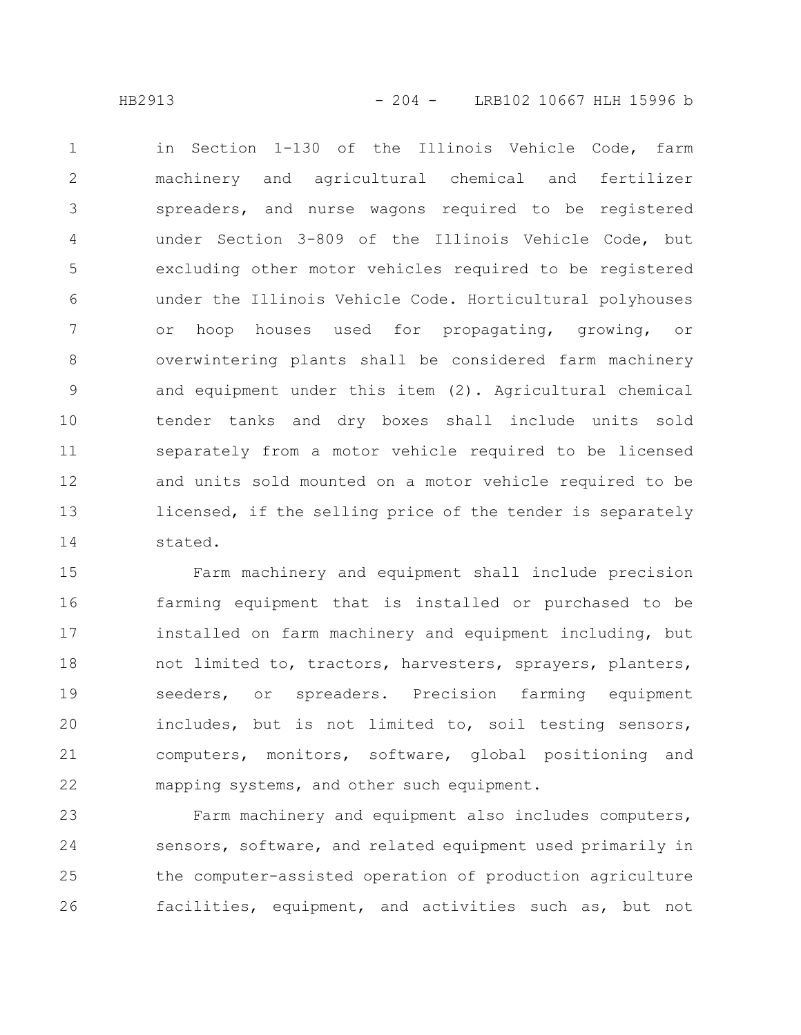in Section 1-130 of the Illinois Vehicle Code, farm machinery and agricultural chemical and fertilizer spreaders, and nurse wagons required to be registered under Section 3-809 of the Illinois Vehicle Code, but excluding other motor vehicles required to be registered under the Illinois Vehicle Code. Horticultural polyhouses or hoop houses used for propagating, growing, or overwintering plants shall be considered farm machinery and equipment under this item (2). Agricultural chemical tender tanks and dry boxes shall include units sold separately from a motor vehicle required to be licensed and units sold mounted on a motor vehicle required to be licensed, if the selling price of the tender is separately stated. 1 2 3 4 5 6 7 8 9 10 11 12 13 14

Farm machinery and equipment shall include precision farming equipment that is installed or purchased to be installed on farm machinery and equipment including, but not limited to, tractors, harvesters, sprayers, planters, seeders, or spreaders. Precision farming equipment includes, but is not limited to, soil testing sensors, computers, monitors, software, global positioning and mapping systems, and other such equipment. 15 16 17 18 19 20 21 22

Farm machinery and equipment also includes computers, sensors, software, and related equipment used primarily in the computer-assisted operation of production agriculture facilities, equipment, and activities such as, but not 23 24 25 26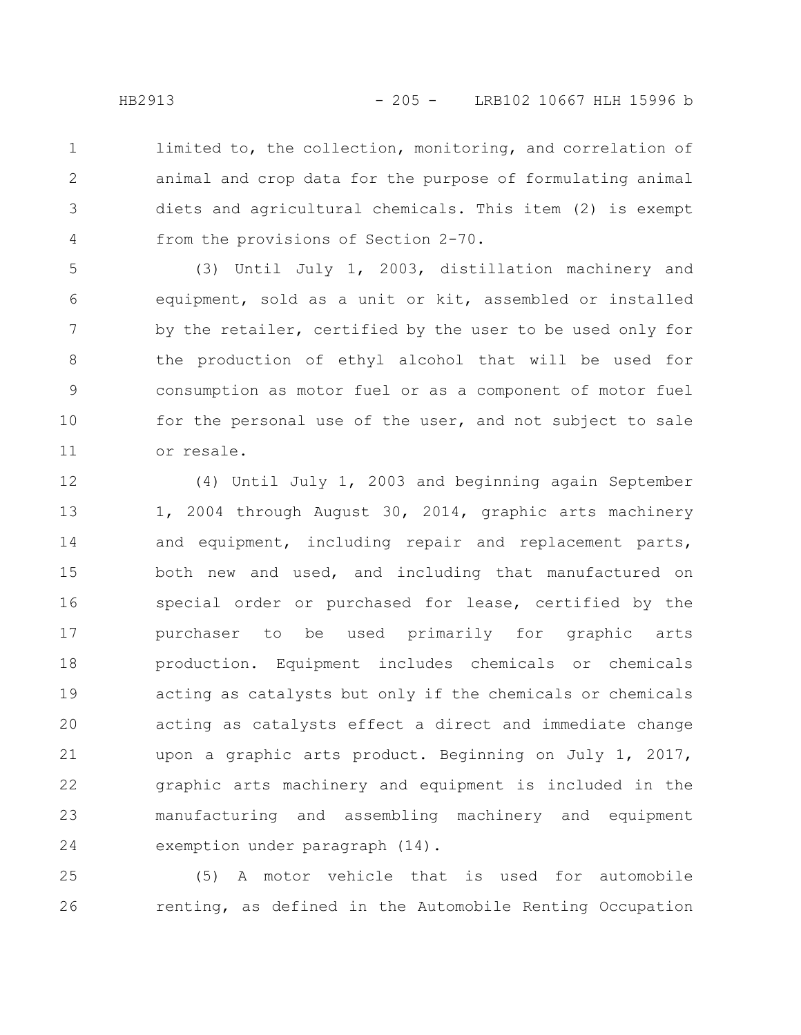limited to, the collection, monitoring, and correlation of animal and crop data for the purpose of formulating animal diets and agricultural chemicals. This item (2) is exempt from the provisions of Section 2-70. 1 2 3 4

(3) Until July 1, 2003, distillation machinery and equipment, sold as a unit or kit, assembled or installed by the retailer, certified by the user to be used only for the production of ethyl alcohol that will be used for consumption as motor fuel or as a component of motor fuel for the personal use of the user, and not subject to sale or resale. 5 6 7 8 9 10 11

(4) Until July 1, 2003 and beginning again September 1, 2004 through August 30, 2014, graphic arts machinery and equipment, including repair and replacement parts, both new and used, and including that manufactured on special order or purchased for lease, certified by the purchaser to be used primarily for graphic arts production. Equipment includes chemicals or chemicals acting as catalysts but only if the chemicals or chemicals acting as catalysts effect a direct and immediate change upon a graphic arts product. Beginning on July 1, 2017, graphic arts machinery and equipment is included in the manufacturing and assembling machinery and equipment exemption under paragraph (14). 12 13 14 15 16 17 18 19 20 21 22 23 24

(5) A motor vehicle that is used for automobile renting, as defined in the Automobile Renting Occupation 25 26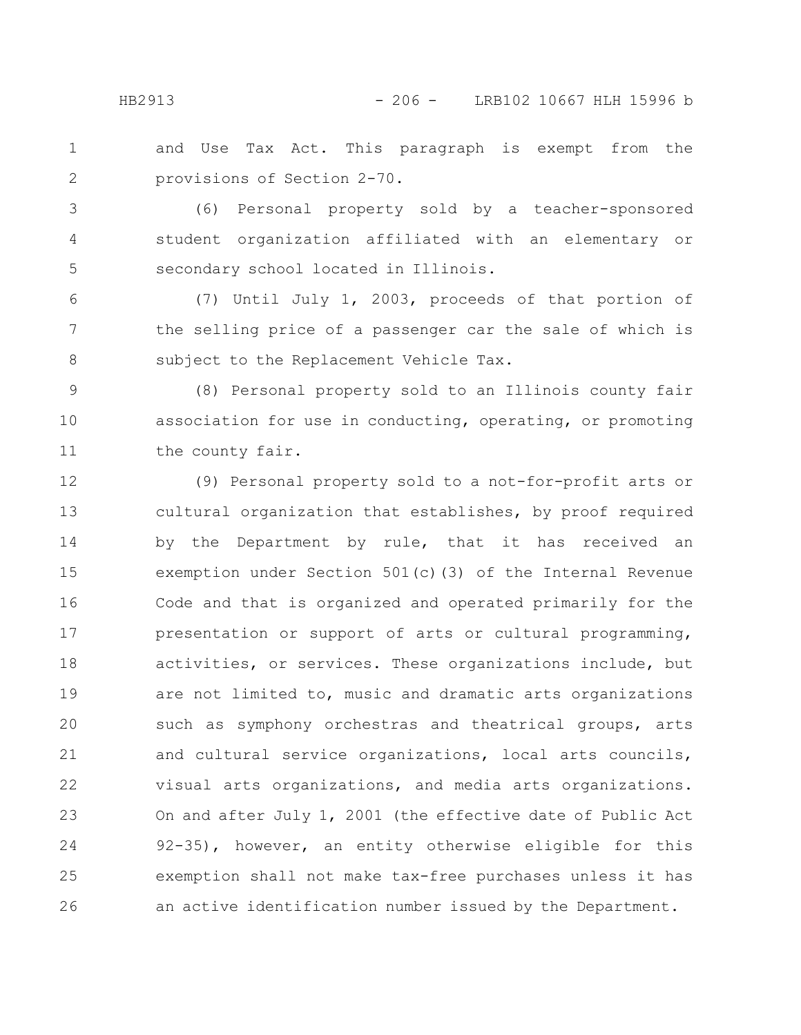and Use Tax Act. This paragraph is exempt from the provisions of Section 2-70. 1 2

(6) Personal property sold by a teacher-sponsored student organization affiliated with an elementary or secondary school located in Illinois. 3 4 5

(7) Until July 1, 2003, proceeds of that portion of the selling price of a passenger car the sale of which is subject to the Replacement Vehicle Tax. 6 7 8

(8) Personal property sold to an Illinois county fair association for use in conducting, operating, or promoting the county fair. 9 10 11

(9) Personal property sold to a not-for-profit arts or cultural organization that establishes, by proof required by the Department by rule, that it has received an exemption under Section 501(c)(3) of the Internal Revenue Code and that is organized and operated primarily for the presentation or support of arts or cultural programming, activities, or services. These organizations include, but are not limited to, music and dramatic arts organizations such as symphony orchestras and theatrical groups, arts and cultural service organizations, local arts councils, visual arts organizations, and media arts organizations. On and after July 1, 2001 (the effective date of Public Act 92-35), however, an entity otherwise eligible for this exemption shall not make tax-free purchases unless it has an active identification number issued by the Department. 12 13 14 15 16 17 18 19 20 21 22 23 24 25 26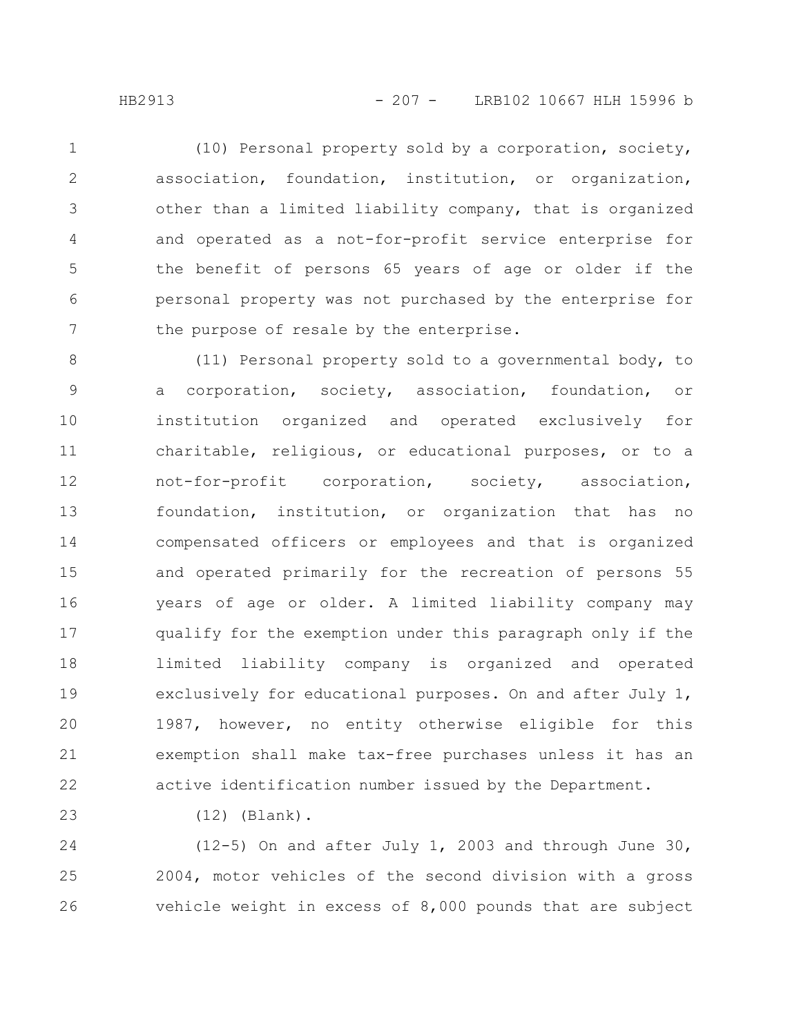(10) Personal property sold by a corporation, society, association, foundation, institution, or organization, other than a limited liability company, that is organized and operated as a not-for-profit service enterprise for the benefit of persons 65 years of age or older if the personal property was not purchased by the enterprise for the purpose of resale by the enterprise. 1 2 3 4 5 6 7

(11) Personal property sold to a governmental body, to a corporation, society, association, foundation, or institution organized and operated exclusively for charitable, religious, or educational purposes, or to a not-for-profit corporation, society, association, foundation, institution, or organization that has no compensated officers or employees and that is organized and operated primarily for the recreation of persons 55 years of age or older. A limited liability company may qualify for the exemption under this paragraph only if the limited liability company is organized and operated exclusively for educational purposes. On and after July 1, 1987, however, no entity otherwise eligible for this exemption shall make tax-free purchases unless it has an active identification number issued by the Department. 8 9 10 11 12 13 14 15 16 17 18 19 20 21 22

23

(12) (Blank).

(12-5) On and after July 1, 2003 and through June 30, 2004, motor vehicles of the second division with a gross vehicle weight in excess of 8,000 pounds that are subject 24 25 26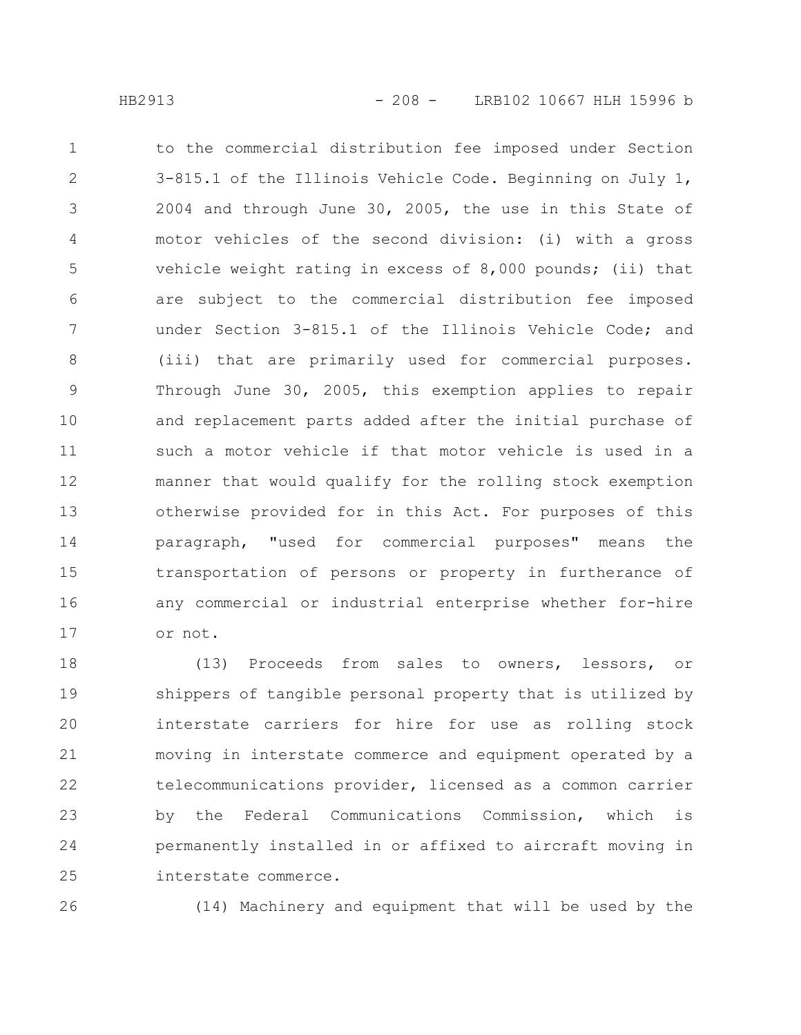to the commercial distribution fee imposed under Section 3-815.1 of the Illinois Vehicle Code. Beginning on July 1, 2004 and through June 30, 2005, the use in this State of motor vehicles of the second division: (i) with a gross vehicle weight rating in excess of 8,000 pounds; (ii) that are subject to the commercial distribution fee imposed under Section 3-815.1 of the Illinois Vehicle Code; and (iii) that are primarily used for commercial purposes. Through June 30, 2005, this exemption applies to repair and replacement parts added after the initial purchase of such a motor vehicle if that motor vehicle is used in a manner that would qualify for the rolling stock exemption otherwise provided for in this Act. For purposes of this paragraph, "used for commercial purposes" means the transportation of persons or property in furtherance of any commercial or industrial enterprise whether for-hire or not. 1 2 3 4 5 6 7 8 9 10 11 12 13 14 15 16 17

(13) Proceeds from sales to owners, lessors, or shippers of tangible personal property that is utilized by interstate carriers for hire for use as rolling stock moving in interstate commerce and equipment operated by a telecommunications provider, licensed as a common carrier by the Federal Communications Commission, which is permanently installed in or affixed to aircraft moving in interstate commerce. 18 19 20 21 22 23 24 25

26

(14) Machinery and equipment that will be used by the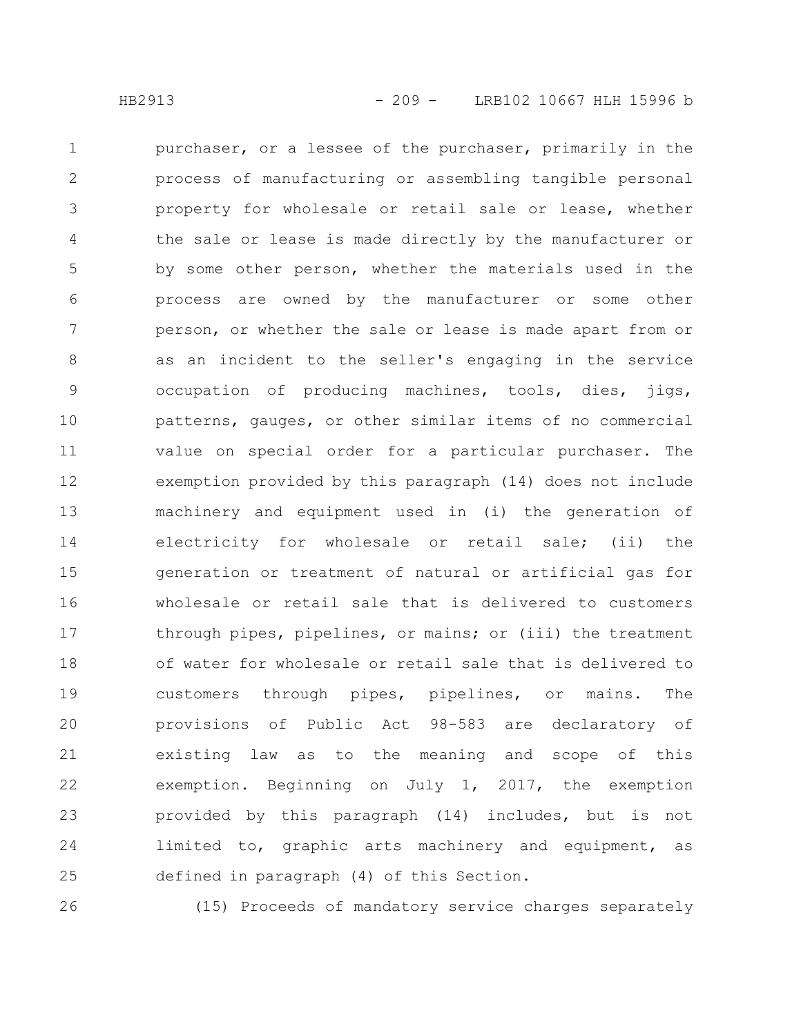purchaser, or a lessee of the purchaser, primarily in the process of manufacturing or assembling tangible personal property for wholesale or retail sale or lease, whether the sale or lease is made directly by the manufacturer or by some other person, whether the materials used in the process are owned by the manufacturer or some other person, or whether the sale or lease is made apart from or as an incident to the seller's engaging in the service occupation of producing machines, tools, dies, jigs, patterns, gauges, or other similar items of no commercial value on special order for a particular purchaser. The exemption provided by this paragraph (14) does not include machinery and equipment used in (i) the generation of electricity for wholesale or retail sale; (ii) the generation or treatment of natural or artificial gas for wholesale or retail sale that is delivered to customers through pipes, pipelines, or mains; or (iii) the treatment of water for wholesale or retail sale that is delivered to customers through pipes, pipelines, or mains. The provisions of Public Act 98-583 are declaratory of existing law as to the meaning and scope of this exemption. Beginning on July 1, 2017, the exemption provided by this paragraph (14) includes, but is not limited to, graphic arts machinery and equipment, as defined in paragraph (4) of this Section. 1 2 3 4 5 6 7 8 9 10 11 12 13 14 15 16 17 18 19 20 21 22 23 24 25

26

(15) Proceeds of mandatory service charges separately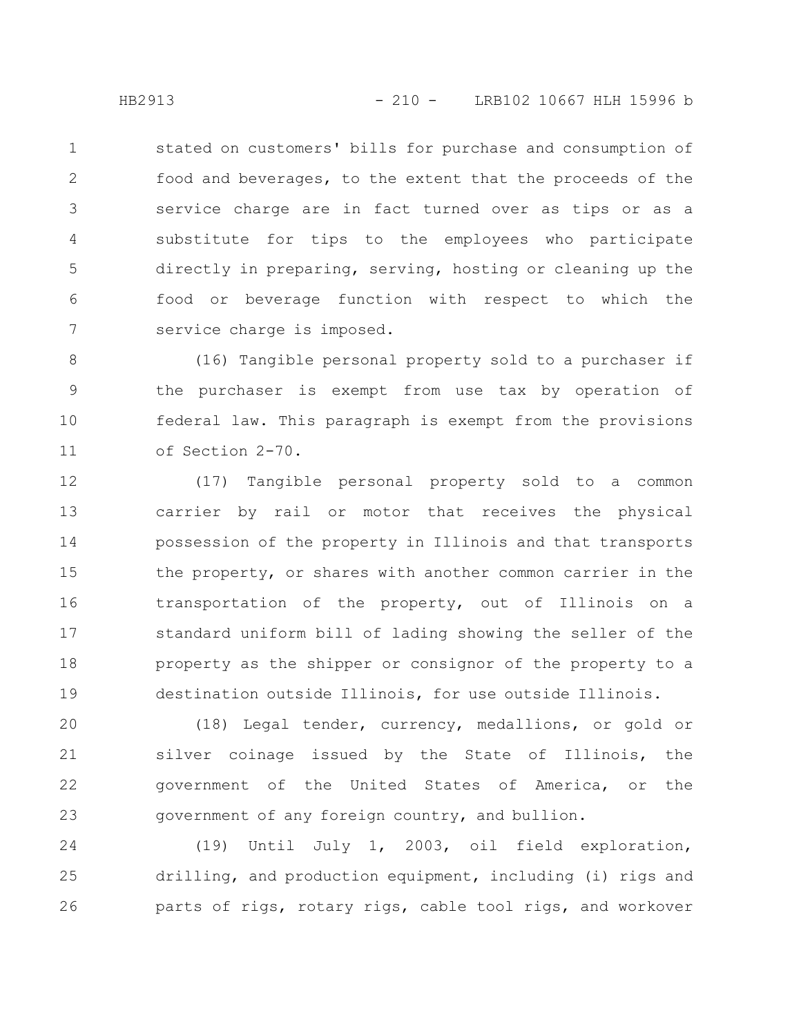stated on customers' bills for purchase and consumption of food and beverages, to the extent that the proceeds of the service charge are in fact turned over as tips or as a substitute for tips to the employees who participate directly in preparing, serving, hosting or cleaning up the food or beverage function with respect to which the service charge is imposed. 1 2 3 4 5 6 7

(16) Tangible personal property sold to a purchaser if the purchaser is exempt from use tax by operation of federal law. This paragraph is exempt from the provisions of Section 2-70. 8 9 10 11

(17) Tangible personal property sold to a common carrier by rail or motor that receives the physical possession of the property in Illinois and that transports the property, or shares with another common carrier in the transportation of the property, out of Illinois on a standard uniform bill of lading showing the seller of the property as the shipper or consignor of the property to a destination outside Illinois, for use outside Illinois. 12 13 14 15 16 17 18 19

(18) Legal tender, currency, medallions, or gold or silver coinage issued by the State of Illinois, the government of the United States of America, or the government of any foreign country, and bullion. 20 21 22 23

(19) Until July 1, 2003, oil field exploration, drilling, and production equipment, including (i) rigs and parts of rigs, rotary rigs, cable tool rigs, and workover 24 25 26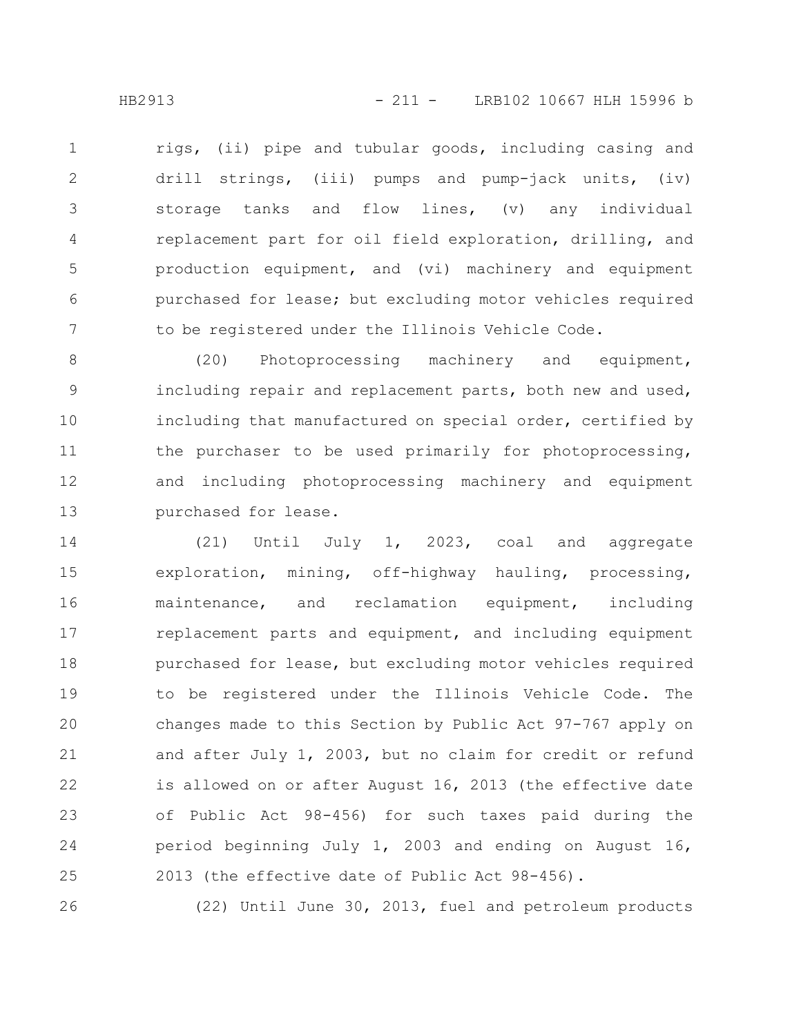rigs, (ii) pipe and tubular goods, including casing and drill strings, (iii) pumps and pump-jack units, (iv) storage tanks and flow lines, (v) any individual replacement part for oil field exploration, drilling, and production equipment, and (vi) machinery and equipment purchased for lease; but excluding motor vehicles required to be registered under the Illinois Vehicle Code. 1 2 3 4 5 6 7

(20) Photoprocessing machinery and equipment, including repair and replacement parts, both new and used, including that manufactured on special order, certified by the purchaser to be used primarily for photoprocessing, and including photoprocessing machinery and equipment purchased for lease. 8 9 10 11 12 13

(21) Until July 1, 2023, coal and aggregate exploration, mining, off-highway hauling, processing, maintenance, and reclamation equipment, including replacement parts and equipment, and including equipment purchased for lease, but excluding motor vehicles required to be registered under the Illinois Vehicle Code. The changes made to this Section by Public Act 97-767 apply on and after July 1, 2003, but no claim for credit or refund is allowed on or after August 16, 2013 (the effective date of Public Act 98-456) for such taxes paid during the period beginning July 1, 2003 and ending on August 16, 2013 (the effective date of Public Act 98-456). 14 15 16 17 18 19 20 21 22 23 24 25

26

(22) Until June 30, 2013, fuel and petroleum products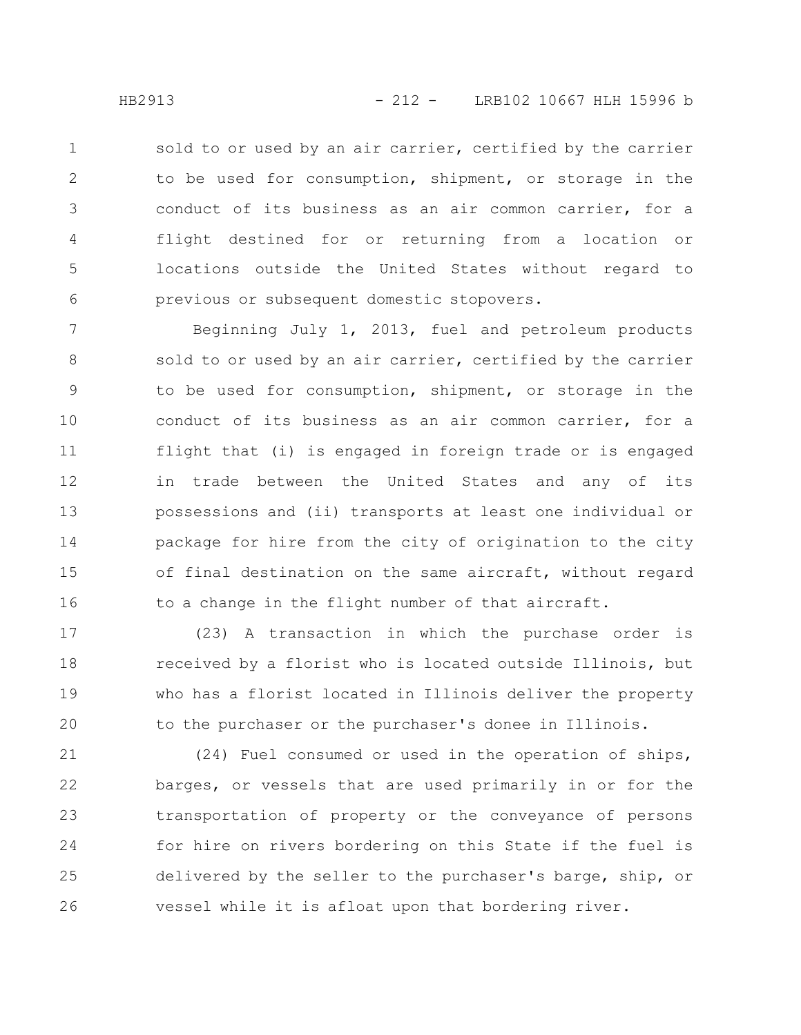sold to or used by an air carrier, certified by the carrier to be used for consumption, shipment, or storage in the conduct of its business as an air common carrier, for a flight destined for or returning from a location or locations outside the United States without regard to previous or subsequent domestic stopovers. 1 2 3 4 5 6

Beginning July 1, 2013, fuel and petroleum products sold to or used by an air carrier, certified by the carrier to be used for consumption, shipment, or storage in the conduct of its business as an air common carrier, for a flight that (i) is engaged in foreign trade or is engaged in trade between the United States and any of its possessions and (ii) transports at least one individual or package for hire from the city of origination to the city of final destination on the same aircraft, without regard to a change in the flight number of that aircraft. 7 8 9 10 11 12 13 14 15 16

(23) A transaction in which the purchase order is received by a florist who is located outside Illinois, but who has a florist located in Illinois deliver the property to the purchaser or the purchaser's donee in Illinois. 17 18 19 20

(24) Fuel consumed or used in the operation of ships, barges, or vessels that are used primarily in or for the transportation of property or the conveyance of persons for hire on rivers bordering on this State if the fuel is delivered by the seller to the purchaser's barge, ship, or vessel while it is afloat upon that bordering river. 21 22 23 24 25 26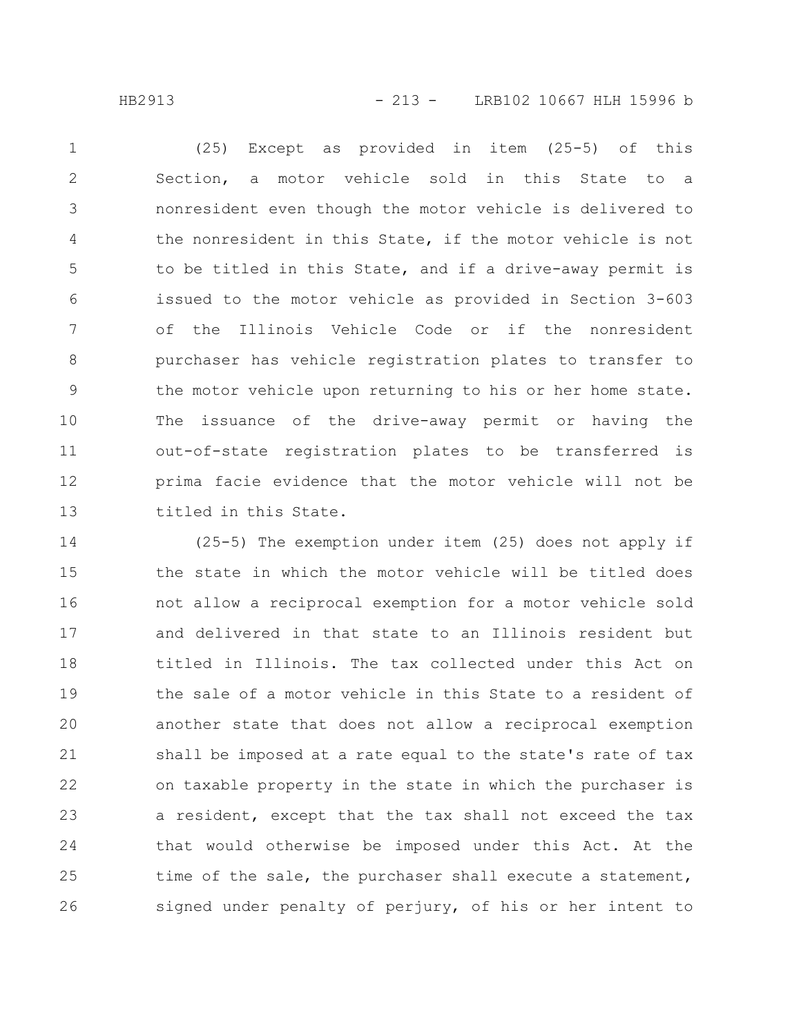HB2913 - 213 - LRB102 10667 HLH 15996 b

(25) Except as provided in item (25-5) of this Section, a motor vehicle sold in this State to a nonresident even though the motor vehicle is delivered to the nonresident in this State, if the motor vehicle is not to be titled in this State, and if a drive-away permit is issued to the motor vehicle as provided in Section 3-603 of the Illinois Vehicle Code or if the nonresident purchaser has vehicle registration plates to transfer to the motor vehicle upon returning to his or her home state. The issuance of the drive-away permit or having the out-of-state registration plates to be transferred is prima facie evidence that the motor vehicle will not be titled in this State. 1 2 3 4 5 6 7 8 9 10 11 12 13

(25-5) The exemption under item (25) does not apply if the state in which the motor vehicle will be titled does not allow a reciprocal exemption for a motor vehicle sold and delivered in that state to an Illinois resident but titled in Illinois. The tax collected under this Act on the sale of a motor vehicle in this State to a resident of another state that does not allow a reciprocal exemption shall be imposed at a rate equal to the state's rate of tax on taxable property in the state in which the purchaser is a resident, except that the tax shall not exceed the tax that would otherwise be imposed under this Act. At the time of the sale, the purchaser shall execute a statement, signed under penalty of perjury, of his or her intent to 14 15 16 17 18 19 20 21 22 23 24 25 26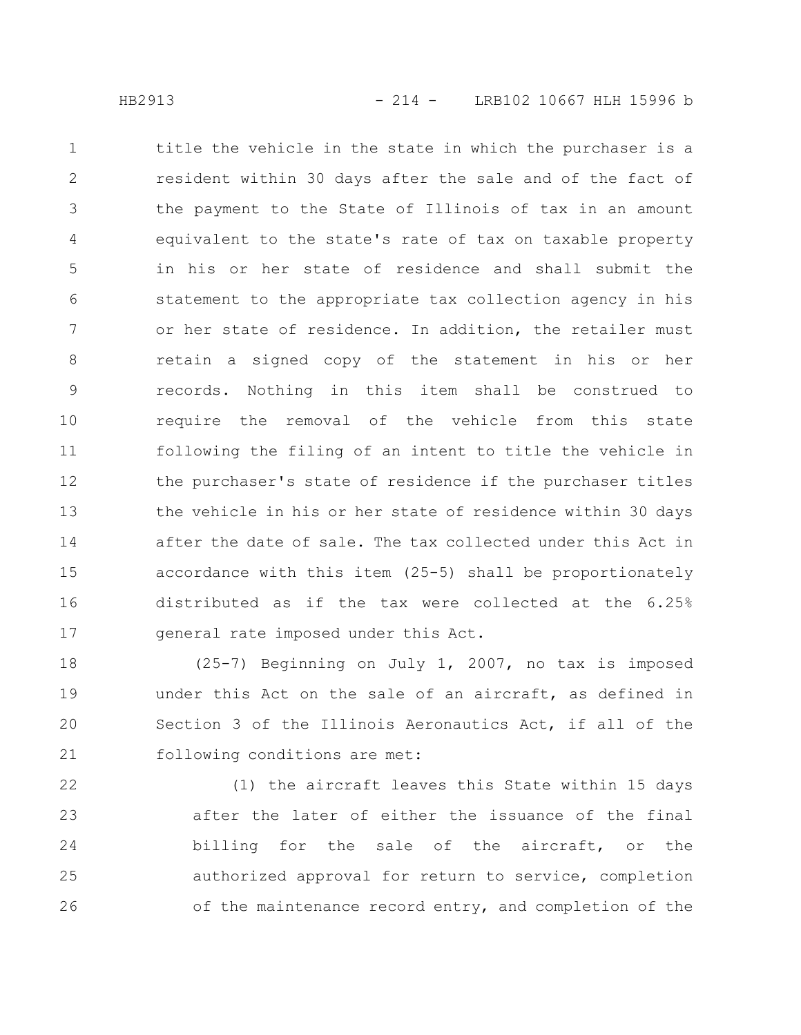title the vehicle in the state in which the purchaser is a resident within 30 days after the sale and of the fact of the payment to the State of Illinois of tax in an amount equivalent to the state's rate of tax on taxable property in his or her state of residence and shall submit the statement to the appropriate tax collection agency in his or her state of residence. In addition, the retailer must retain a signed copy of the statement in his or her records. Nothing in this item shall be construed to require the removal of the vehicle from this state following the filing of an intent to title the vehicle in the purchaser's state of residence if the purchaser titles the vehicle in his or her state of residence within 30 days after the date of sale. The tax collected under this Act in accordance with this item (25-5) shall be proportionately distributed as if the tax were collected at the 6.25% general rate imposed under this Act. 1 2 3 4 5 6 7 8 9 10 11 12 13 14 15 16 17

(25-7) Beginning on July 1, 2007, no tax is imposed under this Act on the sale of an aircraft, as defined in Section 3 of the Illinois Aeronautics Act, if all of the following conditions are met: 18 19 20 21

(1) the aircraft leaves this State within 15 days after the later of either the issuance of the final billing for the sale of the aircraft, or the authorized approval for return to service, completion of the maintenance record entry, and completion of the 22 23 24 25 26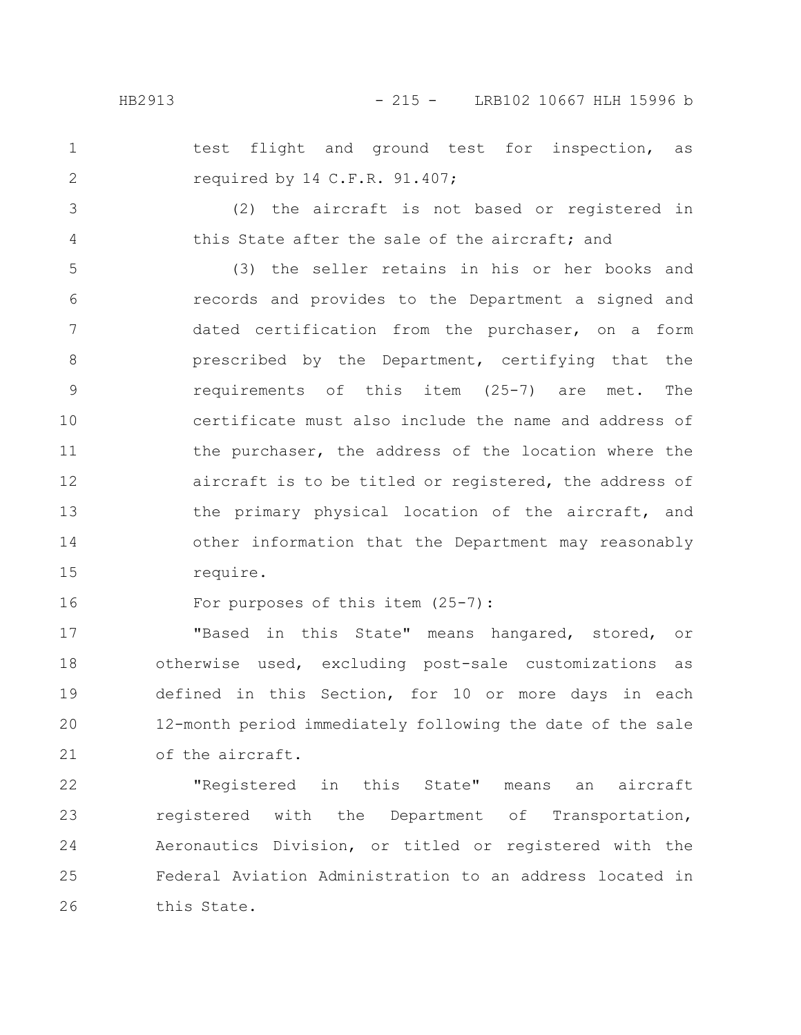test flight and ground test for inspection, as required by 14 C.F.R. 91.407;

3 4

1

2

(2) the aircraft is not based or registered in this State after the sale of the aircraft; and

(3) the seller retains in his or her books and records and provides to the Department a signed and dated certification from the purchaser, on a form prescribed by the Department, certifying that the requirements of this item (25-7) are met. The certificate must also include the name and address of the purchaser, the address of the location where the aircraft is to be titled or registered, the address of the primary physical location of the aircraft, and other information that the Department may reasonably require. 5 6 7 8 9 10 11 12 13 14 15

For purposes of this item (25-7): 16

"Based in this State" means hangared, stored, or otherwise used, excluding post-sale customizations as defined in this Section, for 10 or more days in each 12-month period immediately following the date of the sale of the aircraft. 17 18 19 20 21

"Registered in this State" means an aircraft registered with the Department of Transportation, Aeronautics Division, or titled or registered with the Federal Aviation Administration to an address located in this State. 22 23 24 25 26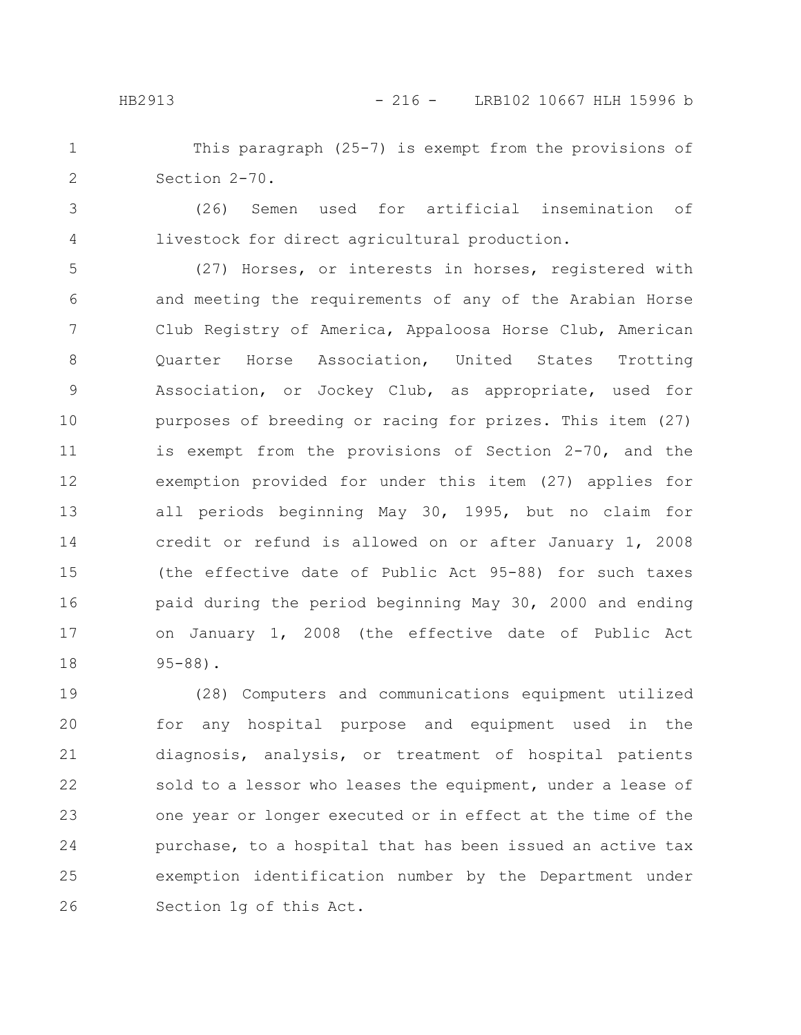This paragraph (25-7) is exempt from the provisions of Section 2-70. 1 2

3

4

(26) Semen used for artificial insemination of livestock for direct agricultural production.

(27) Horses, or interests in horses, registered with and meeting the requirements of any of the Arabian Horse Club Registry of America, Appaloosa Horse Club, American Quarter Horse Association, United States Trotting Association, or Jockey Club, as appropriate, used for purposes of breeding or racing for prizes. This item (27) is exempt from the provisions of Section 2-70, and the exemption provided for under this item (27) applies for all periods beginning May 30, 1995, but no claim for credit or refund is allowed on or after January 1, 2008 (the effective date of Public Act 95-88) for such taxes paid during the period beginning May 30, 2000 and ending on January 1, 2008 (the effective date of Public Act 95-88). 5 6 7 8 9 10 11 12 13 14 15 16 17 18

(28) Computers and communications equipment utilized for any hospital purpose and equipment used in the diagnosis, analysis, or treatment of hospital patients sold to a lessor who leases the equipment, under a lease of one year or longer executed or in effect at the time of the purchase, to a hospital that has been issued an active tax exemption identification number by the Department under Section 1g of this Act. 19 20 21 22 23 24 25 26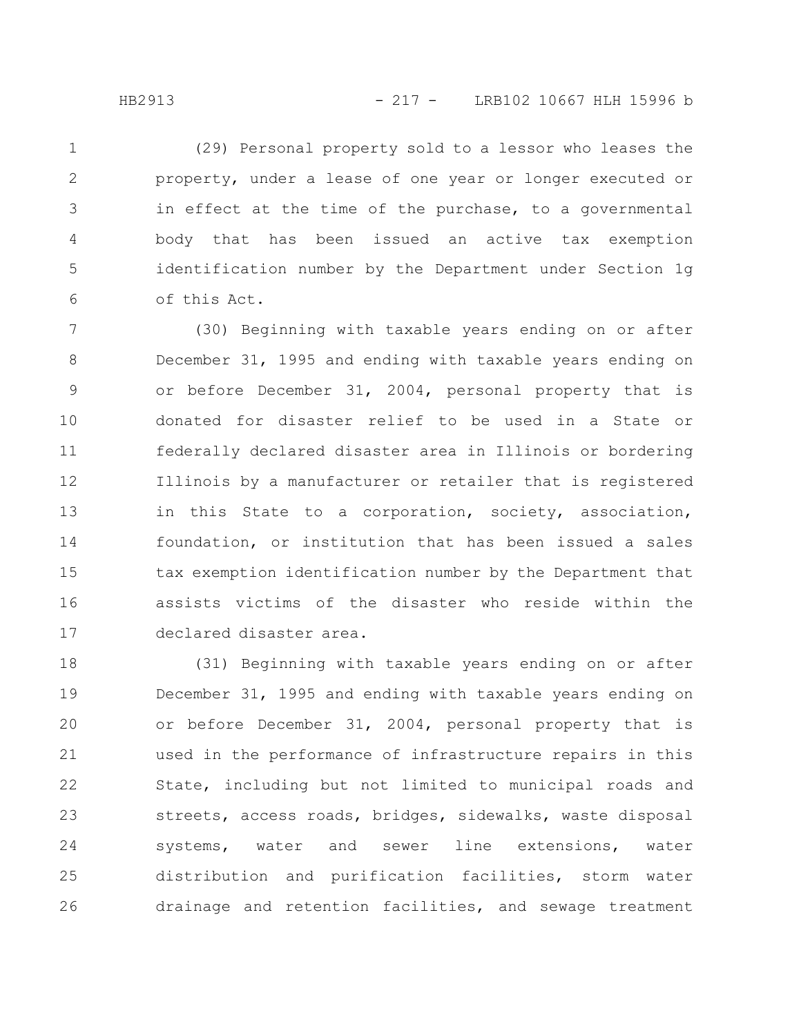(29) Personal property sold to a lessor who leases the property, under a lease of one year or longer executed or in effect at the time of the purchase, to a governmental body that has been issued an active tax exemption identification number by the Department under Section 1g of this Act. 1 2 3 4 5 6

(30) Beginning with taxable years ending on or after December 31, 1995 and ending with taxable years ending on or before December 31, 2004, personal property that is donated for disaster relief to be used in a State or federally declared disaster area in Illinois or bordering Illinois by a manufacturer or retailer that is registered in this State to a corporation, society, association, foundation, or institution that has been issued a sales tax exemption identification number by the Department that assists victims of the disaster who reside within the declared disaster area. 7 8 9 10 11 12 13 14 15 16 17

(31) Beginning with taxable years ending on or after December 31, 1995 and ending with taxable years ending on or before December 31, 2004, personal property that is used in the performance of infrastructure repairs in this State, including but not limited to municipal roads and streets, access roads, bridges, sidewalks, waste disposal systems, water and sewer line extensions, water distribution and purification facilities, storm water drainage and retention facilities, and sewage treatment 18 19 20 21 22 23 24 25 26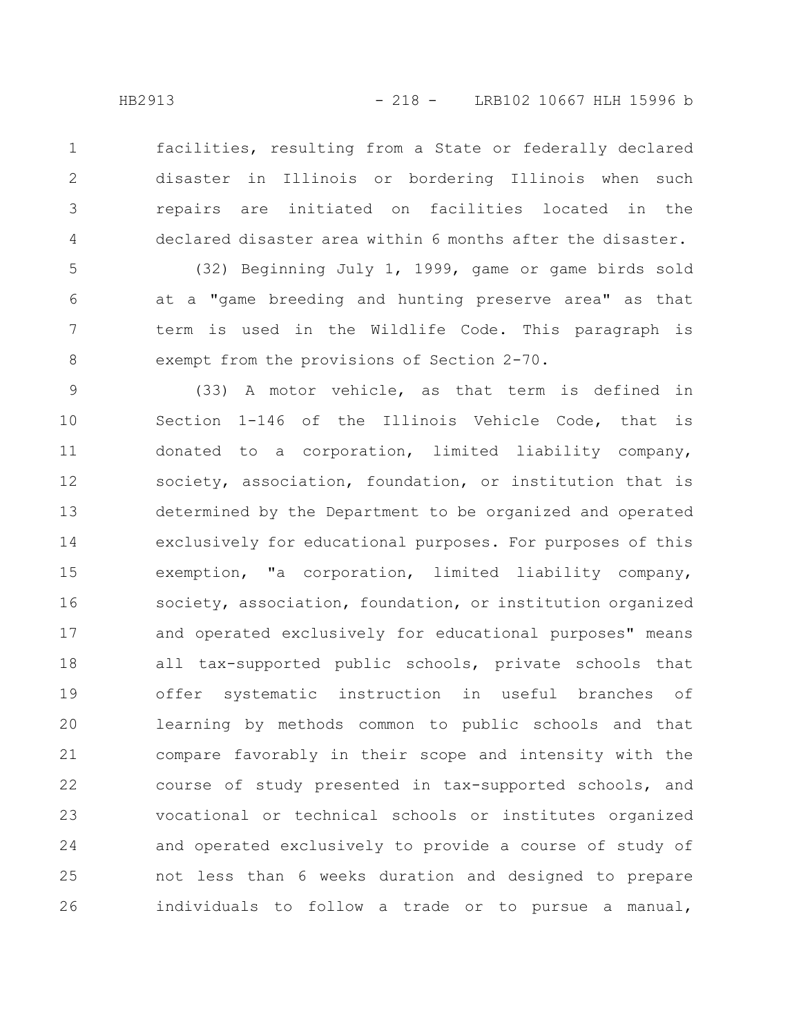1

2

3

4

facilities, resulting from a State or federally declared disaster in Illinois or bordering Illinois when such repairs are initiated on facilities located in the declared disaster area within 6 months after the disaster.

(32) Beginning July 1, 1999, game or game birds sold at a "game breeding and hunting preserve area" as that term is used in the Wildlife Code. This paragraph is exempt from the provisions of Section 2-70. 5 6 7 8

(33) A motor vehicle, as that term is defined in Section 1-146 of the Illinois Vehicle Code, that is donated to a corporation, limited liability company, society, association, foundation, or institution that is determined by the Department to be organized and operated exclusively for educational purposes. For purposes of this exemption, "a corporation, limited liability company, society, association, foundation, or institution organized and operated exclusively for educational purposes" means all tax-supported public schools, private schools that offer systematic instruction in useful branches of learning by methods common to public schools and that compare favorably in their scope and intensity with the course of study presented in tax-supported schools, and vocational or technical schools or institutes organized and operated exclusively to provide a course of study of not less than 6 weeks duration and designed to prepare individuals to follow a trade or to pursue a manual, 9 10 11 12 13 14 15 16 17 18 19 20 21 22 23 24 25 26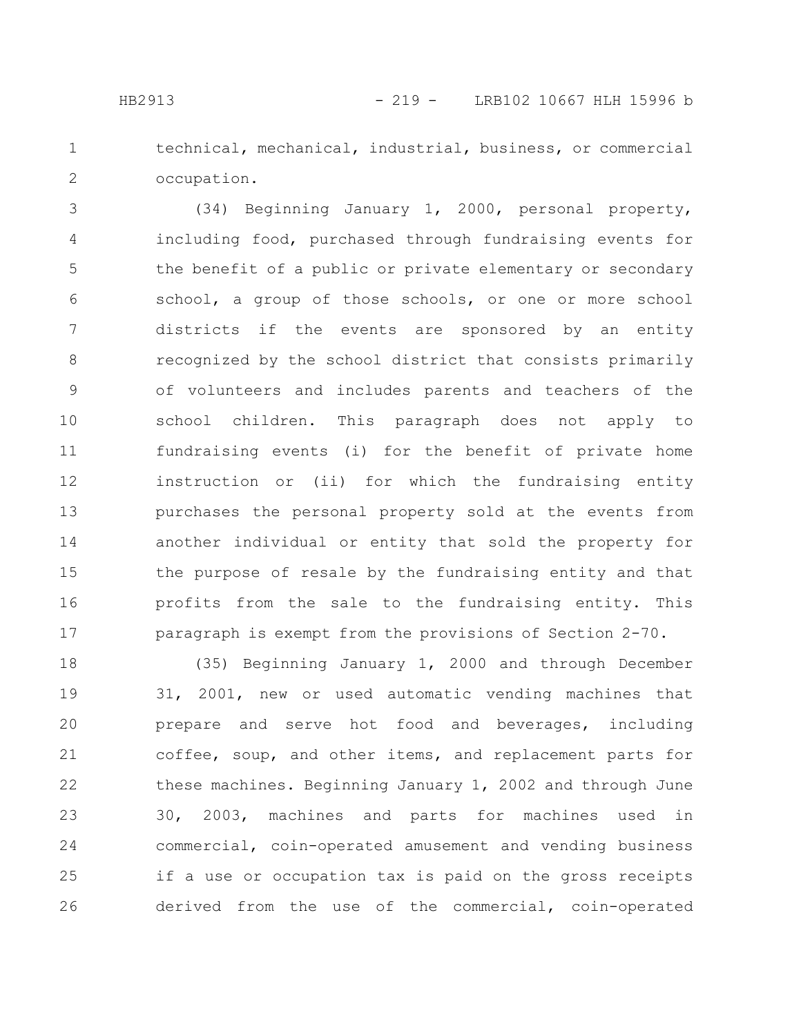1

2

technical, mechanical, industrial, business, or commercial occupation.

(34) Beginning January 1, 2000, personal property, including food, purchased through fundraising events for the benefit of a public or private elementary or secondary school, a group of those schools, or one or more school districts if the events are sponsored by an entity recognized by the school district that consists primarily of volunteers and includes parents and teachers of the school children. This paragraph does not apply to fundraising events (i) for the benefit of private home instruction or (ii) for which the fundraising entity purchases the personal property sold at the events from another individual or entity that sold the property for the purpose of resale by the fundraising entity and that profits from the sale to the fundraising entity. This paragraph is exempt from the provisions of Section 2-70. 3 4 5 6 7 8 9 10 11 12 13 14 15 16 17

(35) Beginning January 1, 2000 and through December 31, 2001, new or used automatic vending machines that prepare and serve hot food and beverages, including coffee, soup, and other items, and replacement parts for these machines. Beginning January 1, 2002 and through June 30, 2003, machines and parts for machines used in commercial, coin-operated amusement and vending business if a use or occupation tax is paid on the gross receipts derived from the use of the commercial, coin-operated 18 19 20 21 22 23 24 25 26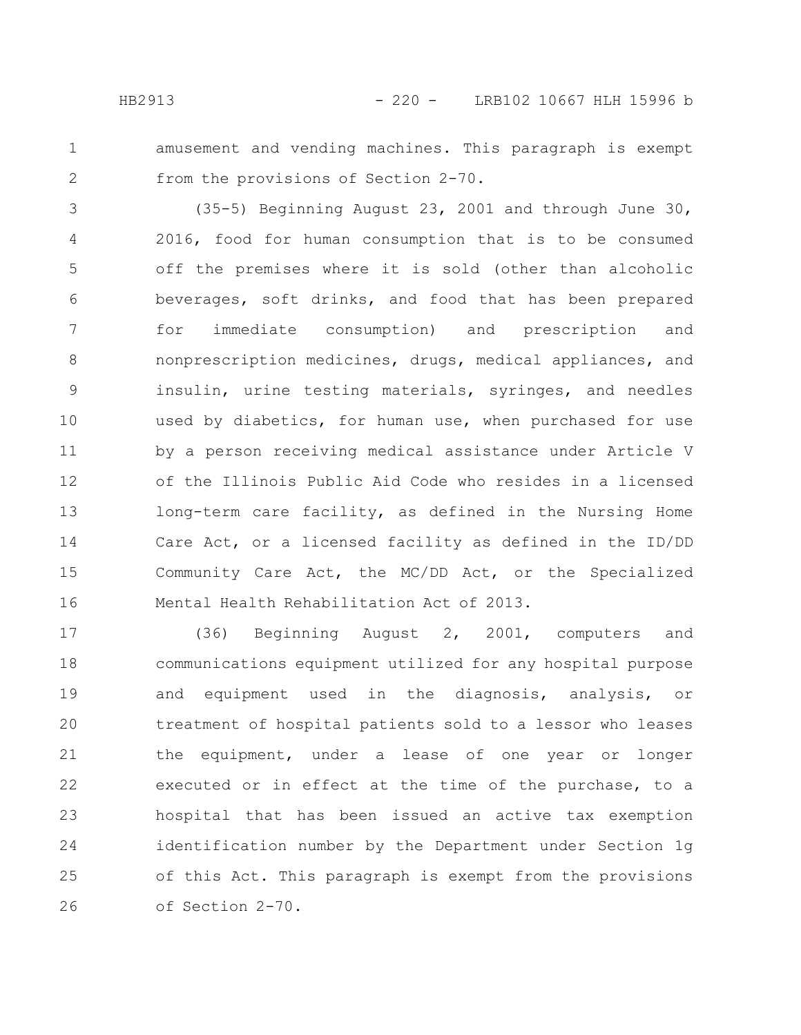- 
- 1 2

amusement and vending machines. This paragraph is exempt from the provisions of Section 2-70.

(35-5) Beginning August 23, 2001 and through June 30, 2016, food for human consumption that is to be consumed off the premises where it is sold (other than alcoholic beverages, soft drinks, and food that has been prepared for immediate consumption) and prescription and nonprescription medicines, drugs, medical appliances, and insulin, urine testing materials, syringes, and needles used by diabetics, for human use, when purchased for use by a person receiving medical assistance under Article V of the Illinois Public Aid Code who resides in a licensed long-term care facility, as defined in the Nursing Home Care Act, or a licensed facility as defined in the ID/DD Community Care Act, the MC/DD Act, or the Specialized Mental Health Rehabilitation Act of 2013. 3 4 5 6 7 8 9 10 11 12 13 14 15 16

(36) Beginning August 2, 2001, computers and communications equipment utilized for any hospital purpose and equipment used in the diagnosis, analysis, or treatment of hospital patients sold to a lessor who leases the equipment, under a lease of one year or longer executed or in effect at the time of the purchase, to a hospital that has been issued an active tax exemption identification number by the Department under Section 1g of this Act. This paragraph is exempt from the provisions of Section 2-70. 17 18 19 20 21 22 23 24 25 26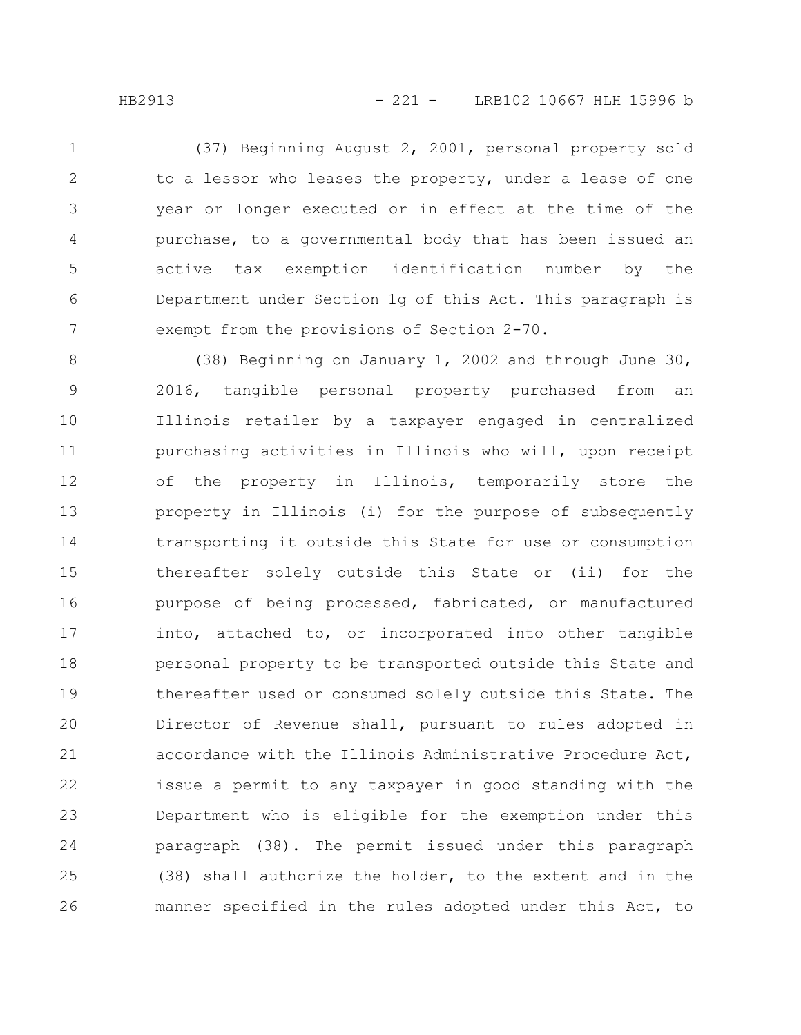(37) Beginning August 2, 2001, personal property sold to a lessor who leases the property, under a lease of one year or longer executed or in effect at the time of the purchase, to a governmental body that has been issued an active tax exemption identification number by the Department under Section 1g of this Act. This paragraph is exempt from the provisions of Section 2-70. 1 2 3 4 5 6 7

(38) Beginning on January 1, 2002 and through June 30, 2016, tangible personal property purchased from an Illinois retailer by a taxpayer engaged in centralized purchasing activities in Illinois who will, upon receipt of the property in Illinois, temporarily store the property in Illinois (i) for the purpose of subsequently transporting it outside this State for use or consumption thereafter solely outside this State or (ii) for the purpose of being processed, fabricated, or manufactured into, attached to, or incorporated into other tangible personal property to be transported outside this State and thereafter used or consumed solely outside this State. The Director of Revenue shall, pursuant to rules adopted in accordance with the Illinois Administrative Procedure Act, issue a permit to any taxpayer in good standing with the Department who is eligible for the exemption under this paragraph (38). The permit issued under this paragraph (38) shall authorize the holder, to the extent and in the manner specified in the rules adopted under this Act, to 8 9 10 11 12 13 14 15 16 17 18 19 20 21 22 23 24 25 26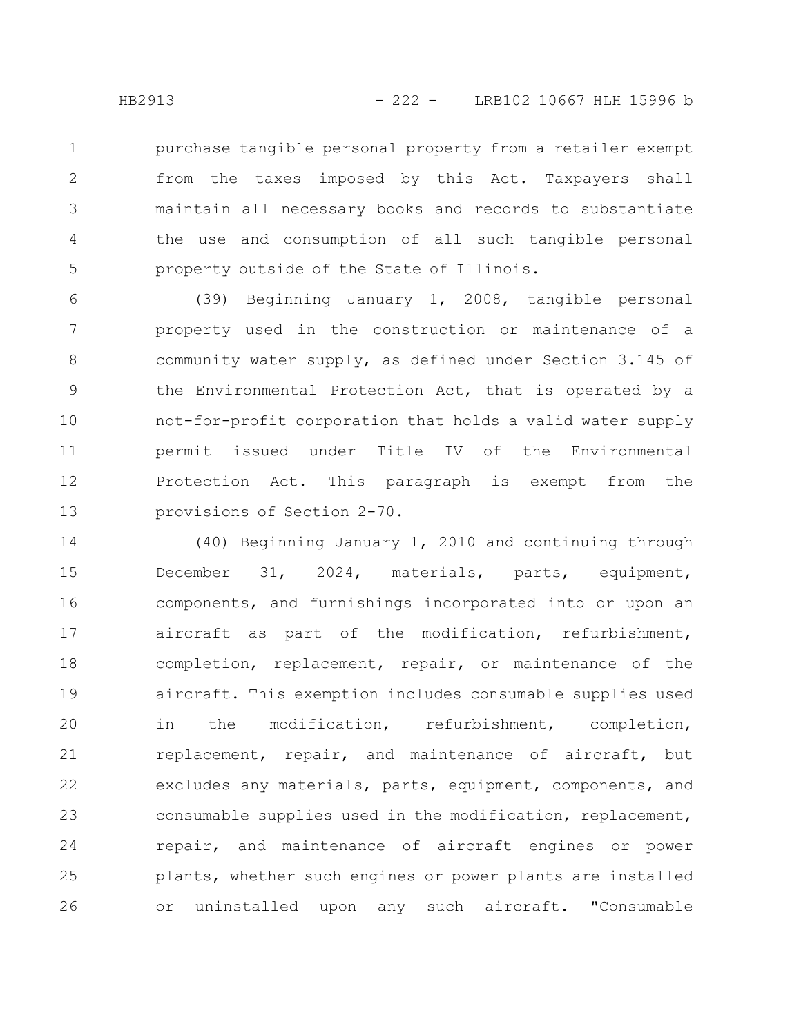purchase tangible personal property from a retailer exempt from the taxes imposed by this Act. Taxpayers shall maintain all necessary books and records to substantiate the use and consumption of all such tangible personal property outside of the State of Illinois. 1 2 3 4 5

(39) Beginning January 1, 2008, tangible personal property used in the construction or maintenance of a community water supply, as defined under Section 3.145 of the Environmental Protection Act, that is operated by a not-for-profit corporation that holds a valid water supply permit issued under Title IV of the Environmental Protection Act. This paragraph is exempt from the provisions of Section 2-70. 6 7 8 9 10 11 12 13

(40) Beginning January 1, 2010 and continuing through December 31, 2024, materials, parts, equipment, components, and furnishings incorporated into or upon an aircraft as part of the modification, refurbishment, completion, replacement, repair, or maintenance of the aircraft. This exemption includes consumable supplies used in the modification, refurbishment, completion, replacement, repair, and maintenance of aircraft, but excludes any materials, parts, equipment, components, and consumable supplies used in the modification, replacement, repair, and maintenance of aircraft engines or power plants, whether such engines or power plants are installed or uninstalled upon any such aircraft. "Consumable 14 15 16 17 18 19 20 21 22 23 24 25 26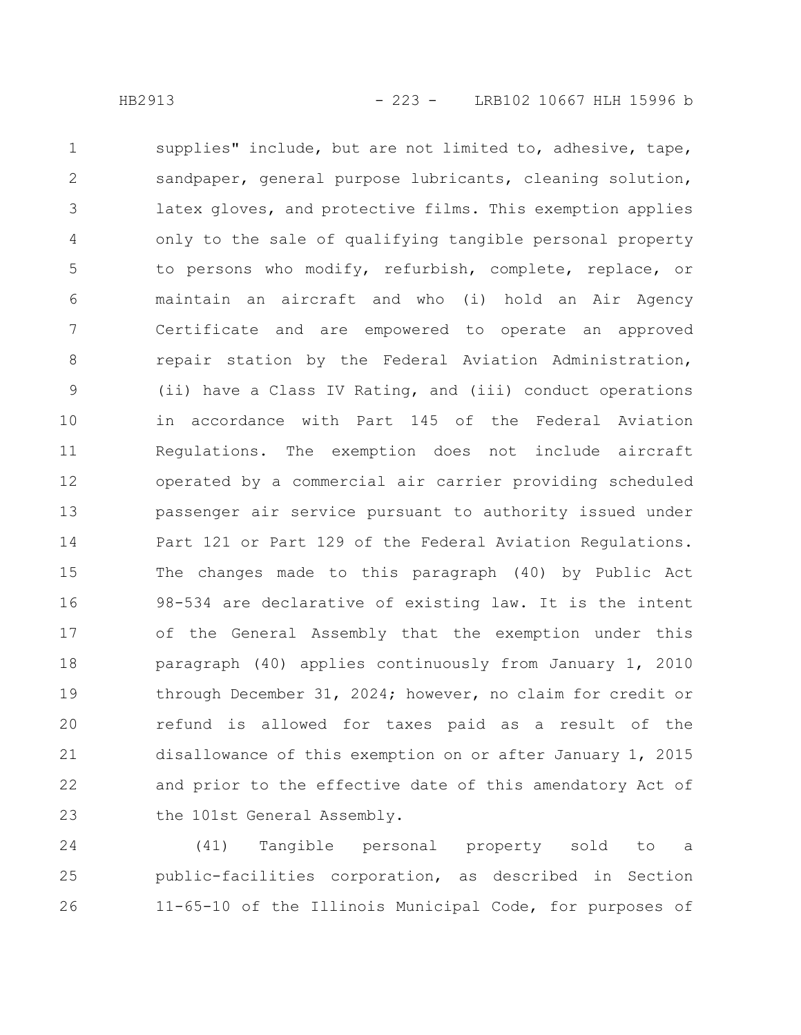supplies" include, but are not limited to, adhesive, tape, sandpaper, general purpose lubricants, cleaning solution, latex gloves, and protective films. This exemption applies only to the sale of qualifying tangible personal property to persons who modify, refurbish, complete, replace, or maintain an aircraft and who (i) hold an Air Agency Certificate and are empowered to operate an approved repair station by the Federal Aviation Administration, (ii) have a Class IV Rating, and (iii) conduct operations in accordance with Part 145 of the Federal Aviation Regulations. The exemption does not include aircraft operated by a commercial air carrier providing scheduled passenger air service pursuant to authority issued under Part 121 or Part 129 of the Federal Aviation Regulations. The changes made to this paragraph (40) by Public Act 98-534 are declarative of existing law. It is the intent of the General Assembly that the exemption under this paragraph (40) applies continuously from January 1, 2010 through December 31, 2024; however, no claim for credit or refund is allowed for taxes paid as a result of the disallowance of this exemption on or after January 1, 2015 and prior to the effective date of this amendatory Act of the 101st General Assembly. 1 2 3 4 5 6 7 8 9 10 11 12 13 14 15 16 17 18 19 20 21 22 23

(41) Tangible personal property sold to a public-facilities corporation, as described in Section 11-65-10 of the Illinois Municipal Code, for purposes of 24 25 26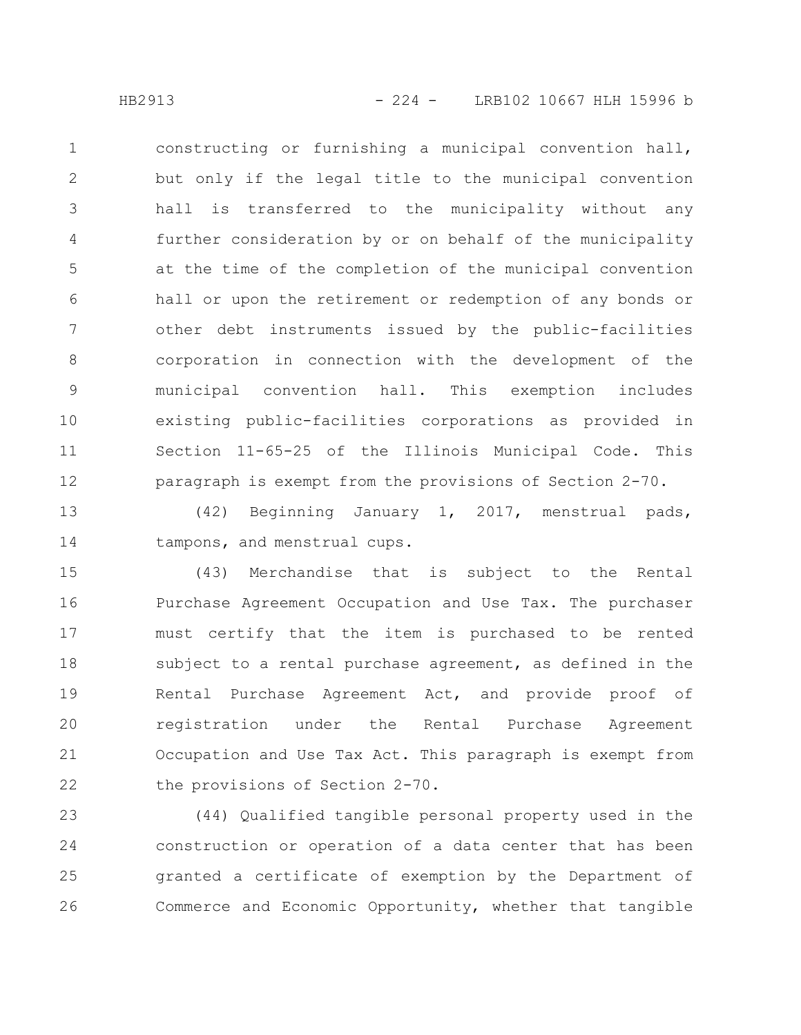constructing or furnishing a municipal convention hall, but only if the legal title to the municipal convention hall is transferred to the municipality without any further consideration by or on behalf of the municipality at the time of the completion of the municipal convention hall or upon the retirement or redemption of any bonds or other debt instruments issued by the public-facilities corporation in connection with the development of the municipal convention hall. This exemption includes existing public-facilities corporations as provided in Section 11-65-25 of the Illinois Municipal Code. This paragraph is exempt from the provisions of Section 2-70. 1 2 3 4 5 6 7 8 9 10 11 12

(42) Beginning January 1, 2017, menstrual pads, tampons, and menstrual cups. 13 14

(43) Merchandise that is subject to the Rental Purchase Agreement Occupation and Use Tax. The purchaser must certify that the item is purchased to be rented subject to a rental purchase agreement, as defined in the Rental Purchase Agreement Act, and provide proof of registration under the Rental Purchase Agreement Occupation and Use Tax Act. This paragraph is exempt from the provisions of Section 2-70. 15 16 17 18 19 20 21 22

(44) Qualified tangible personal property used in the construction or operation of a data center that has been granted a certificate of exemption by the Department of Commerce and Economic Opportunity, whether that tangible 23 24 25 26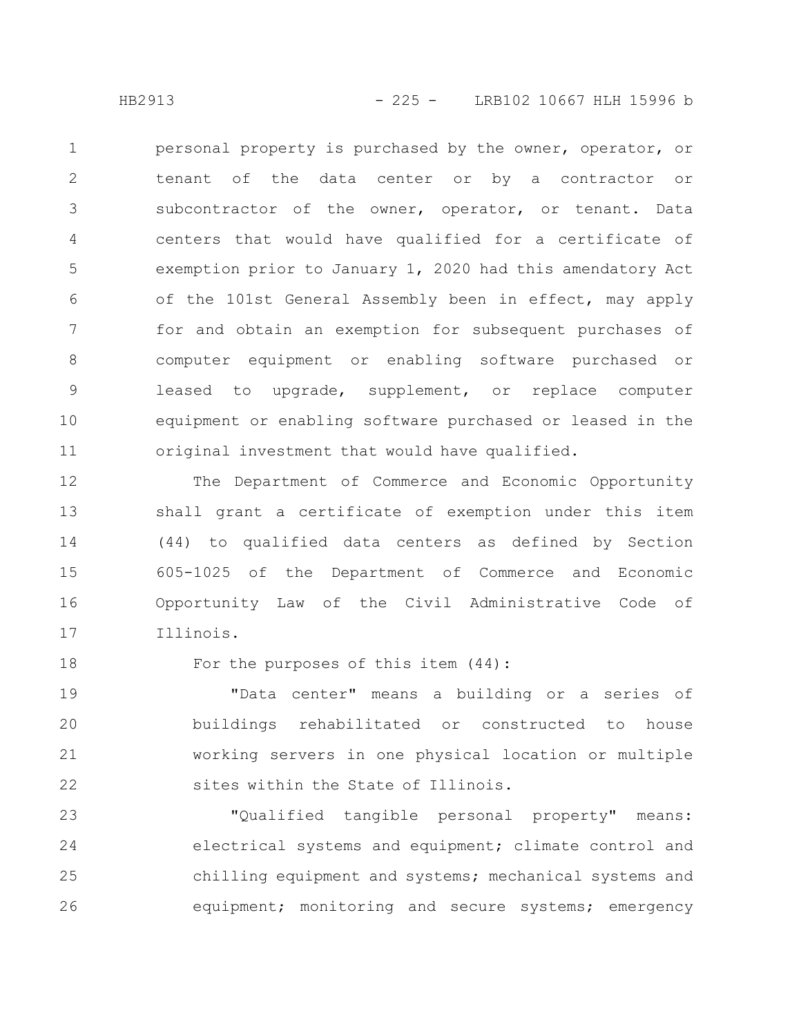personal property is purchased by the owner, operator, or tenant of the data center or by a contractor or subcontractor of the owner, operator, or tenant. Data centers that would have qualified for a certificate of exemption prior to January 1, 2020 had this amendatory Act of the 101st General Assembly been in effect, may apply for and obtain an exemption for subsequent purchases of computer equipment or enabling software purchased or leased to upgrade, supplement, or replace computer equipment or enabling software purchased or leased in the original investment that would have qualified. 1 2 3 4 5 6 7 8 9 10 11

The Department of Commerce and Economic Opportunity shall grant a certificate of exemption under this item (44) to qualified data centers as defined by Section 605-1025 of the Department of Commerce and Economic Opportunity Law of the Civil Administrative Code of Illinois. 12 13 14 15 16 17

18

For the purposes of this item (44):

"Data center" means a building or a series of buildings rehabilitated or constructed to house working servers in one physical location or multiple sites within the State of Illinois. 19 20 21 22

"Qualified tangible personal property" means: electrical systems and equipment; climate control and chilling equipment and systems; mechanical systems and equipment; monitoring and secure systems; emergency 23 24 25 26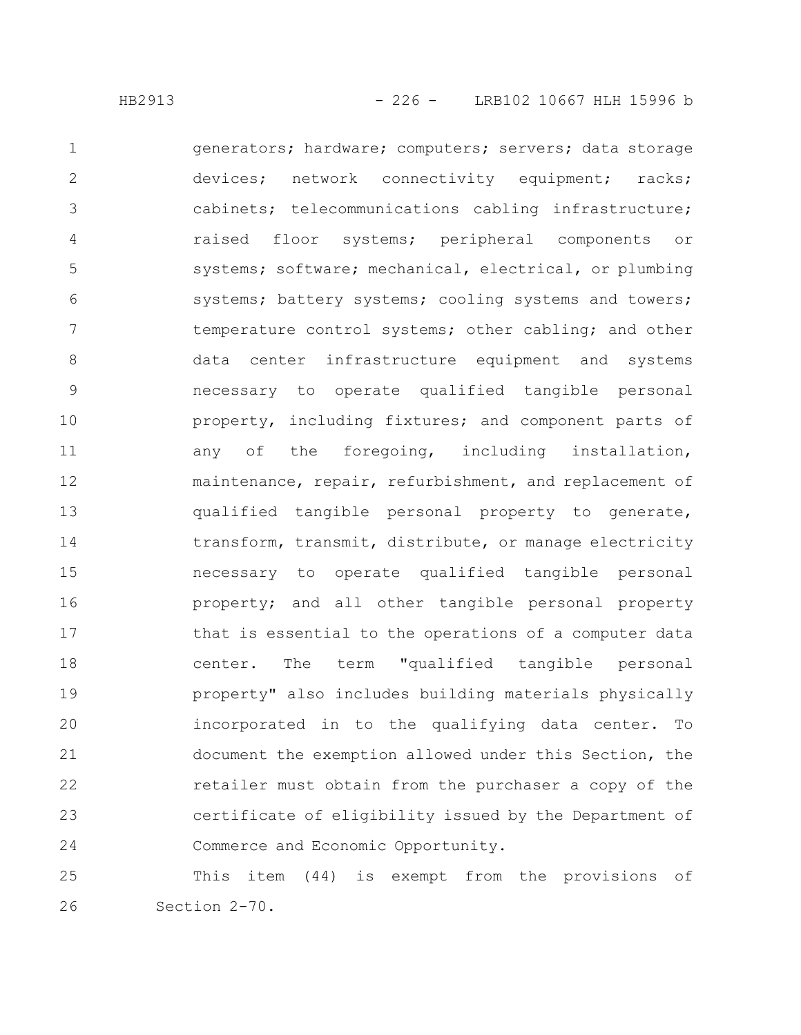generators; hardware; computers; servers; data storage devices; network connectivity equipment; racks; cabinets; telecommunications cabling infrastructure; raised floor systems; peripheral components or systems; software; mechanical, electrical, or plumbing systems; battery systems; cooling systems and towers; temperature control systems; other cabling; and other data center infrastructure equipment and systems necessary to operate qualified tangible personal property, including fixtures; and component parts of any of the foregoing, including installation, maintenance, repair, refurbishment, and replacement of qualified tangible personal property to generate, transform, transmit, distribute, or manage electricity necessary to operate qualified tangible personal property; and all other tangible personal property that is essential to the operations of a computer data center. The term "qualified tangible personal property" also includes building materials physically incorporated in to the qualifying data center. To document the exemption allowed under this Section, the retailer must obtain from the purchaser a copy of the certificate of eligibility issued by the Department of Commerce and Economic Opportunity. 1 2 3 4 5 6 7 8 9 10 11 12 13 14 15 16 17 18 19 20 21 22 23 24

This item (44) is exempt from the provisions of Section 2-70. 25 26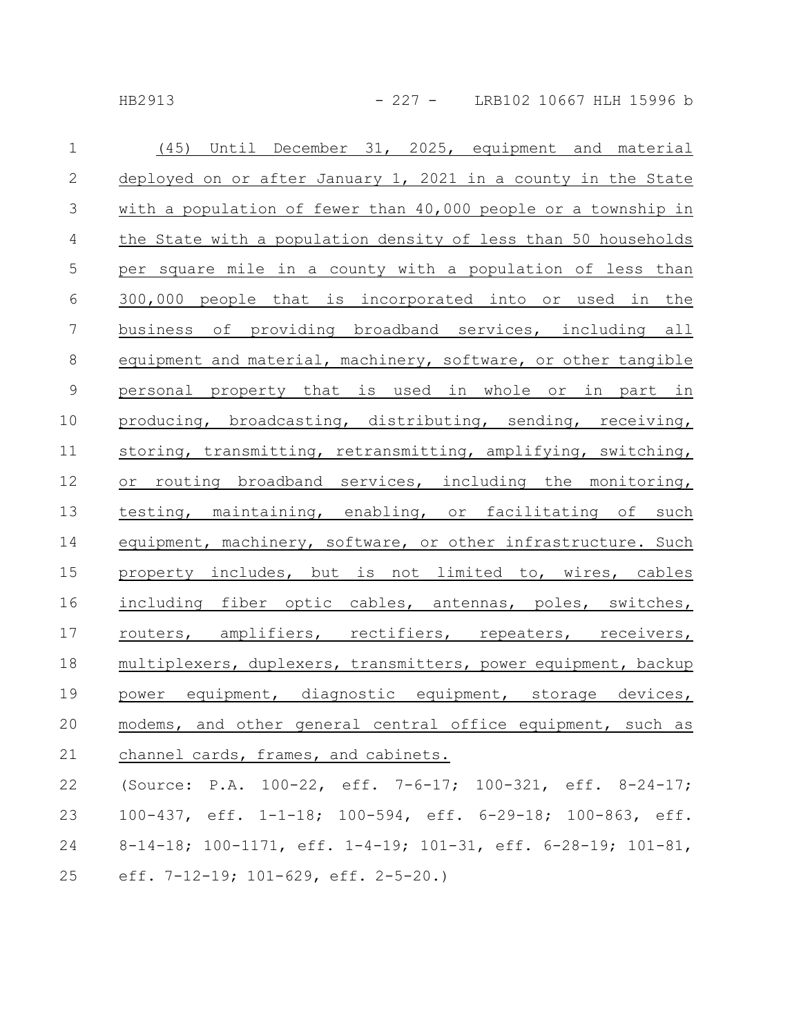HB2913 - 227 - LRB102 10667 HLH 15996 b

| $\mathbf{1}$    | (45) Until December 31, 2025, equipment and material            |
|-----------------|-----------------------------------------------------------------|
| 2               | deployed on or after January 1, 2021 in a county in the State   |
| $\mathcal{S}$   | with a population of fewer than 40,000 people or a township in  |
| $\overline{4}$  | the State with a population density of less than 50 households  |
| $\mathbf 5$     | per square mile in a county with a population of less than      |
| 6               | 300,000 people that is incorporated into or used in the         |
| $7\phantom{.0}$ | business of providing broadband services, including all         |
| 8               | equipment and material, machinery, software, or other tangible  |
| $\mathcal{G}$   | personal property that is used in whole or in part in           |
| 10              | producing, broadcasting, distributing, sending, receiving,      |
| 11              | storing, transmitting, retransmitting, amplifying, switching,   |
| 12              | or routing broadband services, including the monitoring,        |
| 13              | testing, maintaining, enabling, or facilitating of such         |
| 14              | equipment, machinery, software, or other infrastructure. Such   |
| 15              | property includes, but is not limited to, wires, cables         |
| 16              | including fiber optic cables, antennas, poles, switches,        |
| 17              | routers, amplifiers, rectifiers, repeaters, receivers,          |
| 18              | multiplexers, duplexers, transmitters, power equipment, backup  |
| 19              | power equipment, diagnostic equipment, storage devices,         |
| 20              | modems, and other general central office equipment, such as     |
| 21              | channel cards, frames, and cabinets.                            |
| 22              | (Source: P.A. $100-22$ , eff. 7-6-17; $100-321$ , eff. 8-24-17; |
| 23              | 100-437, eff. 1-1-18; 100-594, eff. 6-29-18; 100-863, eff.      |
| 24              | 8-14-18; 100-1171, eff. 1-4-19; 101-31, eff. 6-28-19; 101-81,   |

eff. 7-12-19; 101-629, eff. 2-5-20.) 25